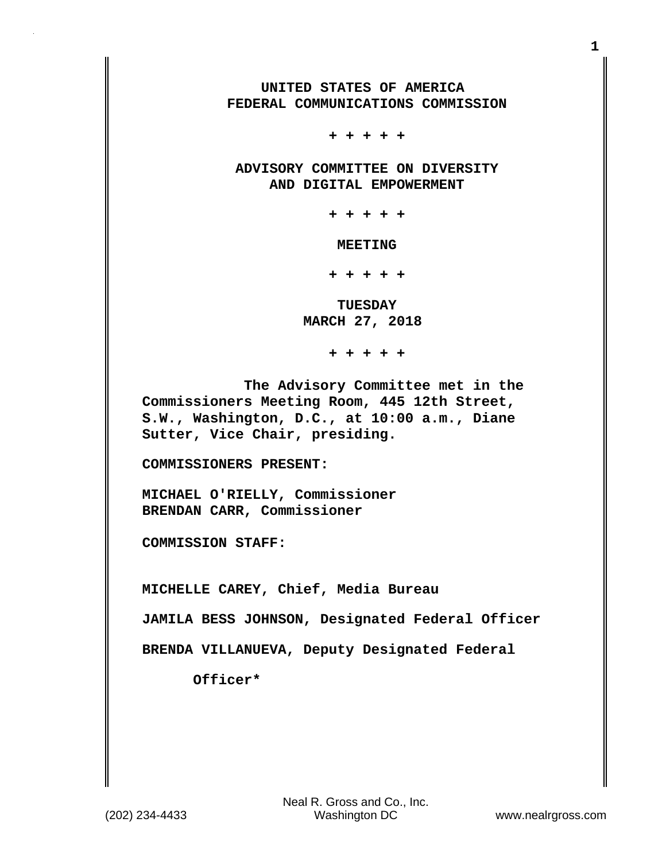**UNITED STATES OF AMERICA FEDERAL COMMUNICATIONS COMMISSION**

 **+ + + + +**

 **ADVISORY COMMITTEE ON DIVERSITY AND DIGITAL EMPOWERMENT**

 **+ + + + +**

 **MEETING**

 **+ + + + +**

 **TUESDAY MARCH 27, 2018**

 **+ + + + +**

 **The Advisory Committee met in the Commissioners Meeting Room, 445 12th Street, S.W., Washington, D.C., at 10:00 a.m., Diane Sutter, Vice Chair, presiding.**

**COMMISSIONERS PRESENT:**

**MICHAEL O'RIELLY, Commissioner BRENDAN CARR, Commissioner**

**COMMISSION STAFF:**

**MICHELLE CAREY, Chief, Media Bureau**

**JAMILA BESS JOHNSON, Designated Federal Officer**

**BRENDA VILLANUEVA, Deputy Designated Federal** 

 **Officer\***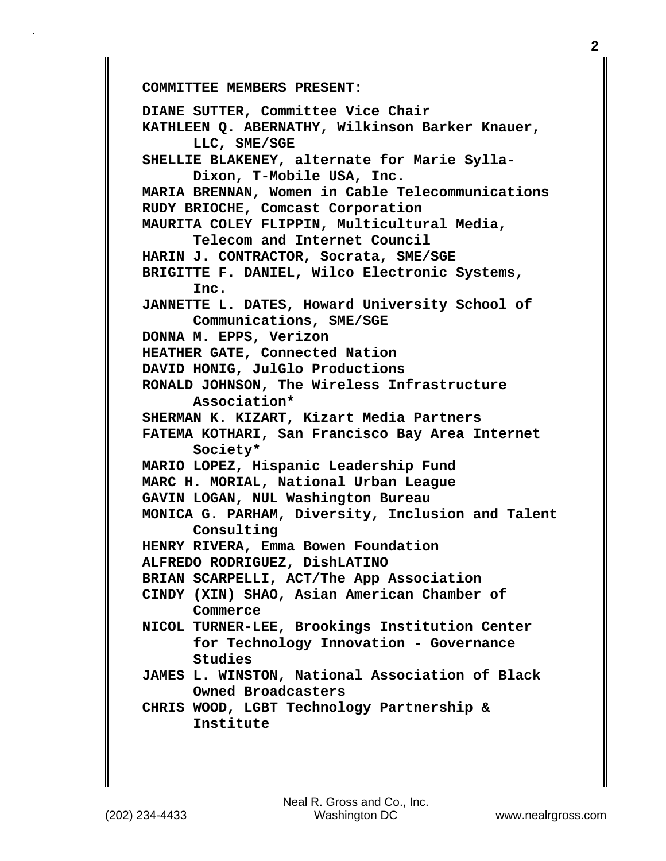**COMMITTEE MEMBERS PRESENT:** 

**DIANE SUTTER, Committee Vice Chair KATHLEEN Q. ABERNATHY, Wilkinson Barker Knauer, LLC, SME/SGE SHELLIE BLAKENEY, alternate for Marie Sylla- Dixon, T-Mobile USA, Inc. MARIA BRENNAN, Women in Cable Telecommunications RUDY BRIOCHE, Comcast Corporation MAURITA COLEY FLIPPIN, Multicultural Media, Telecom and Internet Council HARIN J. CONTRACTOR, Socrata, SME/SGE BRIGITTE F. DANIEL, Wilco Electronic Systems, Inc. JANNETTE L. DATES, Howard University School of Communications, SME/SGE DONNA M. EPPS, Verizon HEATHER GATE, Connected Nation DAVID HONIG, JulGlo Productions RONALD JOHNSON, The Wireless Infrastructure Association\* SHERMAN K. KIZART, Kizart Media Partners FATEMA KOTHARI, San Francisco Bay Area Internet Society\* MARIO LOPEZ, Hispanic Leadership Fund MARC H. MORIAL, National Urban League GAVIN LOGAN, NUL Washington Bureau MONICA G. PARHAM, Diversity, Inclusion and Talent Consulting HENRY RIVERA, Emma Bowen Foundation ALFREDO RODRIGUEZ, DishLATINO BRIAN SCARPELLI, ACT/The App Association CINDY (XIN) SHAO, Asian American Chamber of Commerce NICOL TURNER-LEE, Brookings Institution Center for Technology Innovation - Governance Studies JAMES L. WINSTON, National Association of Black Owned Broadcasters CHRIS WOOD, LGBT Technology Partnership & Institute**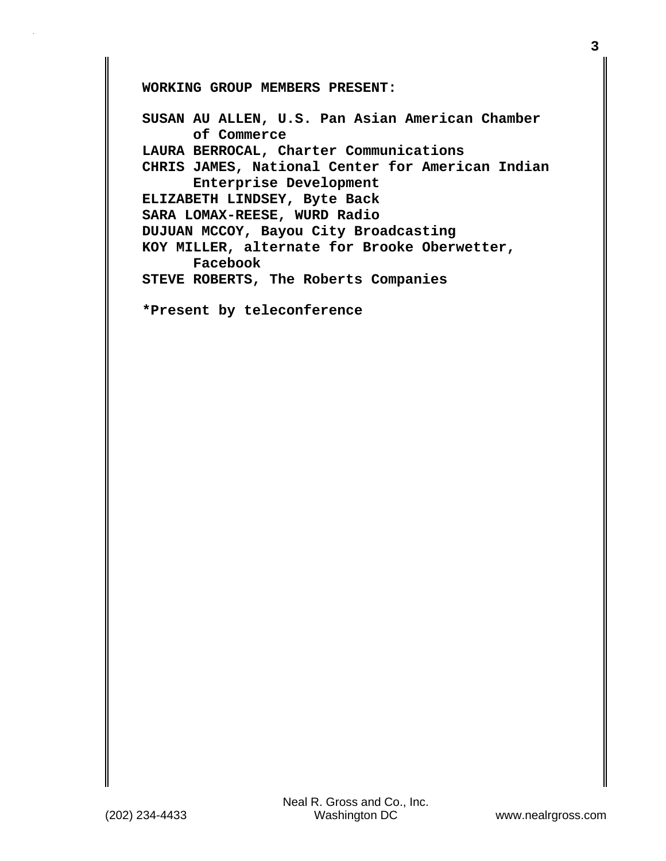**WORKING GROUP MEMBERS PRESENT:**

**SUSAN AU ALLEN, U.S. Pan Asian American Chamber of Commerce LAURA BERROCAL, Charter Communications CHRIS JAMES, National Center for American Indian Enterprise Development ELIZABETH LINDSEY, Byte Back SARA LOMAX-REESE, WURD Radio DUJUAN MCCOY, Bayou City Broadcasting KOY MILLER, alternate for Brooke Oberwetter, Facebook STEVE ROBERTS, The Roberts Companies**

**\*Present by teleconference**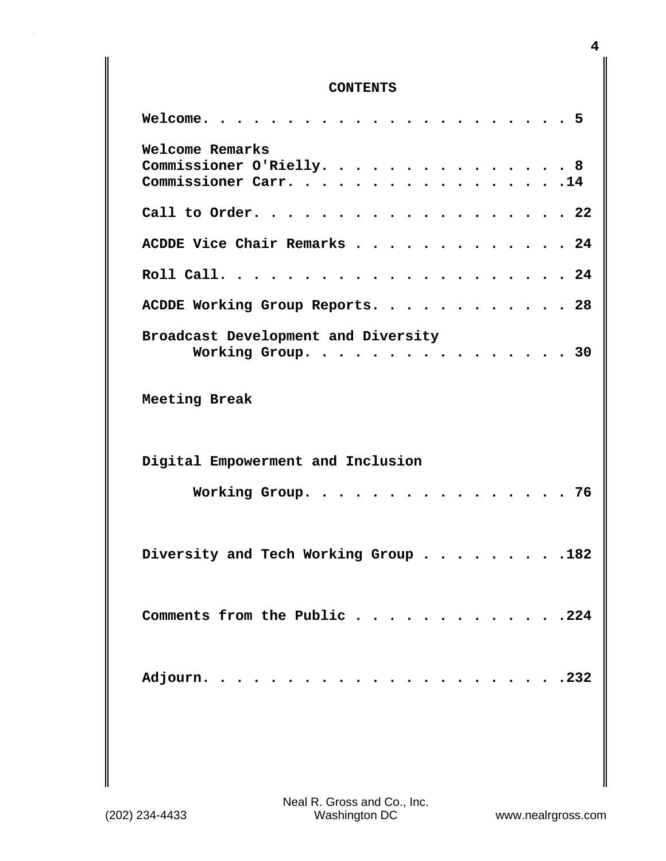## **CONTENTS**

| Welcome.<br>. 5                                                      |
|----------------------------------------------------------------------|
| Welcome Remarks<br>Commissioner O'Rielly. 8<br>Commissioner Carr. 14 |
| Call to Order. 22                                                    |
| ACDDE Vice Chair Remarks 24                                          |
|                                                                      |
| ACDDE Working Group Reports. 28                                      |
| Broadcast Development and Diversity<br>Working Group. 30             |
| Meeting Break                                                        |
| Digital Empowerment and Inclusion                                    |
| Working Group.<br>. 76                                               |
| Diversity and Tech Working Group 182                                 |
| Comments from the Public 224                                         |
|                                                                      |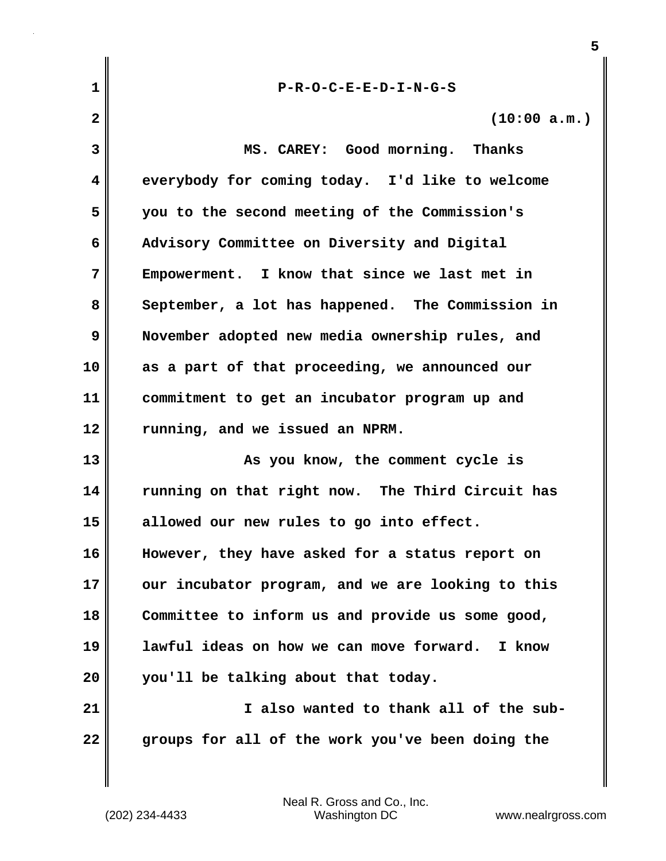| 1  | $P-R-O-C-E-E-D-I-N-G-S$                           |
|----|---------------------------------------------------|
| 2  | (10:00 a.m.)                                      |
| 3  | MS. CAREY: Good morning. Thanks                   |
| 4  | everybody for coming today. I'd like to welcome   |
| 5  | you to the second meeting of the Commission's     |
| 6  | Advisory Committee on Diversity and Digital       |
| 7  | Empowerment. I know that since we last met in     |
| 8  | September, a lot has happened. The Commission in  |
| 9  | November adopted new media ownership rules, and   |
| 10 | as a part of that proceeding, we announced our    |
| 11 | commitment to get an incubator program up and     |
| 12 | running, and we issued an NPRM.                   |
| 13 | As you know, the comment cycle is                 |
| 14 | running on that right now. The Third Circuit has  |
| 15 | allowed our new rules to go into effect.          |
| 16 | However, they have asked for a status report on   |
| 17 | our incubator program, and we are looking to this |
| 18 | Committee to inform us and provide us some good,  |
| 19 | lawful ideas on how we can move forward. I know   |
| 20 | you'll be talking about that today.               |
| 21 | I also wanted to thank all of the sub-            |
| 22 | groups for all of the work you've been doing the  |

**5**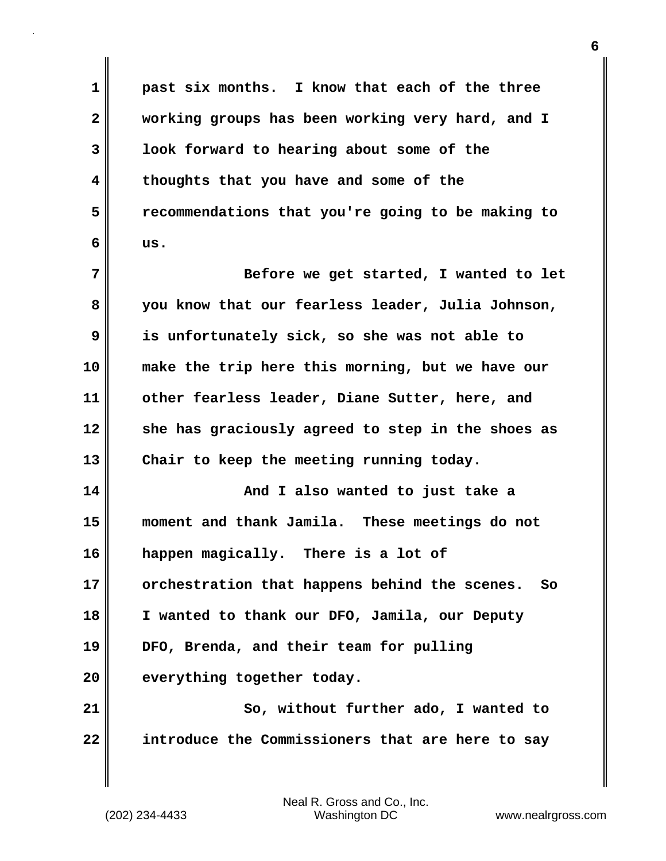**1 past six months. I know that each of the three 2 working groups has been working very hard, and I 3 look forward to hearing about some of the 4 thoughts that you have and some of the 5 recommendations that you're going to be making to 6 us. 7 Before we get started, I wanted to let 8 you know that our fearless leader, Julia Johnson, 9 is unfortunately sick, so she was not able to 10 make the trip here this morning, but we have our 11 other fearless leader, Diane Sutter, here, and 12 she has graciously agreed to step in the shoes as 13 Chair to keep the meeting running today. 14 And I also wanted to just take a 15 moment and thank Jamila. These meetings do not 16 happen magically. There is a lot of 17 orchestration that happens behind the scenes. So 18 I wanted to thank our DFO, Jamila, our Deputy 19 DFO, Brenda, and their team for pulling 20 everything together today. 21** So, without further ado, I wanted to **22 introduce the Commissioners that are here to say**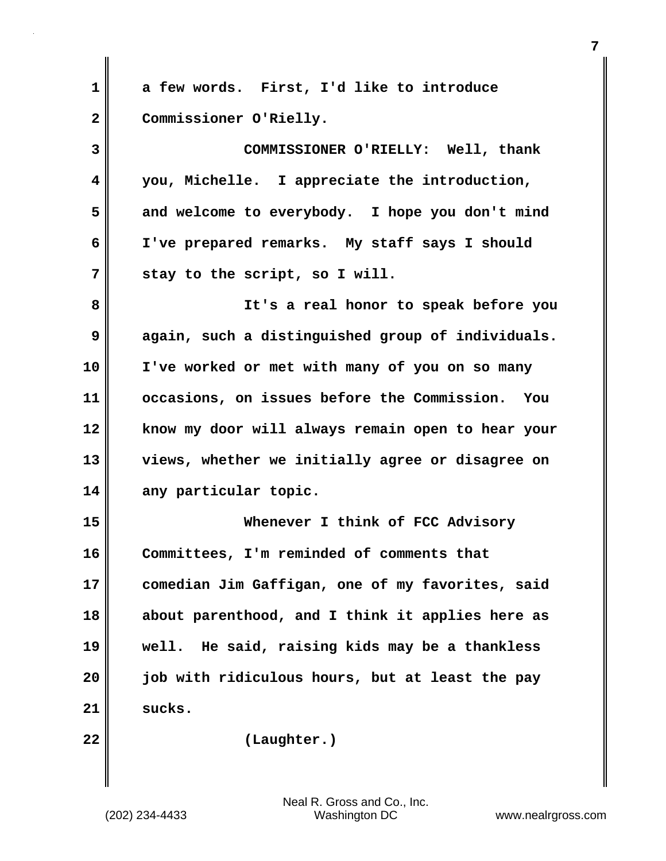**1 a few words. First, I'd like to introduce 2 Commissioner O'Rielly. 3 COMMISSIONER O'RIELLY: Well, thank 4 you, Michelle. I appreciate the introduction, 5 and welcome to everybody. I hope you don't mind 6 I've prepared remarks. My staff says I should 7 stay to the script, so I will. 8 It's a real honor to speak before you 9 again, such a distinguished group of individuals. 10 I've worked or met with many of you on so many 11 occasions, on issues before the Commission. You 12 know my door will always remain open to hear your 13 views, whether we initially agree or disagree on 14 any particular topic. 15 Whenever I think of FCC Advisory 16 Committees, I'm reminded of comments that 17 comedian Jim Gaffigan, one of my favorites, said 18 about parenthood, and I think it applies here as 19 well. He said, raising kids may be a thankless 20 job with ridiculous hours, but at least the pay 21 sucks. 22 (Laughter.)**

(202) 234-4433 Washington DC www.nealrgross.com Neal R. Gross and Co., Inc.

**7**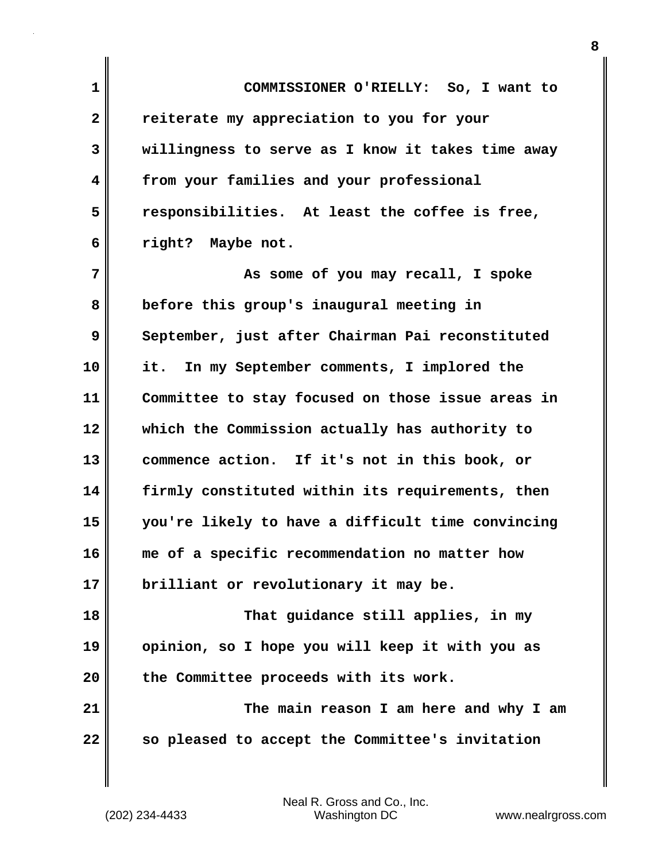**1 COMMISSIONER O'RIELLY: So, I want to 2 reiterate my appreciation to you for your 3 willingness to serve as I know it takes time away 4 from your families and your professional 5 responsibilities. At least the coffee is free, 6 right? Maybe not. 7 As some of you may recall, I spoke**

**8 before this group's inaugural meeting in 9** September, just after Chairman Pai reconstituted **10 it. In my September comments, I implored the 11 Committee to stay focused on those issue areas in 12 which the Commission actually has authority to 13 commence action. If it's not in this book, or 14 firmly constituted within its requirements, then 15 you're likely to have a difficult time convincing 16 me of a specific recommendation no matter how 17 brilliant or revolutionary it may be. 18 That guidance still applies, in my**

**19 opinion, so I hope you will keep it with you as 20 the Committee proceeds with its work.**

**21 The main reason I am here and why I am 22 so pleased to accept the Committee's invitation**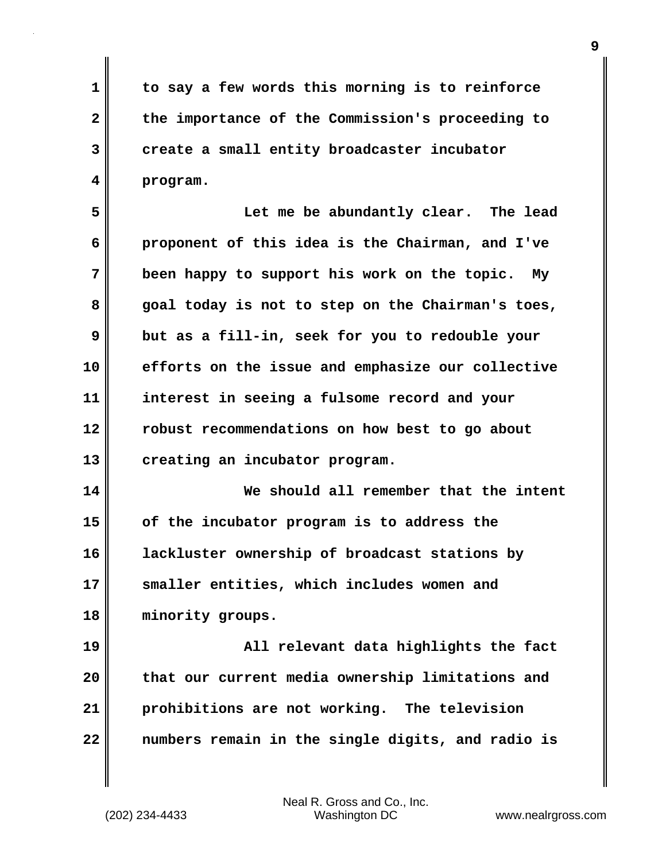**1 to say a few words this morning is to reinforce 2 the importance of the Commission's proceeding to 3 create a small entity broadcaster incubator 4 program.**

**5 Let me be abundantly clear. The lead 6 proponent of this idea is the Chairman, and I've 7 been happy to support his work on the topic. My 8 goal today is not to step on the Chairman's toes, 9 but as a fill-in, seek for you to redouble your 10 efforts on the issue and emphasize our collective 11 interest in seeing a fulsome record and your 12 robust recommendations on how best to go about 13 creating an incubator program.**

**14 We should all remember that the intent 15 of the incubator program is to address the 16 lackluster ownership of broadcast stations by 17 smaller entities, which includes women and 18 minority groups.**

**19 All relevant data highlights the fact 20 that our current media ownership limitations and 21 prohibitions are not working. The television 22 numbers remain in the single digits, and radio is**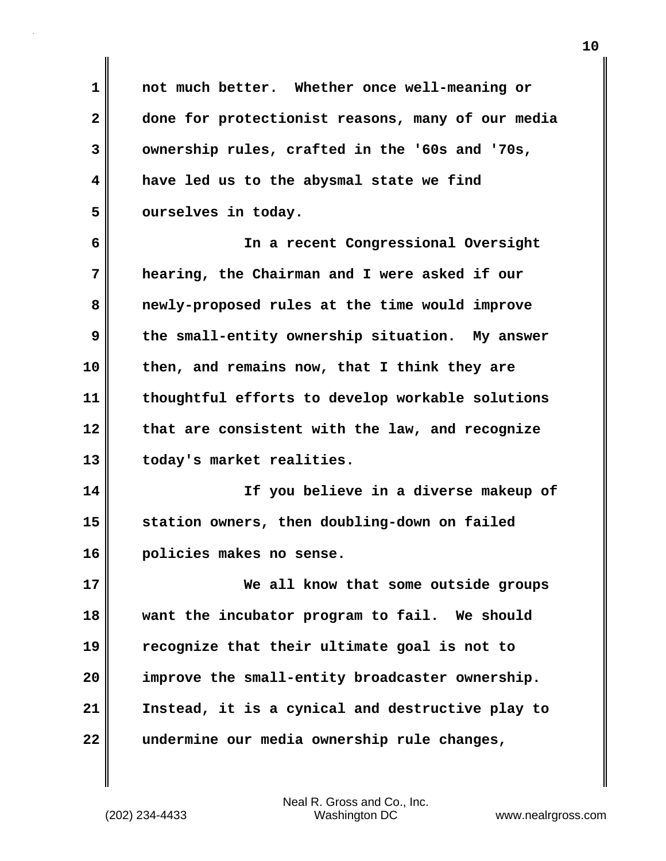**1 not much better. Whether once well-meaning or 2 done for protectionist reasons, many of our media 3 ownership rules, crafted in the '60s and '70s, 4 have led us to the abysmal state we find 5 ourselves in today.** 

**6 In a recent Congressional Oversight 7 hearing, the Chairman and I were asked if our 8 newly-proposed rules at the time would improve 9 the small-entity ownership situation. My answer 10 then, and remains now, that I think they are 11 thoughtful efforts to develop workable solutions 12 that are consistent with the law, and recognize 13 today's market realities.**

**14 If you believe in a diverse makeup of 15 station owners, then doubling-down on failed 16 policies makes no sense.**

**17 We all know that some outside groups 18 want the incubator program to fail. We should 19 recognize that their ultimate goal is not to 20 improve the small-entity broadcaster ownership. 21 Instead, it is a cynical and destructive play to 22 undermine our media ownership rule changes,**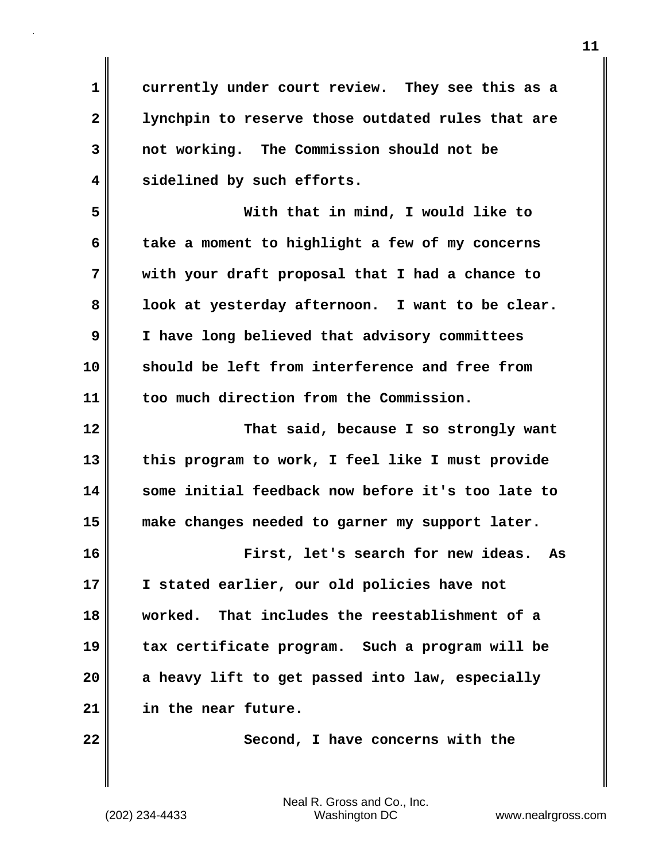**1 currently under court review. They see this as a 2 lynchpin to reserve those outdated rules that are 3 not working. The Commission should not be 4 sidelined by such efforts.** 

**5 With that in mind, I would like to 6 take a moment to highlight a few of my concerns 7 with your draft proposal that I had a chance to 8 look at yesterday afternoon. I want to be clear. 9 I have long believed that advisory committees 10 should be left from interference and free from 11 too much direction from the Commission.** 

**12 That said, because I so strongly want 13 this program to work, I feel like I must provide 14 some initial feedback now before it's too late to 15 make changes needed to garner my support later.** 

**16 First, let's search for new ideas. As 17 I stated earlier, our old policies have not 18 worked. That includes the reestablishment of a 19 tax certificate program. Such a program will be 20 a heavy lift to get passed into law, especially 21 in the near future.**

**22** Second, I have concerns with the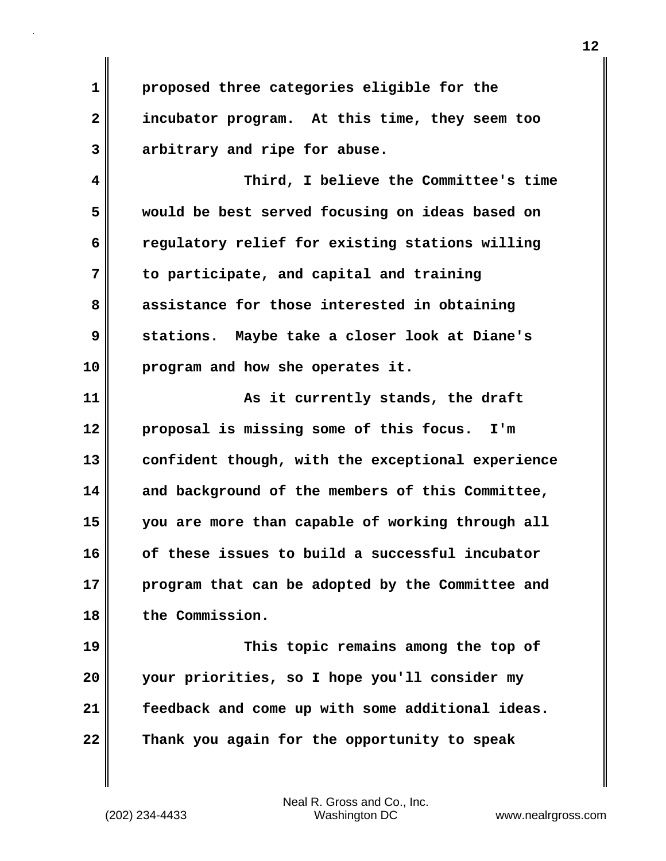**1 proposed three categories eligible for the 2 incubator program. At this time, they seem too 3 arbitrary and ripe for abuse.** 

**4 Third, I believe the Committee's time 5 would be best served focusing on ideas based on 6 regulatory relief for existing stations willing 7 to participate, and capital and training 8 assistance for those interested in obtaining 9 stations. Maybe take a closer look at Diane's 10 program and how she operates it.**

**11 As it currently stands, the draft 12 proposal is missing some of this focus. I'm 13 confident though, with the exceptional experience 14 and background of the members of this Committee, 15 you are more than capable of working through all 16 of these issues to build a successful incubator 17 program that can be adopted by the Committee and 18 the Commission.** 

**19 This topic remains among the top of 20 your priorities, so I hope you'll consider my 21 feedback and come up with some additional ideas. 22 Thank you again for the opportunity to speak**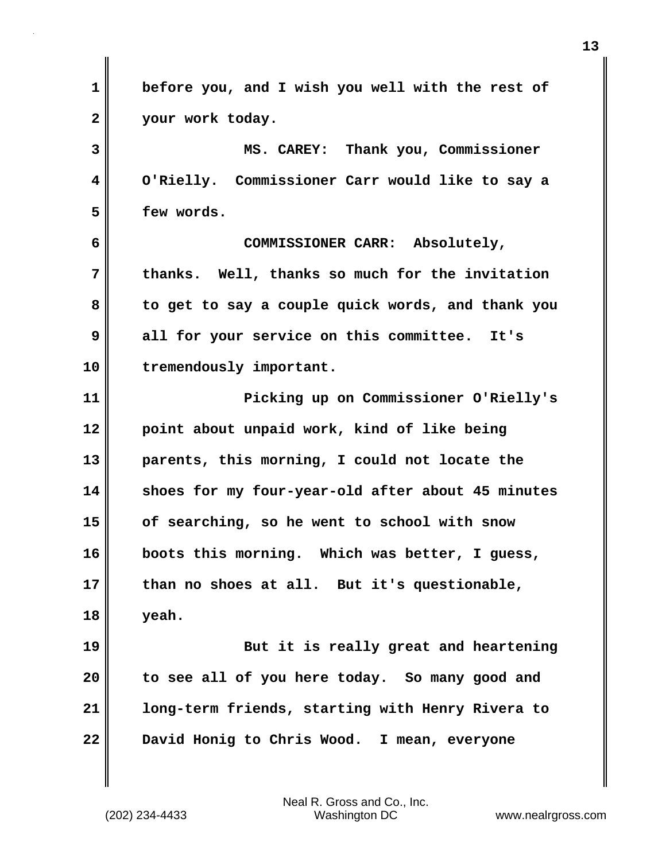**1 before you, and I wish you well with the rest of 2 your work today. 3 MS. CAREY: Thank you, Commissioner 4 O'Rielly. Commissioner Carr would like to say a 5 few words. 6 COMMISSIONER CARR: Absolutely, 7 thanks. Well, thanks so much for the invitation 8 to get to say a couple quick words, and thank you 9 all for your service on this committee. It's 10 tremendously important. 11 Picking up on Commissioner O'Rielly's 12 point about unpaid work, kind of like being 13 parents, this morning, I could not locate the 14 shoes for my four-year-old after about 45 minutes 15 of searching, so he went to school with snow 16 boots this morning. Which was better, I guess, 17 than no shoes at all. But it's questionable, 18 yeah. 19 But it is really great and heartening 20 to see all of you here today. So many good and 21 long-term friends, starting with Henry Rivera to 22 David Honig to Chris Wood. I mean, everyone**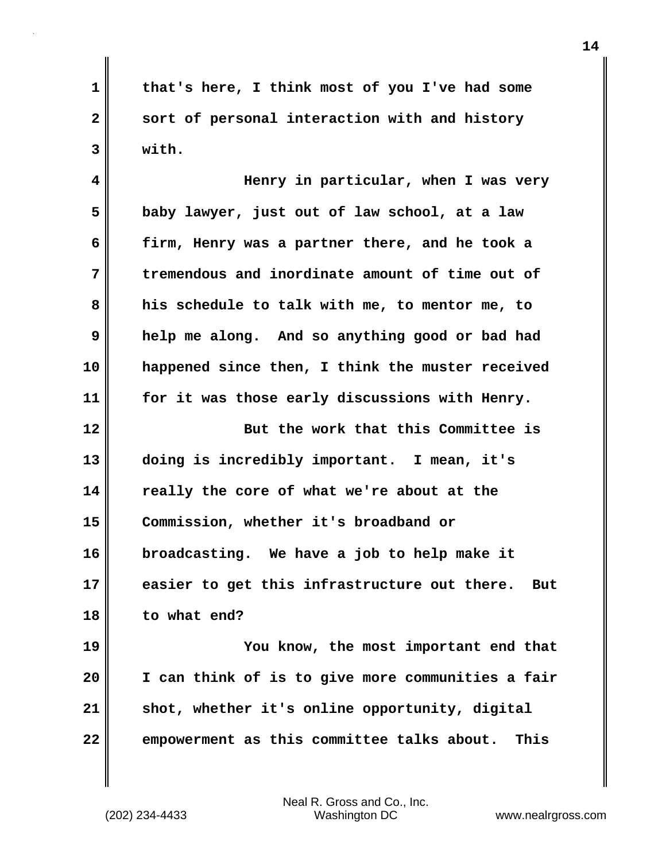**1 that's here, I think most of you I've had some 2 sort of personal interaction with and history 3 with.** 

**4 Henry in particular, when I was very 5 baby lawyer, just out of law school, at a law 6 firm, Henry was a partner there, and he took a 7 tremendous and inordinate amount of time out of 8 his schedule to talk with me, to mentor me, to 9 help me along. And so anything good or bad had 10 happened since then, I think the muster received 11 for it was those early discussions with Henry.**

**12 But the work that this Committee is 13 doing is incredibly important. I mean, it's 14 really the core of what we're about at the 15 Commission, whether it's broadband or 16 broadcasting. We have a job to help make it 17 easier to get this infrastructure out there. But 18 to what end?**

**19 You know, the most important end that 20 I can think of is to give more communities a fair 21 shot, whether it's online opportunity, digital 22 empowerment as this committee talks about. This**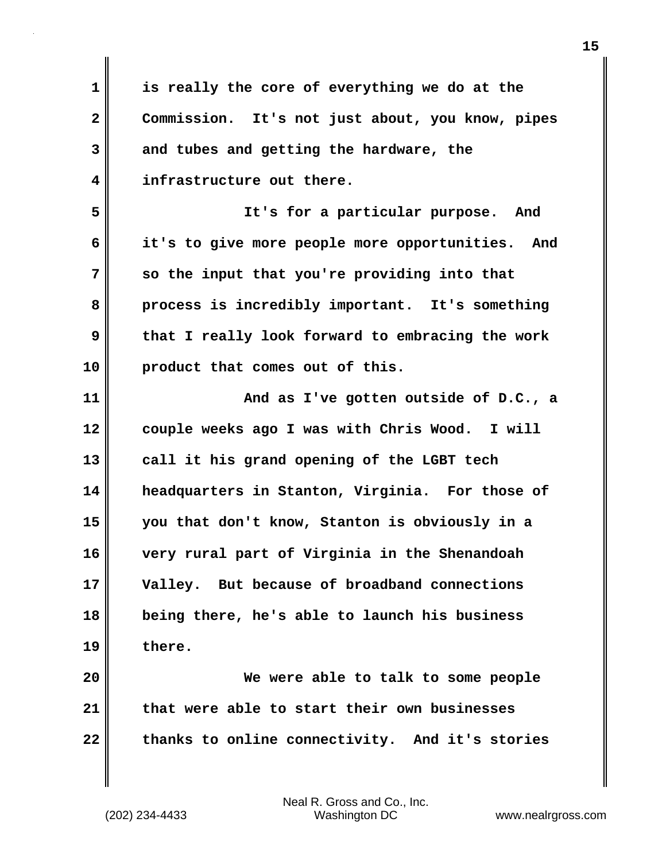**1 is really the core of everything we do at the 2 Commission. It's not just about, you know, pipes 3 and tubes and getting the hardware, the 4 infrastructure out there. 5 It's for a particular purpose. And 6 it's to give more people more opportunities. And 7 so the input that you're providing into that 8 process is incredibly important. It's something 9 that I really look forward to embracing the work 10 product that comes out of this. 11 And as I've gotten outside of D.C., a 12 couple weeks ago I was with Chris Wood. I will 13 call it his grand opening of the LGBT tech 14 headquarters in Stanton, Virginia. For those of 15 you that don't know, Stanton is obviously in a 16 very rural part of Virginia in the Shenandoah 17 Valley. But because of broadband connections 18 being there, he's able to launch his business 19 there. 20 We were able to talk to some people 21 that were able to start their own businesses 22 thanks to online connectivity. And it's stories**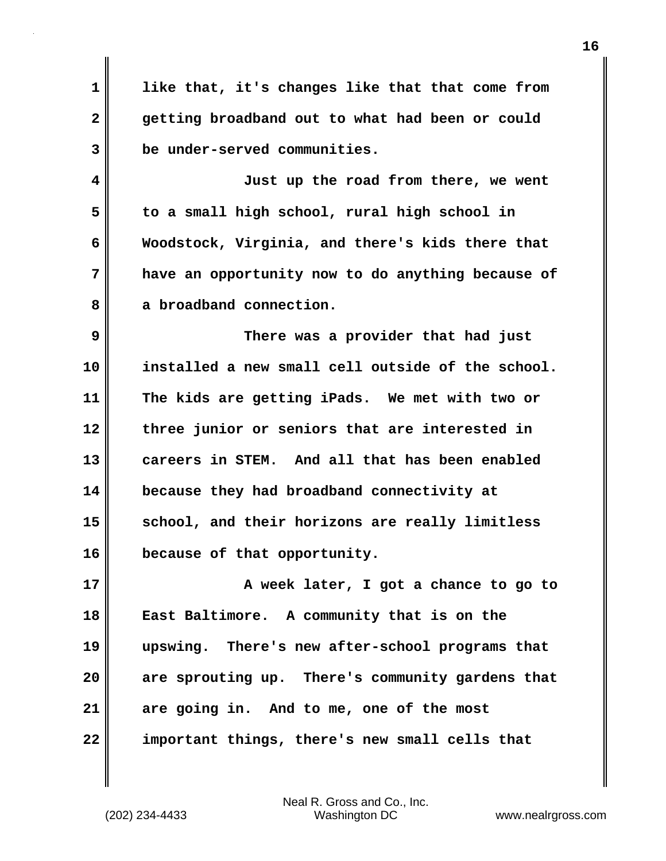**1 like that, it's changes like that that come from 2 getting broadband out to what had been or could 3 be under-served communities. 4 Just up the road from there, we went**

**5 to a small high school, rural high school in 6 Woodstock, Virginia, and there's kids there that 7 have an opportunity now to do anything because of 8 a broadband connection.** 

**9 There was a provider that had just 10 installed a new small cell outside of the school. 11 The kids are getting iPads. We met with two or 12 three junior or seniors that are interested in 13 careers in STEM. And all that has been enabled 14 because they had broadband connectivity at** 15 school, and their horizons are really limitless **16 because of that opportunity.** 

**17 A week later, I got a chance to go to 18 East Baltimore. A community that is on the 19 upswing. There's new after-school programs that 20 are sprouting up. There's community gardens that 21 are going in. And to me, one of the most 22 important things, there's new small cells that**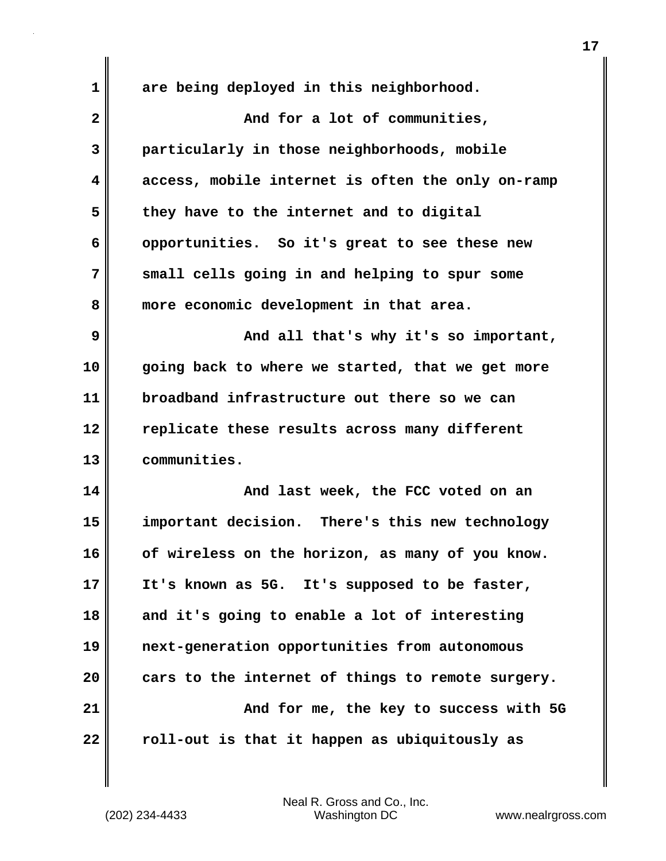| $\mathbf 1$  | are being deployed in this neighborhood.          |
|--------------|---------------------------------------------------|
| $\mathbf{2}$ | And for a lot of communities,                     |
| 3            | particularly in those neighborhoods, mobile       |
| 4            | access, mobile internet is often the only on-ramp |
| 5            | they have to the internet and to digital          |
| 6            | opportunities. So it's great to see these new     |
| 7            | small cells going in and helping to spur some     |
| 8            | more economic development in that area.           |
| 9            | And all that's why it's so important,             |
| 10           | going back to where we started, that we get more  |
| 11           | broadband infrastructure out there so we can      |
| 12           | replicate these results across many different     |
| 13           | communities.                                      |
| 14           | And last week, the FCC voted on an                |
| 15           | important decision. There's this new technology   |
| 16           | of wireless on the horizon, as many of you know.  |
| 17           | It's known as 5G. It's supposed to be faster,     |
| 18           | and it's going to enable a lot of interesting     |
| 19           | next-generation opportunities from autonomous     |
| 20           | cars to the internet of things to remote surgery. |
| 21           | And for me, the key to success with 5G            |
| 22           | roll-out is that it happen as ubiquitously as     |

 $\mathbf{I}$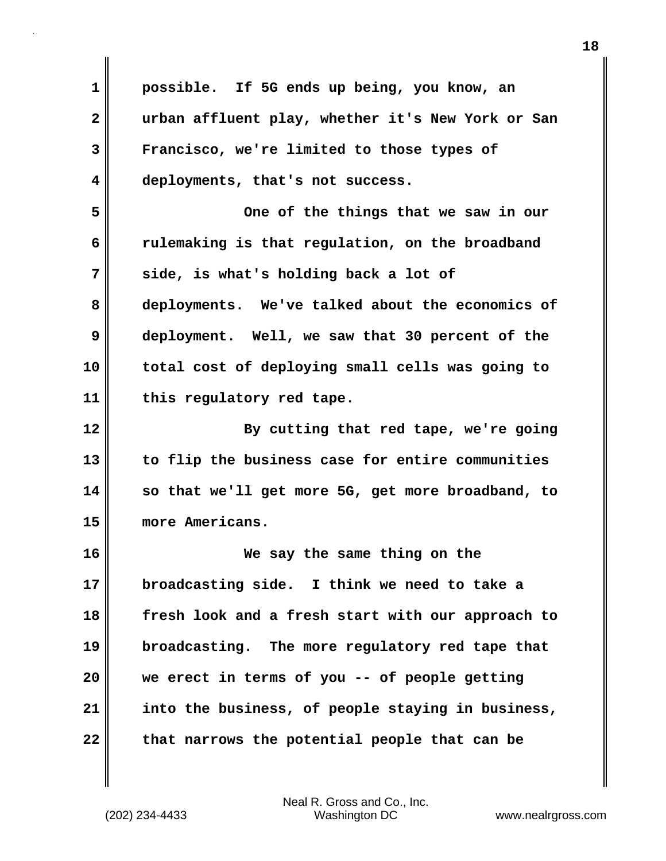**1 possible. If 5G ends up being, you know, an 2 urban affluent play, whether it's New York or San 3 Francisco, we're limited to those types of 4 deployments, that's not success. 5 One of the things that we saw in our 6 rulemaking is that regulation, on the broadband 7 side, is what's holding back a lot of 8 deployments. We've talked about the economics of 9 deployment. Well, we saw that 30 percent of the 10 total cost of deploying small cells was going to 11 this regulatory red tape. 12 By cutting that red tape, we're going 13 to flip the business case for entire communities 14 so that we'll get more 5G, get more broadband, to 15 more Americans. 16 We say the same thing on the 17 broadcasting side. I think we need to take a 18 fresh look and a fresh start with our approach to 19 broadcasting. The more regulatory red tape that 20 we erect in terms of you -- of people getting 21 into the business, of people staying in business,** 22 that narrows the potential people that can be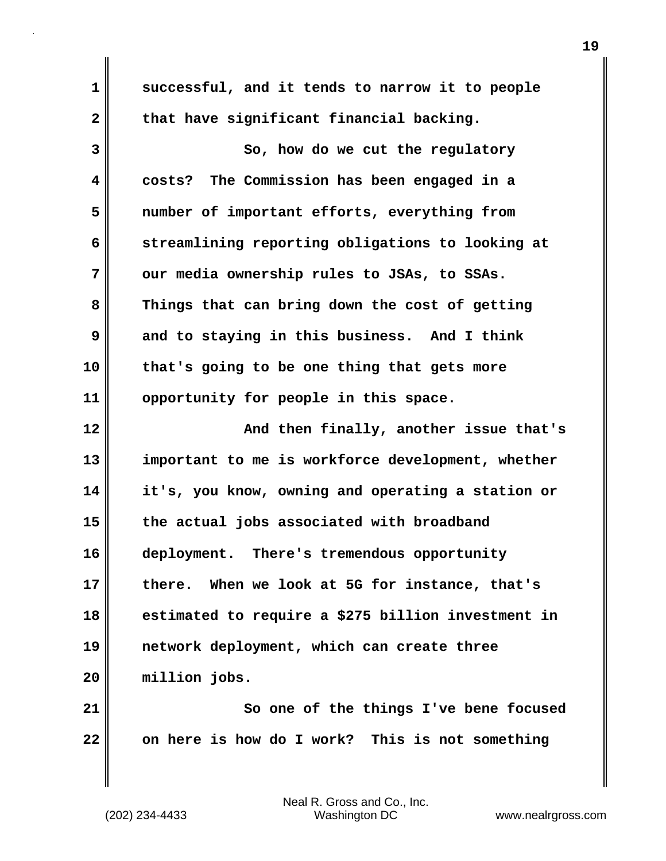**1 successful, and it tends to narrow it to people** 2 that have significant financial backing. **3** So, how do we cut the requlatory **4 costs? The Commission has been engaged in a 5 number of important efforts, everything from 6 streamlining reporting obligations to looking at 7 our media ownership rules to JSAs, to SSAs. 8 Things that can bring down the cost of getting 9 and to staying in this business. And I think 10 that's going to be one thing that gets more 11 opportunity for people in this space. 12 And then finally, another issue that's 13 important to me is workforce development, whether 14 it's, you know, owning and operating a station or 15 the actual jobs associated with broadband 16 deployment. There's tremendous opportunity 17 there. When we look at 5G for instance, that's 18 estimated to require a \$275 billion investment in 19 network deployment, which can create three 20 million jobs. 21 So one of the things I've bene focused 22 on here is how do I work? This is not something**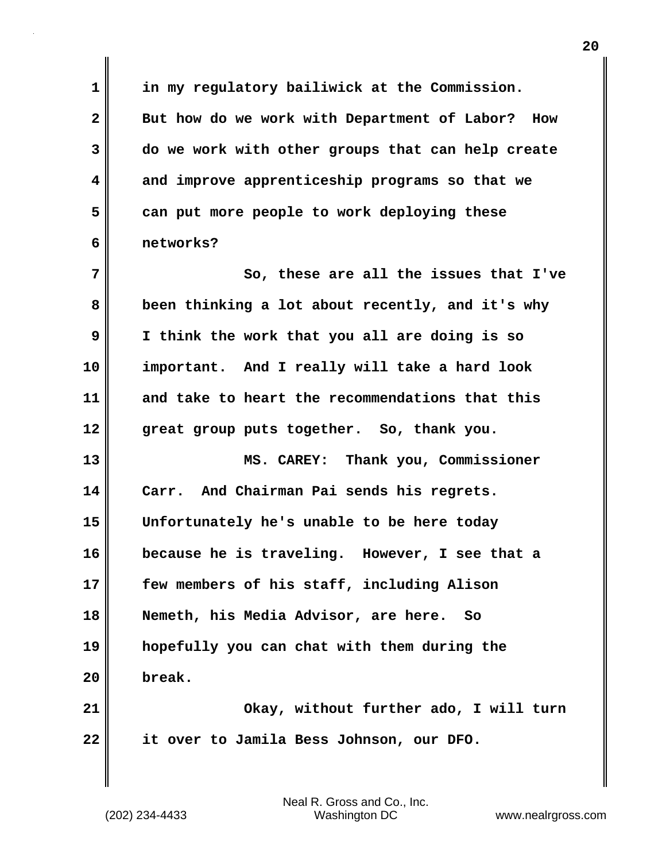**1 in my regulatory bailiwick at the Commission. 2 But how do we work with Department of Labor? How 3 do we work with other groups that can help create 4 and improve apprenticeship programs so that we 5 can put more people to work deploying these 6 networks? 7** So, these are all the issues that I've **8 been thinking a lot about recently, and it's why 9 I think the work that you all are doing is so 10 important. And I really will take a hard look 11 and take to heart the recommendations that this 12 great group puts together. So, thank you. 13 MS. CAREY: Thank you, Commissioner 14 Carr. And Chairman Pai sends his regrets. 15 Unfortunately he's unable to be here today 16 because he is traveling. However, I see that a 17 few members of his staff, including Alison 18 Nemeth, his Media Advisor, are here. So 19 hopefully you can chat with them during the 20 break. 21 Okay, without further ado, I will turn 22 it over to Jamila Bess Johnson, our DFO.**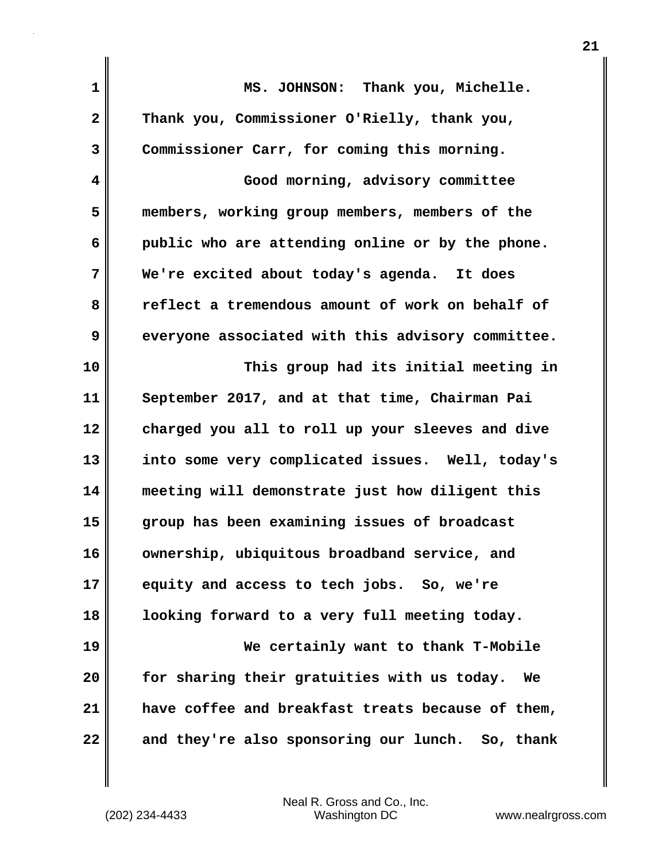| 1            | MS. JOHNSON: Thank you, Michelle.                 |
|--------------|---------------------------------------------------|
| $\mathbf{2}$ | Thank you, Commissioner O'Rielly, thank you,      |
| 3            | Commissioner Carr, for coming this morning.       |
| 4            | Good morning, advisory committee                  |
| 5            | members, working group members, members of the    |
| 6            | public who are attending online or by the phone.  |
| 7            | We're excited about today's agenda. It does       |
| 8            | reflect a tremendous amount of work on behalf of  |
| 9            | everyone associated with this advisory committee. |
| 10           | This group had its initial meeting in             |
| 11           | September 2017, and at that time, Chairman Pai    |
| 12           | charged you all to roll up your sleeves and dive  |
| 13           | into some very complicated issues. Well, today's  |
| 14           | meeting will demonstrate just how diligent this   |
| 15           | group has been examining issues of broadcast      |
| 16           | ownership, ubiquitous broadband service, and      |
| 17           | equity and access to tech jobs. So, we're         |
| 18           | looking forward to a very full meeting today.     |
| 19           | We certainly want to thank T-Mobile               |
| 20           | for sharing their gratuities with us today.<br>We |
| 21           | have coffee and breakfast treats because of them, |
| 22           | and they're also sponsoring our lunch. So, thank  |

 $\mathbf{I}$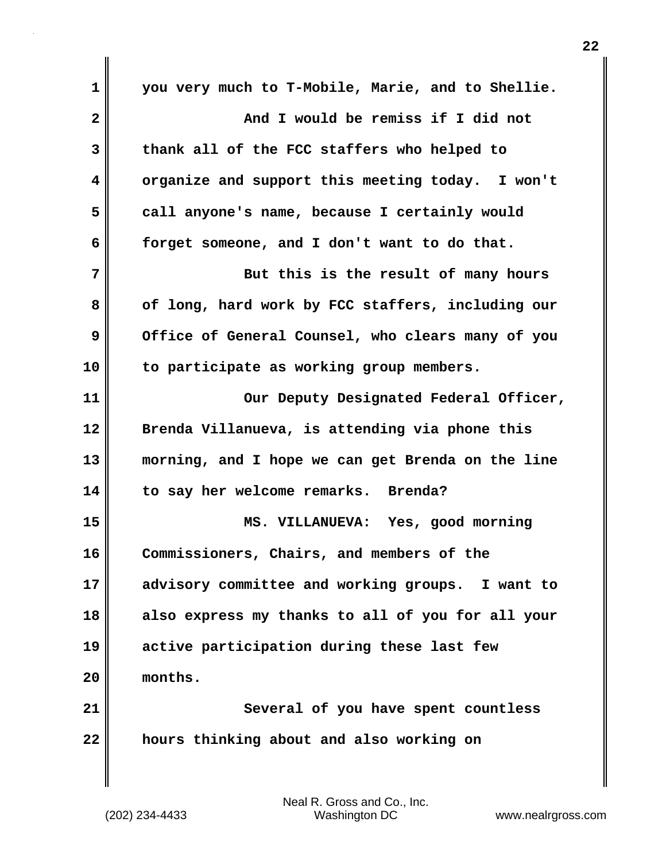**1 you very much to T-Mobile, Marie, and to Shellie. 2 And I would be remiss if I did not 3 thank all of the FCC staffers who helped to 4 organize and support this meeting today. I won't 5 call anyone's name, because I certainly would 6 forget someone, and I don't want to do that. 7 But this is the result of many hours** 8 of long, hard work by FCC staffers, including our **9** Office of General Counsel, who clears many of you **10 to participate as working group members. 11** Our Deputy Designated Federal Officer, **12 Brenda Villanueva, is attending via phone this 13 morning, and I hope we can get Brenda on the line 14 to say her welcome remarks. Brenda? 15 MS. VILLANUEVA: Yes, good morning 16 Commissioners, Chairs, and members of the 17 advisory committee and working groups. I want to 18 also express my thanks to all of you for all your 19 active participation during these last few 20 months. 21 Several of you have spent countless 22 hours thinking about and also working on**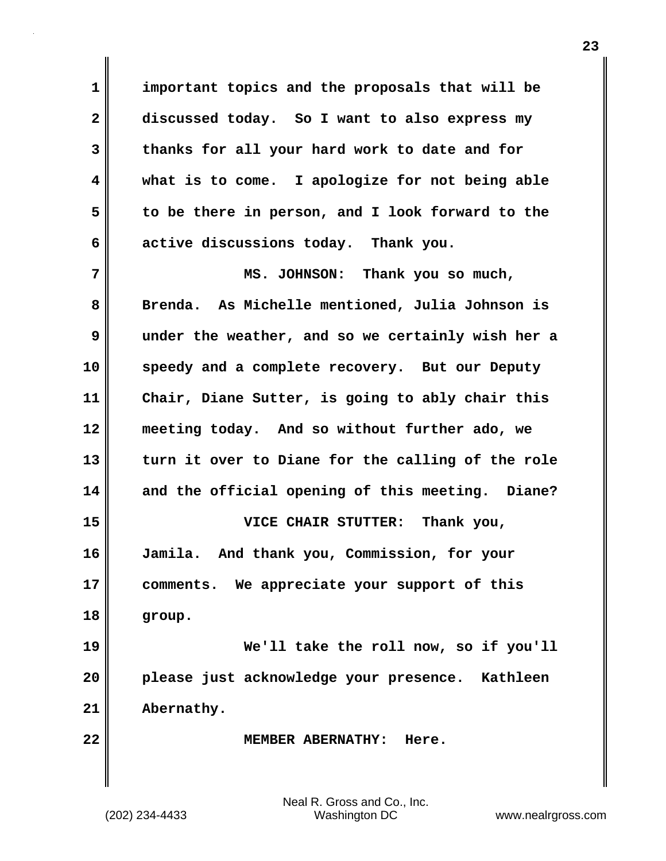**1 important topics and the proposals that will be 2 discussed today. So I want to also express my 3 thanks for all your hard work to date and for 4 what is to come. I apologize for not being able 5 to be there in person, and I look forward to the 6 active discussions today. Thank you.** 

**7 MS. JOHNSON: Thank you so much, 8 Brenda. As Michelle mentioned, Julia Johnson is 9 under the weather, and so we certainly wish her a 10 speedy and a complete recovery. But our Deputy 11 Chair, Diane Sutter, is going to ably chair this 12 meeting today. And so without further ado, we 13 turn it over to Diane for the calling of the role 14 and the official opening of this meeting. Diane? 15 VICE CHAIR STUTTER: Thank you, 16 Jamila. And thank you, Commission, for your 17 comments. We appreciate your support of this 18 group. 19 We'll take the roll now, so if you'll 20 please just acknowledge your presence. Kathleen**

**21 Abernathy.** 

**22 MEMBER ABERNATHY: Here.**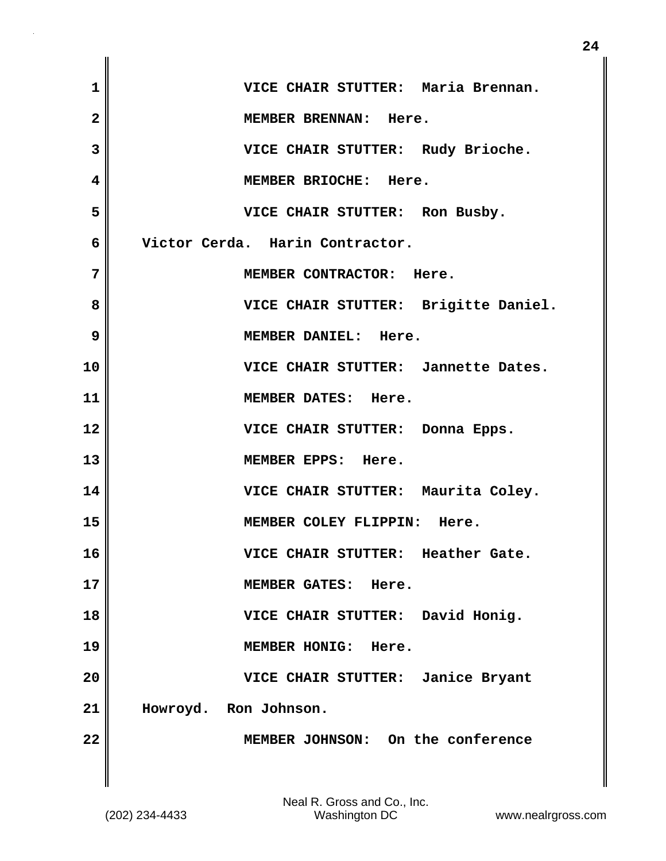| $\mathbf 1$             | VICE CHAIR STUTTER: Maria Brennan.   |
|-------------------------|--------------------------------------|
| $\overline{\mathbf{2}}$ | MEMBER BRENNAN: Here.                |
| 3                       | VICE CHAIR STUTTER: Rudy Brioche.    |
| $\overline{\mathbf{4}}$ | MEMBER BRIOCHE: Here.                |
| 5                       | VICE CHAIR STUTTER: Ron Busby.       |
| 6                       | Victor Cerda. Harin Contractor.      |
| 7                       | MEMBER CONTRACTOR: Here.             |
| 8                       | VICE CHAIR STUTTER: Brigitte Daniel. |
| 9                       | MEMBER DANIEL: Here.                 |
| 10                      | VICE CHAIR STUTTER: Jannette Dates.  |
| 11                      | MEMBER DATES: Here.                  |
| 12                      | VICE CHAIR STUTTER: Donna Epps.      |
| 13                      | MEMBER EPPS: Here.                   |
| 14                      | VICE CHAIR STUTTER: Maurita Coley.   |
| 15                      | MEMBER COLEY FLIPPIN: Here.          |
| 16                      | VICE CHAIR STUTTER: Heather Gate.    |
| 17                      | MEMBER GATES: Here.                  |
| 18                      | VICE CHAIR STUTTER: David Honig.     |
| 19                      | MEMBER HONIG: Here.                  |
| 20                      | VICE CHAIR STUTTER: Janice Bryant    |
| 21                      | Howroyd. Ron Johnson.                |
| 22                      | MEMBER JOHNSON: On the conference    |
|                         |                                      |

 $\blacksquare$ 

 $\mathbf{I}$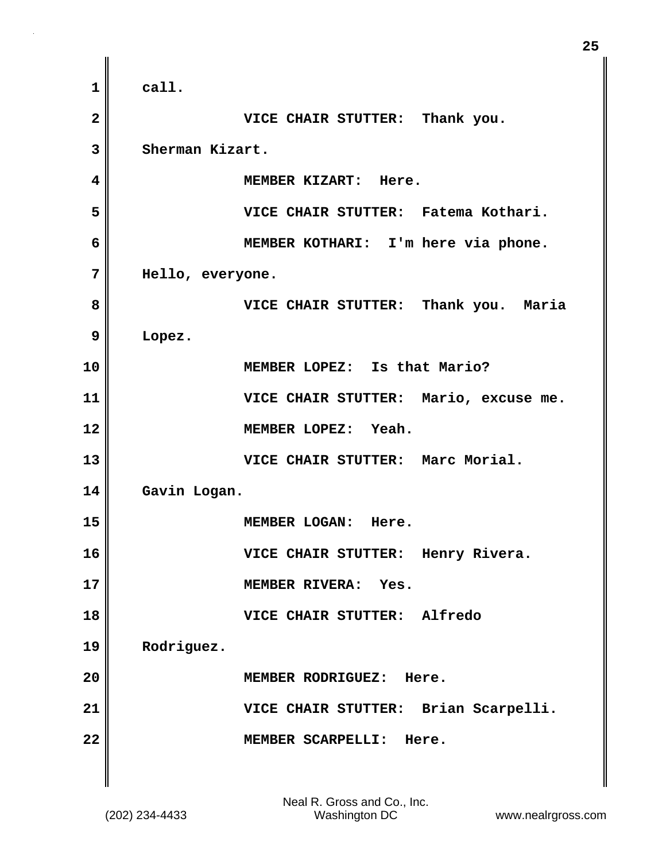**1 call. 2 VICE CHAIR STUTTER: Thank you. 3 Sherman Kizart. 4 MEMBER KIZART: Here. 5 VICE CHAIR STUTTER: Fatema Kothari. 6 MEMBER KOTHARI: I'm here via phone. 7 Hello, everyone. 8 VICE CHAIR STUTTER: Thank you. Maria 9 Lopez. 10 MEMBER LOPEZ: Is that Mario? 11 VICE CHAIR STUTTER: Mario, excuse me. 12 MEMBER LOPEZ: Yeah. 13 VICE CHAIR STUTTER: Marc Morial. 14 Gavin Logan. 15 MEMBER LOGAN: Here. 16 VICE CHAIR STUTTER: Henry Rivera. 17 MEMBER RIVERA: Yes. 18 VICE CHAIR STUTTER: Alfredo 19 Rodriguez. 20 MEMBER RODRIGUEZ: Here. 21 VICE CHAIR STUTTER: Brian Scarpelli. 22 MEMBER SCARPELLI: Here.** 

**25**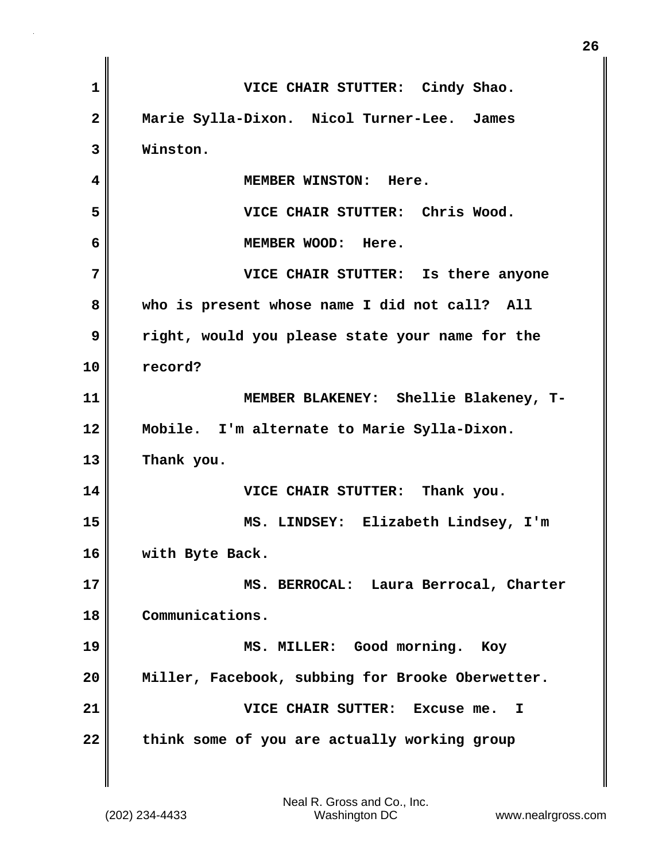| 1            | VICE CHAIR STUTTER: Cindy Shao.                  |
|--------------|--------------------------------------------------|
| $\mathbf{2}$ | Marie Sylla-Dixon. Nicol Turner-Lee. James       |
| 3            | Winston.                                         |
| 4            | MEMBER WINSTON: Here.                            |
| 5            | VICE CHAIR STUTTER: Chris Wood.                  |
| 6            | MEMBER WOOD: Here.                               |
| 7            | VICE CHAIR STUTTER: Is there anyone              |
| 8            | who is present whose name I did not call? All    |
| 9            | right, would you please state your name for the  |
| 10           | record?                                          |
| 11           | MEMBER BLAKENEY: Shellie Blakeney, T-            |
| 12           | Mobile. I'm alternate to Marie Sylla-Dixon.      |
| 13           | Thank you.                                       |
| 14           | VICE CHAIR STUTTER: Thank you.                   |
| 15           | MS. LINDSEY: Elizabeth Lindsey, I'm              |
| 16           | with Byte Back.                                  |
| 17           | MS. BERROCAL: Laura Berrocal, Charter            |
| 18           | Communications.                                  |
| 19           | MS. MILLER: Good morning.<br>Koy                 |
| 20           | Miller, Facebook, subbing for Brooke Oberwetter. |
| 21           | VICE CHAIR SUTTER: Excuse me.<br>I               |
| 22           | think some of you are actually working group     |

**26**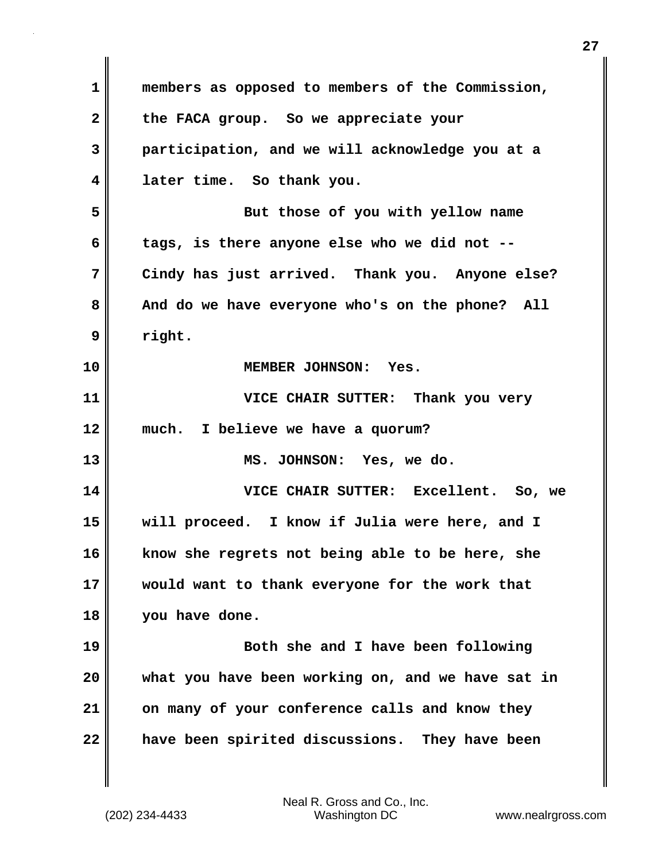| 1  | members as opposed to members of the Commission,  |
|----|---------------------------------------------------|
| 2  | the FACA group. So we appreciate your             |
| 3  | participation, and we will acknowledge you at a   |
| 4  | later time. So thank you.                         |
| 5  | But those of you with yellow name                 |
| 6  | tags, is there anyone else who we did not --      |
| 7  | Cindy has just arrived. Thank you. Anyone else?   |
| 8  | And do we have everyone who's on the phone? All   |
| 9  | right.                                            |
| 10 | MEMBER JOHNSON: Yes.                              |
| 11 | VICE CHAIR SUTTER: Thank you very                 |
| 12 | I believe we have a quorum?<br>much.              |
| 13 | MS. JOHNSON: Yes, we do.                          |
| 14 | VICE CHAIR SUTTER: Excellent. So, we              |
| 15 | will proceed. I know if Julia were here, and I    |
| 16 | know she regrets not being able to be here, she   |
| 17 | would want to thank everyone for the work that    |
| 18 | you have done.                                    |
| 19 | Both she and I have been following                |
| 20 | what you have been working on, and we have sat in |
| 21 | on many of your conference calls and know they    |
| 22 |                                                   |

 $\mathbf{I}$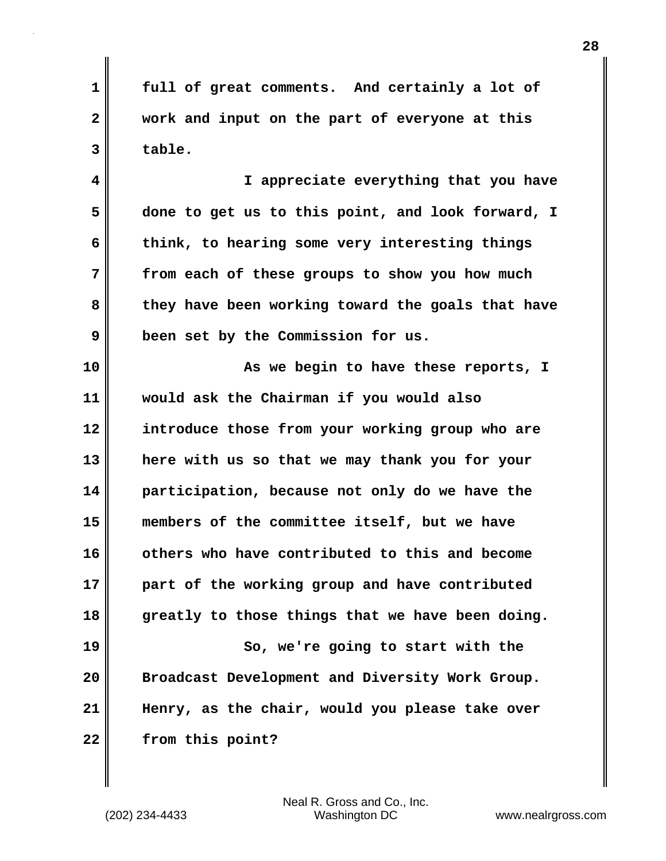**1 full of great comments. And certainly a lot of 2 work and input on the part of everyone at this 3 table.** 

**4 I appreciate everything that you have 5 done to get us to this point, and look forward, I 6 think, to hearing some very interesting things 7 from each of these groups to show you how much 8 they have been working toward the goals that have 9 been set by the Commission for us.** 

**10 As we begin to have these reports, I 11 would ask the Chairman if you would also 12 introduce those from your working group who are 13 here with us so that we may thank you for your 14 participation, because not only do we have the 15 members of the committee itself, but we have 16 others who have contributed to this and become 17 part of the working group and have contributed 18 greatly to those things that we have been doing. 19 So, we're going to start with the 20 Broadcast Development and Diversity Work Group. 21 Henry, as the chair, would you please take over 22 from this point?**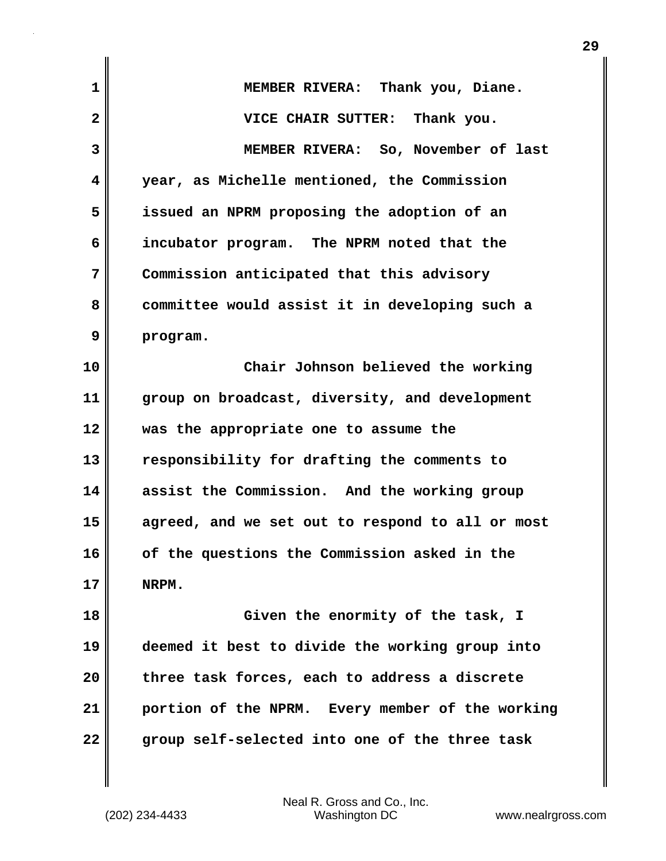| $\mathbf 1$  | MEMBER RIVERA: Thank you, Diane.                 |
|--------------|--------------------------------------------------|
| $\mathbf{2}$ | VICE CHAIR SUTTER: Thank you.                    |
| 3            | MEMBER RIVERA: So, November of last              |
| 4            | year, as Michelle mentioned, the Commission      |
| 5            | issued an NPRM proposing the adoption of an      |
| 6            | incubator program. The NPRM noted that the       |
| 7            | Commission anticipated that this advisory        |
| 8            | committee would assist it in developing such a   |
| 9            | program.                                         |
| 10           | Chair Johnson believed the working               |
| 11           | group on broadcast, diversity, and development   |
| 12           | was the appropriate one to assume the            |
| 13           | responsibility for drafting the comments to      |
| 14           | assist the Commission. And the working group     |
| 15           | agreed, and we set out to respond to all or most |
| 16           | of the questions the Commission asked in the     |
| 17           | NRPM.                                            |
| 18           | Given the enormity of the task, I                |
| 19           | deemed it best to divide the working group into  |
| 20           | three task forces, each to address a discrete    |
| 21           | portion of the NPRM. Every member of the working |
| 22           | group self-selected into one of the three task   |
|              |                                                  |

 $\mathbf{I}$ 

**29**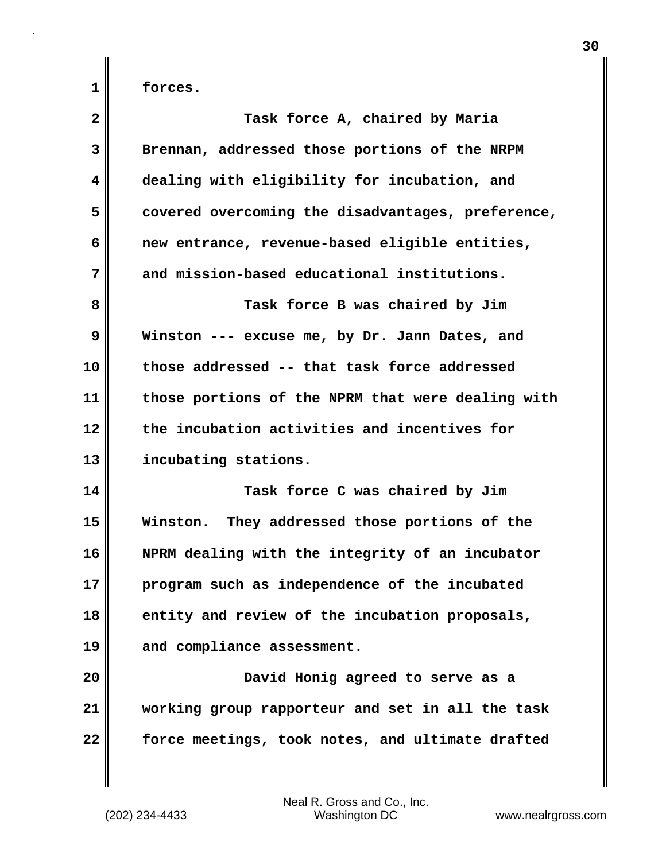**1 forces.**

| $\mathbf{2}$ | Task force A, chaired by Maria                    |
|--------------|---------------------------------------------------|
| 3            | Brennan, addressed those portions of the NRPM     |
| 4            | dealing with eligibility for incubation, and      |
| 5            | covered overcoming the disadvantages, preference, |
| 6            | new entrance, revenue-based eligible entities,    |
| 7            | and mission-based educational institutions.       |
| 8            | Task force B was chaired by Jim                   |
| 9            | Winston --- excuse me, by Dr. Jann Dates, and     |
| 10           | those addressed -- that task force addressed      |
| 11           | those portions of the NPRM that were dealing with |
| 12           | the incubation activities and incentives for      |
| 13           | incubating stations.                              |
| 14           | Task force C was chaired by Jim                   |
| 15           | Winston. They addressed those portions of the     |
| 16           | NPRM dealing with the integrity of an incubator   |
| 17           | program such as independence of the incubated     |
| 18           | entity and review of the incubation proposals,    |
| 19           | and compliance assessment.                        |
| 20           | David Honig agreed to serve as a                  |
| 21           | working group rapporteur and set in all the task  |
| 22           | force meetings, took notes, and ultimate drafted  |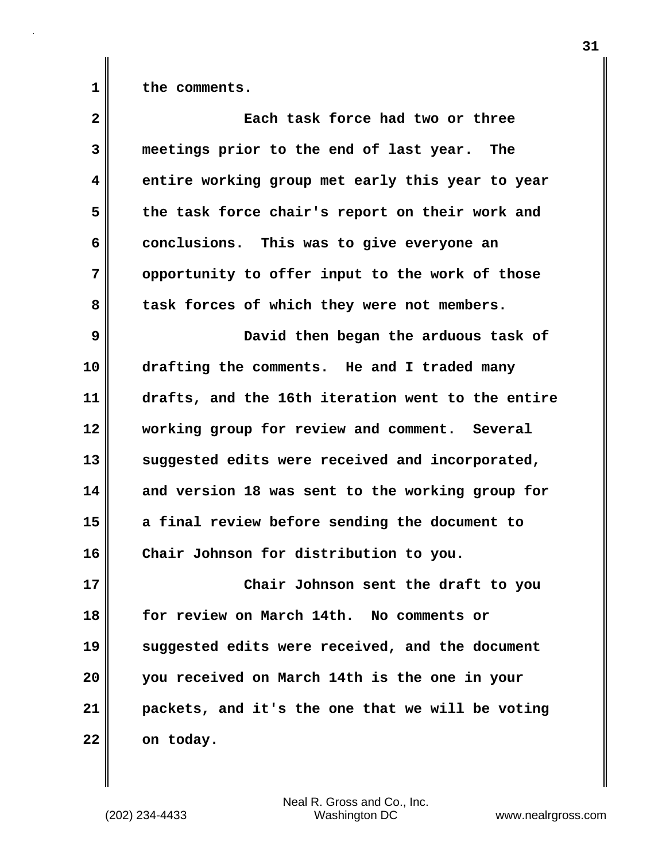**1 the comments.**

| $\overline{2}$ | Each task force had two or three                  |
|----------------|---------------------------------------------------|
| 3              | meetings prior to the end of last year. The       |
| 4              | entire working group met early this year to year  |
| 5              | the task force chair's report on their work and   |
| 6              | conclusions. This was to give everyone an         |
| 7              | opportunity to offer input to the work of those   |
| 8              | task forces of which they were not members.       |
| 9              | David then began the arduous task of              |
| 10             | drafting the comments. He and I traded many       |
| 11             | drafts, and the 16th iteration went to the entire |
| 12             | working group for review and comment. Several     |
| 13             | suggested edits were received and incorporated,   |
| 14             | and version 18 was sent to the working group for  |
| 15             | a final review before sending the document to     |
| 16             | Chair Johnson for distribution to you.            |
| 17             | Chair Johnson sent the draft to you               |
| 18             | for review on March 14th. No comments or          |
| 19             | suggested edits were received, and the document   |
| 20             | you received on March 14th is the one in your     |
| 21             | packets, and it's the one that we will be voting  |
| 22             | on today.                                         |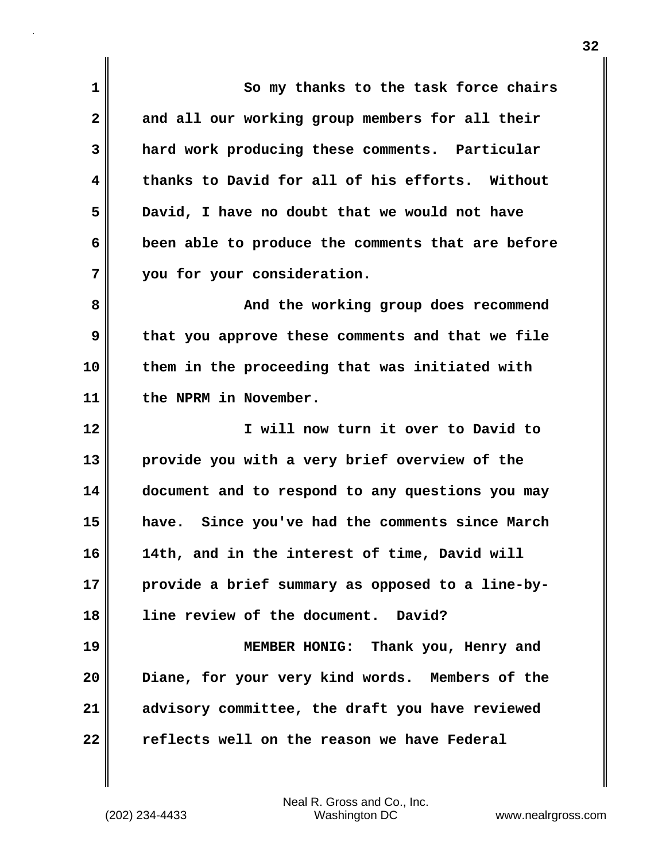| $\mathbf 1$    | So my thanks to the task force chairs             |
|----------------|---------------------------------------------------|
| $\mathbf{2}$   | and all our working group members for all their   |
| $\overline{3}$ | hard work producing these comments. Particular    |
| 4              | thanks to David for all of his efforts. Without   |
| 5              | David, I have no doubt that we would not have     |
| 6              | been able to produce the comments that are before |
| 7              | you for your consideration.                       |
| 8              | And the working group does recommend              |
| 9              | that you approve these comments and that we file  |
| 10             | them in the proceeding that was initiated with    |
| 11             | the NPRM in November.                             |
| 12             | I will now turn it over to David to               |
| 13             | provide you with a very brief overview of the     |
| 14             | document and to respond to any questions you may  |
| 15             | have. Since you've had the comments since March   |
| 16             | 14th, and in the interest of time, David will     |
| 17             | provide a brief summary as opposed to a line-by-  |
| 18             | line review of the document. David?               |
| 19             | MEMBER HONIG: Thank you, Henry and                |
| 20             | Diane, for your very kind words. Members of the   |
| 21             | advisory committee, the draft you have reviewed   |
| 22             | reflects well on the reason we have Federal       |

 $\mathbf{I}$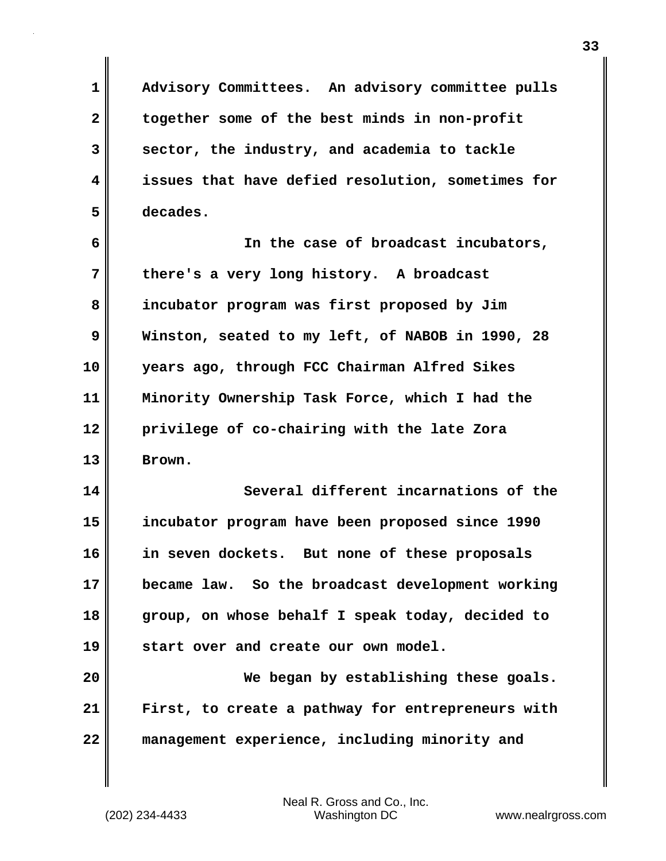**1 Advisory Committees. An advisory committee pulls 2 together some of the best minds in non-profit 3 sector, the industry, and academia to tackle 4 issues that have defied resolution, sometimes for 5 decades.**

**6 In the case of broadcast incubators, 7 there's a very long history. A broadcast 8 incubator program was first proposed by Jim 9 Winston, seated to my left, of NABOB in 1990, 28 10 years ago, through FCC Chairman Alfred Sikes 11 Minority Ownership Task Force, which I had the 12 privilege of co-chairing with the late Zora 13 Brown.** 

**14 Several different incarnations of the 15 incubator program have been proposed since 1990 16 in seven dockets. But none of these proposals 17 became law. So the broadcast development working 18 group, on whose behalf I speak today, decided to 19 start over and create our own model.**

**20 We began by establishing these goals. 21 First, to create a pathway for entrepreneurs with 22 management experience, including minority and**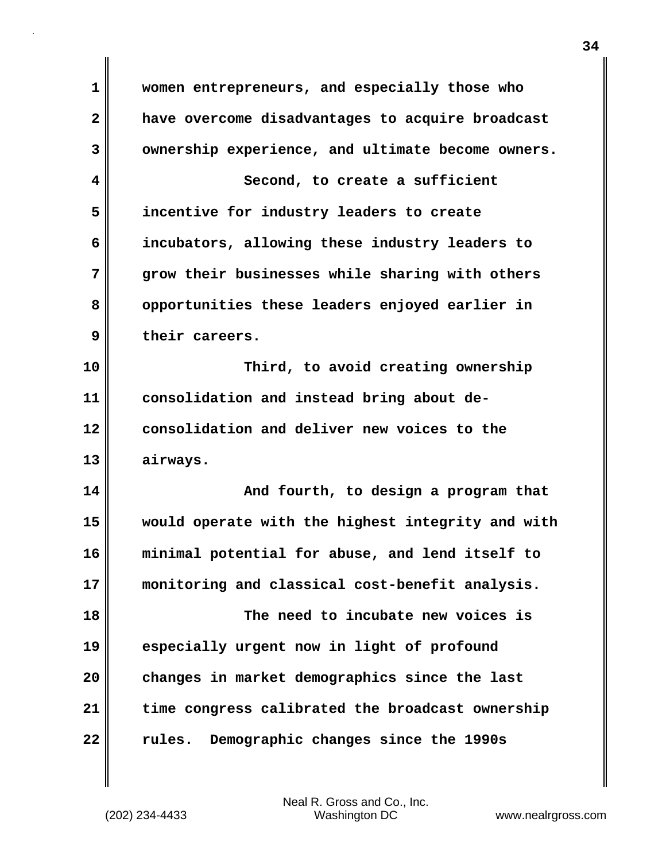**1 women entrepreneurs, and especially those who 2 have overcome disadvantages to acquire broadcast 3 ownership experience, and ultimate become owners. 4 Second, to create a sufficient 5 incentive for industry leaders to create 6 incubators, allowing these industry leaders to 7 grow their businesses while sharing with others 8 opportunities these leaders enjoyed earlier in 9 their careers. 10 Third, to avoid creating ownership 11 consolidation and instead bring about de-12 consolidation and deliver new voices to the 13 airways. 14 And fourth, to design a program that 15 would operate with the highest integrity and with 16 minimal potential for abuse, and lend itself to 17 monitoring and classical cost-benefit analysis. 18 The need to incubate new voices is 19 especially urgent now in light of profound 20 changes in market demographics since the last 21 time congress calibrated the broadcast ownership 22 rules. Demographic changes since the 1990s**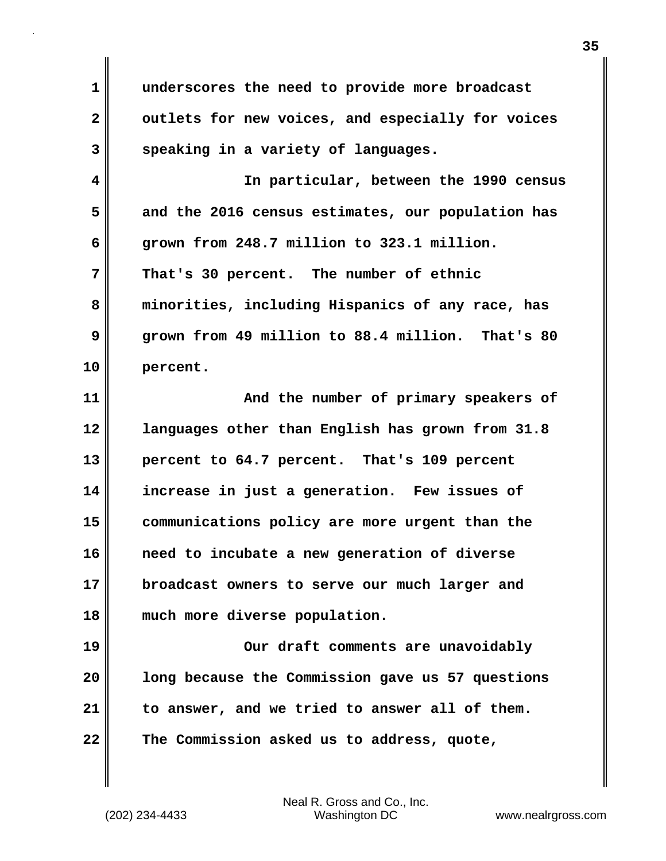**1 underscores the need to provide more broadcast** 2 outlets for new voices, and especially for voices **3 speaking in a variety of languages.** 

**4 In particular, between the 1990 census 5 and the 2016 census estimates, our population has 6 grown from 248.7 million to 323.1 million. 7 That's 30 percent. The number of ethnic 8 minorities, including Hispanics of any race, has 9 grown from 49 million to 88.4 million. That's 80 10 percent.** 

**11 And the number of primary speakers of 12 languages other than English has grown from 31.8 13 percent to 64.7 percent. That's 109 percent 14 increase in just a generation. Few issues of 15 communications policy are more urgent than the 16 need to incubate a new generation of diverse 17 broadcast owners to serve our much larger and 18 much more diverse population.** 

**19 Our draft comments are unavoidably 20 long because the Commission gave us 57 questions 21 to answer, and we tried to answer all of them. 22 The Commission asked us to address, quote,**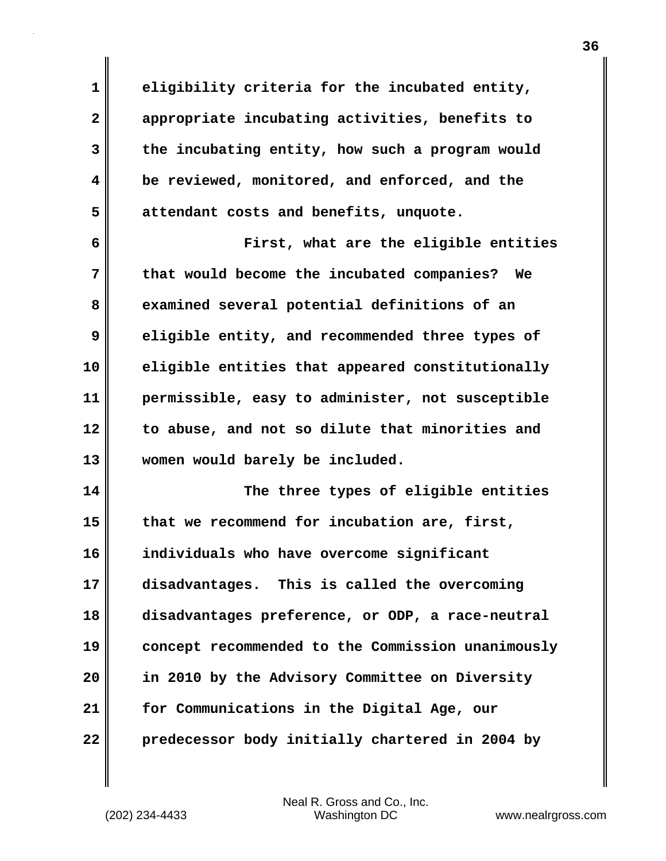**1 eligibility criteria for the incubated entity, 2 appropriate incubating activities, benefits to 3 the incubating entity, how such a program would 4 be reviewed, monitored, and enforced, and the 5 attendant costs and benefits, unquote.**

**6 First, what are the eligible entities 7 that would become the incubated companies? We 8 examined several potential definitions of an 9 eligible entity, and recommended three types of 10 eligible entities that appeared constitutionally 11 permissible, easy to administer, not susceptible 12 to abuse, and not so dilute that minorities and 13 women would barely be included.** 

**14 The three types of eligible entities 15 that we recommend for incubation are, first, 16 individuals who have overcome significant 17 disadvantages. This is called the overcoming 18 disadvantages preference, or ODP, a race-neutral 19 concept recommended to the Commission unanimously 20 in 2010 by the Advisory Committee on Diversity 21 for Communications in the Digital Age, our 22 predecessor body initially chartered in 2004 by**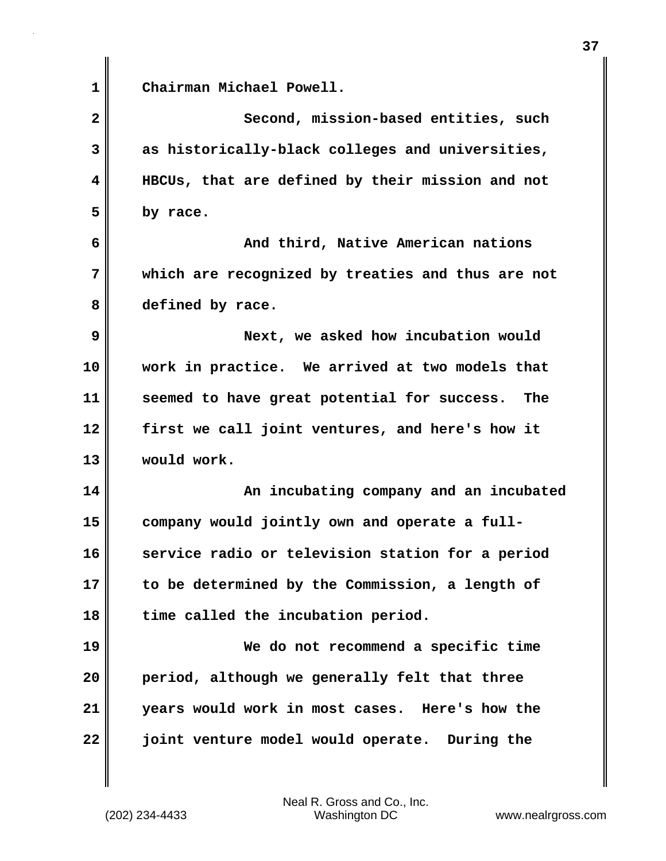**1 Chairman Michael Powell. 2 Second, mission-based entities, such 3 as historically-black colleges and universities, 4 HBCUs, that are defined by their mission and not 5 by race. 6 And third, Native American nations 7 which are recognized by treaties and thus are not 8 defined by race. 9 Next, we asked how incubation would 10 work in practice. We arrived at two models that 11 seemed to have great potential for success. The 12 first we call joint ventures, and here's how it 13 would work. 14 An incubating company and an incubated 15 company would jointly own and operate a full-16 service radio or television station for a period 17 to be determined by the Commission, a length of 18 time called the incubation period. 19 We do not recommend a specific time 20 period, although we generally felt that three 21 years would work in most cases. Here's how the 22 joint venture model would operate. During the**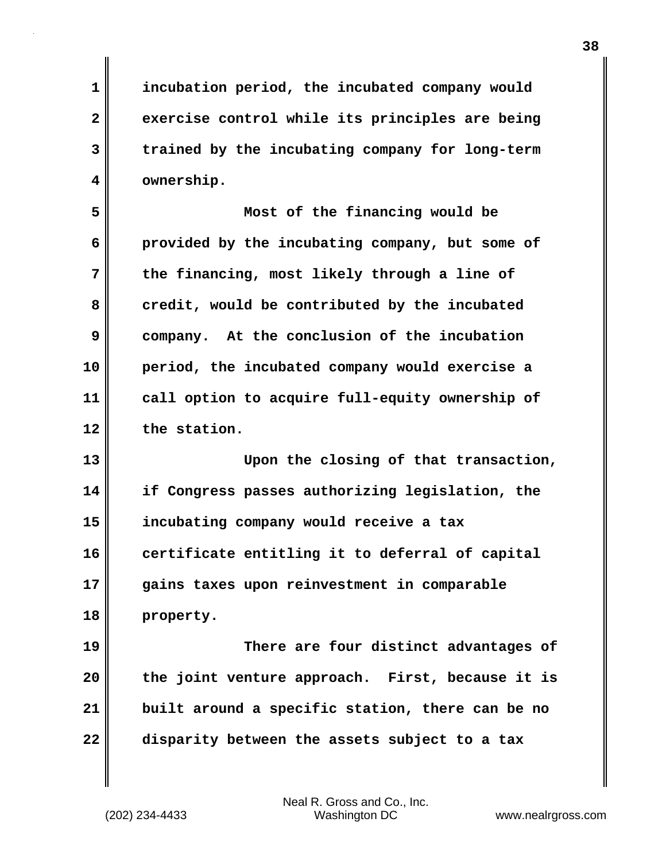**1 incubation period, the incubated company would 2 exercise control while its principles are being 3 trained by the incubating company for long-term 4 ownership.**

**5 Most of the financing would be 6 provided by the incubating company, but some of 7 the financing, most likely through a line of** 8 credit, would be contributed by the incubated **9 company. At the conclusion of the incubation 10 period, the incubated company would exercise a 11 call option to acquire full-equity ownership of 12 the station.** 

**13 Upon the closing of that transaction, 14 if Congress passes authorizing legislation, the 15 incubating company would receive a tax 16 certificate entitling it to deferral of capital 17 gains taxes upon reinvestment in comparable 18 property.**

**19 There are four distinct advantages of 20 the joint venture approach. First, because it is 21 built around a specific station, there can be no 22 disparity between the assets subject to a tax**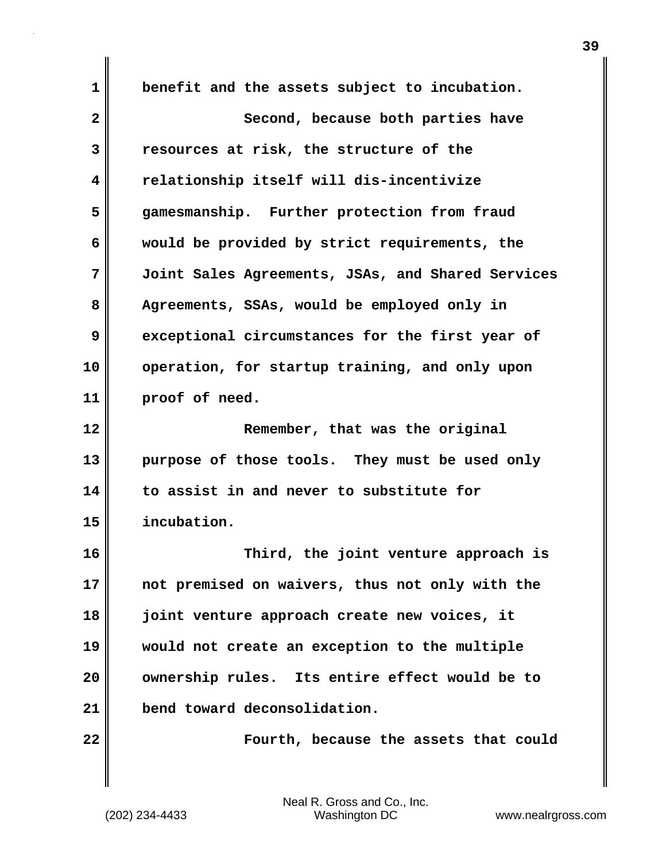**1 benefit and the assets subject to incubation. 2** Second, because both parties have **3 resources at risk, the structure of the 4 relationship itself will dis-incentivize 5 gamesmanship. Further protection from fraud 6 would be provided by strict requirements, the 7 Joint Sales Agreements, JSAs, and Shared Services 8 Agreements, SSAs, would be employed only in 9 exceptional circumstances for the first year of 10 operation, for startup training, and only upon 11 proof of need. 12 Remember, that was the original 13 purpose of those tools. They must be used only 14 to assist in and never to substitute for 15 incubation. 16 Third, the joint venture approach is 17 not premised on waivers, thus not only with the 18 joint venture approach create new voices, it 19 would not create an exception to the multiple 20 ownership rules. Its entire effect would be to 21 bend toward deconsolidation. 22 Fourth, because the assets that could**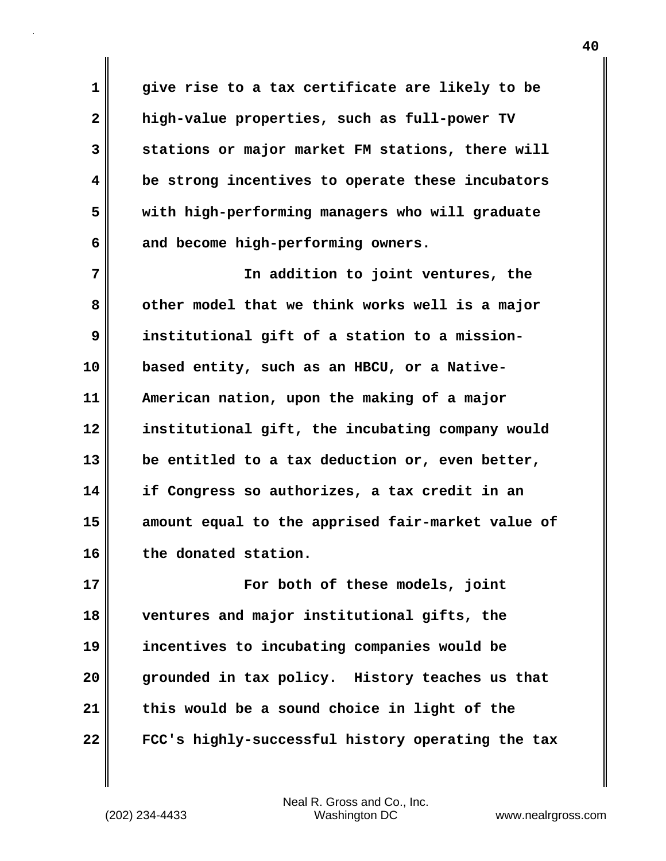**1 give rise to a tax certificate are likely to be 2 high-value properties, such as full-power TV 3 stations or major market FM stations, there will 4 be strong incentives to operate these incubators 5 with high-performing managers who will graduate 6 and become high-performing owners.**

**7 In addition to joint ventures, the 8 other model that we think works well is a major 9 institutional gift of a station to a mission-10 based entity, such as an HBCU, or a Native-11 American nation, upon the making of a major 12 institutional gift, the incubating company would 13 be entitled to a tax deduction or, even better, 14 if Congress so authorizes, a tax credit in an 15 amount equal to the apprised fair-market value of 16 the donated station.**

**17 For both of these models, joint 18 ventures and major institutional gifts, the 19 incentives to incubating companies would be 20 grounded in tax policy. History teaches us that 21 this would be a sound choice in light of the 22 FCC's highly-successful history operating the tax**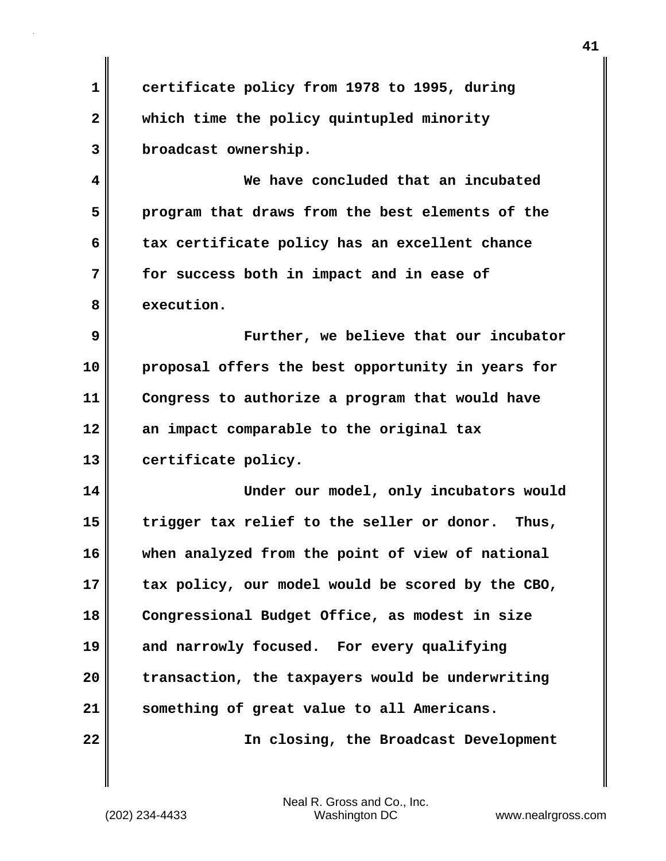**1 certificate policy from 1978 to 1995, during 2 which time the policy quintupled minority 3 broadcast ownership.**

**4 We have concluded that an incubated 5 program that draws from the best elements of the 6 tax certificate policy has an excellent chance 7 for success both in impact and in ease of 8 execution.** 

**9 Further, we believe that our incubator 10 proposal offers the best opportunity in years for 11 Congress to authorize a program that would have 12 an impact comparable to the original tax 13 certificate policy.**

**14 Under our model, only incubators would 15 trigger tax relief to the seller or donor. Thus, 16 when analyzed from the point of view of national 17 tax policy, our model would be scored by the CBO, 18 Congressional Budget Office, as modest in size 19 and narrowly focused. For every qualifying 20 transaction, the taxpayers would be underwriting 21 something of great value to all Americans. 22 In closing, the Broadcast Development**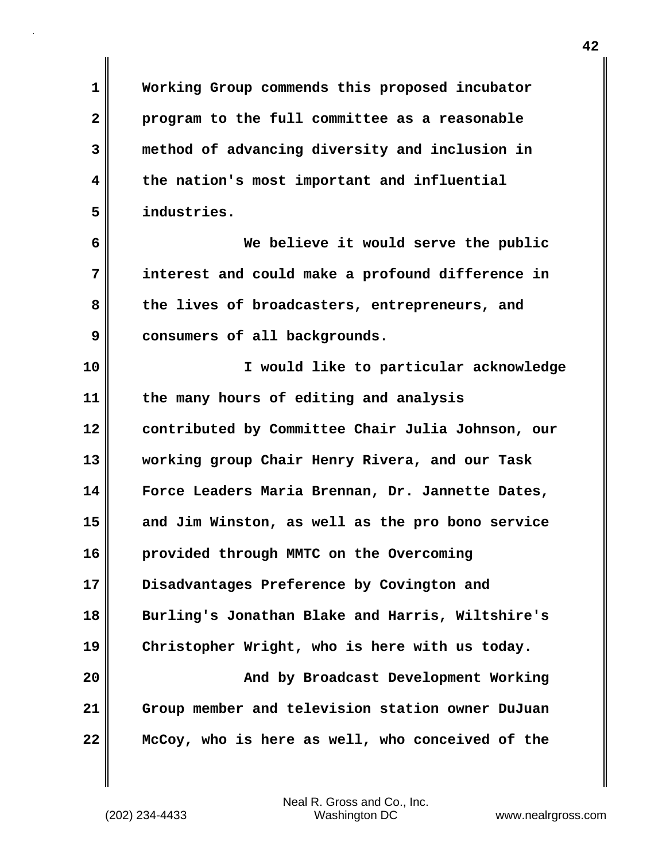**1 Working Group commends this proposed incubator 2 program to the full committee as a reasonable 3 method of advancing diversity and inclusion in 4 the nation's most important and influential 5 industries.** 

**6 We believe it would serve the public 7 interest and could make a profound difference in 8 the lives of broadcasters, entrepreneurs, and 9 consumers of all backgrounds.**

**10 I would like to particular acknowledge 11 the many hours of editing and analysis 12 contributed by Committee Chair Julia Johnson, our 13 working group Chair Henry Rivera, and our Task 14 Force Leaders Maria Brennan, Dr. Jannette Dates, 15 and Jim Winston, as well as the pro bono service 16 provided through MMTC on the Overcoming 17 Disadvantages Preference by Covington and 18 Burling's Jonathan Blake and Harris, Wiltshire's 19 Christopher Wright, who is here with us today. 20** Muslem 20 Muslem and by Broadcast Development Working **21 Group member and television station owner DuJuan**

**22 McCoy, who is here as well, who conceived of the**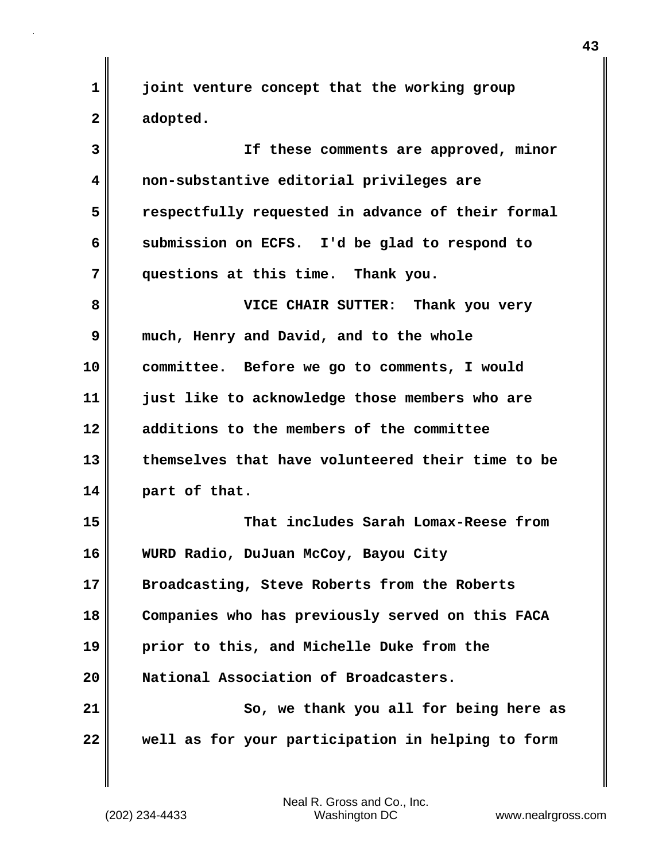**1 joint venture concept that the working group 2 adopted.** 

**3 If these comments are approved, minor 4 non-substantive editorial privileges are 5 respectfully requested in advance of their formal 6 submission on ECFS. I'd be glad to respond to 7 questions at this time. Thank you. 8 VICE CHAIR SUTTER: Thank you very 9 much, Henry and David, and to the whole 10 committee. Before we go to comments, I would 11 just like to acknowledge those members who are 12 additions to the members of the committee 13 themselves that have volunteered their time to be 14 part of that. 15 That includes Sarah Lomax-Reese from 16 WURD Radio, DuJuan McCoy, Bayou City 17 Broadcasting, Steve Roberts from the Roberts 18 Companies who has previously served on this FACA 19 prior to this, and Michelle Duke from the 20 National Association of Broadcasters. 21 So, we thank you all for being here as 22 well as for your participation in helping to form**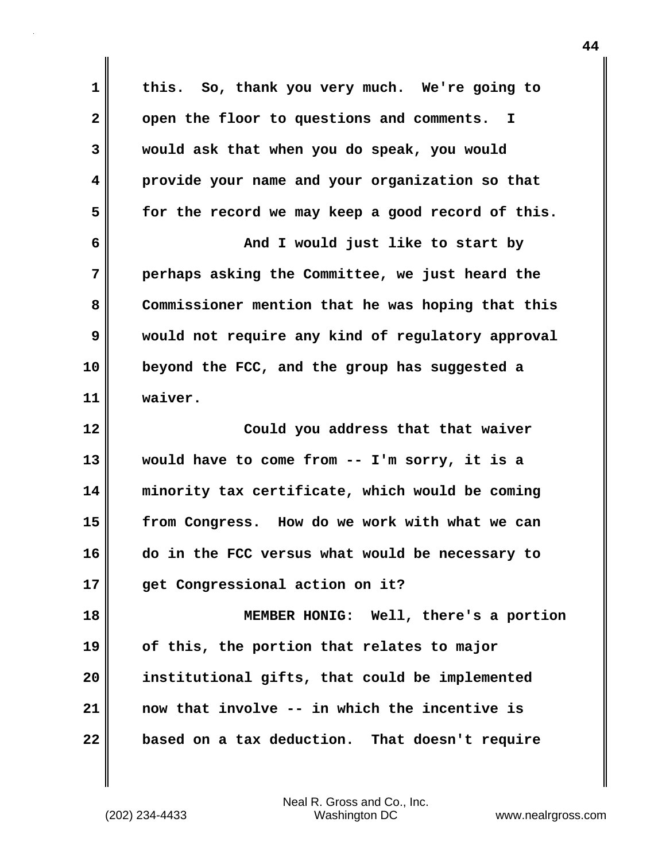| 1                       | this. So, thank you very much. We're going to     |
|-------------------------|---------------------------------------------------|
| $\overline{\mathbf{2}}$ | open the floor to questions and comments. I       |
| 3                       | would ask that when you do speak, you would       |
| 4                       | provide your name and your organization so that   |
| 5                       | for the record we may keep a good record of this. |
| 6                       | And I would just like to start by                 |
| 7                       | perhaps asking the Committee, we just heard the   |
| 8                       | Commissioner mention that he was hoping that this |
| 9                       | would not require any kind of regulatory approval |
| 10                      | beyond the FCC, and the group has suggested a     |
| 11                      | waiver.                                           |
|                         |                                                   |
|                         | Could you address that that waiver                |
| 12<br>13                | would have to come from -- I'm sorry, it is a     |
| 14                      | minority tax certificate, which would be coming   |
| 15                      | from Congress. How do we work with what we can    |
| 16                      | do in the FCC versus what would be necessary to   |
| 17                      | get Congressional action on it?                   |
| 18                      | MEMBER HONIG: Well, there's a portion             |
| 19                      | of this, the portion that relates to major        |
| 20                      | institutional gifts, that could be implemented    |
| 21                      | now that involve -- in which the incentive is     |

(202) 234-4433 Washington DC www.nealrgross.com Neal R. Gross and Co., Inc.

 $\mathbf{l}$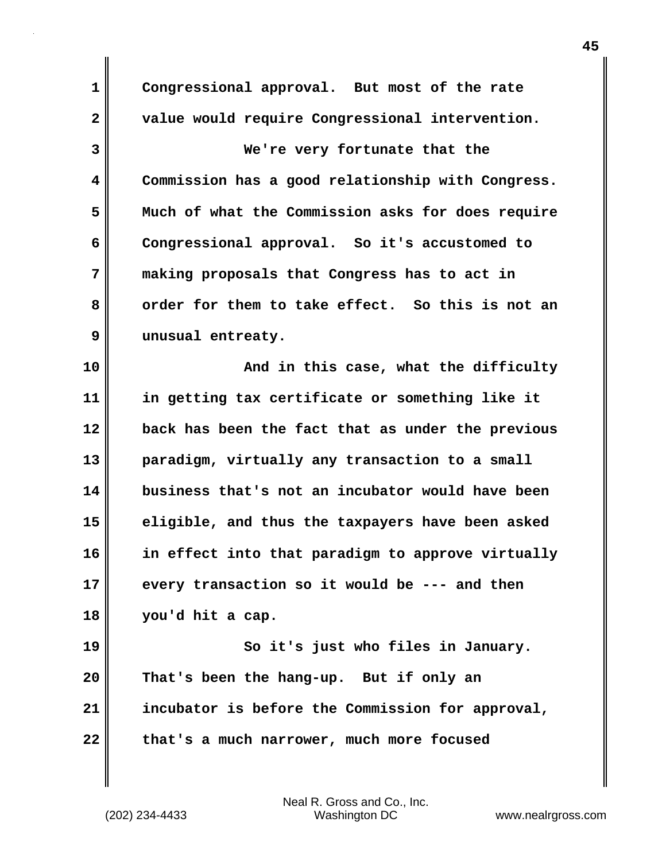**1 Congressional approval. But most of the rate 2 value would require Congressional intervention. 3 We're very fortunate that the 4 Commission has a good relationship with Congress. 5 Much of what the Commission asks for does require 6 Congressional approval. So it's accustomed to 7 making proposals that Congress has to act in 8 order for them to take effect. So this is not an 9 unusual entreaty. 10** And in this case, what the difficulty **11 in getting tax certificate or something like it 12 back has been the fact that as under the previous 13 paradigm, virtually any transaction to a small 14 business that's not an incubator would have been 15 eligible, and thus the taxpayers have been asked 16 in effect into that paradigm to approve virtually 17 every transaction so it would be --- and then 18 you'd hit a cap. 19 So it's just who files in January. 20 That's been the hang-up. But if only an 21 incubator is before the Commission for approval, 22 that's a much narrower, much more focused**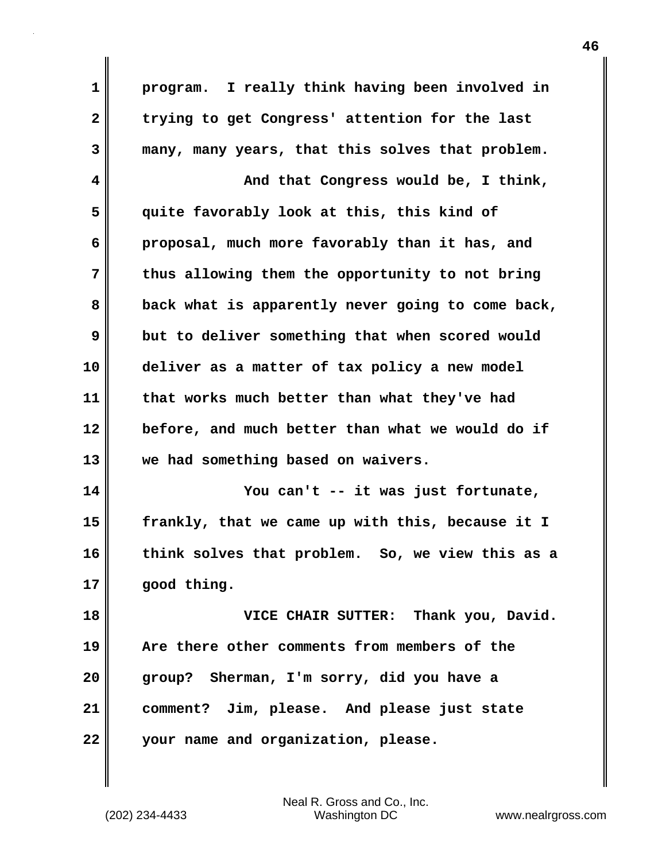| $\mathbf 1$  | program. I really think having been involved in   |
|--------------|---------------------------------------------------|
| $\mathbf{2}$ | trying to get Congress' attention for the last    |
| 3            | many, many years, that this solves that problem.  |
| 4            | And that Congress would be, I think,              |
| 5            | quite favorably look at this, this kind of        |
| 6            | proposal, much more favorably than it has, and    |
| 7            | thus allowing them the opportunity to not bring   |
| 8            | back what is apparently never going to come back, |
| 9            | but to deliver something that when scored would   |
| 10           | deliver as a matter of tax policy a new model     |
| 11           | that works much better than what they've had      |
| 12           | before, and much better than what we would do if  |
| 13           | we had something based on waivers.                |
| 14           | You can't -- it was just fortunate,               |
| 15           | frankly, that we came up with this, because it I  |
| 16           | think solves that problem. So, we view this as a  |
| 17           | good thing.                                       |
| 18           | VICE CHAIR SUTTER: Thank you, David.              |
| 19           | Are there other comments from members of the      |
| 20           | group? Sherman, I'm sorry, did you have a         |
| 21           | comment? Jim, please. And please just state       |
| 22           | your name and organization, please.               |

 $\mathbf l$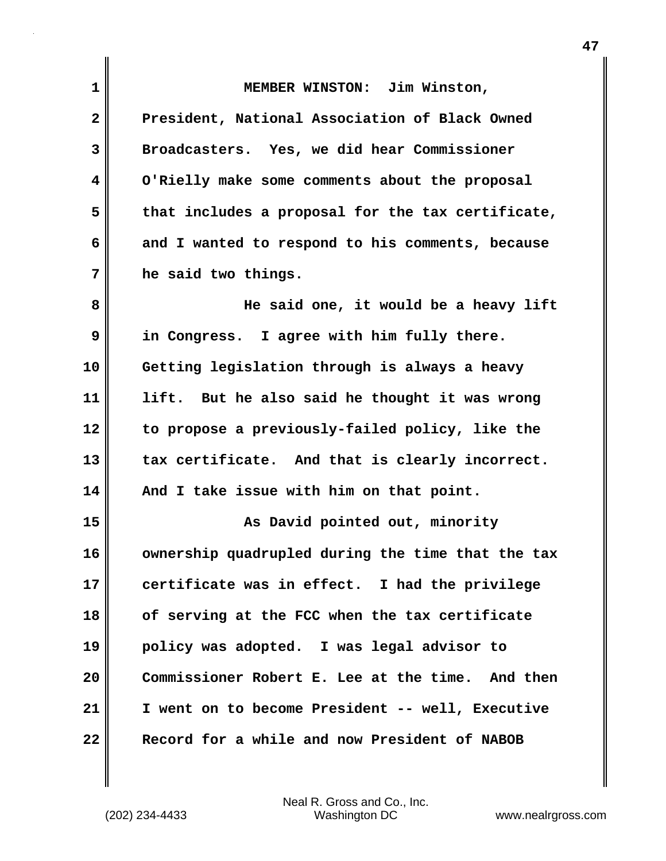| 1              | MEMBER WINSTON: Jim Winston,                      |
|----------------|---------------------------------------------------|
| $\overline{2}$ | President, National Association of Black Owned    |
| 3              | Broadcasters. Yes, we did hear Commissioner       |
| 4              | O'Rielly make some comments about the proposal    |
| 5              | that includes a proposal for the tax certificate, |
| 6              | and I wanted to respond to his comments, because  |
| 7              | he said two things.                               |
| 8              | He said one, it would be a heavy lift             |
| 9              | in Congress. I agree with him fully there.        |
| 10             | Getting legislation through is always a heavy     |
| 11             | lift. But he also said he thought it was wrong    |
| 12             | to propose a previously-failed policy, like the   |
| 13             | tax certificate. And that is clearly incorrect.   |
| 14             | And I take issue with him on that point.          |
| 15             | As David pointed out, minority                    |
| 16             | ownership quadrupled during the time that the tax |
| 17             | certificate was in effect. I had the privilege    |
| 18             | of serving at the FCC when the tax certificate    |
| 19             | policy was adopted. I was legal advisor to        |
| 20             | Commissioner Robert E. Lee at the time. And then  |
| 21             | I went on to become President -- well, Executive  |
| 22             | Record for a while and now President of NABOB     |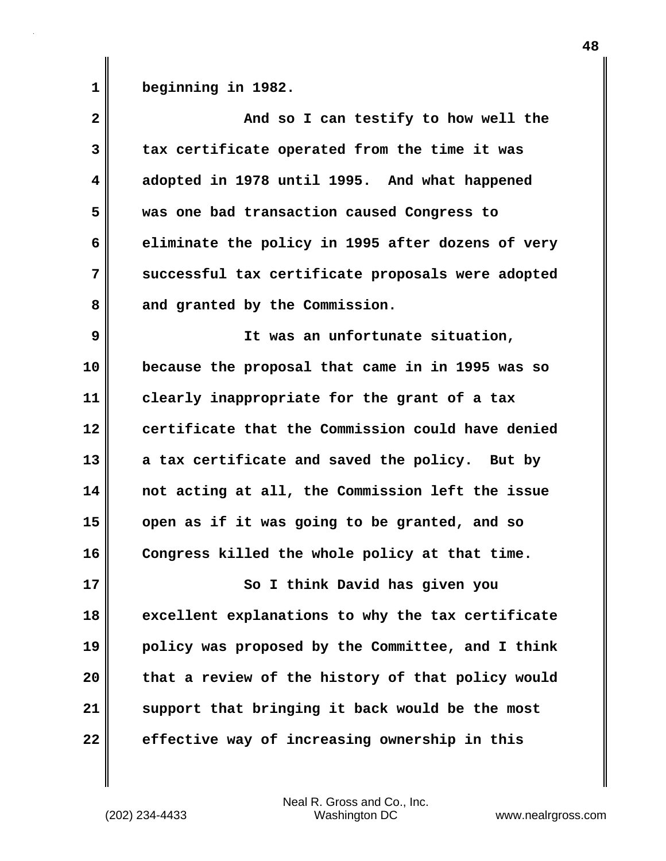**1 beginning in 1982.** 

| $\mathbf{2}$            | And so I can testify to how well the              |
|-------------------------|---------------------------------------------------|
| 3                       | tax certificate operated from the time it was     |
| $\overline{\mathbf{4}}$ | adopted in 1978 until 1995. And what happened     |
| 5                       | was one bad transaction caused Congress to        |
| 6                       | eliminate the policy in 1995 after dozens of very |
| 7                       | successful tax certificate proposals were adopted |
| 8                       | and granted by the Commission.                    |
| 9                       | It was an unfortunate situation,                  |
| 10                      | because the proposal that came in in 1995 was so  |
| 11                      | clearly inappropriate for the grant of a tax      |
| 12                      | certificate that the Commission could have denied |
| 13                      | a tax certificate and saved the policy. But by    |
| 14                      | not acting at all, the Commission left the issue  |
| 15                      | open as if it was going to be granted, and so     |
| 16                      | Congress killed the whole policy at that time.    |
| 17                      | So I think David has given you                    |
| 18                      | excellent explanations to why the tax certificate |
| 19                      | policy was proposed by the Committee, and I think |
| 20                      | that a review of the history of that policy would |
| 21                      | support that bringing it back would be the most   |
| 22                      | effective way of increasing ownership in this     |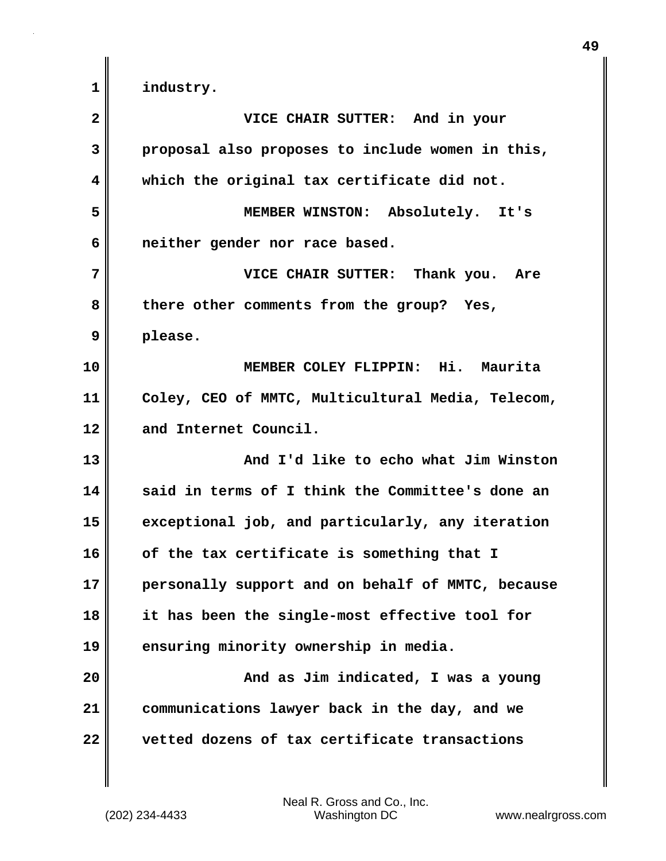| $\overline{\mathbf{2}}$ | VICE CHAIR SUTTER: And in your                    |
|-------------------------|---------------------------------------------------|
| 3                       | proposal also proposes to include women in this,  |
| 4                       | which the original tax certificate did not.       |
| 5                       | MEMBER WINSTON: Absolutely. It's                  |
| 6                       | neither gender nor race based.                    |
| 7                       | VICE CHAIR SUTTER: Thank you. Are                 |
| 8                       | there other comments from the group? Yes,         |
| 9                       | please.                                           |
| 10                      | MEMBER COLEY FLIPPIN: Hi. Maurita                 |
| 11                      | Coley, CEO of MMTC, Multicultural Media, Telecom, |
| 12                      | and Internet Council.                             |
| 13                      | And I'd like to echo what Jim Winston             |
| 14                      | said in terms of I think the Committee's done an  |
| 15                      | exceptional job, and particularly, any iteration  |
| 16                      | of the tax certificate is something that I        |
| 17                      | personally support and on behalf of MMTC, because |
| 18                      | it has been the single-most effective tool for    |
| 19                      | ensuring minority ownership in media.             |
| 20                      | And as Jim indicated, I was a young               |
| 21                      | communications lawyer back in the day, and we     |
| 22                      | vetted dozens of tax certificate transactions     |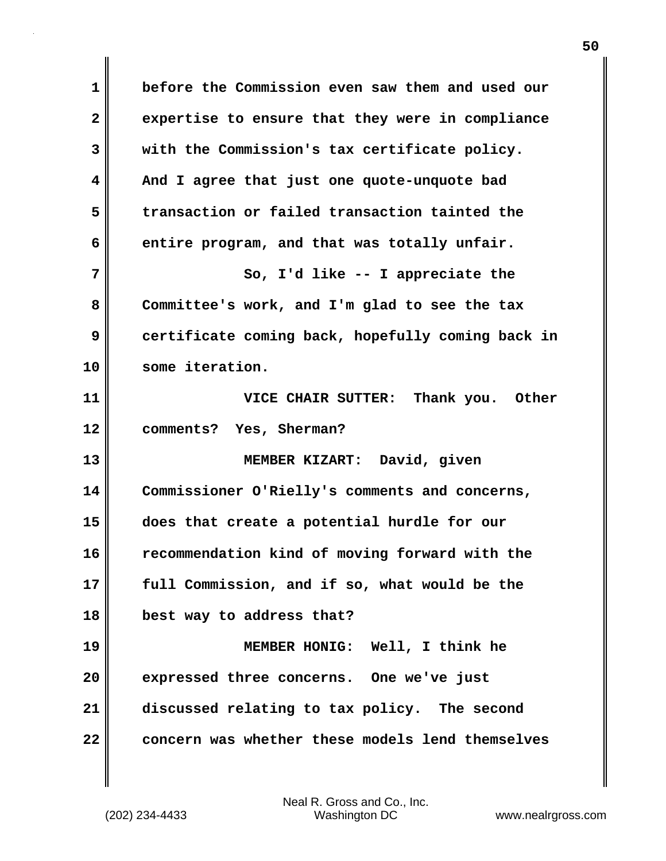**1 before the Commission even saw them and used our 2 expertise to ensure that they were in compliance 3 with the Commission's tax certificate policy. 4 And I agree that just one quote-unquote bad 5 transaction or failed transaction tainted the 6 entire program, and that was totally unfair. 7** So, I'd like -- I appreciate the **8 Committee's work, and I'm glad to see the tax 9 certificate coming back, hopefully coming back in 10 some iteration. 11 VICE CHAIR SUTTER: Thank you. Other 12 comments? Yes, Sherman? 13 MEMBER KIZART: David, given 14 Commissioner O'Rielly's comments and concerns, 15 does that create a potential hurdle for our 16 recommendation kind of moving forward with the 17 full Commission, and if so, what would be the 18 best way to address that? 19 MEMBER HONIG: Well, I think he 20 expressed three concerns. One we've just 21 discussed relating to tax policy. The second 22 concern was whether these models lend themselves**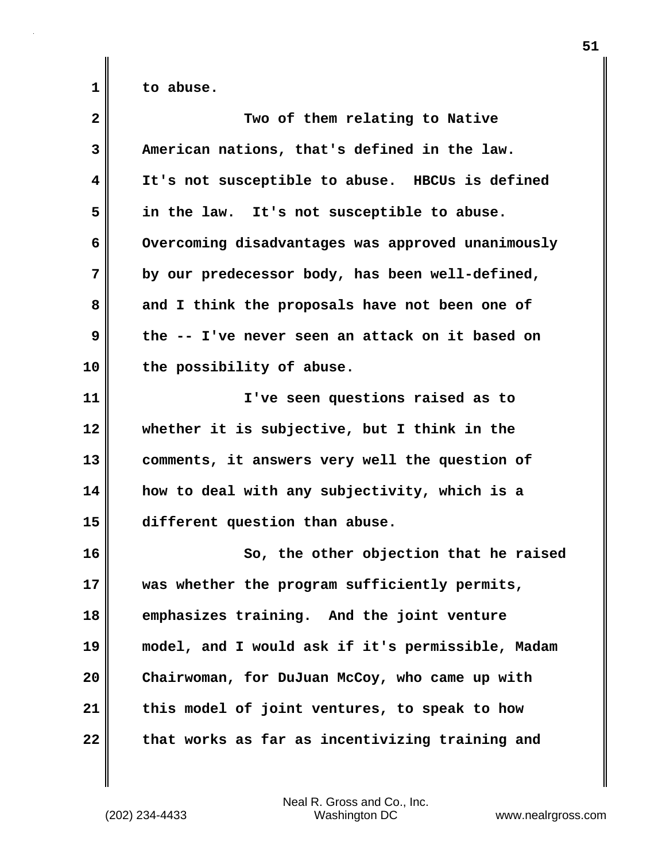**1 to abuse.** 

| $\overline{\mathbf{2}}$ | Two of them relating to Native                    |
|-------------------------|---------------------------------------------------|
| 3                       | American nations, that's defined in the law.      |
| 4                       | It's not susceptible to abuse. HBCUs is defined   |
| 5                       | in the law. It's not susceptible to abuse.        |
| 6                       | Overcoming disadvantages was approved unanimously |
| 7                       | by our predecessor body, has been well-defined,   |
| 8                       | and I think the proposals have not been one of    |
| 9                       | the -- I've never seen an attack on it based on   |
| 10                      | the possibility of abuse.                         |
| 11                      | I've seen questions raised as to                  |
| 12                      | whether it is subjective, but I think in the      |
| 13                      | comments, it answers very well the question of    |
| 14                      | how to deal with any subjectivity, which is a     |
| 15                      | different question than abuse.                    |
| 16                      | So, the other objection that he raised            |
| 17                      | was whether the program sufficiently permits,     |
| 18                      | emphasizes training. And the joint venture        |
| 19                      | model, and I would ask if it's permissible, Madam |
| 20                      | Chairwoman, for DuJuan McCoy, who came up with    |
| 21                      | this model of joint ventures, to speak to how     |
| 22                      | that works as far as incentivizing training and   |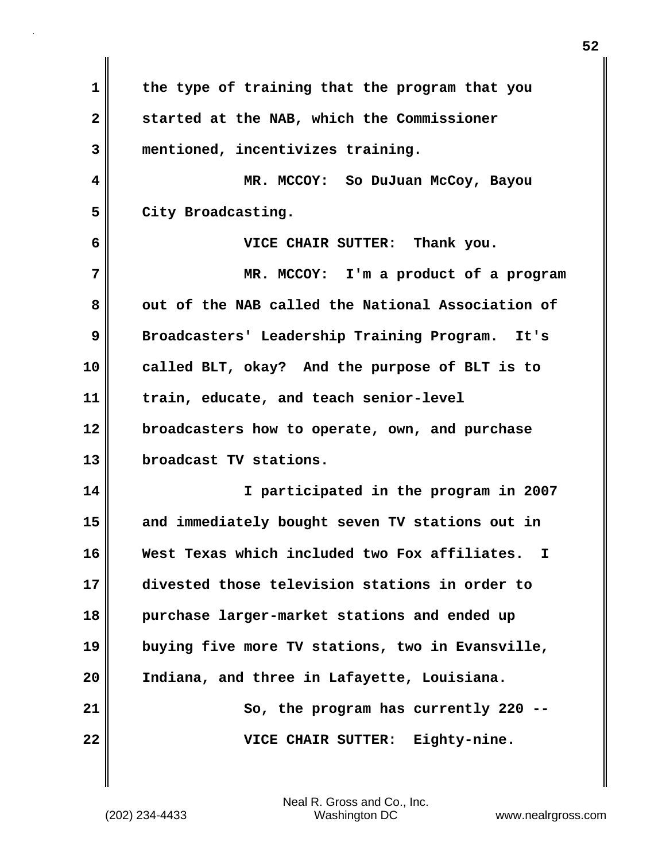| 1            | the type of training that the program that you     |
|--------------|----------------------------------------------------|
| $\mathbf{2}$ | started at the NAB, which the Commissioner         |
| 3            | mentioned, incentivizes training.                  |
| 4            | MR. MCCOY: So DuJuan McCoy, Bayou                  |
| 5            | City Broadcasting.                                 |
| 6            | VICE CHAIR SUTTER: Thank you.                      |
| 7            | MR. MCCOY: I'm a product of a program              |
| 8            | out of the NAB called the National Association of  |
| 9            | Broadcasters' Leadership Training Program. It's    |
| 10           | called BLT, okay? And the purpose of BLT is to     |
| 11           | train, educate, and teach senior-level             |
| 12           | broadcasters how to operate, own, and purchase     |
| 13           | broadcast TV stations.                             |
| 14           | I participated in the program in 2007              |
| 15           | and immediately bought seven TV stations out in    |
| 16           | West Texas which included two Fox affiliates.<br>I |
| 17           | divested those television stations in order to     |
| 18           | purchase larger-market stations and ended up       |
| 19           | buying five more TV stations, two in Evansville,   |
| 20           | Indiana, and three in Lafayette, Louisiana.        |
| 21           | So, the program has currently 220 .                |
| 22           | Eighty-nine.<br>VICE CHAIR SUTTER:                 |

(202) 234-4433 Washington DC www.nealrgross.com Neal R. Gross and Co., Inc.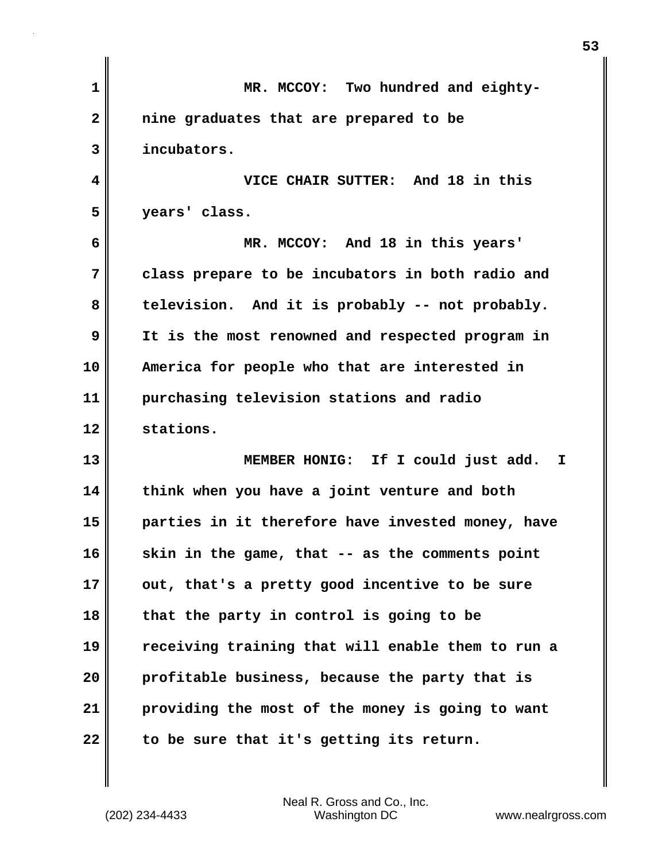| 1            | MR. MCCOY: Two hundred and eighty-                |
|--------------|---------------------------------------------------|
| $\mathbf{2}$ | nine graduates that are prepared to be            |
| 3            | incubators.                                       |
| 4            | VICE CHAIR SUTTER: And 18 in this                 |
| 5            | years' class.                                     |
| 6            | MR. MCCOY: And 18 in this years'                  |
| 7            | class prepare to be incubators in both radio and  |
| 8            | television. And it is probably -- not probably.   |
| 9            | It is the most renowned and respected program in  |
| 10           | America for people who that are interested in     |
| 11           | purchasing television stations and radio          |
| 12           | stations.                                         |
| 13           | MEMBER HONIG: If I could just add. I              |
| 14           | think when you have a joint venture and both      |
| 15           | parties in it therefore have invested money, have |
| 16           | skin in the game, that -- as the comments point   |
| 17           | out, that's a pretty good incentive to be sure    |
| 18           | that the party in control is going to be          |
| 19           | receiving training that will enable them to run a |
| 20           | profitable business, because the party that is    |
| 21           | providing the most of the money is going to want  |
| 22           | to be sure that it's getting its return.          |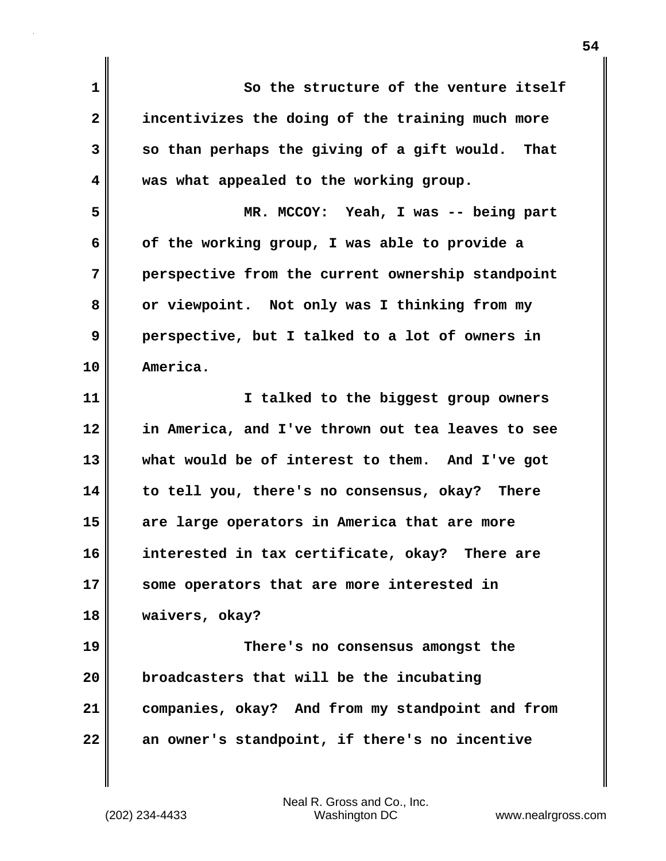**1 So the structure of the venture itself 2 incentivizes the doing of the training much more 3** So than perhaps the giving of a gift would. That **4 was what appealed to the working group. 5 MR. MCCOY: Yeah, I was -- being part 6 of the working group, I was able to provide a 7 perspective from the current ownership standpoint 8 or viewpoint. Not only was I thinking from my 9 perspective, but I talked to a lot of owners in 10 America. 11 I talked to the biggest group owners 12 in America, and I've thrown out tea leaves to see 13 what would be of interest to them. And I've got 14 to tell you, there's no consensus, okay? There 15 are large operators in America that are more 16 interested in tax certificate, okay? There are 17 some operators that are more interested in 18 waivers, okay? 19 There's no consensus amongst the 20 broadcasters that will be the incubating 21 companies, okay? And from my standpoint and from 22 an owner's standpoint, if there's no incentive**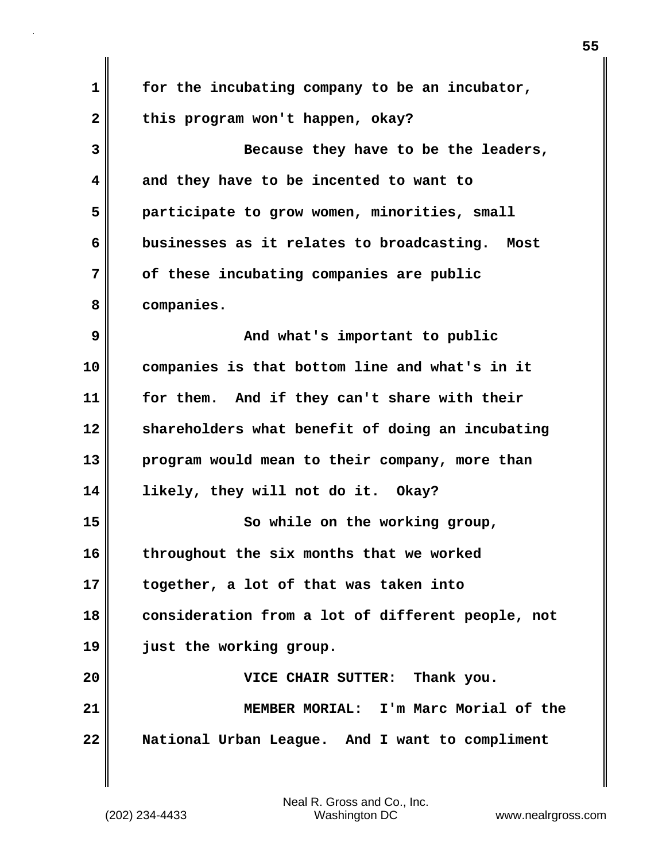| 1            | for the incubating company to be an incubator,    |
|--------------|---------------------------------------------------|
|              |                                                   |
| $\mathbf{2}$ | this program won't happen, okay?                  |
| 3            | Because they have to be the leaders,              |
| 4            | and they have to be incented to want to           |
| 5            | participate to grow women, minorities, small      |
| 6            | businesses as it relates to broadcasting. Most    |
| 7            | of these incubating companies are public          |
| 8            | companies.                                        |
| 9            | And what's important to public                    |
| 10           | companies is that bottom line and what's in it    |
| 11           | for them. And if they can't share with their      |
| 12           | shareholders what benefit of doing an incubating  |
| 13           | program would mean to their company, more than    |
| 14           | likely, they will not do it. Okay?                |
| 15           | So while on the working group,                    |
| 16           | throughout the six months that we worked          |
| 17           | together, a lot of that was taken into            |
| 18           | consideration from a lot of different people, not |
| 19           | just the working group.                           |
| 20           | VICE CHAIR SUTTER: Thank you.                     |
| 21           | MEMBER MORIAL: I'm Marc Morial of the             |
| 22           | National Urban League. And I want to compliment   |
|              |                                                   |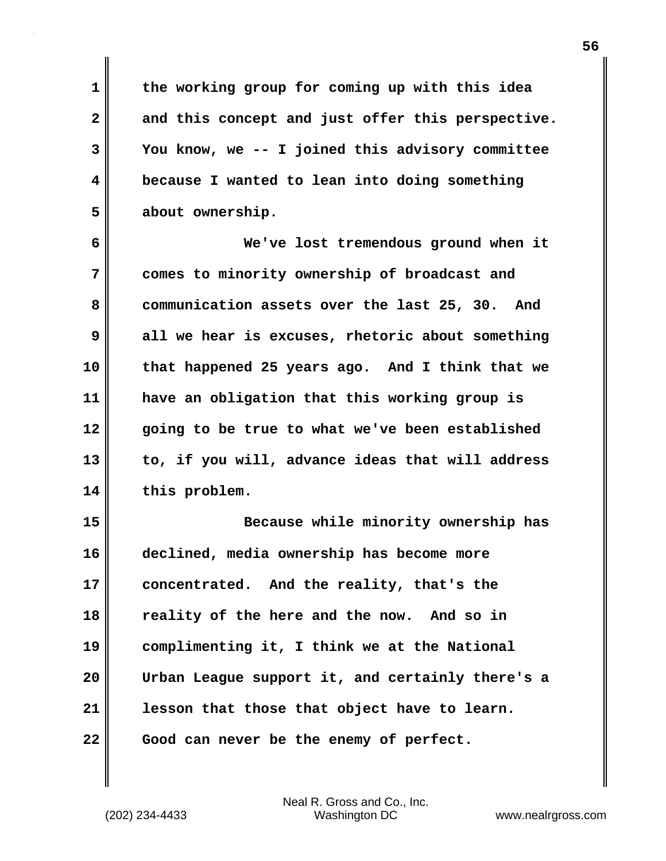**1 the working group for coming up with this idea 2 and this concept and just offer this perspective. 3 You know, we -- I joined this advisory committee 4 because I wanted to lean into doing something 5 about ownership.** 

**6 We've lost tremendous ground when it 7 comes to minority ownership of broadcast and 8 communication assets over the last 25, 30. And 9 all we hear is excuses, rhetoric about something 10 that happened 25 years ago. And I think that we 11 have an obligation that this working group is 12 going to be true to what we've been established 13 to, if you will, advance ideas that will address 14 this problem.** 

**15 Because while minority ownership has 16 declined, media ownership has become more 17 concentrated. And the reality, that's the 18 reality of the here and the now. And so in 19 complimenting it, I think we at the National 20 Urban League support it, and certainly there's a 21 lesson that those that object have to learn. 22 Good can never be the enemy of perfect.**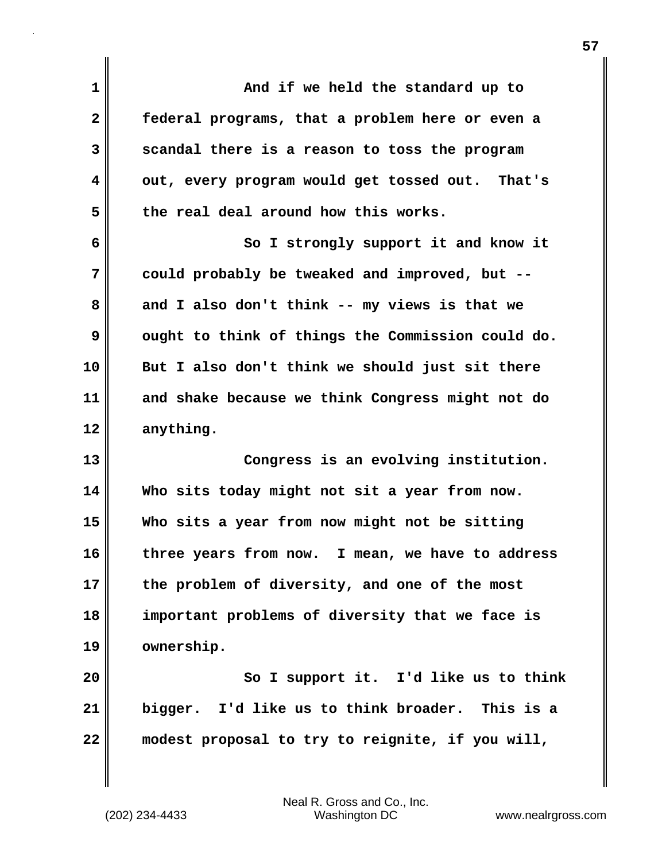| $\mathbf 1$  | And if we held the standard up to                 |
|--------------|---------------------------------------------------|
| $\mathbf{2}$ | federal programs, that a problem here or even a   |
| 3            | scandal there is a reason to toss the program     |
| 4            | out, every program would get tossed out. That's   |
| 5            | the real deal around how this works.              |
| 6            | So I strongly support it and know it              |
| 7            | could probably be tweaked and improved, but --    |
| 8            | and I also don't think -- my views is that we     |
| 9            | ought to think of things the Commission could do. |
| 10           | But I also don't think we should just sit there   |
| 11           | and shake because we think Congress might not do  |
| 12           | anything.                                         |
| 13           | Congress is an evolving institution.              |
| 14           | Who sits today might not sit a year from now.     |
| 15           | Who sits a year from now might not be sitting     |
| 16           | three years from now. I mean, we have to address  |
| 17           | the problem of diversity, and one of the most     |
| 18           | important problems of diversity that we face is   |
| 19           | ownership.                                        |
| 20           | So I support it. I'd like us to think             |
| 21           | bigger. I'd like us to think broader. This is a   |
| 22           | modest proposal to try to reignite, if you will,  |
|              |                                                   |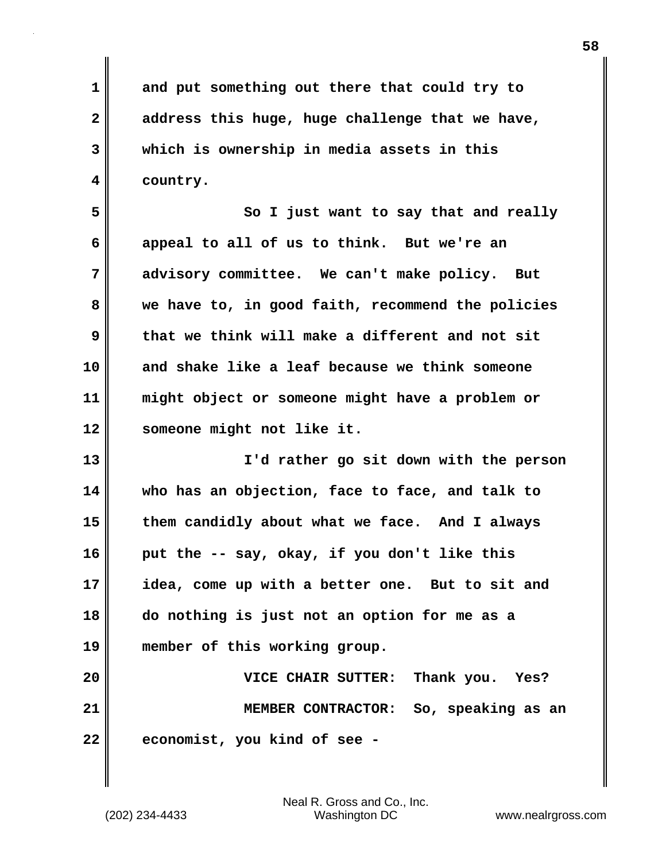**1 and put something out there that could try to 2 address this huge, huge challenge that we have, 3 which is ownership in media assets in this 4 country.** 

**5 So I just want to say that and really 6 appeal to all of us to think. But we're an 7 advisory committee. We can't make policy. But 8 we have to, in good faith, recommend the policies 9 that we think will make a different and not sit 10 and shake like a leaf because we think someone 11 might object or someone might have a problem or 12 someone might not like it.** 

**13 I'd rather go sit down with the person 14 who has an objection, face to face, and talk to 15 them candidly about what we face. And I always 16 put the -- say, okay, if you don't like this 17 idea, come up with a better one. But to sit and 18 do nothing is just not an option for me as a 19 member of this working group.** 

**20 VICE CHAIR SUTTER: Thank you. Yes? 21 MEMBER CONTRACTOR: So, speaking as an 22 economist, you kind of see -**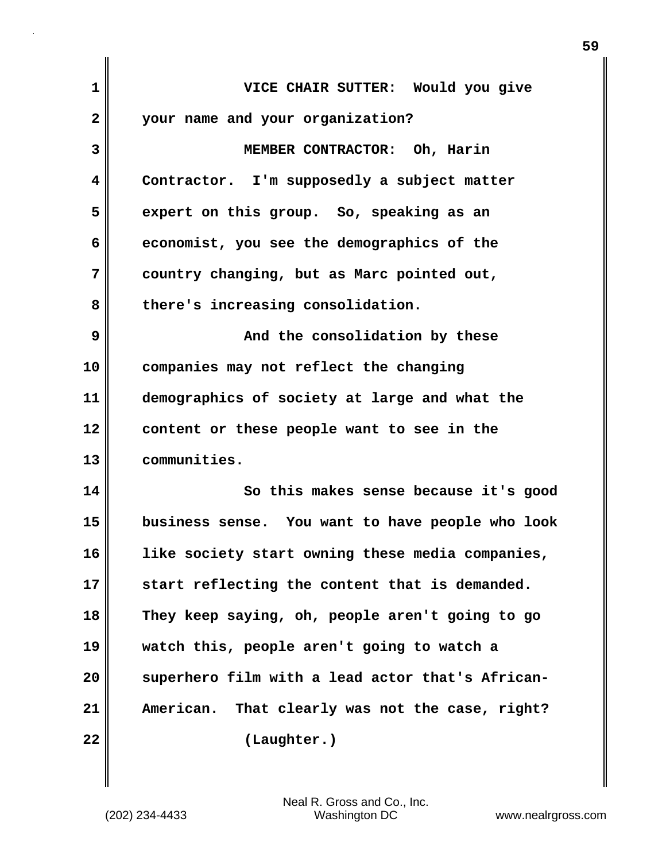| 1  | VICE CHAIR SUTTER: Would you give                  |
|----|----------------------------------------------------|
| 2  | your name and your organization?                   |
| 3  | MEMBER CONTRACTOR: Oh, Harin                       |
| 4  | Contractor. I'm supposedly a subject matter        |
| 5  | expert on this group. So, speaking as an           |
| 6  | economist, you see the demographics of the         |
| 7  | country changing, but as Marc pointed out,         |
| 8  | there's increasing consolidation.                  |
| 9  | And the consolidation by these                     |
| 10 | companies may not reflect the changing             |
| 11 | demographics of society at large and what the      |
| 12 | content or these people want to see in the         |
| 13 | communities.                                       |
| 14 | So this makes sense because it's good              |
| 15 | business sense. You want to have people who look   |
| 16 | like society start owning these media companies,   |
| 17 | start reflecting the content that is demanded.     |
| 18 | They keep saying, oh, people aren't going to go    |
| 19 | watch this, people aren't going to watch a         |
| 20 | superhero film with a lead actor that's African-   |
| 21 | That clearly was not the case, right?<br>American. |
| 22 | (Laughter.)                                        |
|    |                                                    |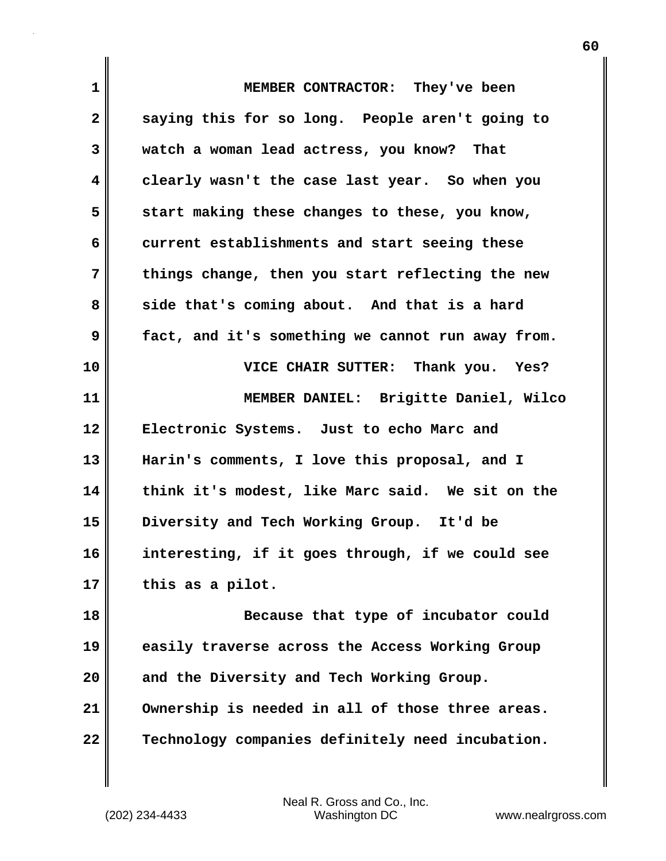| $\mathbf 1$  | MEMBER CONTRACTOR: They've been                   |
|--------------|---------------------------------------------------|
| $\mathbf{2}$ | saying this for so long. People aren't going to   |
| 3            | watch a woman lead actress, you know? That        |
| 4            | clearly wasn't the case last year. So when you    |
| 5            | start making these changes to these, you know,    |
| 6            | current establishments and start seeing these     |
| 7            | things change, then you start reflecting the new  |
| 8            | side that's coming about. And that is a hard      |
| 9            | fact, and it's something we cannot run away from. |
| 10           | VICE CHAIR SUTTER: Thank you. Yes?                |
| 11           | MEMBER DANIEL: Brigitte Daniel, Wilco             |
| 12           | Electronic Systems. Just to echo Marc and         |
| 13           | Harin's comments, I love this proposal, and I     |
| 14           | think it's modest, like Marc said. We sit on the  |
| 15           | Diversity and Tech Working Group. It'd be         |
| 16           | interesting, if it goes through, if we could see  |
| 17           | this as a pilot.                                  |
| 18           | Because that type of incubator could              |
| 19           | easily traverse across the Access Working Group   |
| 20           | and the Diversity and Tech Working Group.         |
| 21           | Ownership is needed in all of those three areas.  |
| 22           | Technology companies definitely need incubation.  |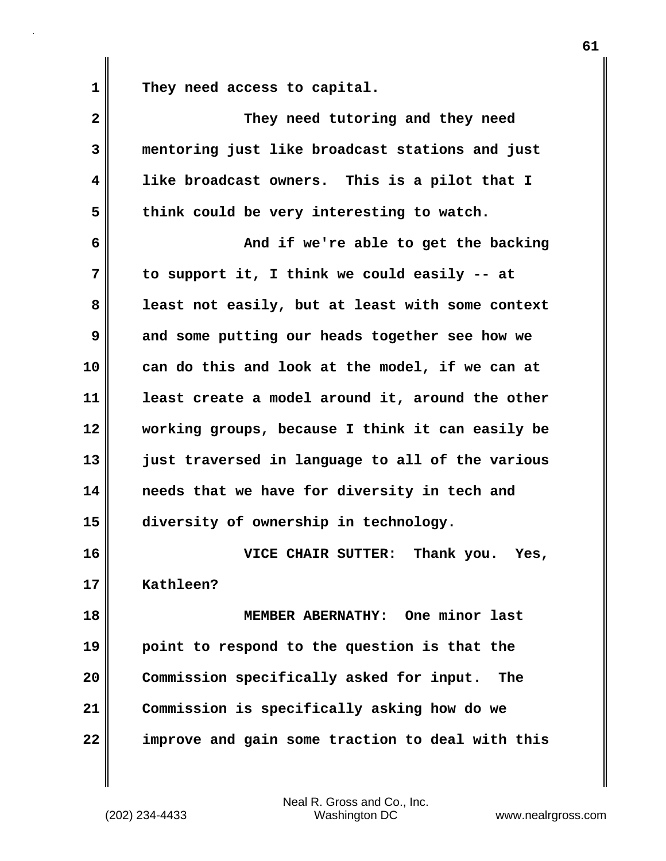1 They need access to capital.

| $\overline{\mathbf{2}}$ | They need tutoring and they need                 |
|-------------------------|--------------------------------------------------|
| 3                       | mentoring just like broadcast stations and just  |
| 4                       | like broadcast owners. This is a pilot that I    |
| 5                       | think could be very interesting to watch.        |
| 6                       | And if we're able to get the backing             |
| 7                       | to support it, I think we could easily -- at     |
| 8                       | least not easily, but at least with some context |
| 9                       | and some putting our heads together see how we   |
| 10                      | can do this and look at the model, if we can at  |
| 11                      | least create a model around it, around the other |
| 12                      | working groups, because I think it can easily be |
| 13                      | just traversed in language to all of the various |
| 14                      | needs that we have for diversity in tech and     |
| 15                      | diversity of ownership in technology.            |
| 16                      | VICE CHAIR SUTTER: Thank you. Yes,               |
| 17                      | Kathleen?                                        |
| 18                      | MEMBER ABERNATHY: One minor last                 |
| 19                      | point to respond to the question is that the     |
| 20                      | Commission specifically asked for input.<br>The  |
| 21                      | Commission is specifically asking how do we      |
| 22                      | improve and gain some traction to deal with this |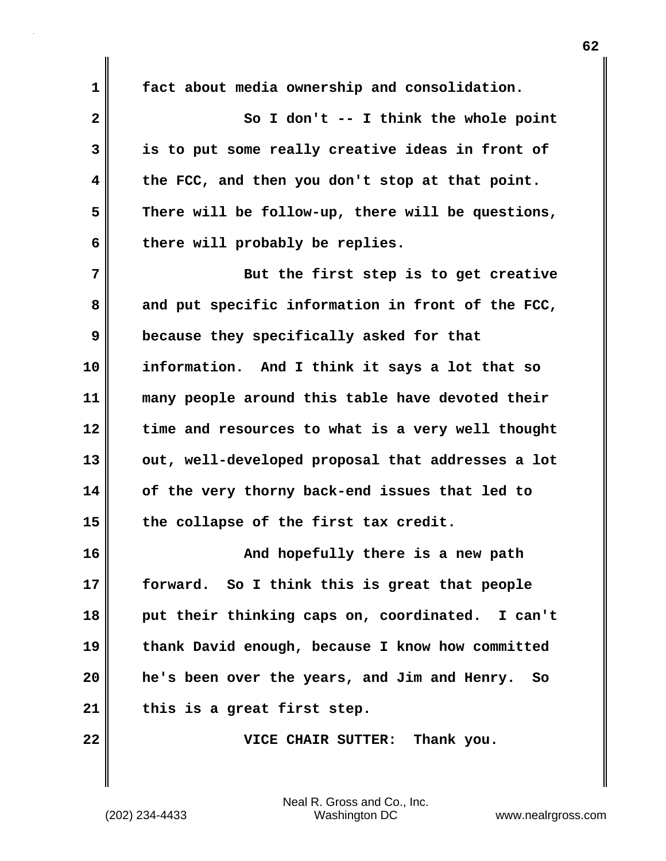| $\mathbf 1$  | fact about media ownership and consolidation.     |
|--------------|---------------------------------------------------|
| $\mathbf{2}$ | So I don't $--$ I think the whole point           |
| 3            | is to put some really creative ideas in front of  |
| 4            | the FCC, and then you don't stop at that point.   |
| 5            | There will be follow-up, there will be questions, |
| 6            | there will probably be replies.                   |
| 7            | But the first step is to get creative             |
| 8            | and put specific information in front of the FCC, |
| 9            | because they specifically asked for that          |
| 10           | information. And I think it says a lot that so    |
| 11           | many people around this table have devoted their  |
| 12           | time and resources to what is a very well thought |
| 13           | out, well-developed proposal that addresses a lot |
| 14           | of the very thorny back-end issues that led to    |
| 15           | the collapse of the first tax credit.             |
| 16           | And hopefully there is a new path                 |
| 17           | forward. So I think this is great that people     |
| 18           | put their thinking caps on, coordinated. I can't  |
| 19           | thank David enough, because I know how committed  |
| 20           | he's been over the years, and Jim and Henry. So   |
| 21           | this is a great first step.                       |
| 22           | VICE CHAIR SUTTER: Thank you.                     |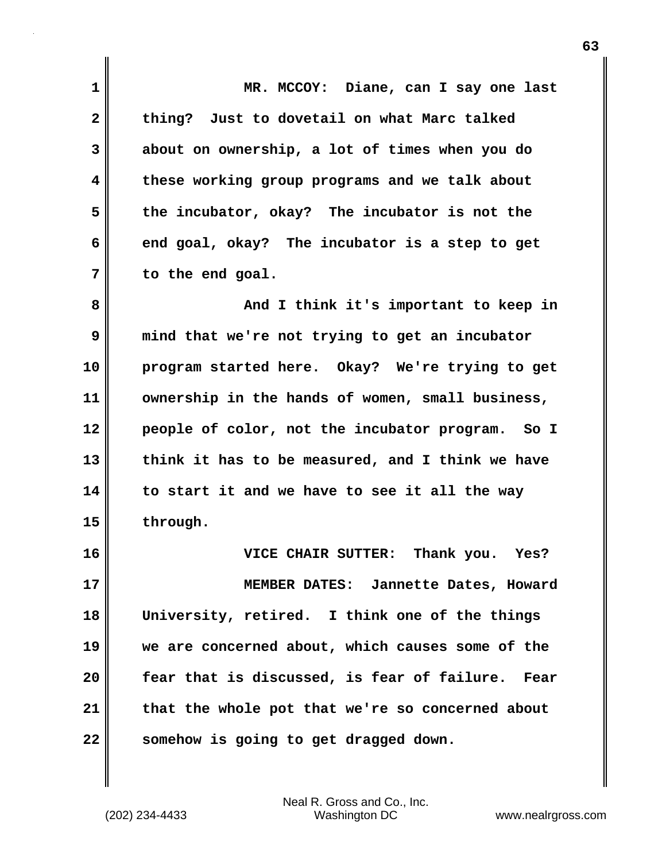**1 MR. MCCOY: Diane, can I say one last 2 thing? Just to dovetail on what Marc talked 3 about on ownership, a lot of times when you do 4 these working group programs and we talk about 5 the incubator, okay? The incubator is not the 6 end goal, okay? The incubator is a step to get 7 to the end goal. 8 And I think it's important to keep in 9 mind that we're not trying to get an incubator 10 program started here. Okay? We're trying to get 11 ownership in the hands of women, small business, 12 people of color, not the incubator program. So I 13 think it has to be measured, and I think we have 14 to start it and we have to see it all the way 15 through. 16 VICE CHAIR SUTTER: Thank you. Yes? 17 MEMBER DATES: Jannette Dates, Howard 18 University, retired. I think one of the things 19 we are concerned about, which causes some of the 20 fear that is discussed, is fear of failure. Fear 21 that the whole pot that we're so concerned about 22 somehow is going to get dragged down.**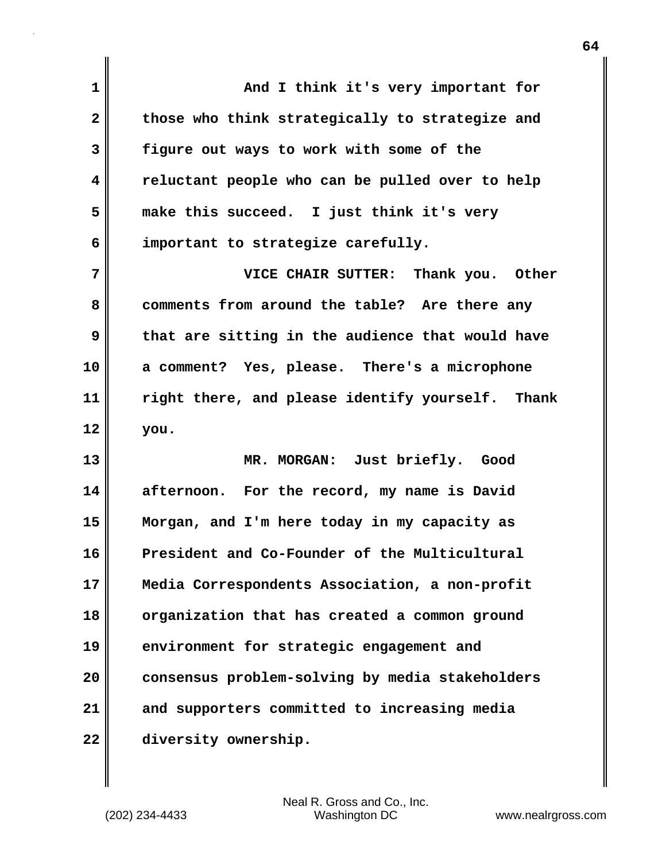**1 And I think it's very important for** 2 those who think strategically to strategize and **3 figure out ways to work with some of the 4 reluctant people who can be pulled over to help 5 make this succeed. I just think it's very 6 important to strategize carefully. 7 VICE CHAIR SUTTER: Thank you. Other 8 comments from around the table? Are there any 9 that are sitting in the audience that would have 10 a comment? Yes, please. There's a microphone 11 right there, and please identify yourself. Thank 12 you. 13 MR. MORGAN: Just briefly. Good 14 afternoon. For the record, my name is David 15 Morgan, and I'm here today in my capacity as 16 President and Co-Founder of the Multicultural 17 Media Correspondents Association, a non-profit 18 organization that has created a common ground 19 environment for strategic engagement and 20 consensus problem-solving by media stakeholders 21 and supporters committed to increasing media 22 diversity ownership.**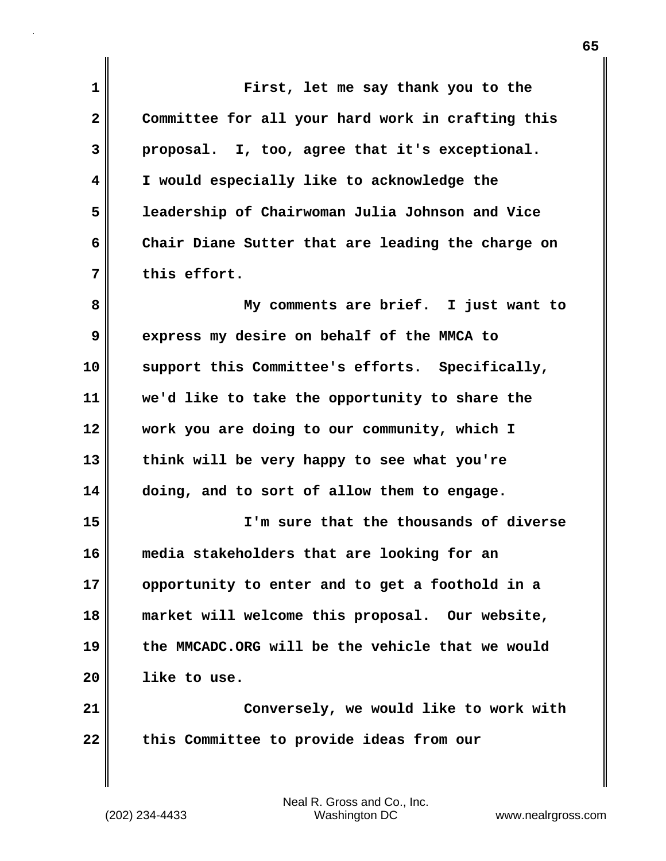**1 First, let me say thank you to the 2 Committee for all your hard work in crafting this 3 proposal. I, too, agree that it's exceptional. 4 I would especially like to acknowledge the 5 leadership of Chairwoman Julia Johnson and Vice 6 Chair Diane Sutter that are leading the charge on 7 this effort. 8 My comments are brief. I just want to 9 express my desire on behalf of the MMCA to 10 support this Committee's efforts. Specifically, 11 we'd like to take the opportunity to share the 12 work you are doing to our community, which I 13 think will be very happy to see what you're 14 doing, and to sort of allow them to engage. 15 I'm sure that the thousands of diverse 16 media stakeholders that are looking for an 17 opportunity to enter and to get a foothold in a 18 market will welcome this proposal. Our website, 19 the MMCADC.ORG will be the vehicle that we would 20 like to use. 21 Conversely, we would like to work with** 22 this Committee to provide ideas from our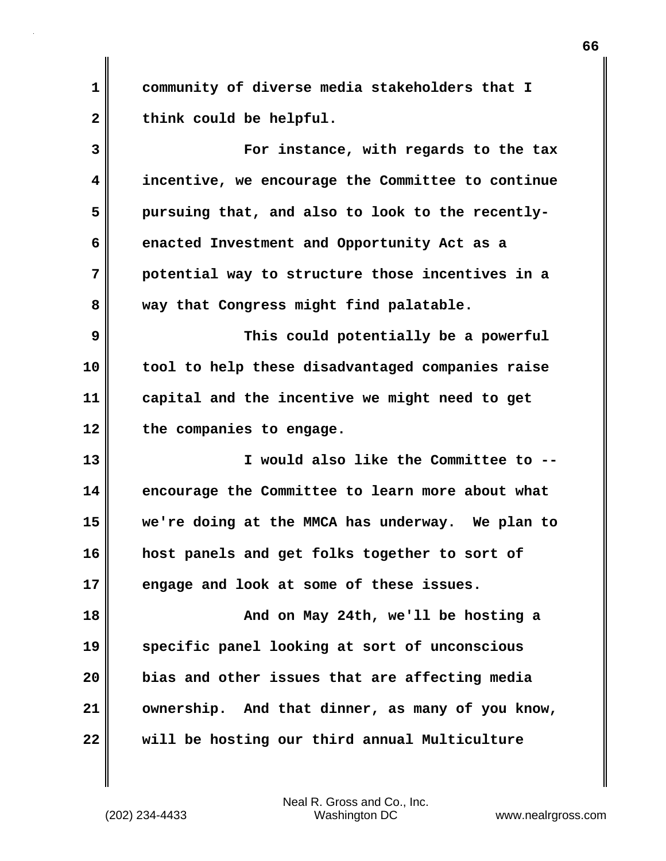**1 community of diverse media stakeholders that I** 2 think could be helpful.

**3 For instance, with regards to the tax 4 incentive, we encourage the Committee to continue 5 pursuing that, and also to look to the recently-6 enacted Investment and Opportunity Act as a 7 potential way to structure those incentives in a 8 way that Congress might find palatable.** 

**9 This could potentially be a powerful 10 tool to help these disadvantaged companies raise 11 capital and the incentive we might need to get 12 the companies to engage.**

**13 I would also like the Committee to -- 14 encourage the Committee to learn more about what 15 we're doing at the MMCA has underway. We plan to 16 host panels and get folks together to sort of 17 engage and look at some of these issues.** 

**18 And on May 24th, we'll be hosting a 19 specific panel looking at sort of unconscious 20 bias and other issues that are affecting media 21 ownership. And that dinner, as many of you know, 22 will be hosting our third annual Multiculture**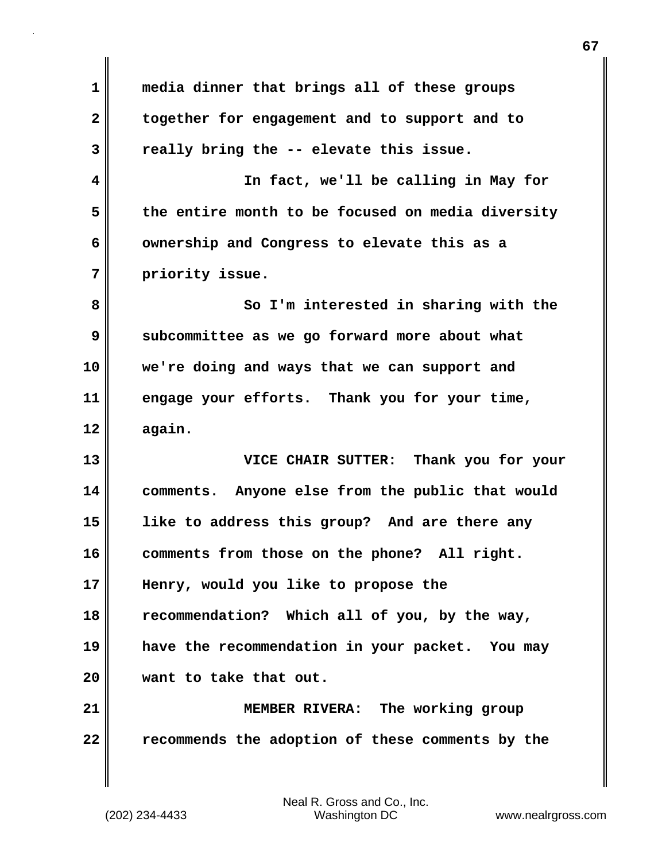| together for engagement and to support and to<br>really bring the -- elevate this issue.<br>In fact, we'll be calling in May for<br>the entire month to be focused on media diversity |
|---------------------------------------------------------------------------------------------------------------------------------------------------------------------------------------|
|                                                                                                                                                                                       |
|                                                                                                                                                                                       |
|                                                                                                                                                                                       |
|                                                                                                                                                                                       |
| ownership and Congress to elevate this as a                                                                                                                                           |
|                                                                                                                                                                                       |
| So I'm interested in sharing with the                                                                                                                                                 |
| subcommittee as we go forward more about what                                                                                                                                         |
| we're doing and ways that we can support and                                                                                                                                          |
| engage your efforts. Thank you for your time,                                                                                                                                         |
|                                                                                                                                                                                       |
| VICE CHAIR SUTTER: Thank you for your                                                                                                                                                 |
| comments. Anyone else from the public that would                                                                                                                                      |
| like to address this group? And are there any                                                                                                                                         |
| comments from those on the phone?<br>All right.                                                                                                                                       |
| Henry, would you like to propose the                                                                                                                                                  |
|                                                                                                                                                                                       |
| recommendation? Which all of you, by the way,                                                                                                                                         |
| have the recommendation in your packet. You may                                                                                                                                       |
|                                                                                                                                                                                       |
| MEMBER RIVERA: The working group                                                                                                                                                      |
|                                                                                                                                                                                       |

**67**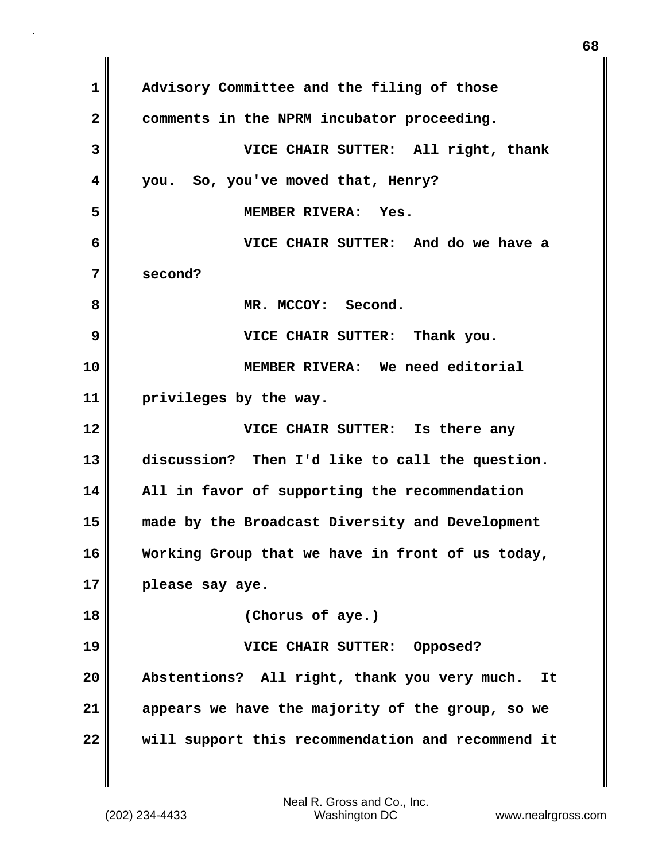| $\mathbf 1$             | Advisory Committee and the filing of those         |
|-------------------------|----------------------------------------------------|
| $\overline{\mathbf{2}}$ | comments in the NPRM incubator proceeding.         |
| 3                       | VICE CHAIR SUTTER: All right, thank                |
| $\overline{\mathbf{4}}$ | So, you've moved that, Henry?<br>you.              |
| 5                       | MEMBER RIVERA: Yes.                                |
| 6                       | VICE CHAIR SUTTER: And do we have a                |
| 7                       | second?                                            |
| 8                       | MR. MCCOY: Second.                                 |
| 9                       | VICE CHAIR SUTTER: Thank you.                      |
| 10                      | MEMBER RIVERA: We need editorial                   |
| 11                      | privileges by the way.                             |
| 12                      | VICE CHAIR SUTTER: Is there any                    |
| 13                      | discussion? Then I'd like to call the question.    |
| 14                      | All in favor of supporting the recommendation      |
| 15                      | made by the Broadcast Diversity and Development    |
| 16                      | Working Group that we have in front of us today,   |
| 17                      | please say aye.                                    |
| 18                      | (Chorus of aye.)                                   |
| 19                      | VICE CHAIR SUTTER:<br>Opposed?                     |
| 20                      | Abstentions? All right, thank you very much.<br>It |
|                         |                                                    |
| 21                      | appears we have the majority of the group, so we   |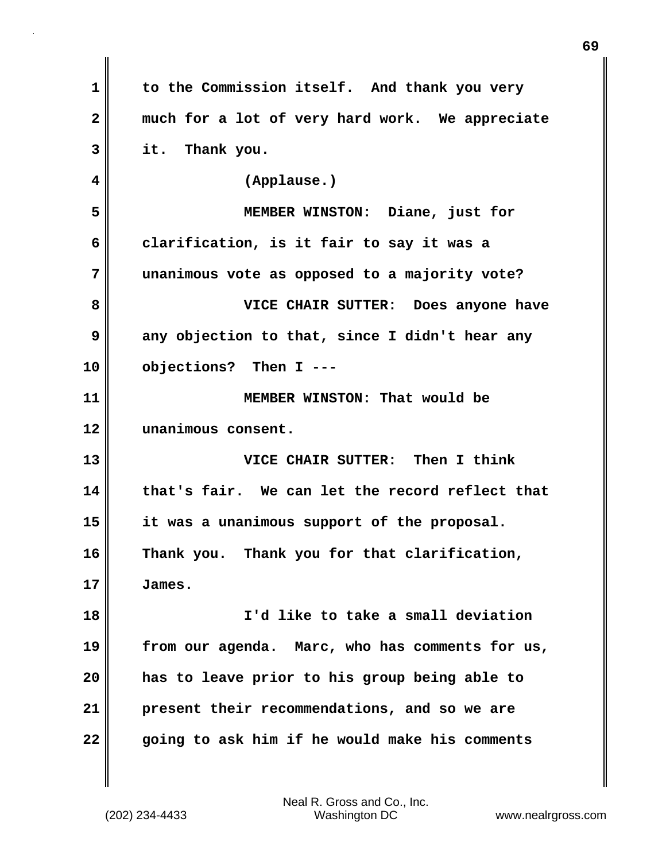| to the Commission itself. And thank you very    |
|-------------------------------------------------|
| much for a lot of very hard work. We appreciate |
| it. Thank you.                                  |
| (Applause.)                                     |
| MEMBER WINSTON: Diane, just for                 |
| clarification, is it fair to say it was a       |
| unanimous vote as opposed to a majority vote?   |
| VICE CHAIR SUTTER: Does anyone have             |
| any objection to that, since I didn't hear any  |
| objections? Then I ---                          |
| MEMBER WINSTON: That would be                   |
| unanimous consent.                              |
| VICE CHAIR SUTTER: Then I think                 |
| that's fair. We can let the record reflect that |
| it was a unanimous support of the proposal.     |
| Thank you. Thank you for that clarification,    |
| James.                                          |
| I'd like to take a small deviation              |
| from our agenda. Marc, who has comments for us, |
| has to leave prior to his group being able to   |
| present their recommendations, and so we are    |
| going to ask him if he would make his comments  |
|                                                 |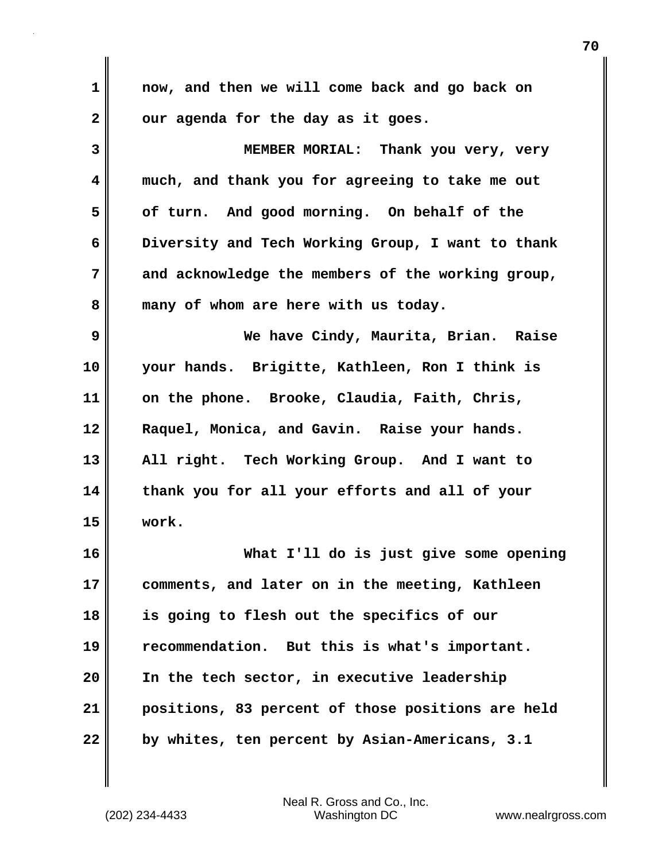| $\mathbf{1}$ | now, and then we will come back and go back on    |
|--------------|---------------------------------------------------|
| $\mathbf{2}$ | our agenda for the day as it goes.                |
| 3            | MEMBER MORIAL: Thank you very, very               |
| 4            | much, and thank you for agreeing to take me out   |
| 5            | of turn. And good morning. On behalf of the       |
| 6            | Diversity and Tech Working Group, I want to thank |
| 7            | and acknowledge the members of the working group, |
| 8            | many of whom are here with us today.              |
| 9            | We have Cindy, Maurita, Brian. Raise              |
| 10           | your hands. Brigitte, Kathleen, Ron I think is    |
| 11           | on the phone. Brooke, Claudia, Faith, Chris,      |
| 12           | Raquel, Monica, and Gavin. Raise your hands.      |
| 13           | All right. Tech Working Group. And I want to      |
| 14           | thank you for all your efforts and all of your    |
| 15           | work.                                             |
| 16           | What I'll do is just give some opening            |
| 17           | comments, and later on in the meeting, Kathleen   |
| 18           | is going to flesh out the specifics of our        |
| 19           | recommendation. But this is what's important.     |
| 20           | In the tech sector, in executive leadership       |
| 21           | positions, 83 percent of those positions are held |
| 22           | by whites, ten percent by Asian-Americans, 3.1    |

 $\mathbf{l}$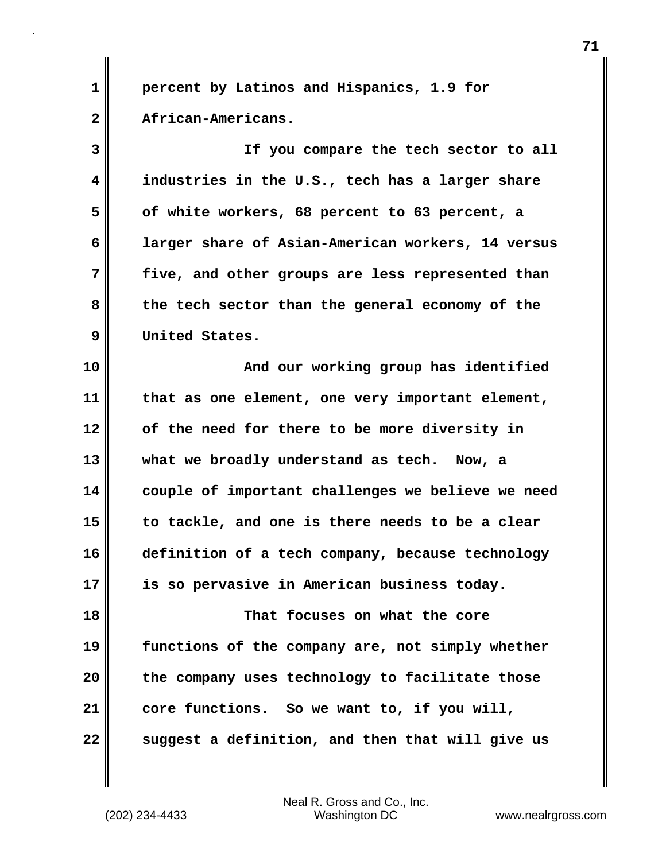**1 percent by Latinos and Hispanics, 1.9 for 2 African-Americans.** 

**3 If you compare the tech sector to all 4 industries in the U.S., tech has a larger share 5 of white workers, 68 percent to 63 percent, a 6 larger share of Asian-American workers, 14 versus 7 five, and other groups are less represented than 8 the tech sector than the general economy of the 9 United States.** 

**10 And our working group has identified 11 that as one element, one very important element, 12 of the need for there to be more diversity in 13 what we broadly understand as tech. Now, a 14 couple of important challenges we believe we need 15 to tackle, and one is there needs to be a clear 16 definition of a tech company, because technology 17 is so pervasive in American business today.**

**18 That focuses on what the core 19 functions of the company are, not simply whether 20 the company uses technology to facilitate those 21 core functions. So we want to, if you will, 22** suggest a definition, and then that will give us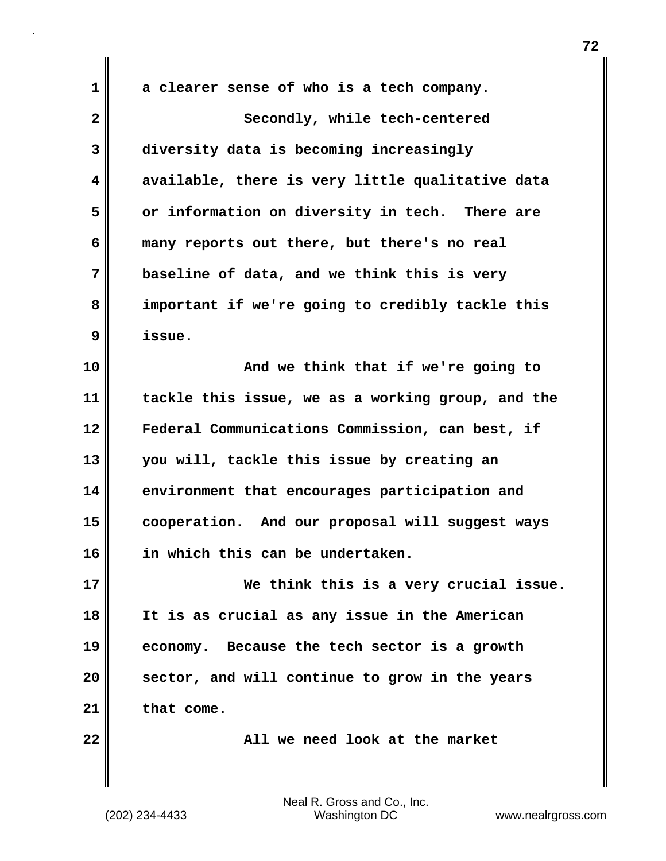**1 a clearer sense of who is a tech company. 2** Secondly, while tech-centered **3 diversity data is becoming increasingly 4 available, there is very little qualitative data 5 or information on diversity in tech. There are 6 many reports out there, but there's no real 7 baseline of data, and we think this is very 8 important if we're going to credibly tackle this 9 issue. 10 And we think that if we're going to 11 tackle this issue, we as a working group, and the 12 Federal Communications Commission, can best, if 13 you will, tackle this issue by creating an 14 environment that encourages participation and 15 cooperation. And our proposal will suggest ways 16 in which this can be undertaken. 17 We think this is a very crucial issue. 18 It is as crucial as any issue in the American 19 economy. Because the tech sector is a growth 20 sector, and will continue to grow in the years 21 that come. 22 All we need look at the market**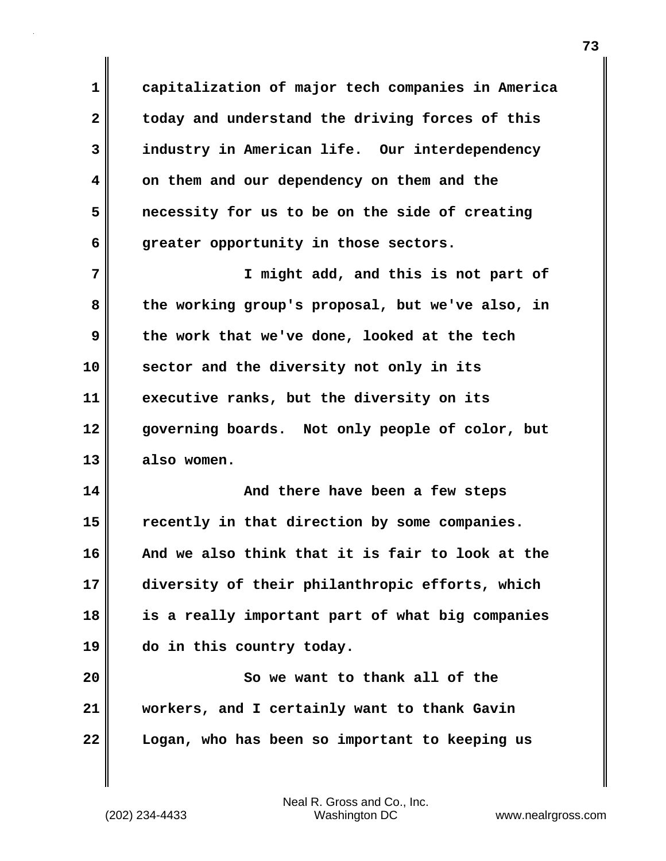**1 capitalization of major tech companies in America 2 today and understand the driving forces of this 3 industry in American life. Our interdependency 4 on them and our dependency on them and the 5 necessity for us to be on the side of creating 6 greater opportunity in those sectors.** 

**7 I might add, and this is not part of 8 the working group's proposal, but we've also, in 9 the work that we've done, looked at the tech 10 sector and the diversity not only in its 11 executive ranks, but the diversity on its 12 governing boards. Not only people of color, but 13 also women.** 

**14 And there have been a few steps 15 recently in that direction by some companies. 16 And we also think that it is fair to look at the 17 diversity of their philanthropic efforts, which 18 is a really important part of what big companies 19 do in this country today.**

**20 So we want to thank all of the 21 workers, and I certainly want to thank Gavin 22 Logan, who has been so important to keeping us**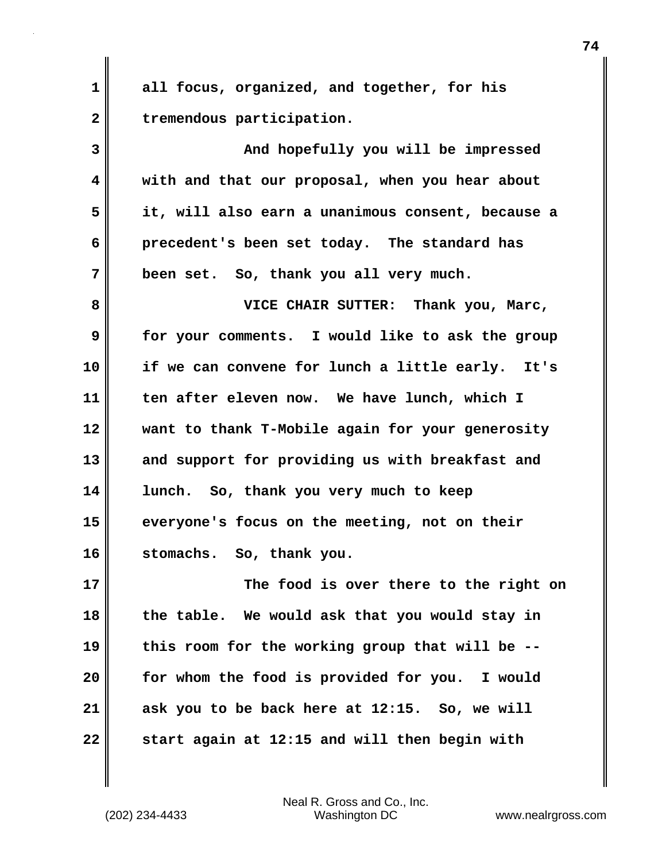**1 all focus, organized, and together, for his 2 tremendous participation. 3 And hopefully you will be impressed 4 with and that our proposal, when you hear about 5 it, will also earn a unanimous consent, because a 6 precedent's been set today. The standard has 7 been set. So, thank you all very much. 8 VICE CHAIR SUTTER: Thank you, Marc, 9 for your comments. I would like to ask the group 10 if we can convene for lunch a little early. It's 11 ten after eleven now. We have lunch, which I 12 want to thank T-Mobile again for your generosity 13 and support for providing us with breakfast and 14 lunch. So, thank you very much to keep 15 everyone's focus on the meeting, not on their 16 stomachs. So, thank you. 17 The food is over there to the right on 18 the table. We would ask that you would stay in 19 this room for the working group that will be -- 20 for whom the food is provided for you. I would 21 ask you to be back here at 12:15. So, we will**

**22 start again at 12:15 and will then begin with**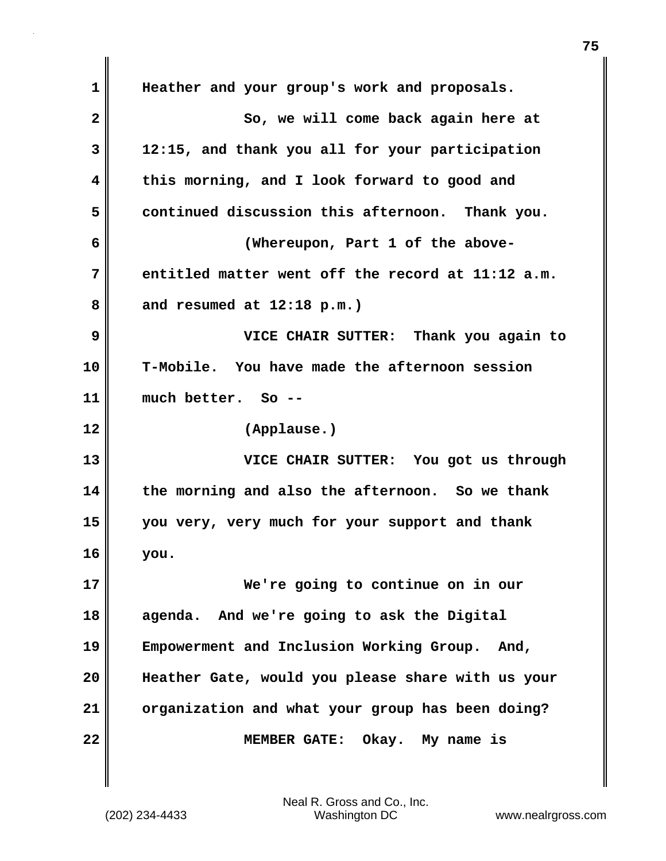**1 Heather and your group's work and proposals. 2** So, we will come back again here at **3 12:15, and thank you all for your participation 4 this morning, and I look forward to good and 5 continued discussion this afternoon. Thank you. 6 (Whereupon, Part 1 of the above-7 entitled matter went off the record at 11:12 a.m. 8 and resumed at 12:18 p.m.) 9 VICE CHAIR SUTTER: Thank you again to 10 T-Mobile. You have made the afternoon session 11 much better. So -- 12 (Applause.) 13 VICE CHAIR SUTTER: You got us through 14 the morning and also the afternoon. So we thank 15 you very, very much for your support and thank 16 you. 17 We're going to continue on in our 18 agenda. And we're going to ask the Digital 19 Empowerment and Inclusion Working Group. And, 20 Heather Gate, would you please share with us your 21 organization and what your group has been doing? 22 MEMBER GATE: Okay. My name is**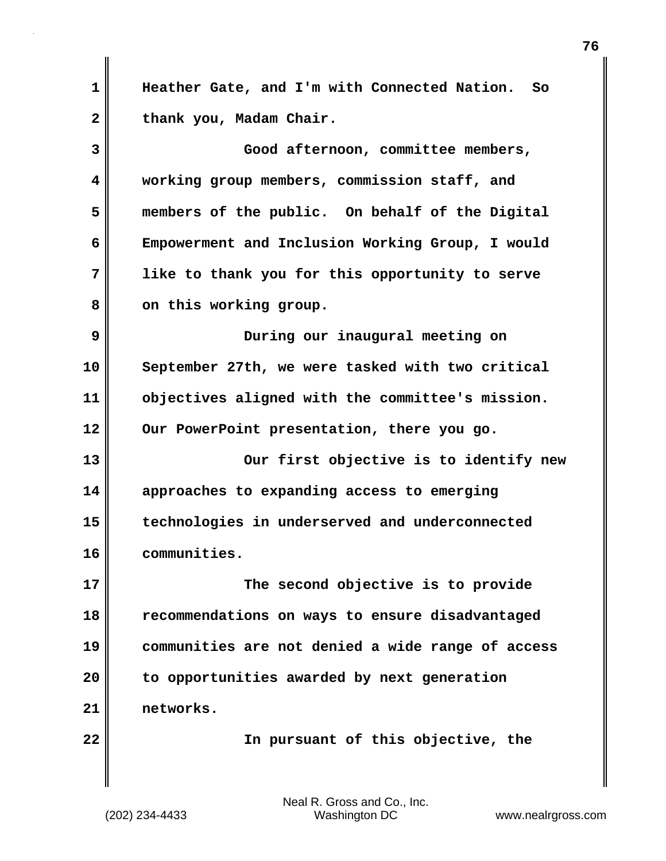**1 Heather Gate, and I'm with Connected Nation. So** 2 thank you, Madam Chair. **3 Good afternoon, committee members, 4 working group members, commission staff, and 5 members of the public. On behalf of the Digital 6 Empowerment and Inclusion Working Group, I would 7 like to thank you for this opportunity to serve** 8 on this working group. **9 During our inaugural meeting on 10 September 27th, we were tasked with two critical 11 objectives aligned with the committee's mission. 12 Our PowerPoint presentation, there you go. 13 Our first objective is to identify new 14 approaches to expanding access to emerging 15 technologies in underserved and underconnected 16 communities. 17 The second objective is to provide 18 recommendations on ways to ensure disadvantaged 19 communities are not denied a wide range of access 20 to opportunities awarded by next generation 21 networks. 22 In pursuant of this objective, the**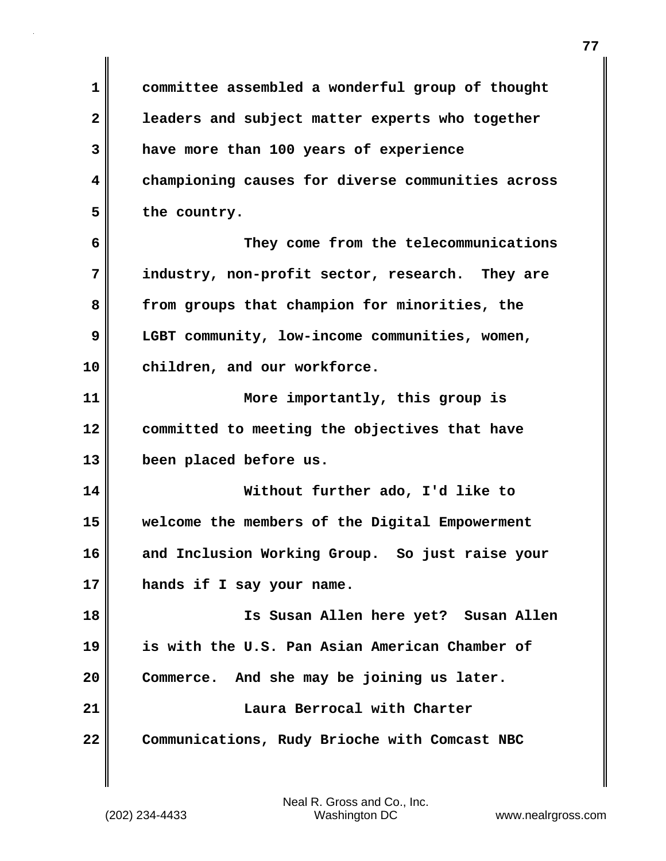**1 committee assembled a wonderful group of thought 2 leaders and subject matter experts who together 3 have more than 100 years of experience 4 championing causes for diverse communities across 5 the country.**

**6 They come from the telecommunications 7 industry, non-profit sector, research. They are 8 from groups that champion for minorities, the 9 LGBT community, low-income communities, women, 10 children, and our workforce.**

**11 More importantly, this group is 12 committed to meeting the objectives that have 13 been placed before us.**

**14 Without further ado, I'd like to 15 welcome the members of the Digital Empowerment 16 and Inclusion Working Group. So just raise your 17 hands if I say your name.**

**18 Is Susan Allen here yet? Susan Allen 19 is with the U.S. Pan Asian American Chamber of 20 Commerce. And she may be joining us later. 21 Laura Berrocal with Charter 22 Communications, Rudy Brioche with Comcast NBC**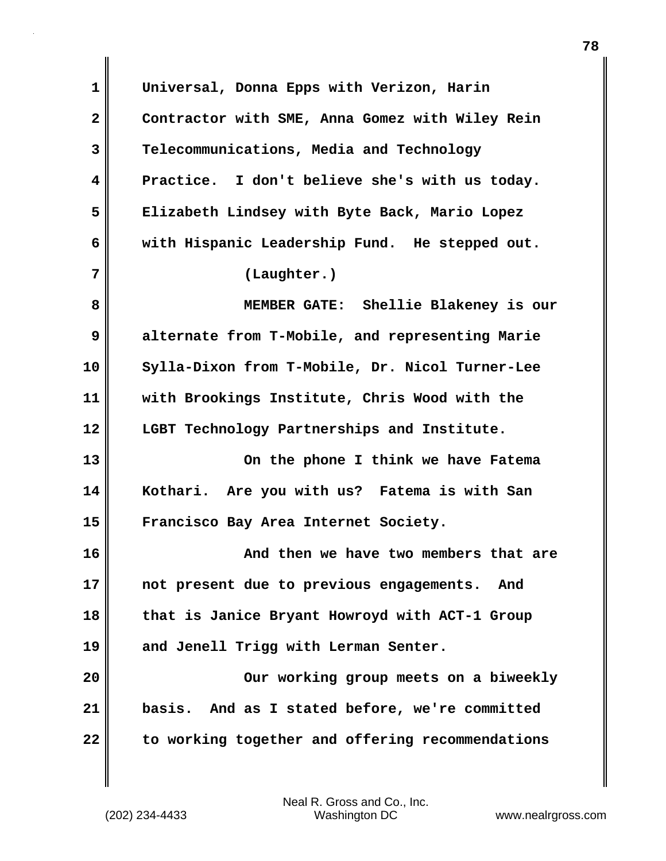**1 Universal, Donna Epps with Verizon, Harin 2 Contractor with SME, Anna Gomez with Wiley Rein 3 Telecommunications, Media and Technology 4 Practice. I don't believe she's with us today. 5 Elizabeth Lindsey with Byte Back, Mario Lopez 6 with Hispanic Leadership Fund. He stepped out. 7 (Laughter.) 8 MEMBER GATE: Shellie Blakeney is our 9 alternate from T-Mobile, and representing Marie 10 Sylla-Dixon from T-Mobile, Dr. Nicol Turner-Lee 11 with Brookings Institute, Chris Wood with the 12 LGBT Technology Partnerships and Institute. 13 On the phone I think we have Fatema 14 Kothari. Are you with us? Fatema is with San 15 Francisco Bay Area Internet Society. 16 And then we have two members that are 17 not present due to previous engagements. And 18 that is Janice Bryant Howroyd with ACT-1 Group 19 and Jenell Trigg with Lerman Senter. 20 Our working group meets on a biweekly 21 basis. And as I stated before, we're committed 22 to working together and offering recommendations**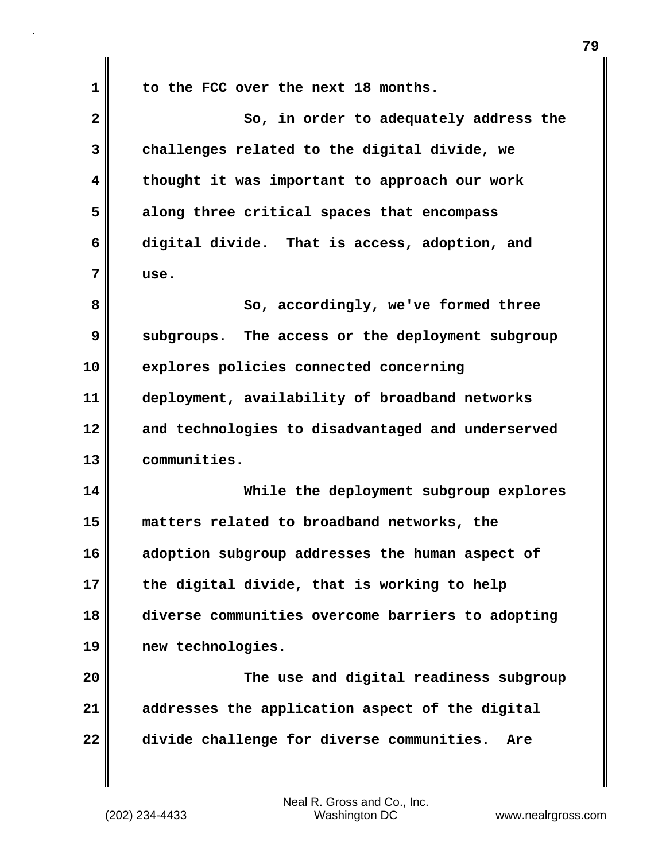**1 to the FCC over the next 18 months.**

| $\overline{\mathbf{2}}$ | So, in order to adequately address the            |
|-------------------------|---------------------------------------------------|
| 3                       | challenges related to the digital divide, we      |
| 4                       | thought it was important to approach our work     |
| 5                       | along three critical spaces that encompass        |
| 6                       | digital divide. That is access, adoption, and     |
| 7                       | use.                                              |
| 8                       | So, accordingly, we've formed three               |
| 9                       | subgroups. The access or the deployment subgroup  |
| 10                      | explores policies connected concerning            |
| 11                      | deployment, availability of broadband networks    |
| 12                      | and technologies to disadvantaged and underserved |
| 13                      | communities.                                      |
| 14                      | While the deployment subgroup explores            |
| 15                      | matters related to broadband networks, the        |
| 16                      | adoption subgroup addresses the human aspect of   |
| 17                      | the digital divide, that is working to help       |
| 18                      | diverse communities overcome barriers to adopting |
| 19                      | new technologies.                                 |
| 20                      | The use and digital readiness subgroup            |
| 21                      | addresses the application aspect of the digital   |
| 22                      | divide challenge for diverse communities.<br>Are  |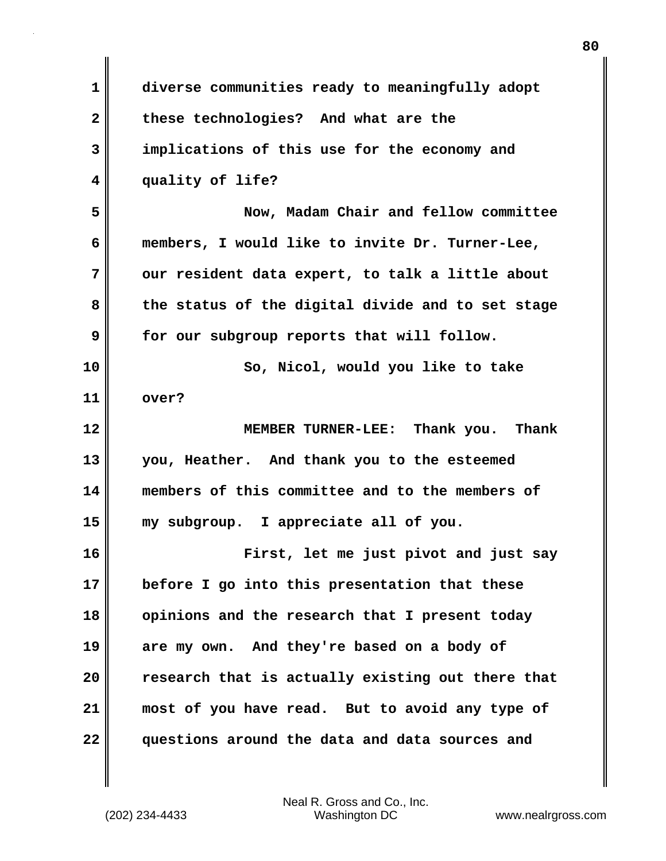| 1  | diverse communities ready to meaningfully adopt   |
|----|---------------------------------------------------|
| 2  | these technologies? And what are the              |
| 3  | implications of this use for the economy and      |
| 4  | quality of life?                                  |
| 5  | Now, Madam Chair and fellow committee             |
| 6  | members, I would like to invite Dr. Turner-Lee,   |
| 7  | our resident data expert, to talk a little about  |
| 8  | the status of the digital divide and to set stage |
| 9  | for our subgroup reports that will follow.        |
| 10 | So, Nicol, would you like to take                 |
| 11 | over?                                             |
| 12 | MEMBER TURNER-LEE: Thank you. Thank               |
| 13 | you, Heather. And thank you to the esteemed       |
| 14 | members of this committee and to the members of   |
| 15 | my subgroup. I appreciate all of you.             |
| 16 | First, let me just pivot and just say             |
| 17 | before I go into this presentation that these     |
| 18 | opinions and the research that I present today    |
| 19 | are my own. And they're based on a body of        |
| 20 | research that is actually existing out there that |
| 21 | most of you have read. But to avoid any type of   |
| 22 | questions around the data and data sources and    |

 $\mathbf{I}$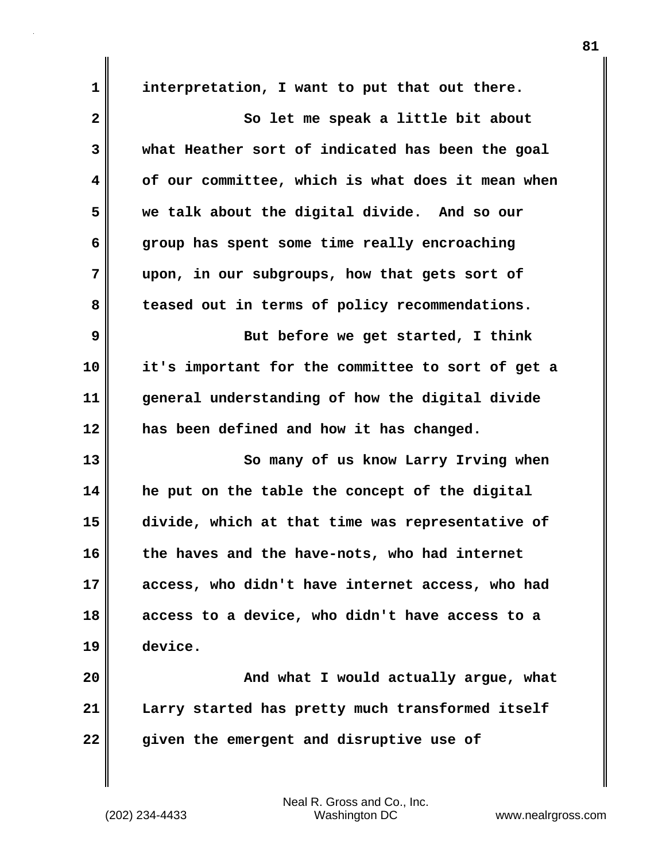**1 interpretation, I want to put that out there. 2** So let me speak a little bit about **3 what Heather sort of indicated has been the goal 4 of our committee, which is what does it mean when 5 we talk about the digital divide. And so our 6 group has spent some time really encroaching 7 upon, in our subgroups, how that gets sort of 8 teased out in terms of policy recommendations. 9** But before we get started, I think **10 it's important for the committee to sort of get a 11 general understanding of how the digital divide 12 has been defined and how it has changed. 13** So many of us know Larry Irving when **14 he put on the table the concept of the digital 15 divide, which at that time was representative of 16 the haves and the have-nots, who had internet 17 access, who didn't have internet access, who had 18 access to a device, who didn't have access to a 19 device. 20 And what I would actually argue, what 21 Larry started has pretty much transformed itself 22 given the emergent and disruptive use of**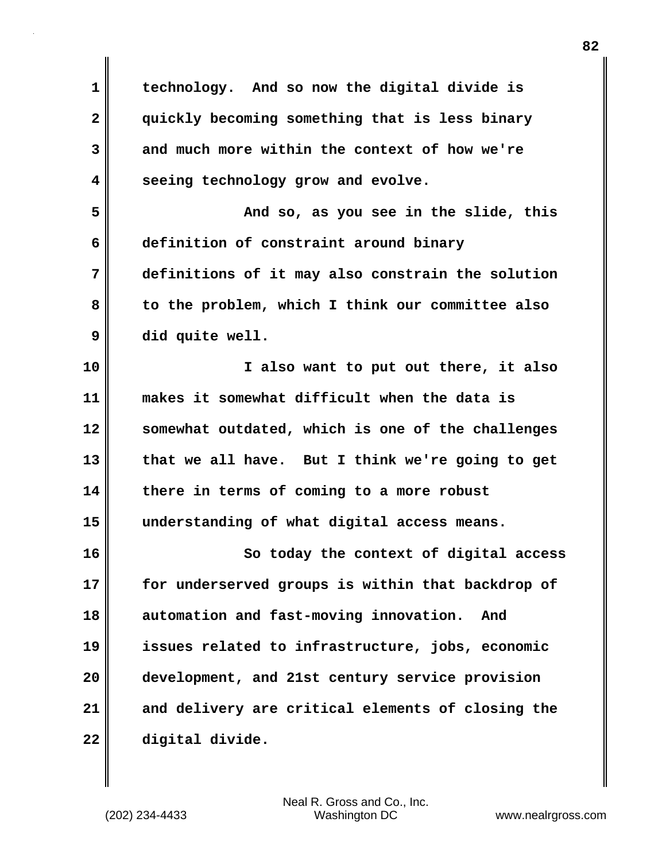| $\mathbf 1$  | technology. And so now the digital divide is      |
|--------------|---------------------------------------------------|
| $\mathbf{2}$ | quickly becoming something that is less binary    |
| 3            | and much more within the context of how we're     |
| 4            | seeing technology grow and evolve.                |
| 5            | And so, as you see in the slide, this             |
| 6            | definition of constraint around binary            |
| 7            | definitions of it may also constrain the solution |
| 8            | to the problem, which I think our committee also  |
| 9            | did quite well.                                   |
| 10           | I also want to put out there, it also             |
| 11           | makes it somewhat difficult when the data is      |
| 12           | somewhat outdated, which is one of the challenges |
| 13           | that we all have. But I think we're going to get  |
| 14           | there in terms of coming to a more robust         |
| 15           | understanding of what digital access means.       |
| 16           | So today the context of digital access            |
| 17           | for underserved groups is within that backdrop of |
| 18           | automation and fast-moving innovation.<br>And     |
| 19           | issues related to infrastructure, jobs, economic  |
| 20           | development, and 21st century service provision   |
| 21           | and delivery are critical elements of closing the |
| 22           | digital divide.                                   |

 $\mathbf{I}$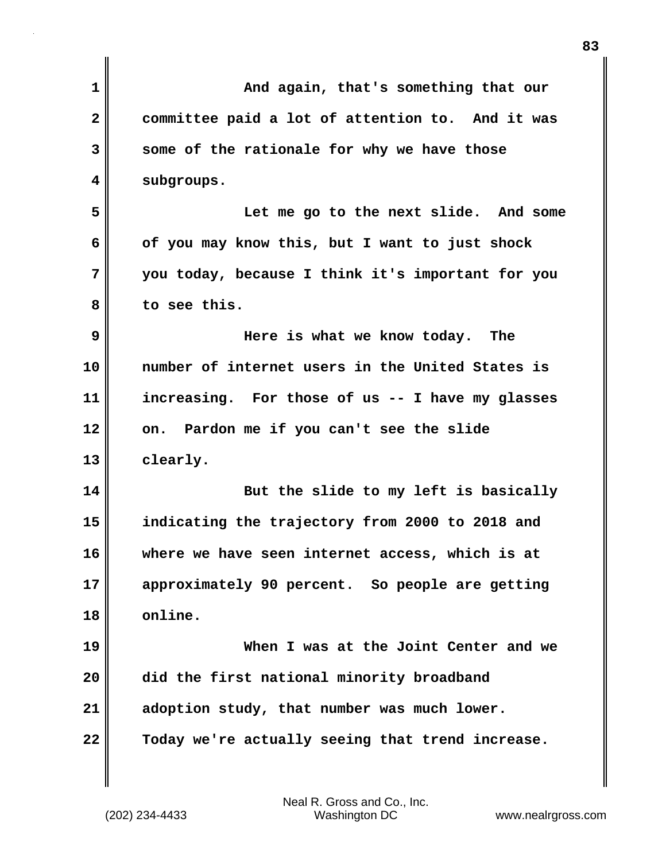| 1                       | And again, that's something that our              |
|-------------------------|---------------------------------------------------|
| $\overline{\mathbf{2}}$ | committee paid a lot of attention to. And it was  |
| 3                       | some of the rationale for why we have those       |
| 4                       | subgroups.                                        |
| 5                       | Let me go to the next slide. And some             |
| 6                       | of you may know this, but I want to just shock    |
| 7                       | you today, because I think it's important for you |
| 8                       | to see this.                                      |
| 9                       | Here is what we know today. The                   |
| 10                      | number of internet users in the United States is  |
| 11                      | increasing. For those of us -- I have my glasses  |
| 12                      | on. Pardon me if you can't see the slide          |
| 13                      | clearly.                                          |
| 14                      | But the slide to my left is basically             |
| 15                      | indicating the trajectory from 2000 to 2018 and   |
| 16                      | where we have seen internet access, which is at   |
| 17                      | approximately 90 percent. So people are getting   |
| 18                      | online.                                           |
| 19                      | When I was at the Joint Center and we             |
| 20                      | did the first national minority broadband         |
| 21                      | adoption study, that number was much lower.       |
| 22                      | Today we're actually seeing that trend increase.  |
|                         |                                                   |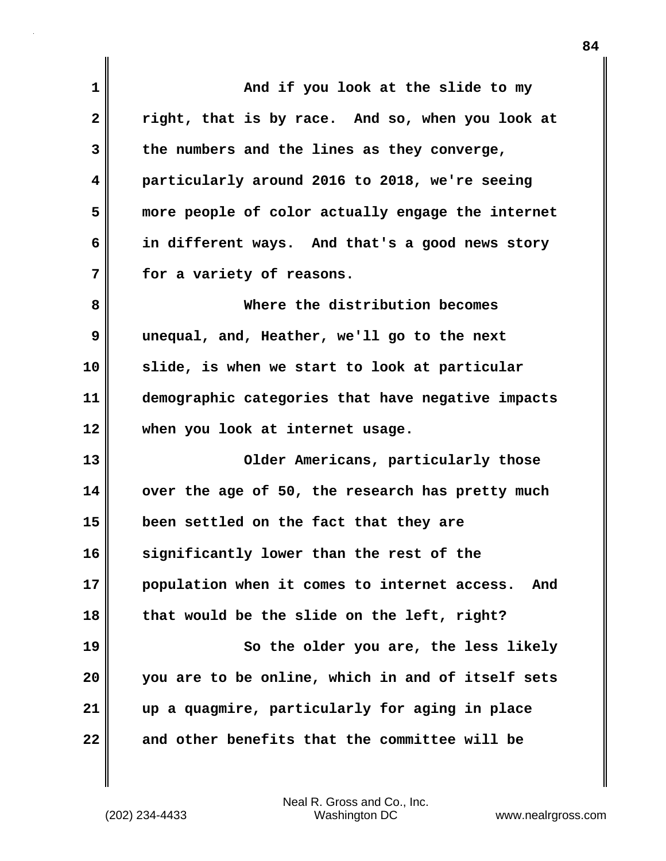**1 And if you look at the slide to my 2 right, that is by race. And so, when you look at 3 the numbers and the lines as they converge, 4 particularly around 2016 to 2018, we're seeing 5 more people of color actually engage the internet 6 in different ways. And that's a good news story 7 for a variety of reasons. 8 Where the distribution becomes 9 unequal, and, Heather, we'll go to the next 10 slide, is when we start to look at particular 11 demographic categories that have negative impacts 12 when you look at internet usage. 13** Older Americans, particularly those **14 over the age of 50, the research has pretty much 15 been settled on the fact that they are 16 significantly lower than the rest of the 17 population when it comes to internet access. And 18 that would be the slide on the left, right? 19 So the older you are, the less likely 20 you are to be online, which in and of itself sets 21 up a quagmire, particularly for aging in place 22 and other benefits that the committee will be**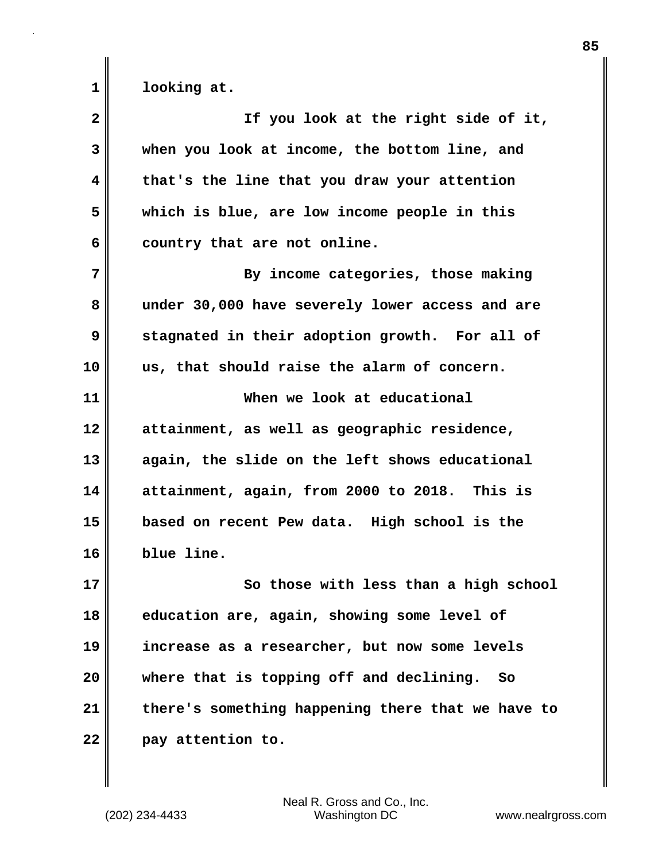**1 looking at.**

| $\overline{\mathbf{2}}$ | If you look at the right side of it,              |
|-------------------------|---------------------------------------------------|
| 3                       | when you look at income, the bottom line, and     |
| 4                       | that's the line that you draw your attention      |
| 5                       | which is blue, are low income people in this      |
| 6                       | country that are not online.                      |
| 7                       | By income categories, those making                |
| 8                       | under 30,000 have severely lower access and are   |
| 9                       | stagnated in their adoption growth. For all of    |
| 10                      | us, that should raise the alarm of concern.       |
| 11                      | When we look at educational                       |
| 12                      | attainment, as well as geographic residence,      |
| 13                      | again, the slide on the left shows educational    |
| 14                      | attainment, again, from 2000 to 2018. This is     |
| 15                      | based on recent Pew data. High school is the      |
| 16                      | blue line.                                        |
| 17                      | So those with less than a high school             |
| 18                      | education are, again, showing some level of       |
| 19                      | increase as a researcher, but now some levels     |
| 20                      | where that is topping off and declining.<br>- So  |
| 21                      | there's something happening there that we have to |
| 22                      | pay attention to.                                 |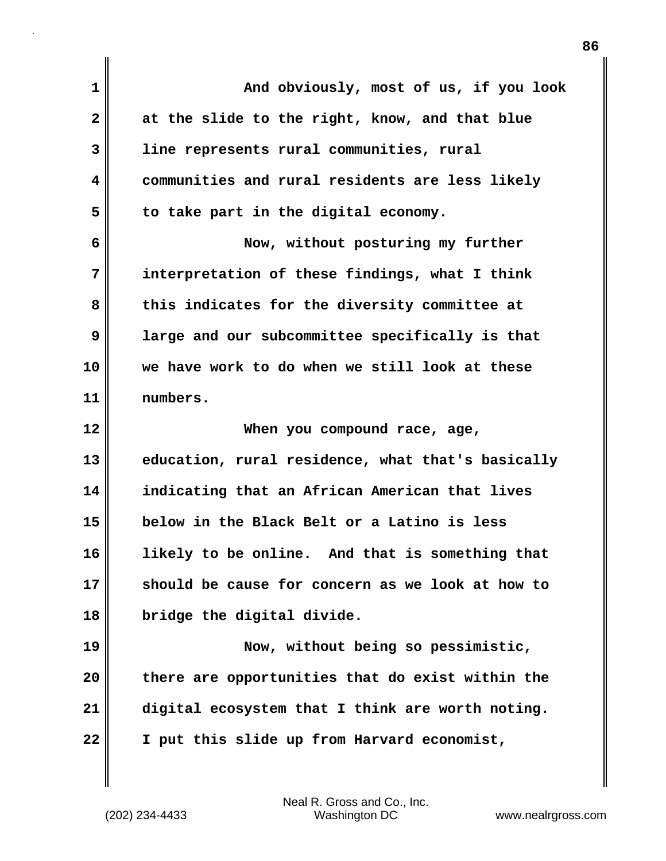| 1            | And obviously, most of us, if you look            |
|--------------|---------------------------------------------------|
| $\mathbf{2}$ | at the slide to the right, know, and that blue    |
| 3            | line represents rural communities, rural          |
| 4            | communities and rural residents are less likely   |
| 5            | to take part in the digital economy.              |
| 6            | Now, without posturing my further                 |
| 7            | interpretation of these findings, what I think    |
| 8            | this indicates for the diversity committee at     |
| 9            | large and our subcommittee specifically is that   |
| 10           | we have work to do when we still look at these    |
| 11           | numbers.                                          |
| 12           | When you compound race, age,                      |
| 13           | education, rural residence, what that's basically |
| 14           | indicating that an African American that lives    |
| 15           | below in the Black Belt or a Latino is less       |
| 16           | likelv to be online. And that is something that   |
| 17           | should be cause for concern as we look at how to  |
| 18           | bridge the digital divide.                        |
| 19           |                                                   |
| 20           | Now, without being so pessimistic,                |
|              | there are opportunities that do exist within the  |
| 21           | digital ecosystem that I think are worth noting.  |

(202) 234-4433 Washington DC www.nealrgross.com Neal R. Gross and Co., Inc.

 $\mathbf{I}$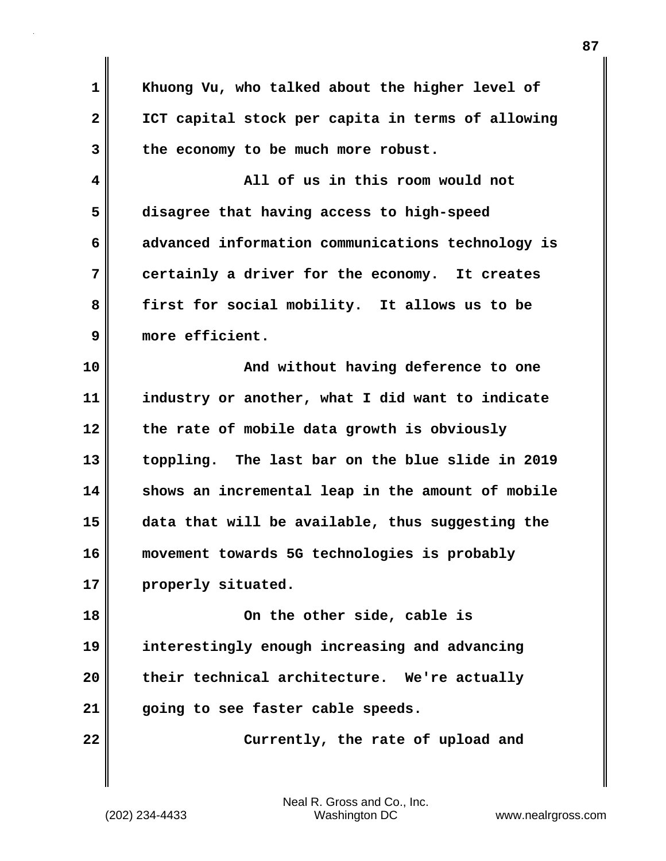**1 Khuong Vu, who talked about the higher level of 2 ICT capital stock per capita in terms of allowing 3 the economy to be much more robust. 4 All of us in this room would not 5 disagree that having access to high-speed 6 advanced information communications technology is 7 certainly a driver for the economy. It creates 8 first for social mobility. It allows us to be 9 more efficient. 10 | CONDERGY And without having deference to one 11 industry or another, what I did want to indicate 12 the rate of mobile data growth is obviously 13 toppling. The last bar on the blue slide in 2019 14 shows an incremental leap in the amount of mobile 15 data that will be available, thus suggesting the 16 movement towards 5G technologies is probably 17 properly situated. 18 On the other side, cable is 19 interestingly enough increasing and advancing 20 their technical architecture. We're actually 21 going to see faster cable speeds.**

**22** Currently, the rate of upload and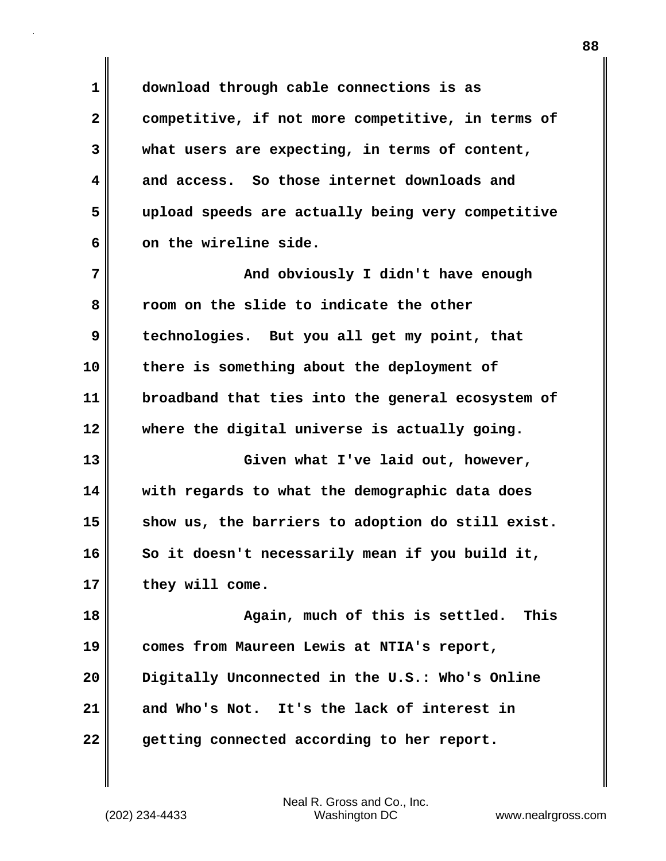**1 download through cable connections is as 2 competitive, if not more competitive, in terms of 3 what users are expecting, in terms of content, 4 and access. So those internet downloads and 5 upload speeds are actually being very competitive** 6 on the wireline side.

**7 And obviously I didn't have enough 8 room on the slide to indicate the other 9 technologies. But you all get my point, that 10 there is something about the deployment of 11 broadband that ties into the general ecosystem of 12 where the digital universe is actually going. 13 Given what I've laid out, however,**

**14 with regards to what the demographic data does 15 show us, the barriers to adoption do still exist. 16 So it doesn't necessarily mean if you build it, 17 they will come.**

**18 Again, much of this is settled. This 19 comes from Maureen Lewis at NTIA's report, 20 Digitally Unconnected in the U.S.: Who's Online 21 and Who's Not. It's the lack of interest in 22 getting connected according to her report.**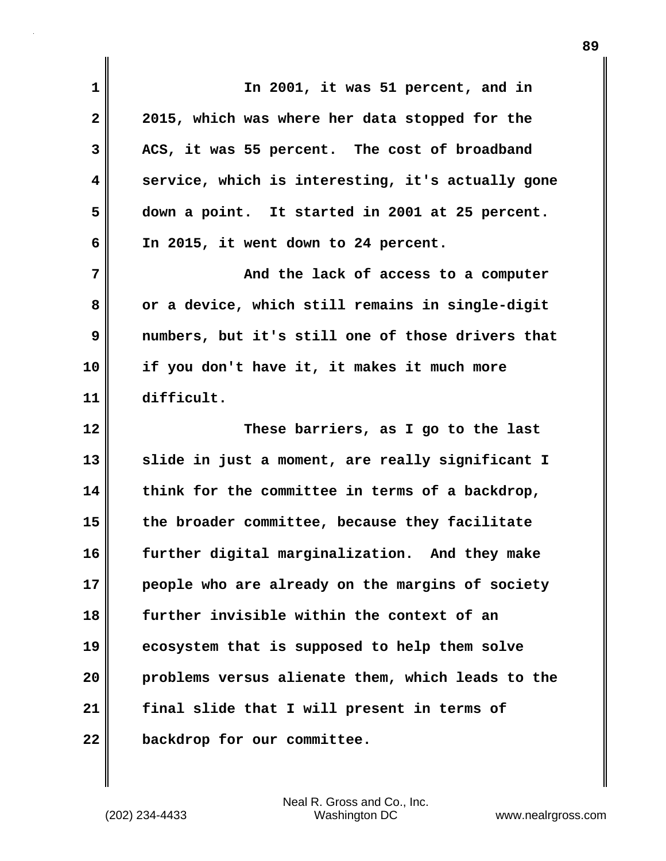| 1            | In 2001, it was 51 percent, and in                |
|--------------|---------------------------------------------------|
| $\mathbf{2}$ | 2015, which was where her data stopped for the    |
| 3            | ACS, it was 55 percent. The cost of broadband     |
| 4            | service, which is interesting, it's actually gone |
| 5            | down a point. It started in 2001 at 25 percent.   |
| 6            | In 2015, it went down to 24 percent.              |
| 7            | And the lack of access to a computer              |
| 8            | or a device, which still remains in single-digit  |
| 9            | numbers, but it's still one of those drivers that |
| 10           | if you don't have it, it makes it much more       |
| 11           | difficult.                                        |
| 12           | These barriers, as I go to the last               |
| 13           | slide in just a moment, are really significant I  |
|              |                                                   |
| 14           | think for the committee in terms of a backdrop,   |
| 15           | the broader committee, because they facilitate    |
| 16           | further digital marginalization. And they make    |
| 17           | people who are already on the margins of society  |
| 18           | further invisible within the context of an        |
| 19           | ecosystem that is supposed to help them solve     |
| 20           | problems versus alienate them, which leads to the |
| 21           | final slide that I will present in terms of       |

 $\mathbf{I}$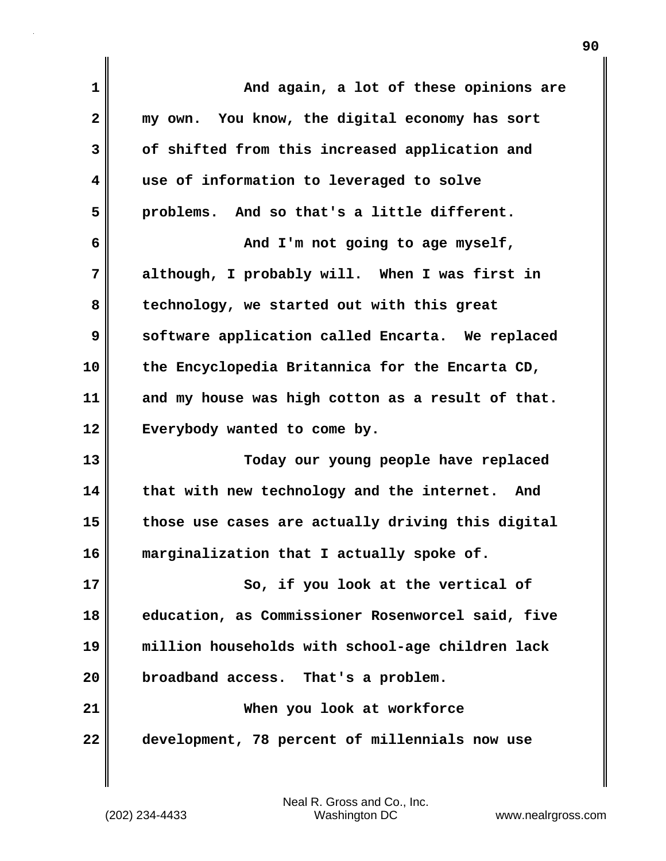| $\mathbf 1$             | And again, a lot of these opinions are            |
|-------------------------|---------------------------------------------------|
| $\overline{\mathbf{2}}$ | my own. You know, the digital economy has sort    |
| 3                       | of shifted from this increased application and    |
| 4                       | use of information to leveraged to solve          |
| 5                       | problems. And so that's a little different.       |
| 6                       | And I'm not going to age myself,                  |
| 7                       | although, I probably will. When I was first in    |
| 8                       | technology, we started out with this great        |
| 9                       | software application called Encarta. We replaced  |
| 10                      | the Encyclopedia Britannica for the Encarta CD,   |
| 11                      | and my house was high cotton as a result of that. |
| 12                      | Everybody wanted to come by.                      |
| 13                      | Today our young people have replaced              |
| 14                      | that with new technology and the internet. And    |
| 15                      | those use cases are actually driving this digital |
| 16                      | marginalization that I actually spoke of.         |
| 17                      | So, if you look at the vertical of                |
| 18                      | education, as Commissioner Rosenworcel said, five |
| 19                      | million households with school-age children lack  |
| 20                      | broadband access. That's a problem.               |
| 21                      | When you look at workforce                        |
| 22                      | development, 78 percent of millennials now use    |
|                         |                                                   |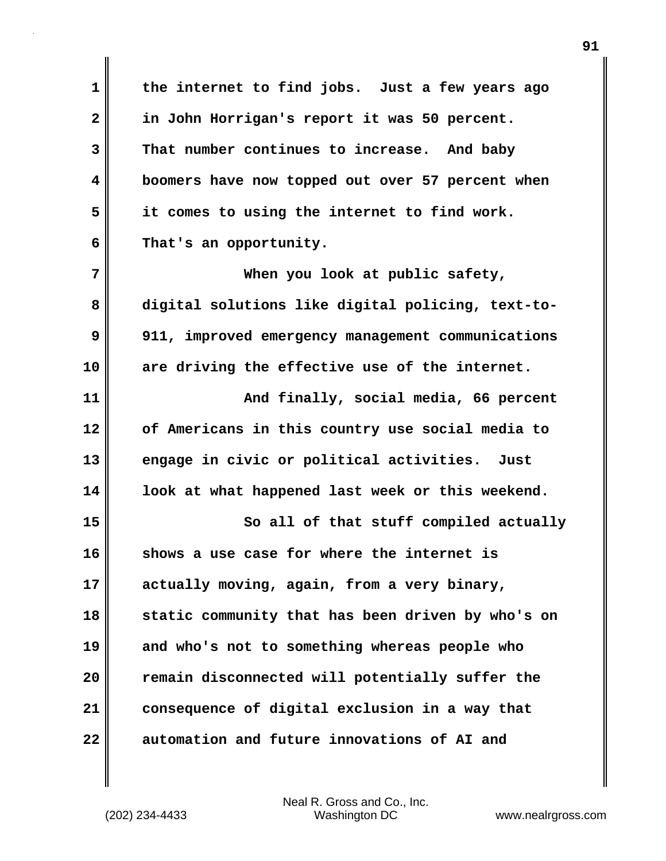**1 the internet to find jobs. Just a few years ago 2 in John Horrigan's report it was 50 percent. 3 That number continues to increase. And baby 4 boomers have now topped out over 57 percent when 5 it comes to using the internet to find work. 6 That's an opportunity.**

**7 When you look at public safety, 8 digital solutions like digital policing, text-to-9 911, improved emergency management communications 10 are driving the effective use of the internet. 11 And finally, social media, 66 percent 12 of Americans in this country use social media to 13 engage in civic or political activities. Just 14 look at what happened last week or this weekend. 15** So all of that stuff compiled actually **16 shows a use case for where the internet is 17 actually moving, again, from a very binary,**

**18 static community that has been driven by who's on 19 and who's not to something whereas people who 20 remain disconnected will potentially suffer the 21 consequence of digital exclusion in a way that 22 automation and future innovations of AI and**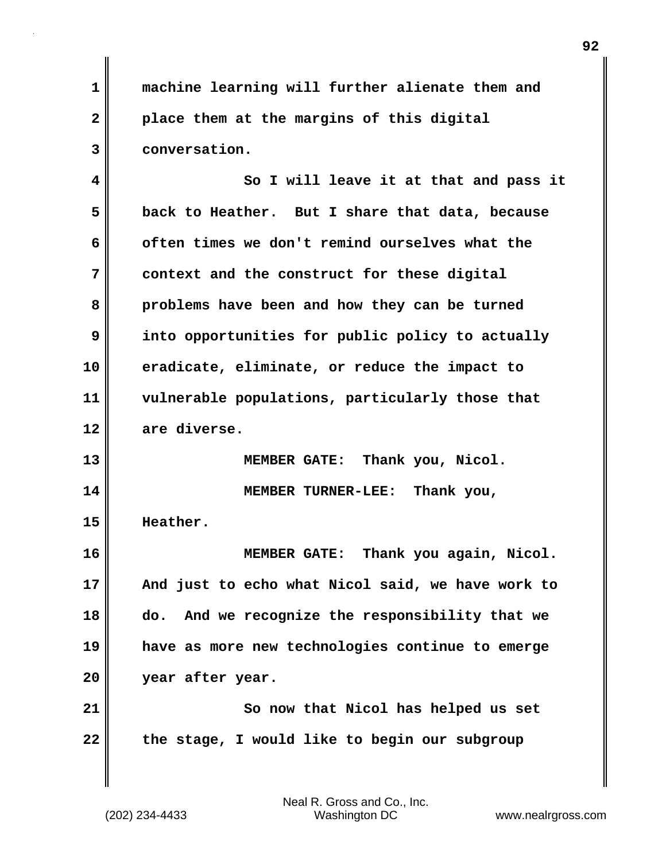**1 machine learning will further alienate them and 2 place them at the margins of this digital 3 conversation.**

**4 So I will leave it at that and pass it 5 back to Heather. But I share that data, because 6 often times we don't remind ourselves what the 7 context and the construct for these digital 8 problems have been and how they can be turned 9 into opportunities for public policy to actually 10 eradicate, eliminate, or reduce the impact to 11 vulnerable populations, particularly those that 12 are diverse.**

**13 MEMBER GATE: Thank you, Nicol. 14 MEMBER TURNER-LEE: Thank you, 15 Heather.**

**16 MEMBER GATE: Thank you again, Nicol. 17 And just to echo what Nicol said, we have work to 18 do. And we recognize the responsibility that we 19 have as more new technologies continue to emerge 20 year after year.**

**21** So now that Nicol has helped us set **22 the stage, I would like to begin our subgroup**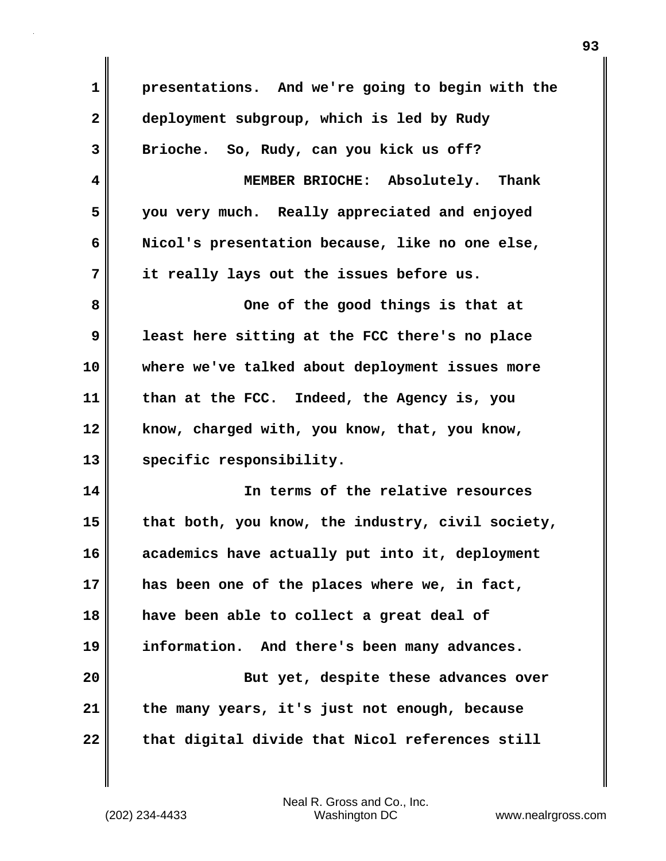**1 presentations. And we're going to begin with the 2 deployment subgroup, which is led by Rudy 3 Brioche. So, Rudy, can you kick us off? 4 MEMBER BRIOCHE: Absolutely. Thank 5 you very much. Really appreciated and enjoyed 6 Nicol's presentation because, like no one else, 7 it really lays out the issues before us. 8 One of the good things is that at 9 least here sitting at the FCC there's no place 10 where we've talked about deployment issues more 11 than at the FCC. Indeed, the Agency is, you 12 know, charged with, you know, that, you know, 13 specific responsibility. 14 In terms of the relative resources 15 that both, you know, the industry, civil society, 16 academics have actually put into it, deployment 17 has been one of the places where we, in fact, 18 have been able to collect a great deal of 19 information. And there's been many advances. 20** But yet, despite these advances over **21 the many years, it's just not enough, because 22 that digital divide that Nicol references still**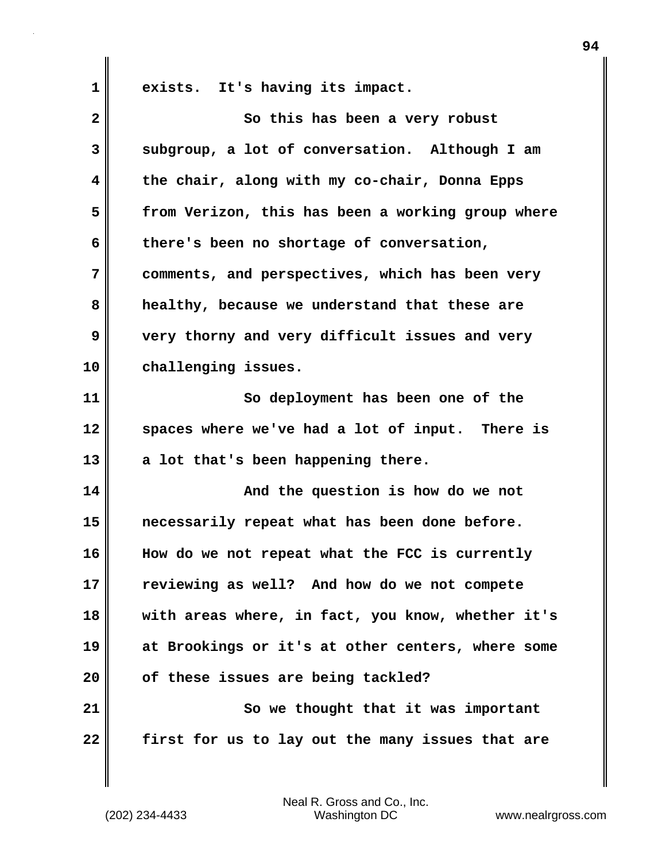**1 exists. It's having its impact.**

| $\overline{\mathbf{2}}$ | So this has been a very robust                    |
|-------------------------|---------------------------------------------------|
| 3                       | subgroup, a lot of conversation. Although I am    |
| 4                       | the chair, along with my co-chair, Donna Epps     |
| 5                       | from Verizon, this has been a working group where |
| 6                       | there's been no shortage of conversation,         |
| 7                       | comments, and perspectives, which has been very   |
| 8                       | healthy, because we understand that these are     |
| 9                       | very thorny and very difficult issues and very    |
| 10                      | challenging issues.                               |
| 11                      | So deployment has been one of the                 |
| 12                      | spaces where we've had a lot of input. There is   |
| 13                      | a lot that's been happening there.                |
| 14                      | And the question is how do we not                 |
| 15                      | necessarily repeat what has been done before.     |
| 16                      | How do we not repeat what the FCC is currently    |
| 17                      | reviewing as well? And how do we not compete      |
| 18                      | with areas where, in fact, you know, whether it's |
| 19                      | at Brookings or it's at other centers, where some |
| 20                      | of these issues are being tackled?                |
| 21                      | So we thought that it was important               |
| 22                      | first for us to lay out the many issues that are  |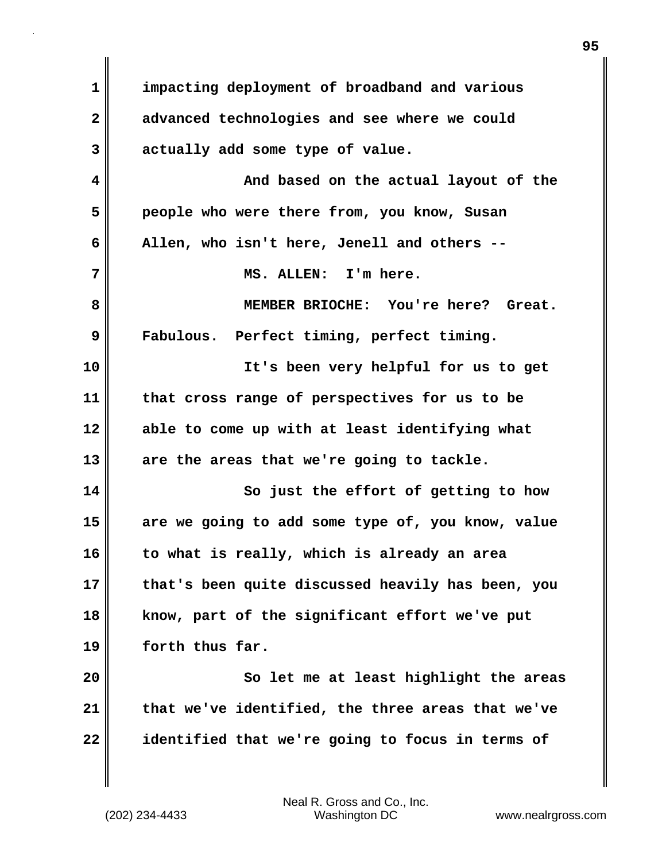**1 impacting deployment of broadband and various 2 advanced technologies and see where we could 3 actually add some type of value. 4 And based on the actual layout of the 5 people who were there from, you know, Susan 6 Allen, who isn't here, Jenell and others -- 7 MS. ALLEN: I'm here. 8 MEMBER BRIOCHE: You're here? Great. 9 Fabulous. Perfect timing, perfect timing. 10 It's been very helpful for us to get 11 that cross range of perspectives for us to be 12 able to come up with at least identifying what 13 are the areas that we're going to tackle. 14** So just the effort of getting to how **15 are we going to add some type of, you know, value 16 to what is really, which is already an area 17 that's been quite discussed heavily has been, you 18 know, part of the significant effort we've put 19 forth thus far. 20 So let me at least highlight the areas 21 that we've identified, the three areas that we've 22 identified that we're going to focus in terms of**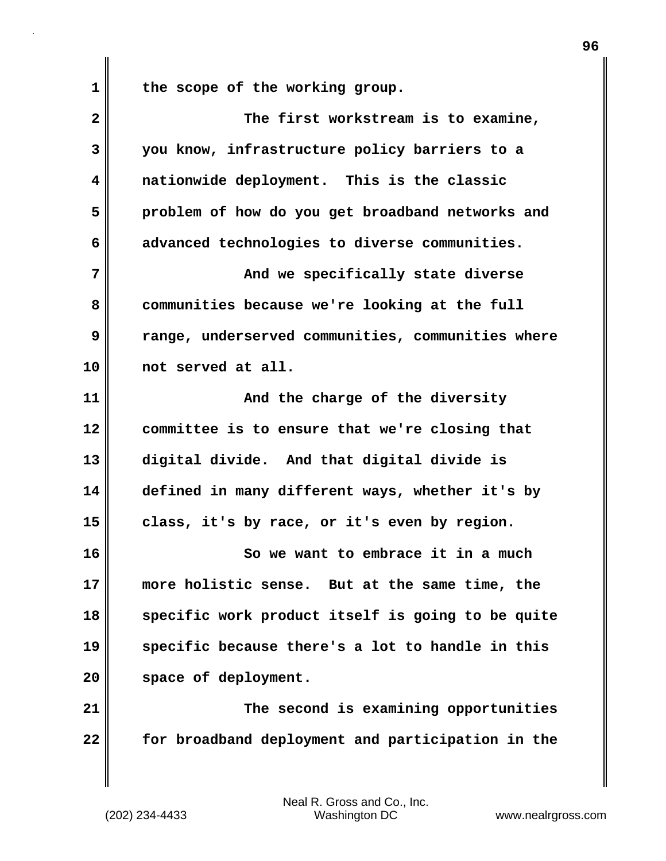1 the scope of the working group.

| $\overline{\mathbf{2}}$ | The first workstream is to examine,               |
|-------------------------|---------------------------------------------------|
| 3                       | you know, infrastructure policy barriers to a     |
| 4                       | nationwide deployment. This is the classic        |
| 5                       | problem of how do you get broadband networks and  |
| 6                       | advanced technologies to diverse communities.     |
| 7                       | And we specifically state diverse                 |
| 8                       | communities because we're looking at the full     |
| 9                       | range, underserved communities, communities where |
| 10                      | not served at all.                                |
| 11                      | And the charge of the diversity                   |
| 12                      | committee is to ensure that we're closing that    |
| 13                      | digital divide. And that digital divide is        |
| 14                      | defined in many different ways, whether it's by   |
| 15                      | class, it's by race, or it's even by region.      |
| 16                      | So we want to embrace it in a much                |
| 17                      | more holistic sense. But at the same time, the    |
| 18                      | specific work product itself is going to be quite |
| 19                      | specific because there's a lot to handle in this  |
| 20                      | space of deployment.                              |
| 21                      | The second is examining opportunities             |
| 22                      | for broadband deployment and participation in the |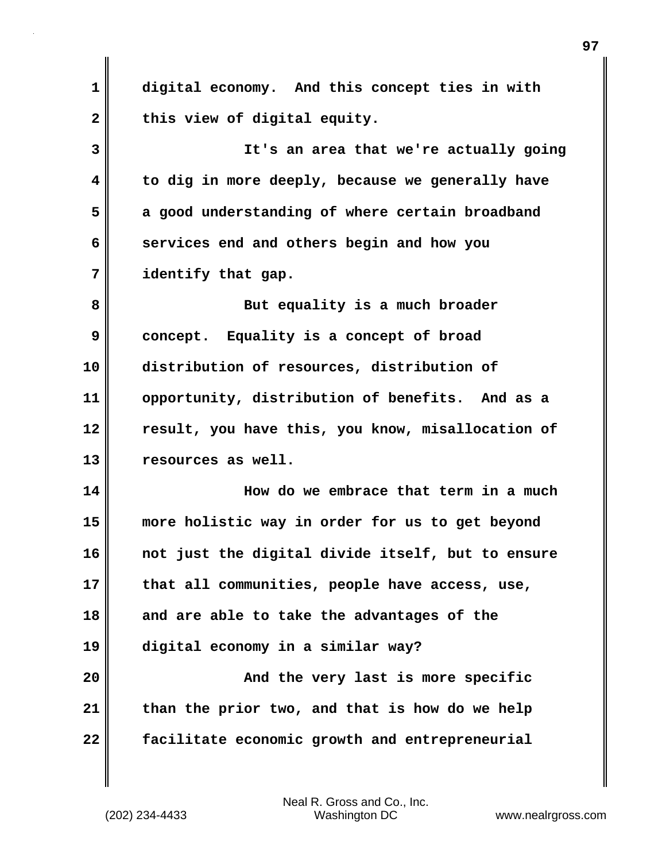**1 digital economy. And this concept ties in with** 2 this view of digital equity. **3 It's an area that we're actually going 4 to dig in more deeply, because we generally have 5 a good understanding of where certain broadband 6 services end and others begin and how you 7 identify that gap. 8** But equality is a much broader **9 concept. Equality is a concept of broad 10 distribution of resources, distribution of 11 opportunity, distribution of benefits. And as a 12 result, you have this, you know, misallocation of 13 resources as well. 14 How do we embrace that term in a much 15 more holistic way in order for us to get beyond 16 not just the digital divide itself, but to ensure 17 that all communities, people have access, use, 18 and are able to take the advantages of the 19 digital economy in a similar way? 20 And the very last is more specific 21 than the prior two, and that is how do we help 22 facilitate economic growth and entrepreneurial**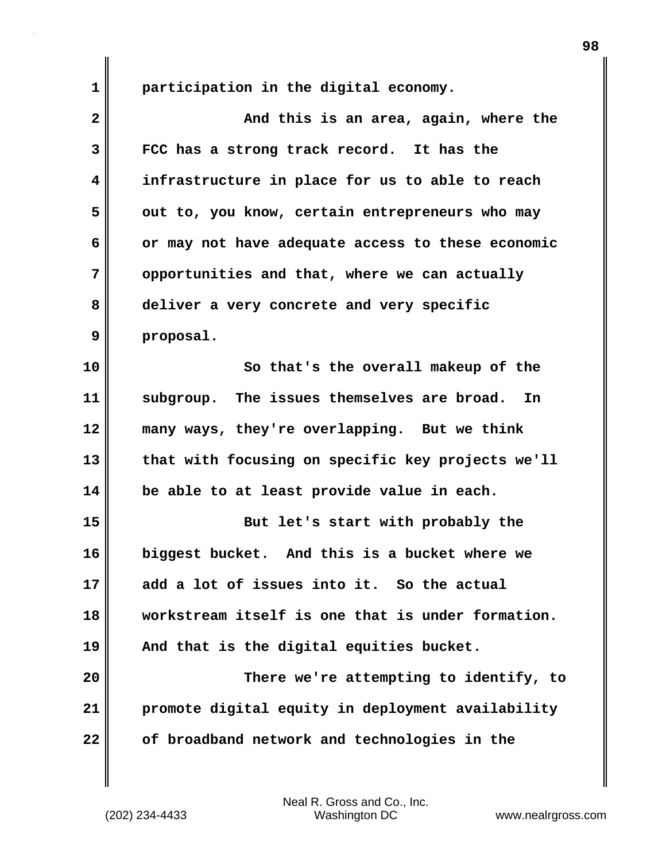**1 participation in the digital economy.**

| $\overline{\mathbf{2}}$ | And this is an area, again, where the             |
|-------------------------|---------------------------------------------------|
| 3                       | FCC has a strong track record. It has the         |
| 4                       | infrastructure in place for us to able to reach   |
| 5                       | out to, you know, certain entrepreneurs who may   |
| 6                       | or may not have adequate access to these economic |
| 7                       | opportunities and that, where we can actually     |
| 8                       | deliver a very concrete and very specific         |
| 9                       | proposal.                                         |
| 10                      | So that's the overall makeup of the               |
| 11                      | subgroup. The issues themselves are broad. In     |
| 12                      | many ways, they're overlapping. But we think      |
| 13                      | that with focusing on specific key projects we'll |
| 14                      | be able to at least provide value in each.        |
| 15                      | But let's start with probably the                 |
| 16                      | biggest bucket. And this is a bucket where we     |
| 17                      | add a lot of issues into it. So the actual        |
| 18                      | workstream itself is one that is under formation. |
| 19                      | And that is the digital equities bucket.          |
| 20                      | There we're attempting to identify, to            |
| 21                      | promote digital equity in deployment availability |
| 22                      | of broadband network and technologies in the      |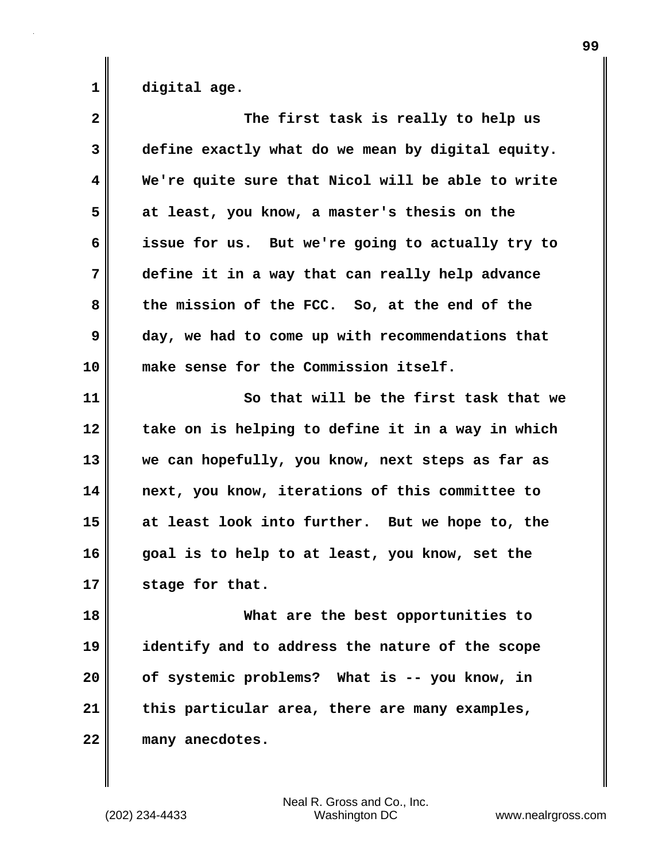**1 digital age.**

| The first task is really to help us               |
|---------------------------------------------------|
| define exactly what do we mean by digital equity. |
| We're quite sure that Nicol will be able to write |
| at least, you know, a master's thesis on the      |
| issue for us. But we're going to actually try to  |
| define it in a way that can really help advance   |
| the mission of the FCC. So, at the end of the     |
| day, we had to come up with recommendations that  |
| make sense for the Commission itself.             |
| So that will be the first task that we            |
| take on is helping to define it in a way in which |
| we can hopefully, you know, next steps as far as  |
| next, you know, iterations of this committee to   |
| at least look into further. But we hope to, the   |
| goal is to help to at least, you know, set the    |
| stage for that.                                   |
| What are the best opportunities to                |
| identify and to address the nature of the scope   |
| of systemic problems? What is -- you know, in     |
| this particular area, there are many examples,    |
| many anecdotes.                                   |
|                                                   |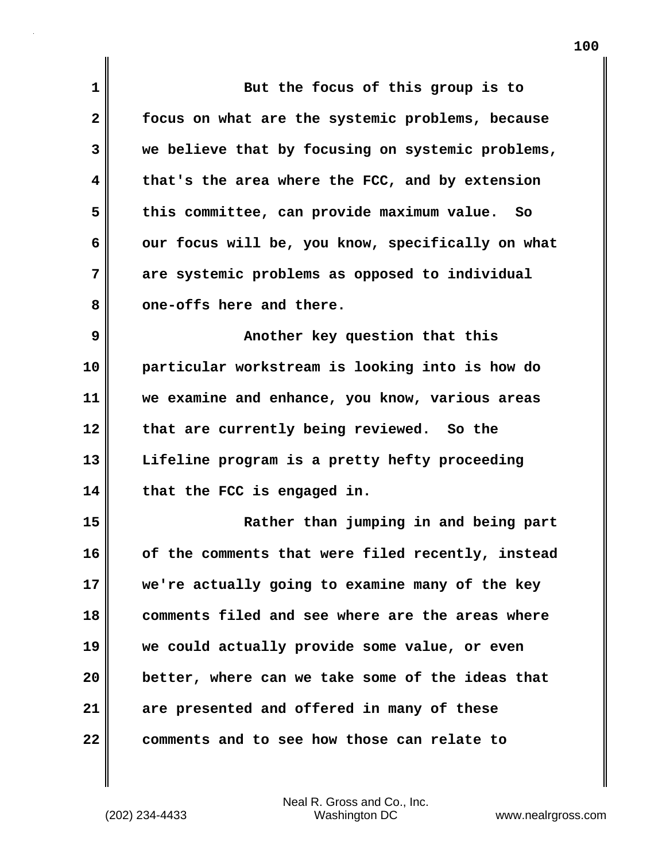| 1            | But the focus of this group is to                 |
|--------------|---------------------------------------------------|
| $\mathbf{2}$ | focus on what are the systemic problems, because  |
| 3            | we believe that by focusing on systemic problems, |
| 4            | that's the area where the FCC, and by extension   |
| 5            | this committee, can provide maximum value. So     |
| 6            | our focus will be, you know, specifically on what |
| 7            | are systemic problems as opposed to individual    |
| 8            | one-offs here and there.                          |
| 9            | Another key question that this                    |
| 10           | particular workstream is looking into is how do   |
| 11           | we examine and enhance, you know, various areas   |
| 12           | that are currently being reviewed. So the         |
| 13           | Lifeline program is a pretty hefty proceeding     |
| 14           | that the FCC is engaged in.                       |
| 15           | Rather than jumping in and being part             |
| 16           | of the comments that were filed recently, instead |
| 17           | we're actually going to examine many of the key   |
| 18           | comments filed and see where are the areas where  |
| 19           | we could actually provide some value, or even     |
| 20           | better, where can we take some of the ideas that  |
| 21           | are presented and offered in many of these        |
| 22           | comments and to see how those can relate to       |

 $\mathbf{I}$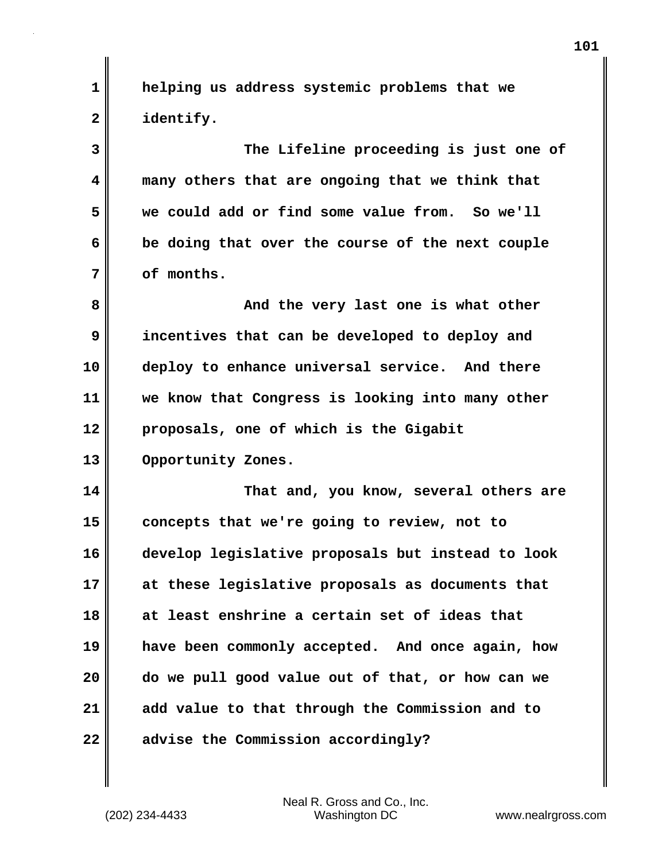**1 helping us address systemic problems that we 2 identify.**

**3 The Lifeline proceeding is just one of 4 many others that are ongoing that we think that 5 we could add or find some value from. So we'll 6 be doing that over the course of the next couple 7 of months.**

**8 And the very last one is what other 9 incentives that can be developed to deploy and 10 deploy to enhance universal service. And there 11 we know that Congress is looking into many other 12 proposals, one of which is the Gigabit 13 Opportunity Zones.**

**14 That and, you know, several others are 15 concepts that we're going to review, not to 16 develop legislative proposals but instead to look 17 at these legislative proposals as documents that 18 at least enshrine a certain set of ideas that 19 have been commonly accepted. And once again, how 20 do we pull good value out of that, or how can we 21 add value to that through the Commission and to 22 advise the Commission accordingly?**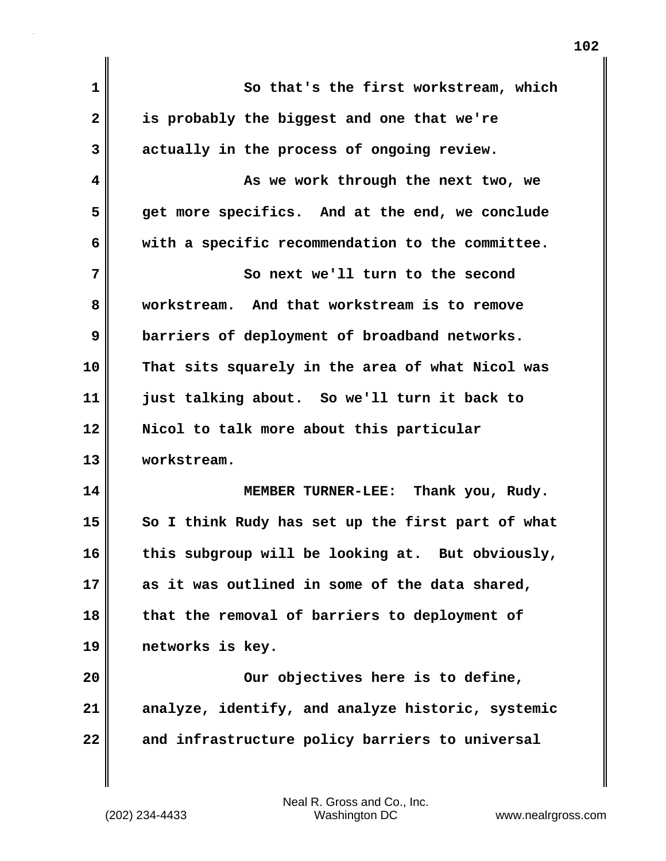| 1              | So that's the first workstream, which             |
|----------------|---------------------------------------------------|
| $\overline{2}$ | is probably the biggest and one that we're        |
| 3              | actually in the process of ongoing review.        |
| 4              | As we work through the next two, we               |
| 5              | get more specifics. And at the end, we conclude   |
| 6              | with a specific recommendation to the committee.  |
| 7              | So next we'll turn to the second                  |
| 8              | workstream. And that workstream is to remove      |
| 9              | barriers of deployment of broadband networks.     |
| 10             | That sits squarely in the area of what Nicol was  |
| 11             | just talking about. So we'll turn it back to      |
| 12             | Nicol to talk more about this particular          |
| 13             | workstream.                                       |
| 14             | MEMBER TURNER-LEE: Thank you, Rudy.               |
| 15             | So I think Rudy has set up the first part of what |
| 16             | this subgroup will be looking at. But obviously,  |
| 17             | as it was outlined in some of the data shared,    |
| 18             | that the removal of barriers to deployment of     |
| 19             | networks is key.                                  |
| 20             | Our objectives here is to define,                 |
| 21             | analyze, identify, and analyze historic, systemic |
| 22             | and infrastructure policy barriers to universal   |
|                |                                                   |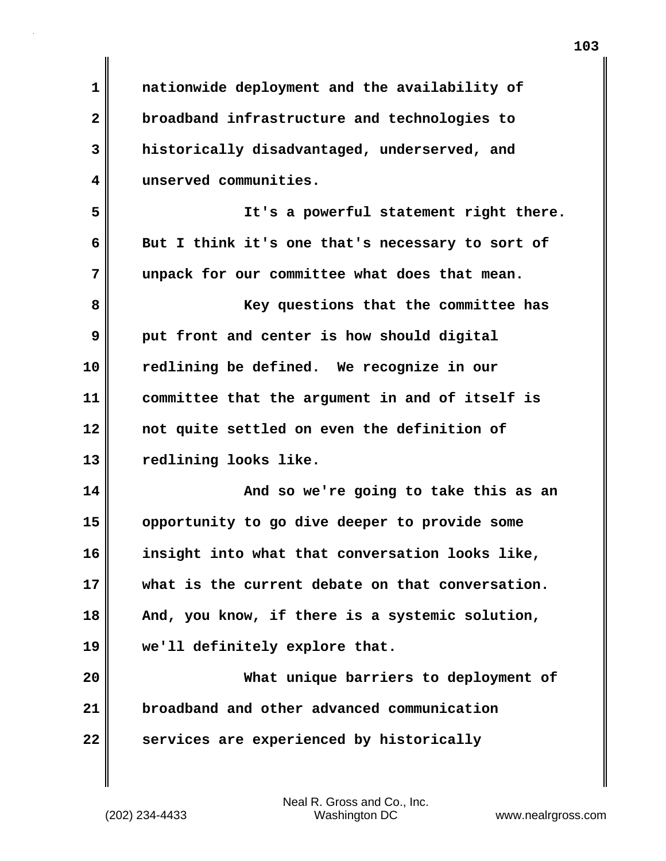| 1  | nationwide deployment and the availability of    |
|----|--------------------------------------------------|
| 2  | broadband infrastructure and technologies to     |
| 3  | historically disadvantaged, underserved, and     |
| 4  | unserved communities.                            |
| 5  | It's a powerful statement right there.           |
| 6  | But I think it's one that's necessary to sort of |
| 7  | unpack for our committee what does that mean.    |
| 8  | Key questions that the committee has             |
| 9  | put front and center is how should digital       |
| 10 | redlining be defined. We recognize in our        |
| 11 | committee that the argument in and of itself is  |
| 12 | not quite settled on even the definition of      |
| 13 | redlining looks like.                            |
| 14 | And so we're going to take this as an            |
| 15 | opportunity to go dive deeper to provide some    |
| 16 | insight into what that conversation looks like,  |
| 17 | what is the current debate on that conversation. |
| 18 | And, you know, if there is a systemic solution,  |
| 19 | we'll definitely explore that.                   |
| 20 | What unique barriers to deployment of            |
| 21 | broadband and other advanced communication       |
| 22 | services are experienced by historically         |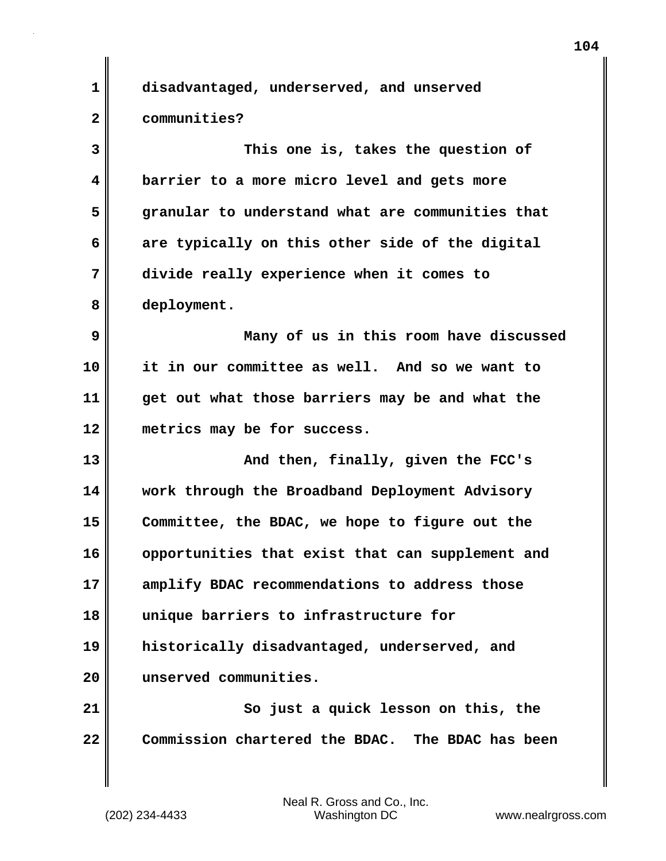| 1                       | disadvantaged, underserved, and unserved         |
|-------------------------|--------------------------------------------------|
| $\overline{\mathbf{2}}$ | communities?                                     |
| 3                       | This one is, takes the question of               |
| 4                       | barrier to a more micro level and gets more      |
| 5                       | granular to understand what are communities that |
| 6                       | are typically on this other side of the digital  |
| 7                       | divide really experience when it comes to        |
| 8                       | deployment.                                      |
| 9                       | Many of us in this room have discussed           |
| 10                      | it in our committee as well. And so we want to   |
| 11                      | get out what those barriers may be and what the  |
| 12                      | metrics may be for success.                      |
| 13                      | And then, finally, given the FCC's               |
| 14                      | work through the Broadband Deployment Advisory   |
| 15                      | Committee, the BDAC, we hope to figure out the   |
| 16                      | opportunities that exist that can supplement and |
| 17                      | amplify BDAC recommendations to address those    |
| 18                      | unique barriers to infrastructure for            |
| 19                      | historically disadvantaged, underserved, and     |
| 20                      | unserved communities.                            |
| 21                      | So just a quick lesson on this, the              |
| 22                      | Commission chartered the BDAC. The BDAC has been |
|                         |                                                  |

 $\mathbf{I}$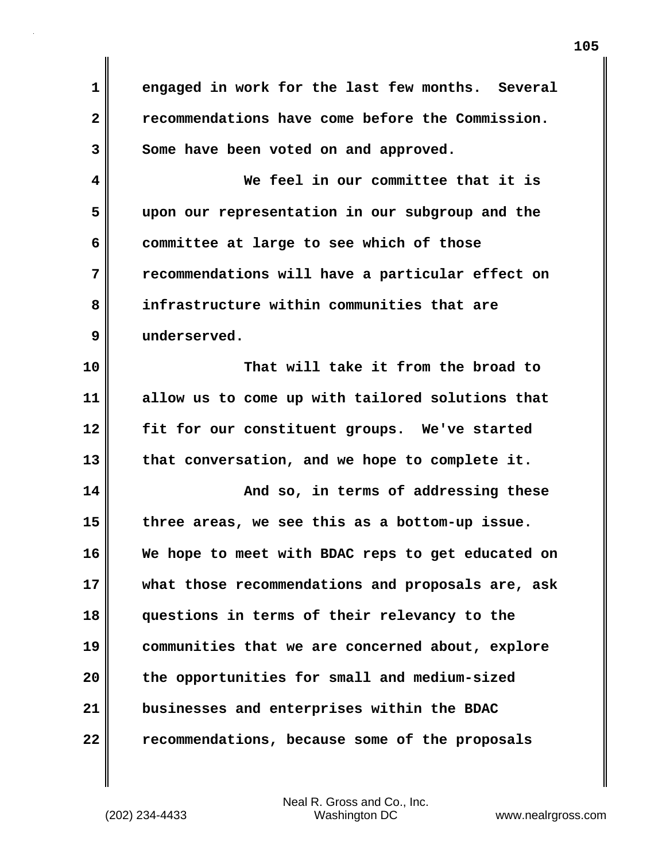**1 engaged in work for the last few months. Several 2 recommendations have come before the Commission.**  3 Some have been voted on and approved. **4 We feel in our committee that it is 5 upon our representation in our subgroup and the 6 committee at large to see which of those 7 recommendations will have a particular effect on 8 infrastructure within communities that are 9 underserved. 10 That will take it from the broad to 11 allow us to come up with tailored solutions that 12 fit for our constituent groups. We've started 13 that conversation, and we hope to complete it. 14 And so, in terms of addressing these 15 three areas, we see this as a bottom-up issue. 16 We hope to meet with BDAC reps to get educated on 17 what those recommendations and proposals are, ask 18 questions in terms of their relevancy to the 19 communities that we are concerned about, explore 20 the opportunities for small and medium-sized 21 businesses and enterprises within the BDAC 22 recommendations, because some of the proposals**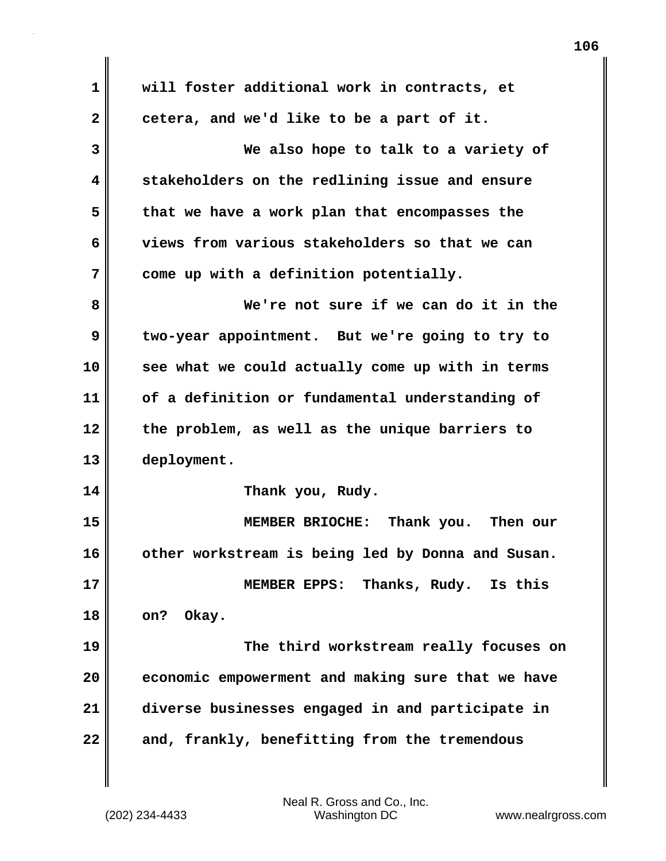**1 will foster additional work in contracts, et** 2 cetera, and we'd like to be a part of it. **3 We also hope to talk to a variety of 4 stakeholders on the redlining issue and ensure 5 that we have a work plan that encompasses the 6 views from various stakeholders so that we can 7 come up with a definition potentially. 8 We're not sure if we can do it in the 9 two-year appointment. But we're going to try to 10 see what we could actually come up with in terms 11 of a definition or fundamental understanding of 12 the problem, as well as the unique barriers to 13 deployment. 14 Thank you, Rudy. 15 MEMBER BRIOCHE: Thank you. Then our 16 other workstream is being led by Donna and Susan. 17 MEMBER EPPS: Thanks, Rudy. Is this 18 on? Okay. 19 The third workstream really focuses on 20 economic empowerment and making sure that we have 21 diverse businesses engaged in and participate in 22 and, frankly, benefitting from the tremendous**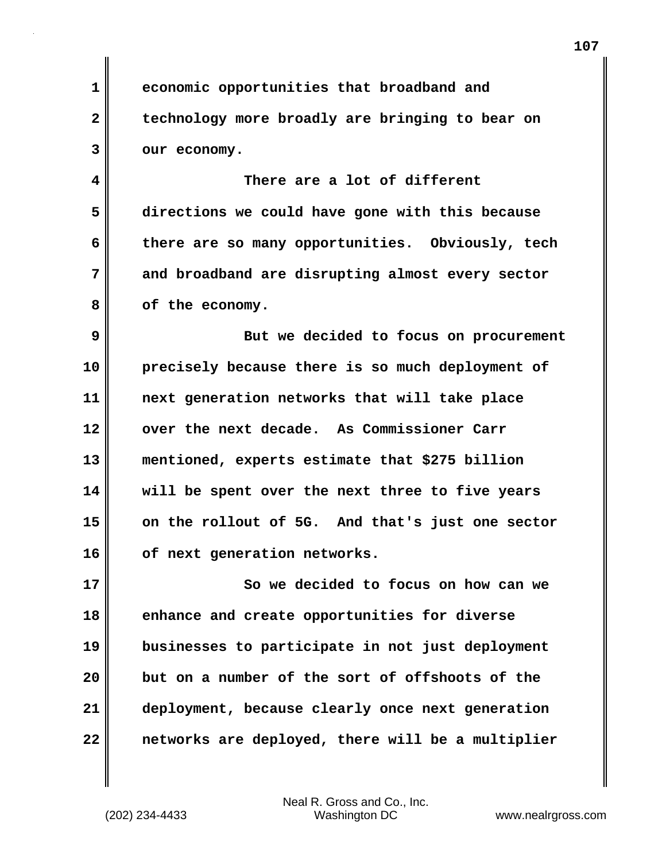**1 economic opportunities that broadband and 2 technology more broadly are bringing to bear on 3 our economy.**

**4 There are a lot of different 5 directions we could have gone with this because 6 there are so many opportunities. Obviously, tech 7 and broadband are disrupting almost every sector 8 of the economy.**

**9 But we decided to focus on procurement 10 precisely because there is so much deployment of 11 next generation networks that will take place 12 over the next decade. As Commissioner Carr 13 mentioned, experts estimate that \$275 billion 14 will be spent over the next three to five years 15 on the rollout of 5G. And that's just one sector 16 of next generation networks.**

**17 So we decided to focus on how can we 18 enhance and create opportunities for diverse 19 businesses to participate in not just deployment 20 but on a number of the sort of offshoots of the 21 deployment, because clearly once next generation 22 networks are deployed, there will be a multiplier**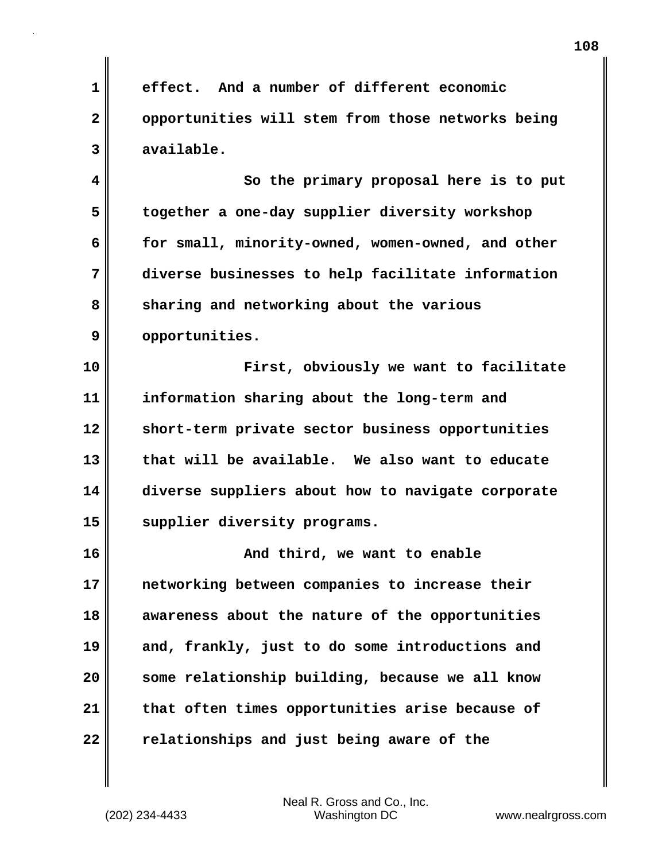**1 effect. And a number of different economic 2 opportunities will stem from those networks being 3 available. 4 So the primary proposal here is to put 5 together a one-day supplier diversity workshop 6 for small, minority-owned, women-owned, and other 7 diverse businesses to help facilitate information** 8 sharing and networking about the various **9 opportunities. 10 First, obviously we want to facilitate 11 information sharing about the long-term and 12 short-term private sector business opportunities 13 that will be available. We also want to educate 14 diverse suppliers about how to navigate corporate 15 supplier diversity programs. 16 And third, we want to enable 17 networking between companies to increase their 18 awareness about the nature of the opportunities 19 and, frankly, just to do some introductions and 20 some relationship building, because we all know 21 that often times opportunities arise because of 22 relationships and just being aware of the**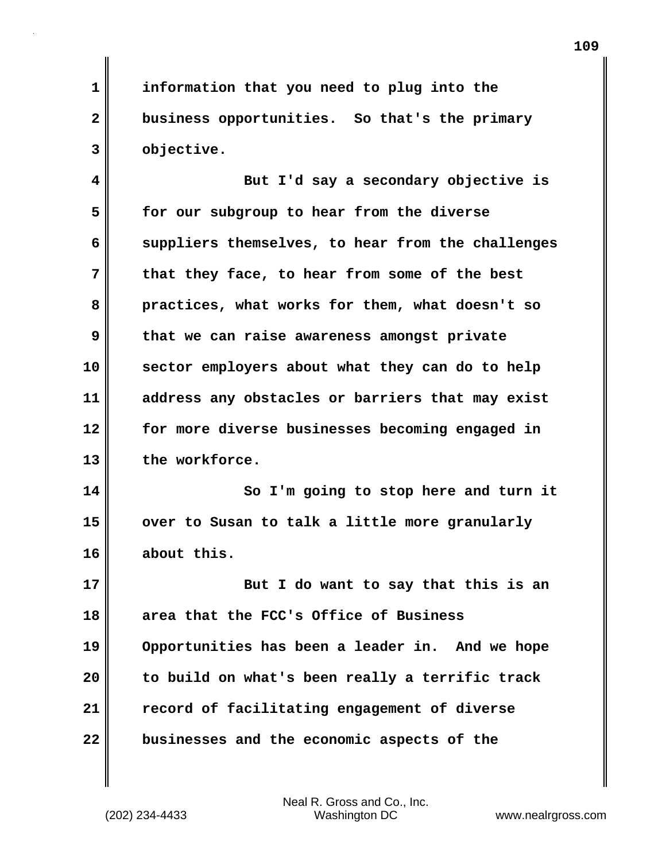**1 information that you need to plug into the 2 business opportunities. So that's the primary 3 objective.**

**4 But I'd say a secondary objective is 5 for our subgroup to hear from the diverse 6 suppliers themselves, to hear from the challenges 7 that they face, to hear from some of the best 8 practices, what works for them, what doesn't so 9 that we can raise awareness amongst private 10 sector employers about what they can do to help 11 address any obstacles or barriers that may exist 12 for more diverse businesses becoming engaged in 13 the workforce.**

**14 So I'm going to stop here and turn it 15 over to Susan to talk a little more granularly 16 about this.**

**17 But I do want to say that this is an 18 area that the FCC's Office of Business 19 Opportunities has been a leader in. And we hope 20 to build on what's been really a terrific track 21 record of facilitating engagement of diverse 22 businesses and the economic aspects of the**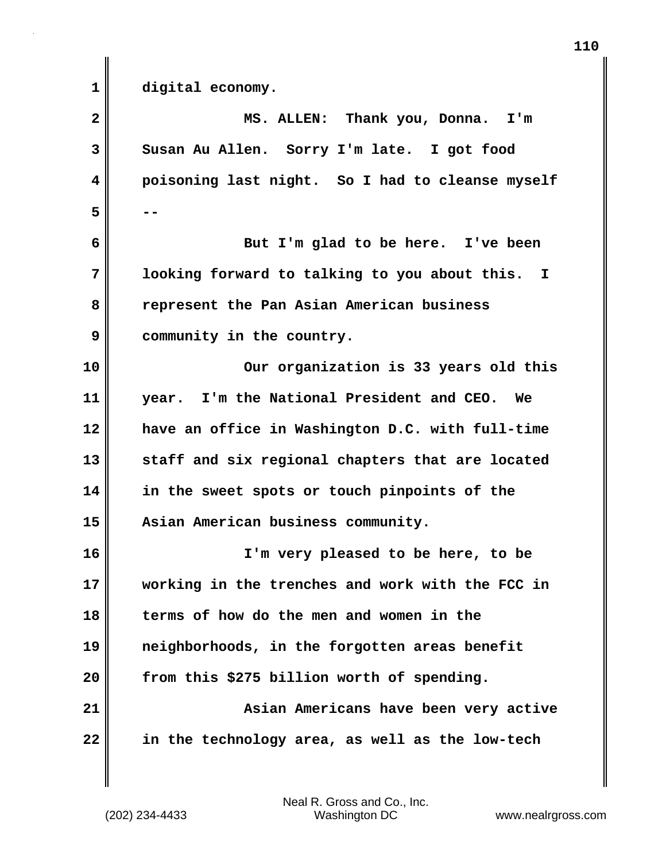**1 digital economy. 2 MS. ALLEN: Thank you, Donna. I'm 3 Susan Au Allen. Sorry I'm late. I got food 4 poisoning last night. So I had to cleanse myself 5 -- 6 But I'm glad to be here. I've been 7 looking forward to talking to you about this. I 8 represent the Pan Asian American business 9 community in the country. 10 Our organization is 33 years old this 11 year. I'm the National President and CEO. We 12 have an office in Washington D.C. with full-time 13 staff and six regional chapters that are located 14 in the sweet spots or touch pinpoints of the 15 Asian American business community. 16 I'm very pleased to be here, to be 17 working in the trenches and work with the FCC in 18 terms of how do the men and women in the 19 neighborhoods, in the forgotten areas benefit 20 from this \$275 billion worth of spending. 21 Asian Americans have been very active 22 in the technology area, as well as the low-tech**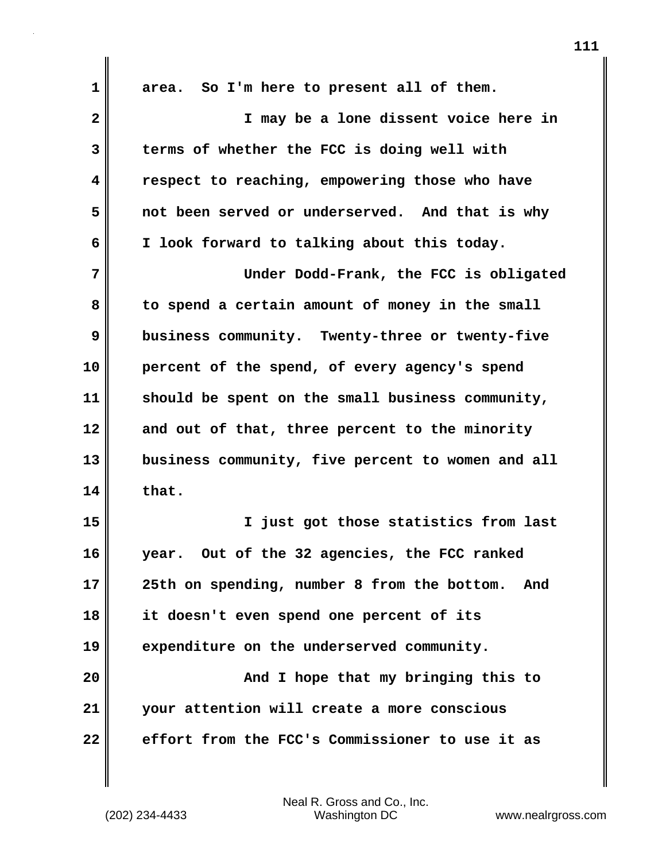| 1              | area. So I'm here to present all of them.          |
|----------------|----------------------------------------------------|
| $\overline{2}$ | I may be a lone dissent voice here in              |
| 3              | terms of whether the FCC is doing well with        |
| 4              | respect to reaching, empowering those who have     |
| 5              | not been served or underserved. And that is why    |
| 6              | I look forward to talking about this today.        |
| 7              | Under Dodd-Frank, the FCC is obligated             |
| 8              | to spend a certain amount of money in the small    |
| 9              | business community. Twenty-three or twenty-five    |
| 10             | percent of the spend, of every agency's spend      |
| 11             | should be spent on the small business community,   |
| 12             | and out of that, three percent to the minority     |
| 13             | business community, five percent to women and all  |
| 14             | that.                                              |
| 15             | just got those statistics from last<br>I.          |
| 16             | year. Out of the 32 agencies, the FCC ranked       |
| 17             | 25th on spending, number 8 from the bottom.<br>And |
| 18             | it doesn't even spend one percent of its           |
| 19             | expenditure on the underserved community.          |
| 20             | And I hope that my bringing this to                |
| 21             | your attention will create a more conscious        |
| 22             | effort from the FCC's Commissioner to use it as    |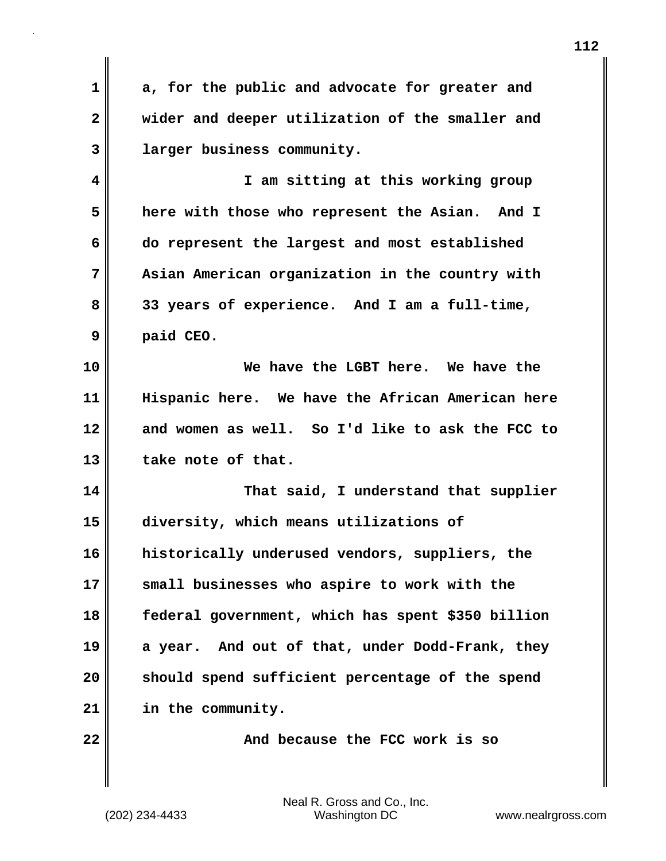**1 a, for the public and advocate for greater and 2 wider and deeper utilization of the smaller and 3 larger business community.**

**4 I am sitting at this working group 5 here with those who represent the Asian. And I 6 do represent the largest and most established 7 Asian American organization in the country with 8 33 years of experience. And I am a full-time, 9 paid CEO.**

**10 We have the LGBT here. We have the 11 Hispanic here. We have the African American here 12 and women as well. So I'd like to ask the FCC to** 13 take note of that.

**14 That said, I understand that supplier 15 diversity, which means utilizations of 16 historically underused vendors, suppliers, the 17 small businesses who aspire to work with the 18 federal government, which has spent \$350 billion 19 a year. And out of that, under Dodd-Frank, they 20 should spend sufficient percentage of the spend 21 in the community.**

**22 And because the FCC work is so**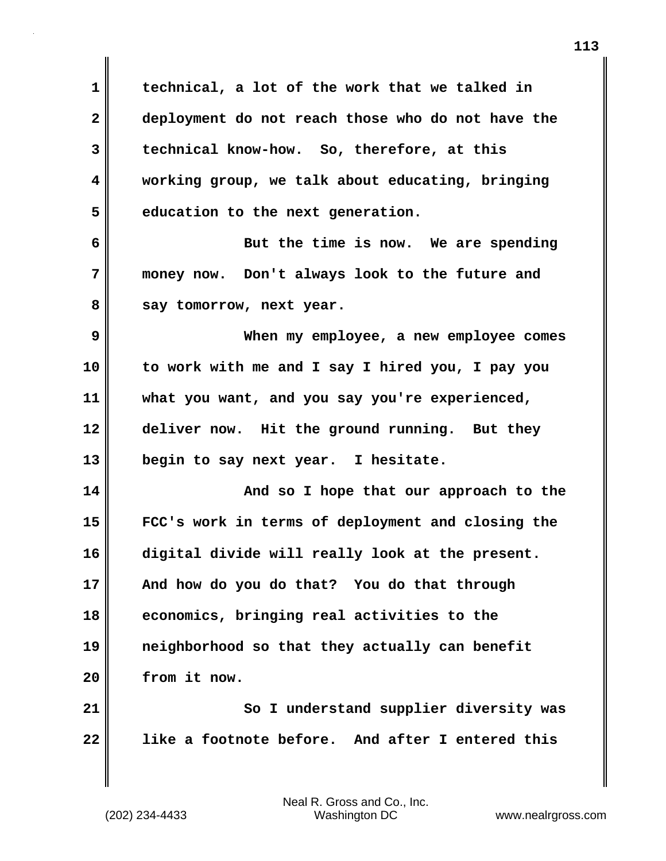**1 technical, a lot of the work that we talked in 2 deployment do not reach those who do not have the 3 technical know-how. So, therefore, at this 4 working group, we talk about educating, bringing 5 education to the next generation. 6 But the time is now. We are spending 7 money now. Don't always look to the future and** 8 say tomorrow, next year. **9 When my employee, a new employee comes 10 to work with me and I say I hired you, I pay you 11 what you want, and you say you're experienced, 12 deliver now. Hit the ground running. But they 13 begin to say next year. I hesitate. 14 And so I hope that our approach to the 15 FCC's work in terms of deployment and closing the 16 digital divide will really look at the present. 17 And how do you do that? You do that through 18 economics, bringing real activities to the 19 neighborhood so that they actually can benefit 20 from it now.** 21 || So I understand supplier diversity was **22 like a footnote before. And after I entered this**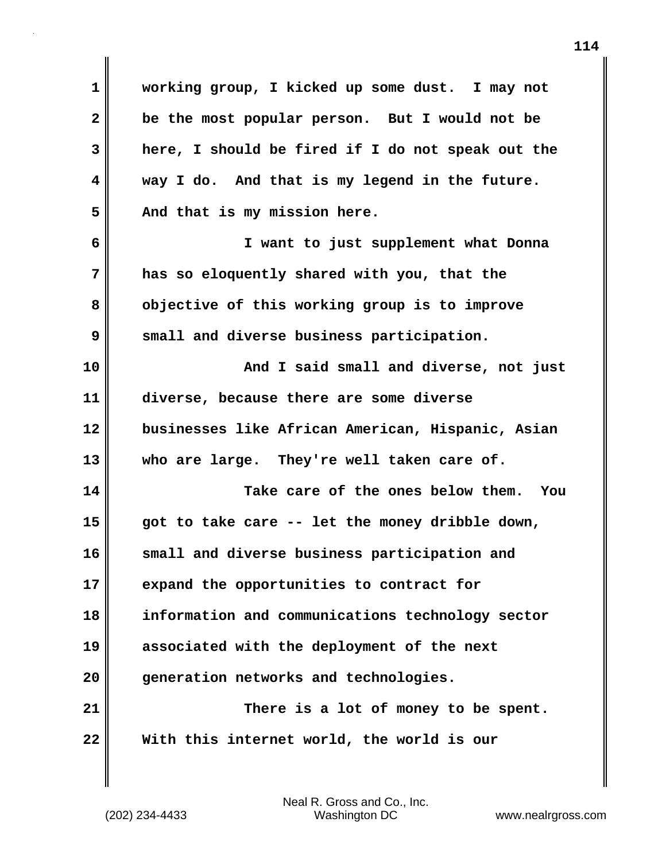**1 working group, I kicked up some dust. I may not 2 be the most popular person. But I would not be 3 here, I should be fired if I do not speak out the 4 way I do. And that is my legend in the future. 5 And that is my mission here. 6 I want to just supplement what Donna 7 has so eloquently shared with you, that the 8 objective of this working group is to improve 9 small and diverse business participation. 10 And I said small and diverse, not just 11 diverse, because there are some diverse 12 businesses like African American, Hispanic, Asian 13 who are large. They're well taken care of. 14 Take care of the ones below them. You 15 got to take care -- let the money dribble down, 16 small and diverse business participation and 17 expand the opportunities to contract for 18 information and communications technology sector 19 associated with the deployment of the next 20 generation networks and technologies. 21 There is a lot of money to be spent. 22 With this internet world, the world is our**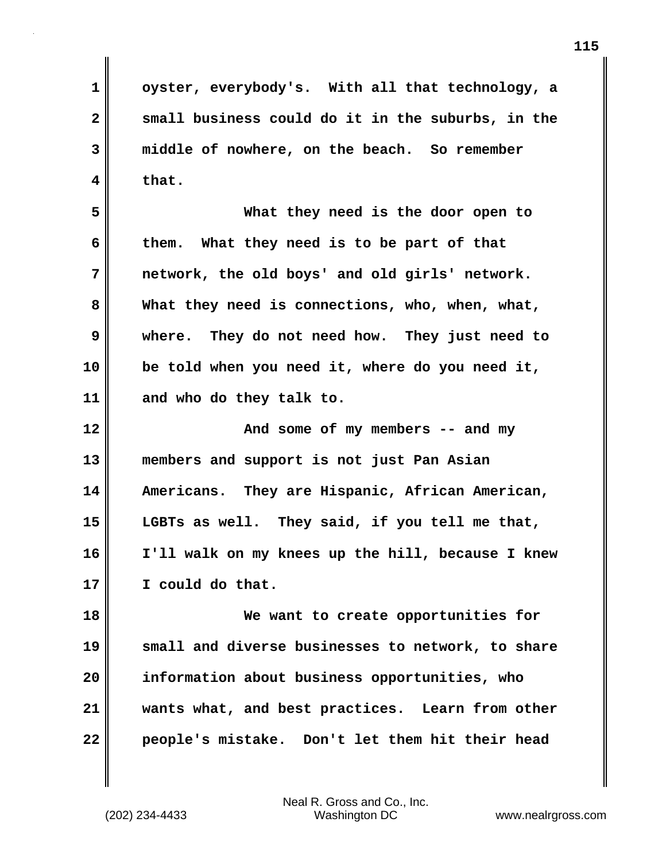**1 oyster, everybody's. With all that technology, a 2 small business could do it in the suburbs, in the 3 middle of nowhere, on the beach. So remember 4 that.**

**5 What they need is the door open to 6 them. What they need is to be part of that 7 network, the old boys' and old girls' network. 8 What they need is connections, who, when, what, 9 where. They do not need how. They just need to 10 be told when you need it, where do you need it, 11 and who do they talk to.**

**12 And some of my members -- and my 13 members and support is not just Pan Asian 14 Americans. They are Hispanic, African American, 15 LGBTs as well. They said, if you tell me that, 16 I'll walk on my knees up the hill, because I knew 17 I could do that.**

**18 We want to create opportunities for 19 small and diverse businesses to network, to share 20 information about business opportunities, who 21 wants what, and best practices. Learn from other 22 people's mistake. Don't let them hit their head**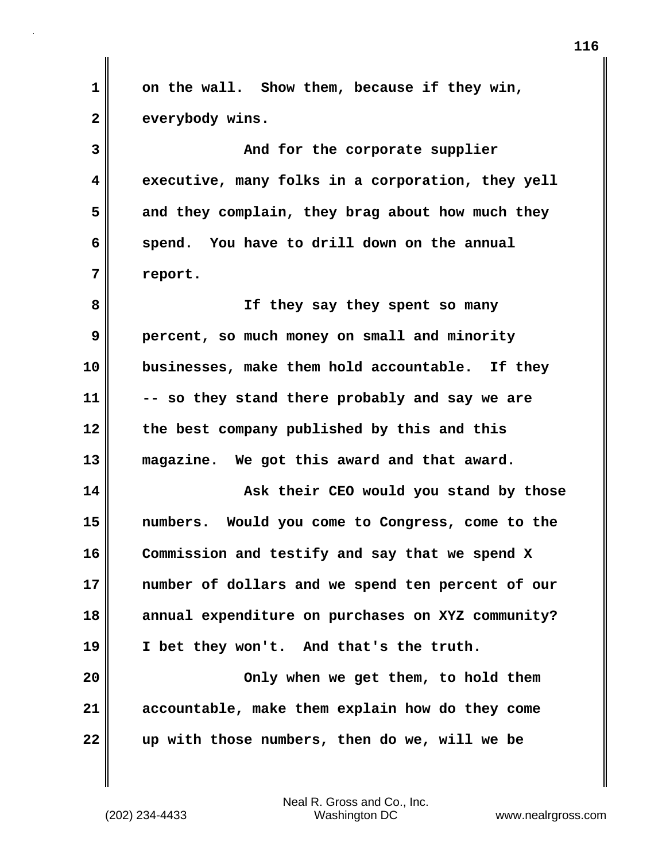**1 on the wall. Show them, because if they win, 2 everybody wins. 3** And for the corporate supplier **4 executive, many folks in a corporation, they yell 5 and they complain, they brag about how much they 6 spend. You have to drill down on the annual 7 report. 8 If they say they spent so many 9 percent, so much money on small and minority 10 businesses, make them hold accountable. If they 11 -- so they stand there probably and say we are 12 the best company published by this and this 13 magazine. We got this award and that award. 14 Ask their CEO would you stand by those 15 numbers. Would you come to Congress, come to the 16 Commission and testify and say that we spend X 17 number of dollars and we spend ten percent of our 18 annual expenditure on purchases on XYZ community? 19 I bet they won't. And that's the truth. 20**  $\parallel$  **20** Only when we get them, to hold them **21 accountable, make them explain how do they come 22 up with those numbers, then do we, will we be**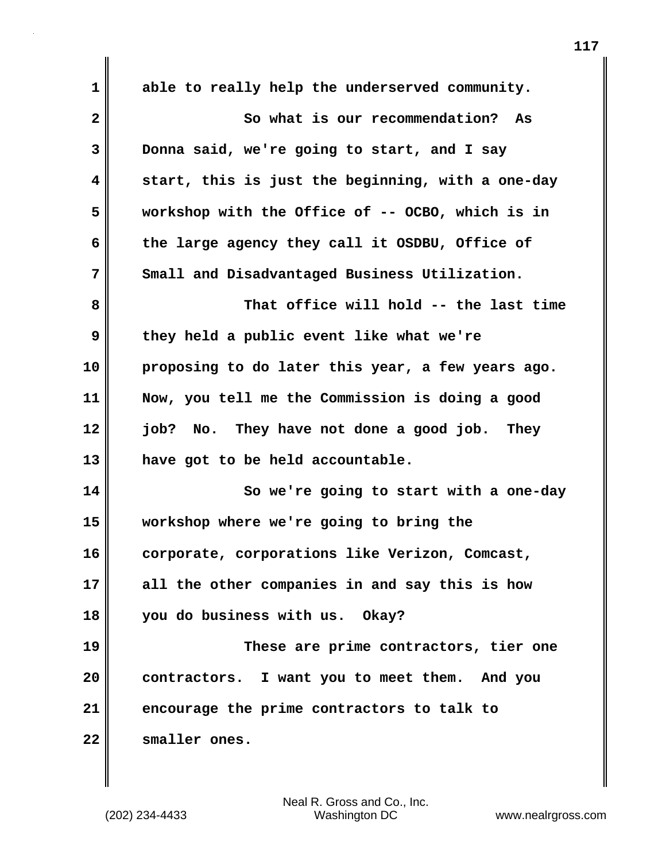**1 able to really help the underserved community. 2 So what is our recommendation? As 3 Donna said, we're going to start, and I say 4 start, this is just the beginning, with a one-day 5 workshop with the Office of -- OCBO, which is in 6 the large agency they call it OSDBU, Office of 7 Small and Disadvantaged Business Utilization. 8 That office will hold -- the last time 9 they held a public event like what we're 10 proposing to do later this year, a few years ago. 11 Now, you tell me the Commission is doing a good 12 job? No. They have not done a good job. They 13 have got to be held accountable. 14 So we're going to start with a one-day 15 workshop where we're going to bring the 16 corporate, corporations like Verizon, Comcast, 17 all the other companies in and say this is how 18 you do business with us. Okay? 19 These are prime contractors, tier one 20 contractors. I want you to meet them. And you 21 encourage the prime contractors to talk to 22 smaller ones.**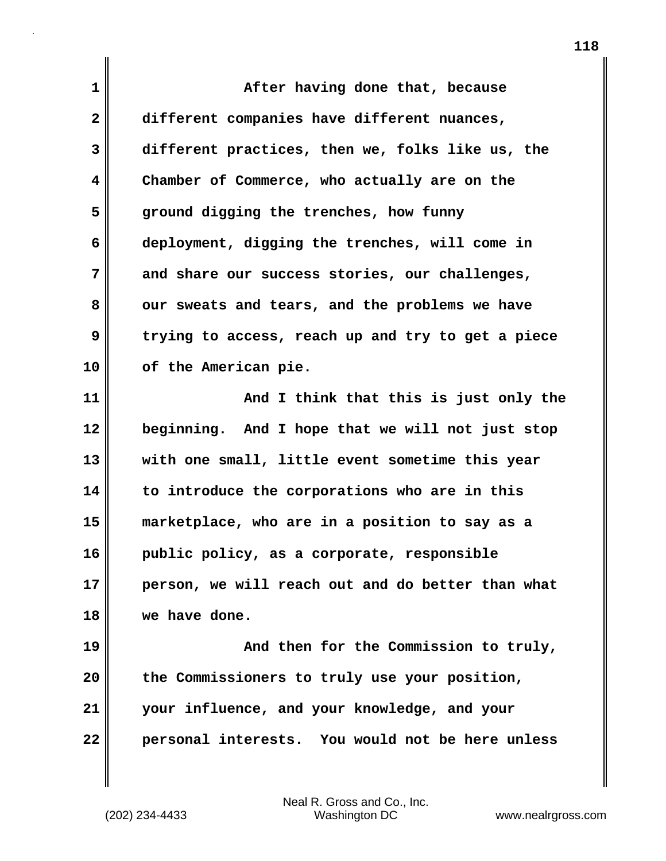**1 After having done that, because 2 different companies have different nuances, 3 different practices, then we, folks like us, the 4 Chamber of Commerce, who actually are on the 5 ground digging the trenches, how funny 6 deployment, digging the trenches, will come in 7 and share our success stories, our challenges,** 8 our sweats and tears, and the problems we have **9 trying to access, reach up and try to get a piece 10 of the American pie. 11 And I think that this is just only the 12 beginning. And I hope that we will not just stop 13 with one small, little event sometime this year 14 to introduce the corporations who are in this 15 marketplace, who are in a position to say as a 16 public policy, as a corporate, responsible 17 person, we will reach out and do better than what 18 we have done. 19 And then for the Commission to truly, 20 the Commissioners to truly use your position, 21 your influence, and your knowledge, and your 22 personal interests. You would not be here unless**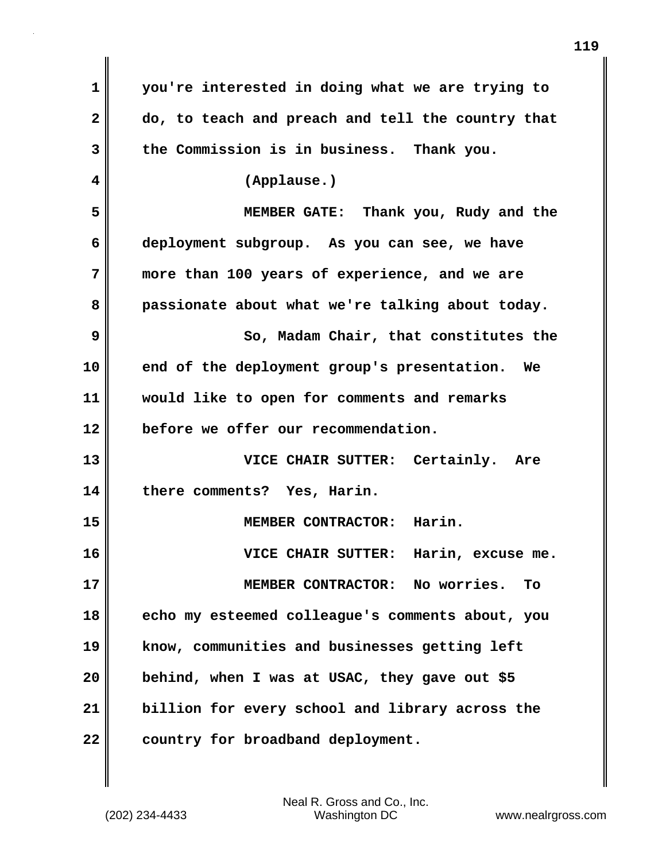| 1            | you're interested in doing what we are trying to  |
|--------------|---------------------------------------------------|
| $\mathbf{2}$ | do, to teach and preach and tell the country that |
| 3            | the Commission is in business. Thank you.         |
| 4            | (Applause.)                                       |
| 5            | MEMBER GATE: Thank you, Rudy and the              |
| 6            | deployment subgroup. As you can see, we have      |
| 7            | more than 100 years of experience, and we are     |
| 8            | passionate about what we're talking about today.  |
| 9            | So, Madam Chair, that constitutes the             |
| 10           | end of the deployment group's presentation. We    |
| 11           | would like to open for comments and remarks       |
| 12           | before we offer our recommendation.               |
| 13           | VICE CHAIR SUTTER: Certainly.<br>Are              |
| 14           | there comments? Yes, Harin.                       |
| 15           | MEMBER CONTRACTOR: Harin.                         |
| 16           | VICE CHAIR SUTTER:<br>Harin, excuse me.           |
| 17           | MEMBER CONTRACTOR: No worries.<br><b>To</b>       |
| 18           | echo my esteemed colleague's comments about, you  |
| 19           | know, communities and businesses getting left     |
| 20           | behind, when I was at USAC, they gave out \$5     |
| 21           | billion for every school and library across the   |
| 22           | country for broadband deployment.                 |

 $\mathbf{I}$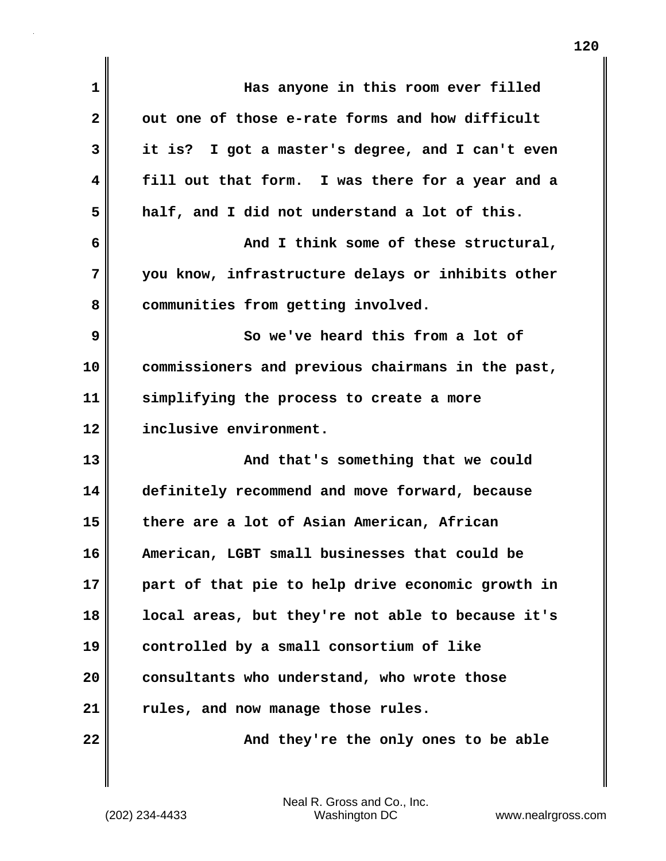| $\mathbf 1$ | Has anyone in this room ever filled               |
|-------------|---------------------------------------------------|
| 2           | out one of those e-rate forms and how difficult   |
| 3           | it is? I got a master's degree, and I can't even  |
| 4           | fill out that form. I was there for a year and a  |
| 5           | half, and I did not understand a lot of this.     |
| 6           | And I think some of these structural,             |
| 7           | you know, infrastructure delays or inhibits other |
| 8           | communities from getting involved.                |
| 9           | So we've heard this from a lot of                 |
| 10          | commissioners and previous chairmans in the past, |
| 11          | simplifying the process to create a more          |
| 12          | inclusive environment.                            |
| 13          | And that's something that we could                |
| 14          | definitely recommend and move forward, because    |
| 15          | there are a lot of Asian American, African        |
| 16          | American, LGBT small businesses that could be     |
| 17          | part of that pie to help drive economic growth in |
| 18          | local areas, but they're not able to because it's |
| 19          | controlled by a small consortium of like          |
| 20          | consultants who understand, who wrote those       |
| 21          | rules, and now manage those rules.                |
| 22          | And they're the only ones to be able              |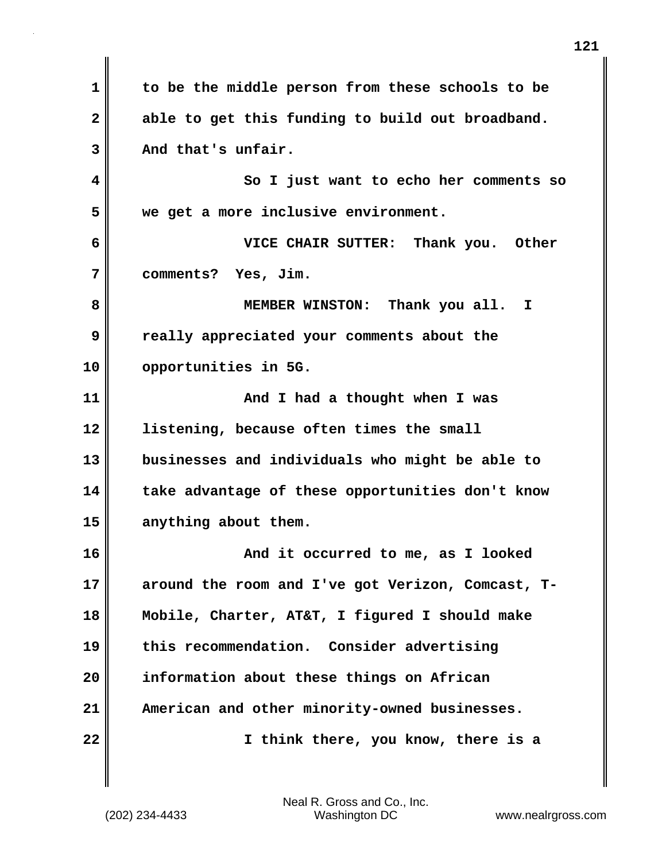**1 to be the middle person from these schools to be 2 able to get this funding to build out broadband. 3 And that's unfair. 4 So I just want to echo her comments so 5 we get a more inclusive environment. 6 VICE CHAIR SUTTER: Thank you. Other 7 comments? Yes, Jim. 8 MEMBER WINSTON: Thank you all. I 9 really appreciated your comments about the 10 opportunities in 5G. 11 And I had a thought when I was 12 listening, because often times the small 13 businesses and individuals who might be able to 14 take advantage of these opportunities don't know 15 anything about them. 16 And it occurred to me, as I looked 17 around the room and I've got Verizon, Comcast, T-18 Mobile, Charter, AT&T, I figured I should make 19 this recommendation. Consider advertising 20 information about these things on African 21 American and other minority-owned businesses. 22 I think there, you know, there is a**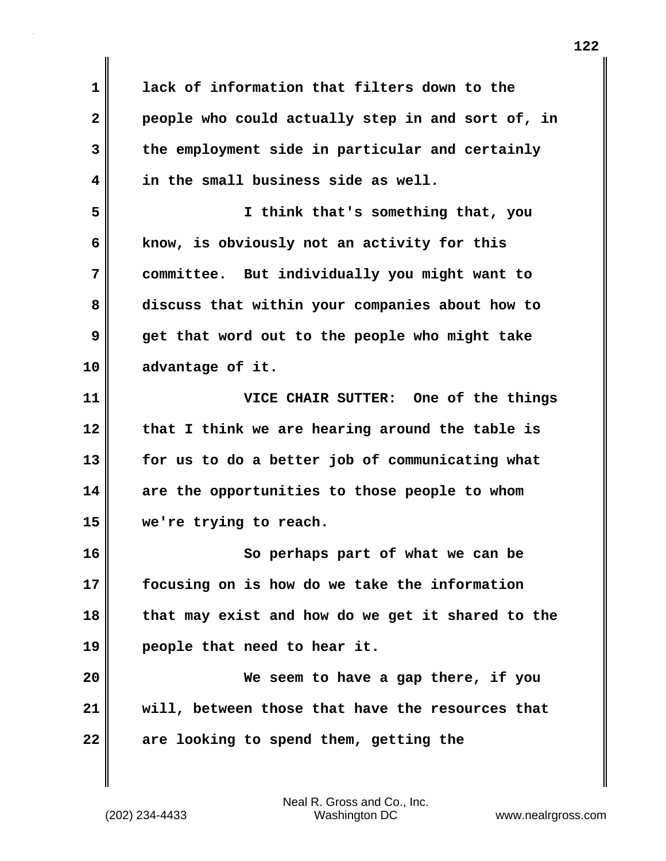**1 lack of information that filters down to the 2 people who could actually step in and sort of, in 3 the employment side in particular and certainly 4 in the small business side as well. 5 I think that's something that, you 6 know, is obviously not an activity for this 7 committee. But individually you might want to 8 discuss that within your companies about how to 9 get that word out to the people who might take 10 advantage of it. 11 VICE CHAIR SUTTER: One of the things 12 that I think we are hearing around the table is 13 for us to do a better job of communicating what 14 are the opportunities to those people to whom 15 we're trying to reach. 16 So perhaps part of what we can be 17 focusing on is how do we take the information 18 that may exist and how do we get it shared to the 19 people that need to hear it. 20 We seem to have a gap there, if you 21 will, between those that have the resources that 22 are looking to spend them, getting the**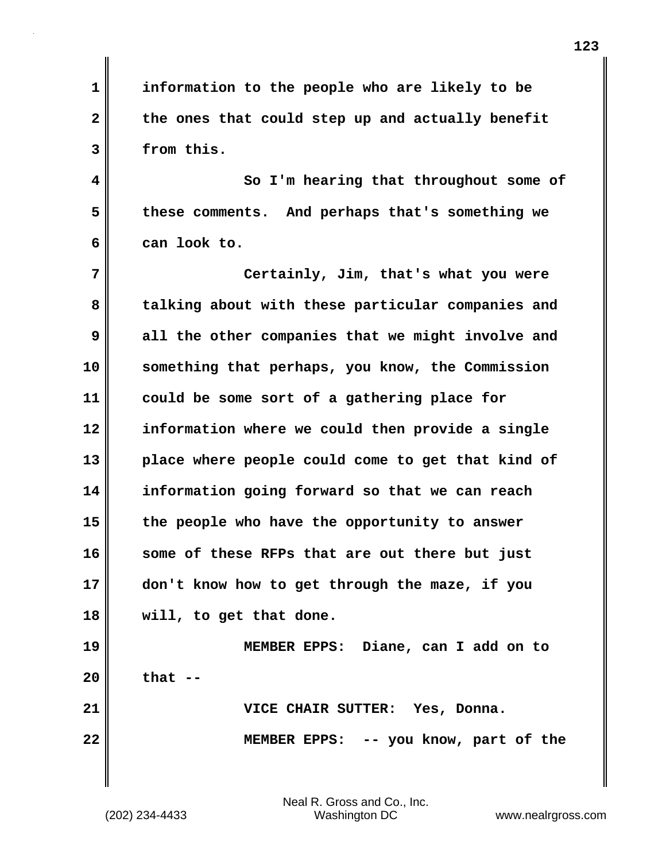**1 information to the people who are likely to be** 2 the ones that could step up and actually benefit **3 from this.**

**4 So I'm hearing that throughout some of 5 these comments. And perhaps that's something we 6 can look to.**

**7 Certainly, Jim, that's what you were 8 talking about with these particular companies and 9 all the other companies that we might involve and 10 something that perhaps, you know, the Commission 11 could be some sort of a gathering place for 12 information where we could then provide a single 13 place where people could come to get that kind of 14 information going forward so that we can reach 15 the people who have the opportunity to answer 16 some of these RFPs that are out there but just 17 don't know how to get through the maze, if you 18 will, to get that done. 19 MEMBER EPPS: Diane, can I add on to**

**20 that --**

**21 VICE CHAIR SUTTER: Yes, Donna. 22 MEMBER EPPS: -- you know, part of the**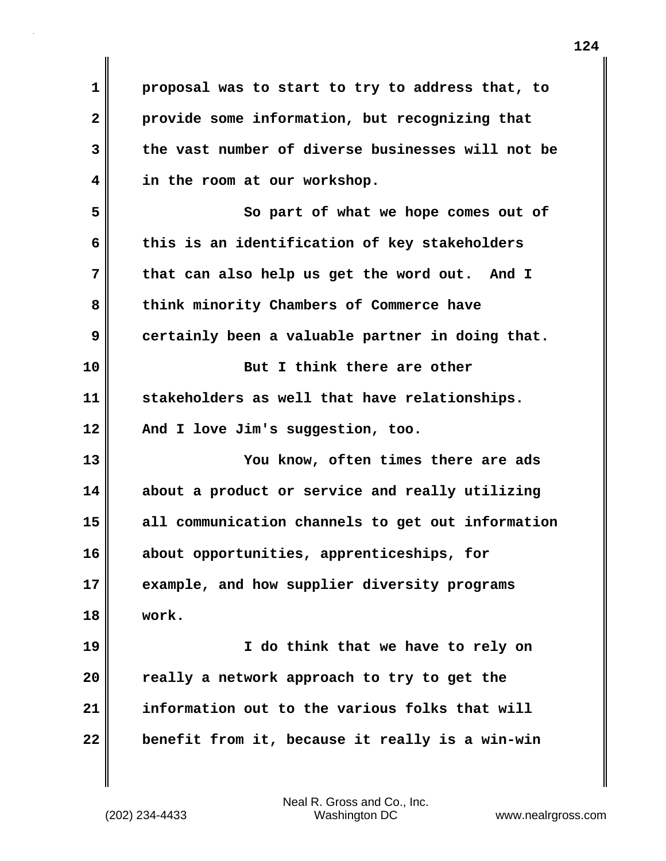**1 proposal was to start to try to address that, to 2 provide some information, but recognizing that 3 the vast number of diverse businesses will not be 4 in the room at our workshop. 5 So part of what we hope comes out of 6 this is an identification of key stakeholders 7 that can also help us get the word out. And I** 8 think minority Chambers of Commerce have **9 certainly been a valuable partner in doing that. 10 But I think there are other 11 stakeholders as well that have relationships. 12 And I love Jim's suggestion, too. 13 You know, often times there are ads 14 about a product or service and really utilizing 15 all communication channels to get out information 16 about opportunities, apprenticeships, for 17 example, and how supplier diversity programs 18 work. 19 I do think that we have to rely on 20 really a network approach to try to get the 21 information out to the various folks that will 22 benefit from it, because it really is a win-win**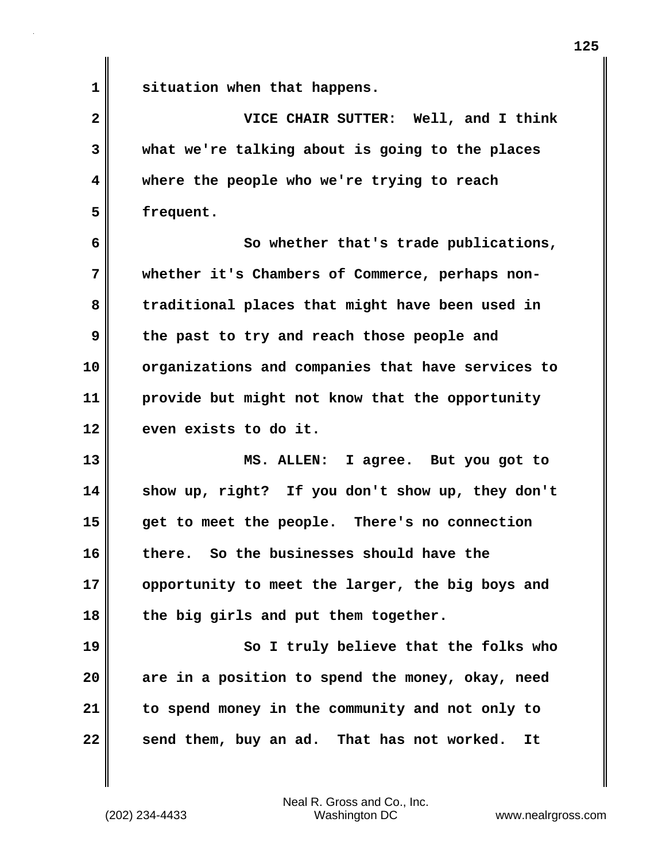**1 situation when that happens.**

**2 VICE CHAIR SUTTER: Well, and I think 3 what we're talking about is going to the places 4 where the people who we're trying to reach 5 frequent.**

**6 So whether that's trade publications, 7 whether it's Chambers of Commerce, perhaps non-8 traditional places that might have been used in 9 the past to try and reach those people and 10 organizations and companies that have services to 11 provide but might not know that the opportunity 12 even exists to do it.**

**13 MS. ALLEN: I agree. But you got to 14 show up, right? If you don't show up, they don't 15 get to meet the people. There's no connection 16 there. So the businesses should have the 17 opportunity to meet the larger, the big boys and 18 the big girls and put them together.**

**19 So I truly believe that the folks who 20 are in a position to spend the money, okay, need 21 to spend money in the community and not only to 22 send them, buy an ad. That has not worked. It**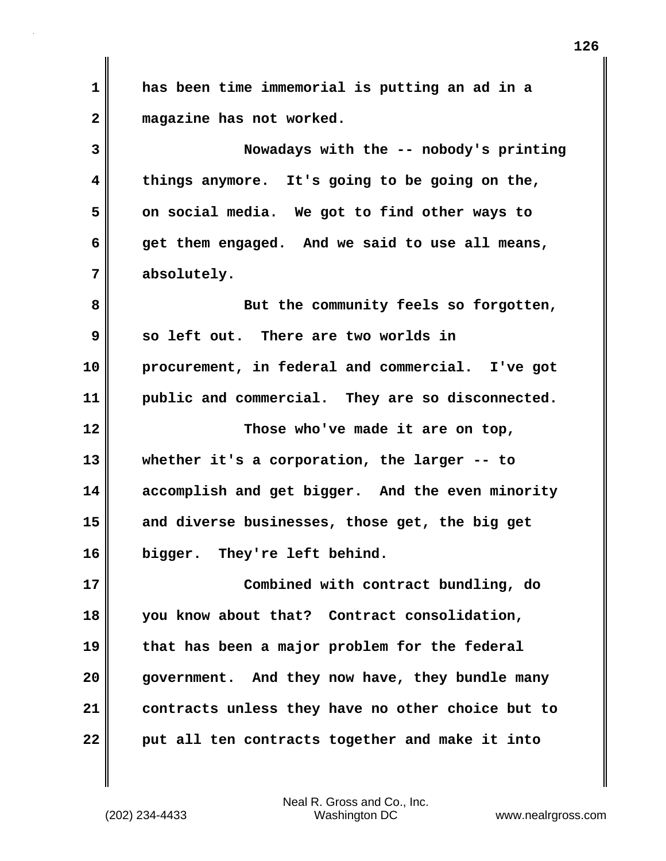**1 has been time immemorial is putting an ad in a 2 magazine has not worked. 3 Nowadays with the -- nobody's printing 4 things anymore. It's going to be going on the, 5 on social media. We got to find other ways to 6 get them engaged. And we said to use all means, 7 absolutely. 8 But the community feels so forgotten, 9 so left out. There are two worlds in 10 procurement, in federal and commercial. I've got 11 public and commercial. They are so disconnected. 12 Those who've made it are on top, 13 whether it's a corporation, the larger -- to 14 accomplish and get bigger. And the even minority 15 and diverse businesses, those get, the big get 16 bigger. They're left behind. 17 Combined with contract bundling, do 18 you know about that? Contract consolidation, 19 that has been a major problem for the federal 20 government. And they now have, they bundle many 21 contracts unless they have no other choice but to 22 put all ten contracts together and make it into**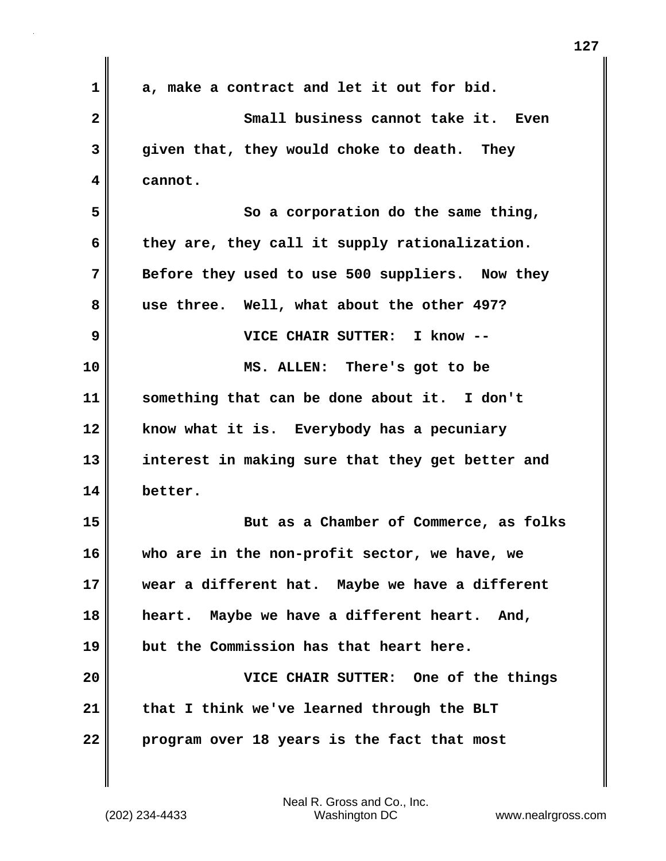| $\mathbf 1$ | a, make a contract and let it out for bid.       |
|-------------|--------------------------------------------------|
| 2           | Small business cannot take it. Even              |
| 3           | given that, they would choke to death. They      |
| 4           | cannot.                                          |
| 5           | So a corporation do the same thing,              |
| 6           | they are, they call it supply rationalization.   |
| 7           | Before they used to use 500 suppliers. Now they  |
| 8           | use three. Well, what about the other 497?       |
| 9           | VICE CHAIR SUTTER: I know --                     |
| 10          | MS. ALLEN: There's got to be                     |
| 11          | something that can be done about it. I don't     |
| 12          | know what it is. Everybody has a pecuniary       |
| 13          | interest in making sure that they get better and |
| 14          | better.                                          |
| 15          | But as a Chamber of Commerce, as folks           |
| 16          | who are in the non-profit sector, we have, we    |
| 17          | wear a different hat. Maybe we have a different  |
| 18          | heart. Maybe we have a different heart. And,     |
| 19          | but the Commission has that heart here.          |
| 20          | VICE CHAIR SUTTER: One of the things             |
| 21          | that I think we've learned through the BLT       |
| 22          | program over 18 years is the fact that most      |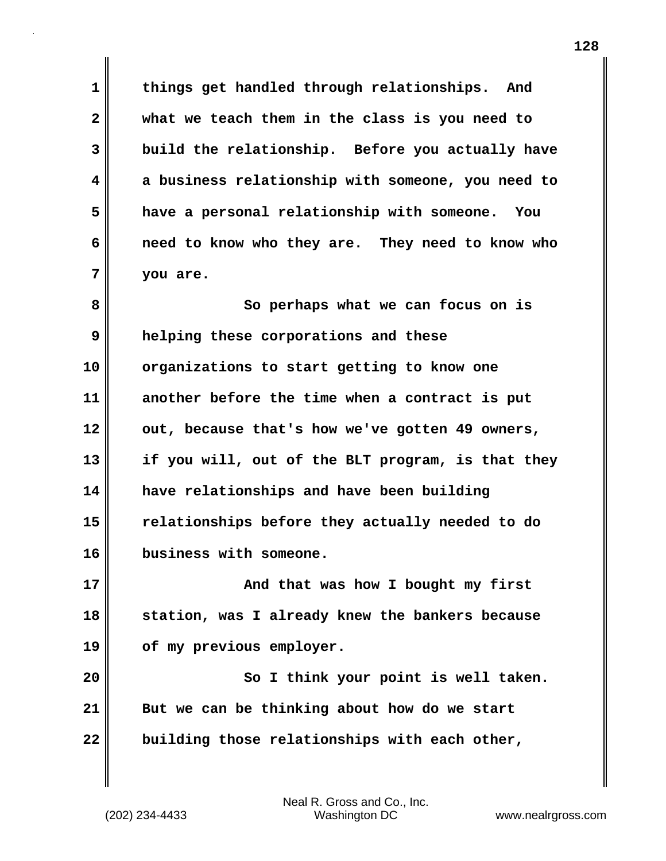**1 things get handled through relationships. And 2 what we teach them in the class is you need to 3 build the relationship. Before you actually have 4 a business relationship with someone, you need to 5 have a personal relationship with someone. You 6 need to know who they are. They need to know who 7 you are.**

**8** So perhaps what we can focus on is **9 helping these corporations and these 10 organizations to start getting to know one 11 another before the time when a contract is put** 12 out, because that's how we've gotten 49 owners, **13 if you will, out of the BLT program, is that they 14 have relationships and have been building 15 relationships before they actually needed to do 16 business with someone.**

**17 And that was how I bought my first 18 station, was I already knew the bankers because 19 of my previous employer.**

**20 So I think your point is well taken. 21 But we can be thinking about how do we start 22 building those relationships with each other,**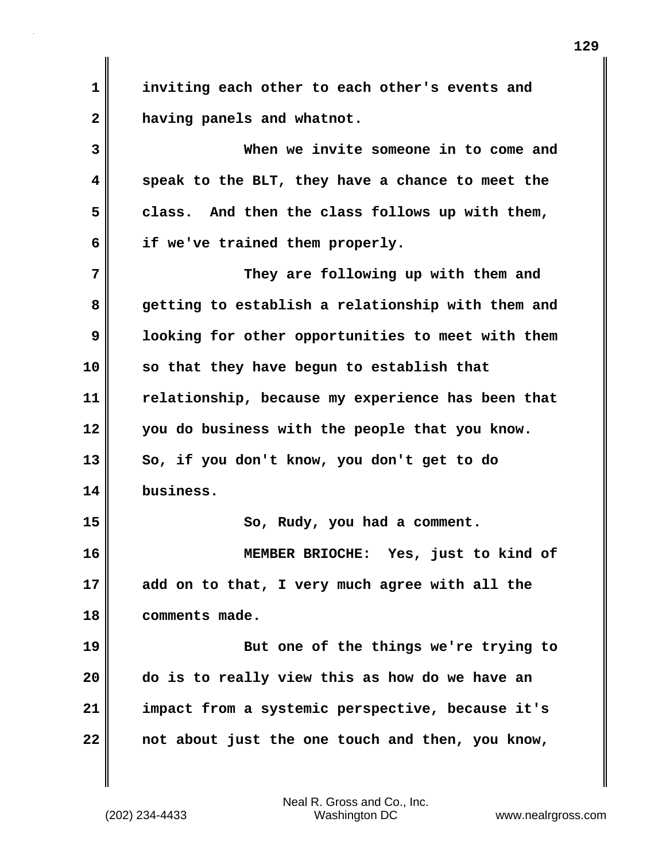**1 inviting each other to each other's events and 2 having panels and whatnot.**

**3 When we invite someone in to come and 4 speak to the BLT, they have a chance to meet the 5 class. And then the class follows up with them, 6 if we've trained them properly.**

**7** They are following up with them and **8 getting to establish a relationship with them and 9 looking for other opportunities to meet with them 10 so that they have begun to establish that 11 relationship, because my experience has been that 12 you do business with the people that you know. 13 So, if you don't know, you don't get to do 14 business. 15 So, Rudy, you had a comment. 16 MEMBER BRIOCHE: Yes, just to kind of**

**17 add on to that, I very much agree with all the 18 comments made.**

**19 But one of the things we're trying to 20 do is to really view this as how do we have an 21 impact from a systemic perspective, because it's 22 not about just the one touch and then, you know,**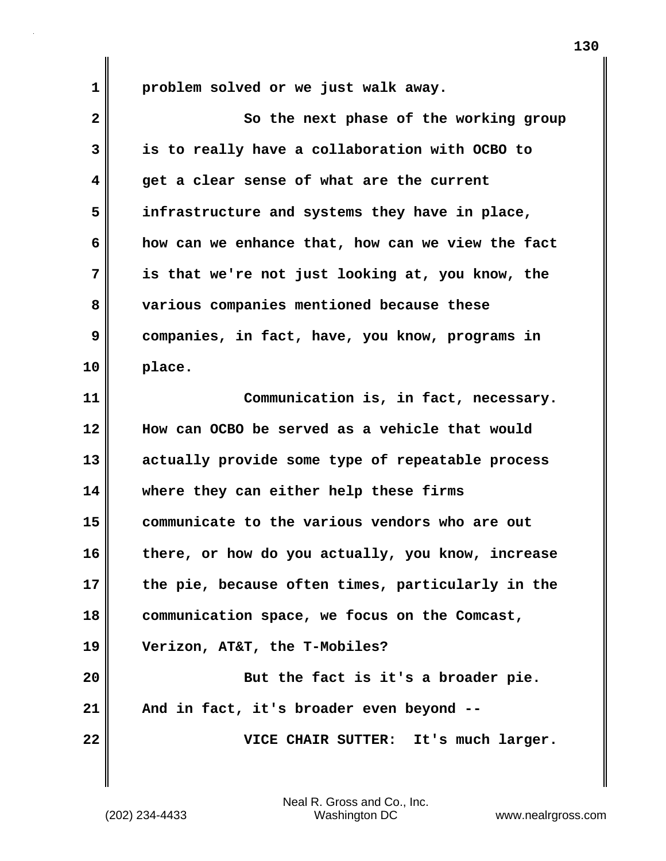**1 problem solved or we just walk away.**

**2** So the next phase of the working group **3 is to really have a collaboration with OCBO to 4 get a clear sense of what are the current 5 infrastructure and systems they have in place, 6 how can we enhance that, how can we view the fact 7 is that we're not just looking at, you know, the 8 various companies mentioned because these 9 companies, in fact, have, you know, programs in 10 place. 11 Communication is, in fact, necessary. 12 How can OCBO be served as a vehicle that would 13 actually provide some type of repeatable process 14 where they can either help these firms 15 communicate to the various vendors who are out 16 there, or how do you actually, you know, increase 17 the pie, because often times, particularly in the 18 communication space, we focus on the Comcast, 19 Verizon, AT&T, the T-Mobiles? 20 But the fact is it's a broader pie. 21 And in fact, it's broader even beyond -- 22 VICE CHAIR SUTTER: It's much larger.**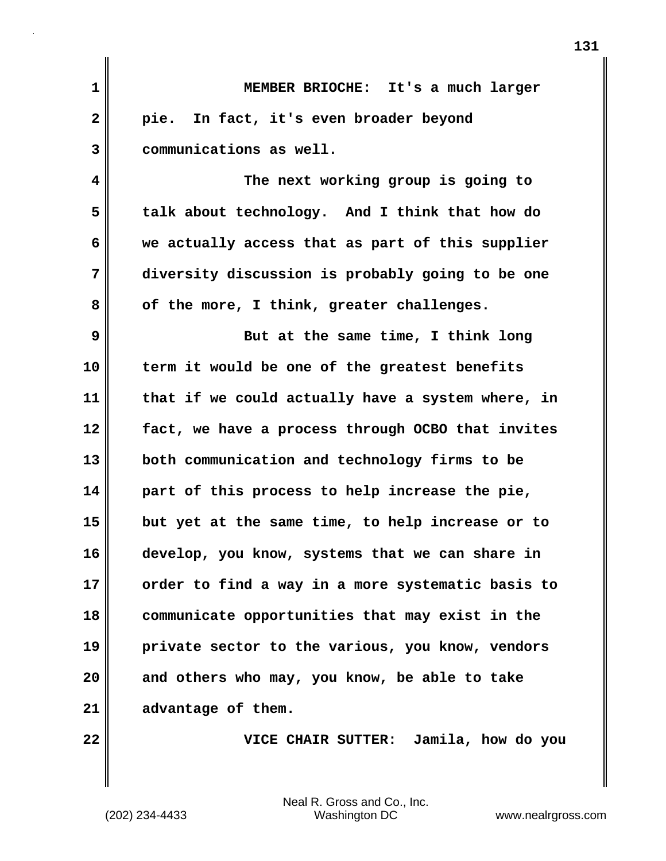| $\mathbf{1}$            | MEMBER BRIOCHE: It's a much larger                |
|-------------------------|---------------------------------------------------|
| $\overline{\mathbf{2}}$ | pie. In fact, it's even broader beyond            |
| 3                       | communications as well.                           |
| 4                       | The next working group is going to                |
| 5                       | talk about technology. And I think that how do    |
| 6                       | we actually access that as part of this supplier  |
| 7                       | diversity discussion is probably going to be one  |
| 8                       | of the more, I think, greater challenges.         |
| 9                       | But at the same time, I think long                |
| 10                      | term it would be one of the greatest benefits     |
| 11                      | that if we could actually have a system where, in |
| 12                      | fact, we have a process through OCBO that invites |
| 13                      | both communication and technology firms to be     |
| 14                      | part of this process to help increase the pie,    |
| 15                      | but yet at the same time, to help increase or to  |
| 16                      | develop, you know, systems that we can share in   |
| 17                      | order to find a way in a more systematic basis to |
| 18                      | communicate opportunities that may exist in the   |
| 19                      | private sector to the various, you know, vendors  |
| 20                      | and others who may, you know, be able to take     |
| 21                      | advantage of them.                                |
| 22                      | VICE CHAIR SUTTER: Jamila, how do you             |

**131**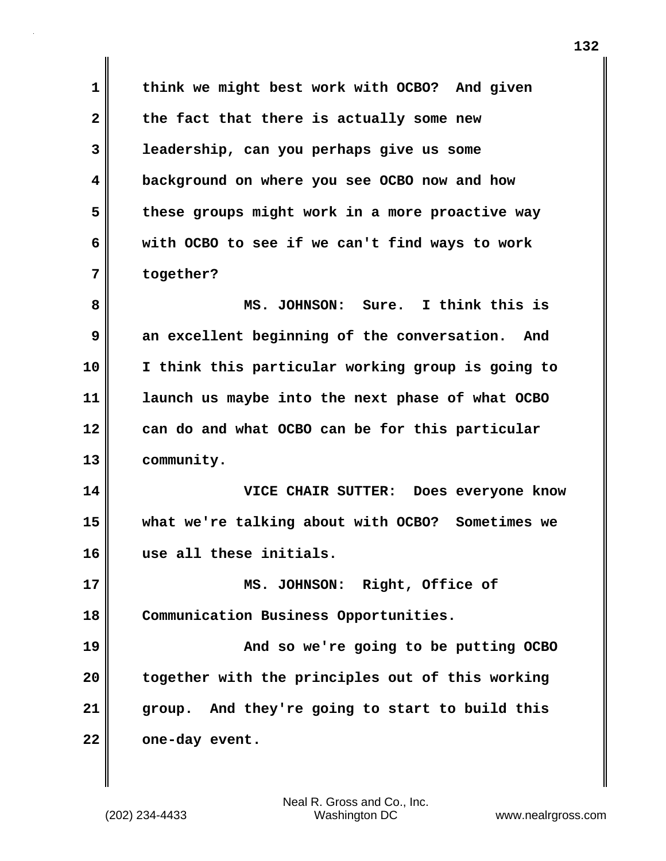**1 think we might best work with OCBO? And given 2 the fact that there is actually some new 3 leadership, can you perhaps give us some 4 background on where you see OCBO now and how 5 these groups might work in a more proactive way 6 with OCBO to see if we can't find ways to work 7 together?**

**8 MS. JOHNSON: Sure. I think this is 9 an excellent beginning of the conversation. And 10 I think this particular working group is going to 11 launch us maybe into the next phase of what OCBO 12 can do and what OCBO can be for this particular 13 community.**

**14 VICE CHAIR SUTTER: Does everyone know 15 what we're talking about with OCBO? Sometimes we 16 use all these initials.**

**17 MS. JOHNSON: Right, Office of 18 Communication Business Opportunities.**

**19 And so we're going to be putting OCBO 20 together with the principles out of this working 21 group. And they're going to start to build this** 22 one-day event.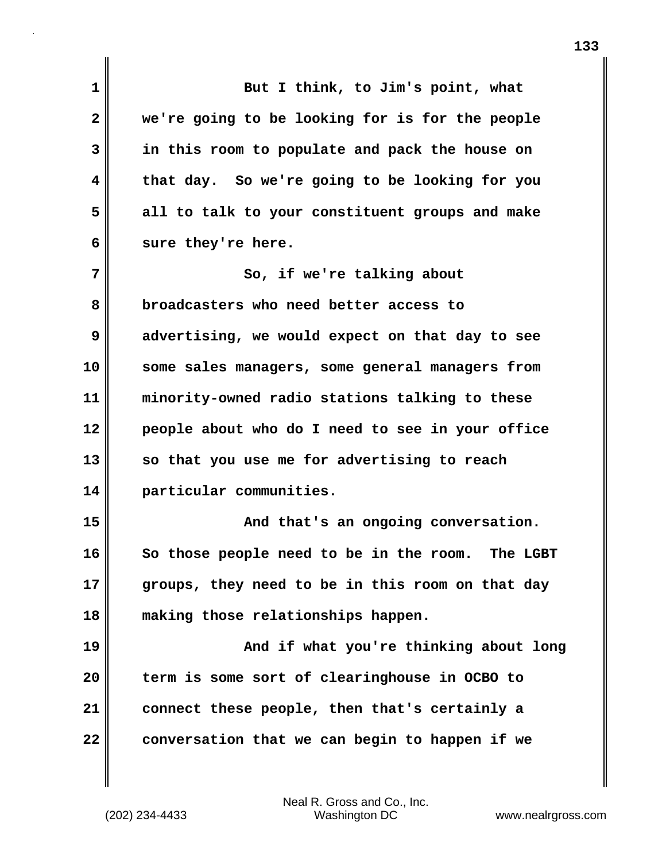| 1            | But I think, to Jim's point, what                |
|--------------|--------------------------------------------------|
| $\mathbf{2}$ | we're going to be looking for is for the people  |
| 3            | in this room to populate and pack the house on   |
| 4            | that day. So we're going to be looking for you   |
| 5            | all to talk to your constituent groups and make  |
| 6            | sure they're here.                               |
| 7            | So, if we're talking about                       |
| 8            | broadcasters who need better access to           |
| 9            | advertising, we would expect on that day to see  |
| 10           | some sales managers, some general managers from  |
| 11           | minority-owned radio stations talking to these   |
| 12           | people about who do I need to see in your office |
| 13           | so that you use me for advertising to reach      |
| 14           | particular communities.                          |
| 15           | And that's an ongoing conversation.              |
| 16           | So those people need to be in the room. The LGBT |
| 17           | groups, they need to be in this room on that day |
| 18           | making those relationships happen.               |
| 19           | And if what you're thinking about long           |
| 20           | term is some sort of clearinghouse in OCBO to    |
| 21           | connect these people, then that's certainly a    |
| 22           | conversation that we can begin to happen if we   |

(202) 234-4433 Washington DC www.nealrgross.com Neal R. Gross and Co., Inc.

 $\mathbf{I}$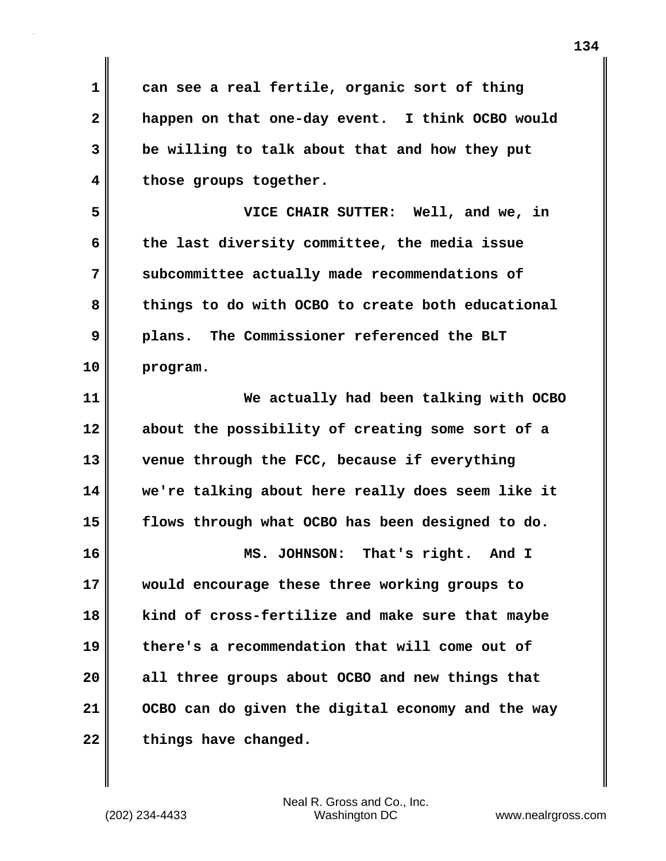**1 can see a real fertile, organic sort of thing 2 happen on that one-day event. I think OCBO would 3 be willing to talk about that and how they put 4 those groups together. 5 VICE CHAIR SUTTER: Well, and we, in**

**6 the last diversity committee, the media issue 7 subcommittee actually made recommendations of 8 things to do with OCBO to create both educational 9 plans. The Commissioner referenced the BLT 10 program.**

**11 We actually had been talking with OCBO 12 about the possibility of creating some sort of a 13 venue through the FCC, because if everything 14 we're talking about here really does seem like it 15 flows through what OCBO has been designed to do. 16 MS. JOHNSON: That's right. And I 17 would encourage these three working groups to 18 kind of cross-fertilize and make sure that maybe 19 there's a recommendation that will come out of 20 all three groups about OCBO and new things that 21 OCBO can do given the digital economy and the way**

22 **things have changed.**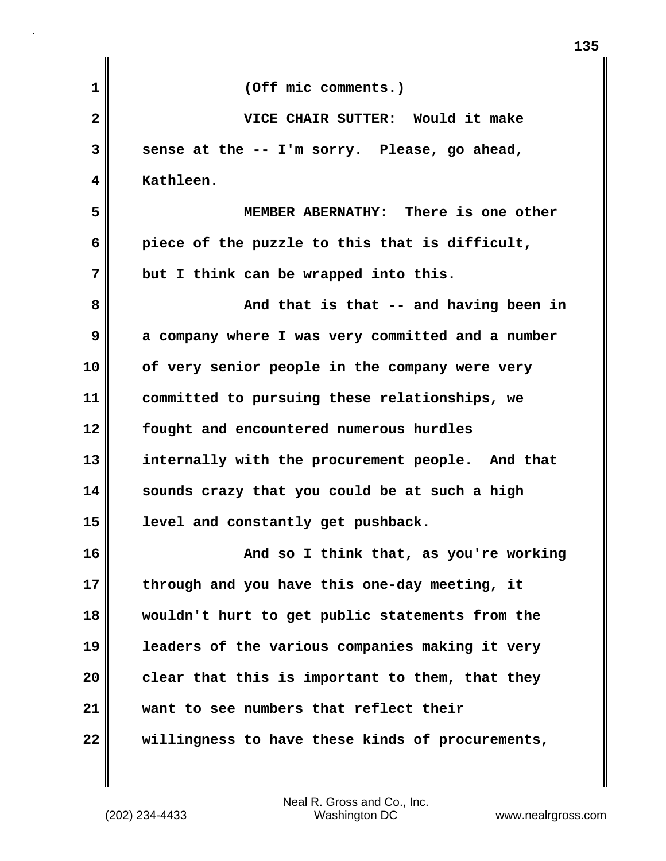| 1  | (Off mic comments.)                               |
|----|---------------------------------------------------|
| 2  | VICE CHAIR SUTTER: Would it make                  |
| 3  | sense at the -- I'm sorry. Please, go ahead,      |
| 4  | Kathleen.                                         |
| 5  | MEMBER ABERNATHY: There is one other              |
| 6  | piece of the puzzle to this that is difficult,    |
| 7  | but I think can be wrapped into this.             |
| 8  | And that is that -- and having been in            |
| 9  | a company where I was very committed and a number |
| 10 | of very senior people in the company were very    |
| 11 | committed to pursuing these relationships, we     |
| 12 | fought and encountered numerous hurdles           |
| 13 | internally with the procurement people. And that  |
| 14 | sounds crazy that you could be at such a high     |
| 15 | level and constantly get pushback.                |
| 16 | And so I think that, as you're working            |
| 17 | through and you have this one-day meeting, it     |
| 18 | wouldn't hurt to get public statements from the   |
| 19 | leaders of the various companies making it very   |
| 20 | clear that this is important to them, that they   |
| 21 | want to see numbers that reflect their            |
| 22 | willingness to have these kinds of procurements,  |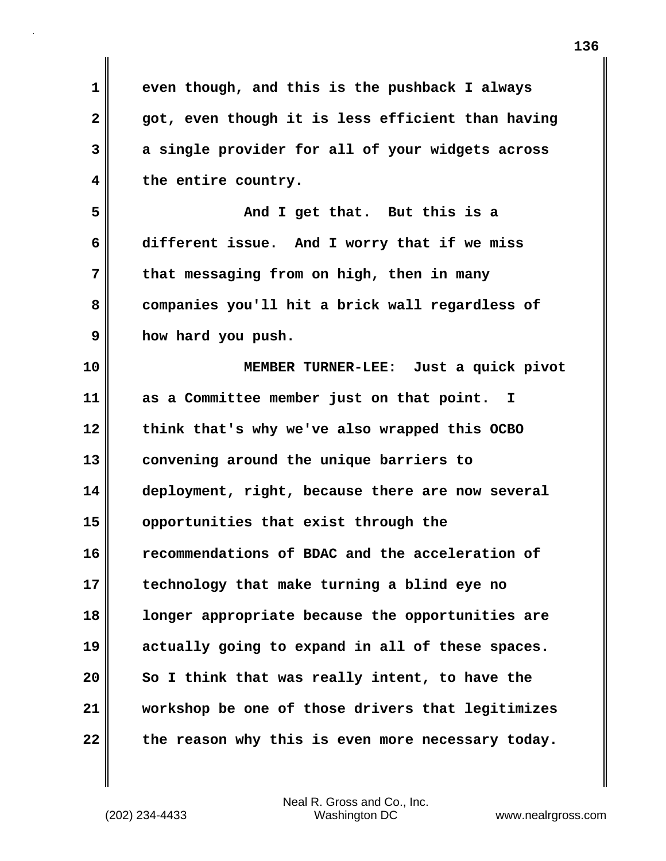| 1            | even though, and this is the pushback I always    |
|--------------|---------------------------------------------------|
| $\mathbf{2}$ | got, even though it is less efficient than having |
| 3            | a single provider for all of your widgets across  |
| 4            | the entire country.                               |
| 5            | And I get that. But this is a                     |
| 6            | different issue. And I worry that if we miss      |
| 7            | that messaging from on high, then in many         |
| 8            | companies you'll hit a brick wall regardless of   |
| 9            | how hard you push.                                |
| 10           | MEMBER TURNER-LEE: Just a quick pivot             |
| 11           | as a Committee member just on that point. I       |
| 12           | think that's why we've also wrapped this OCBO     |
| 13           | convening around the unique barriers to           |
| 14           | deployment, right, because there are now several  |
| 15           | opportunities that exist through the              |
| 16           | recommendations of BDAC and the acceleration of   |
| 17           | technology that make turning a blind eye no       |
| 18           | longer appropriate because the opportunities are  |
| 19           | actually going to expand in all of these spaces.  |
| 20           | So I think that was really intent, to have the    |
| 21           | workshop be one of those drivers that legitimizes |
| 22           | the reason why this is even more necessary today. |

 $\mathbf{I}$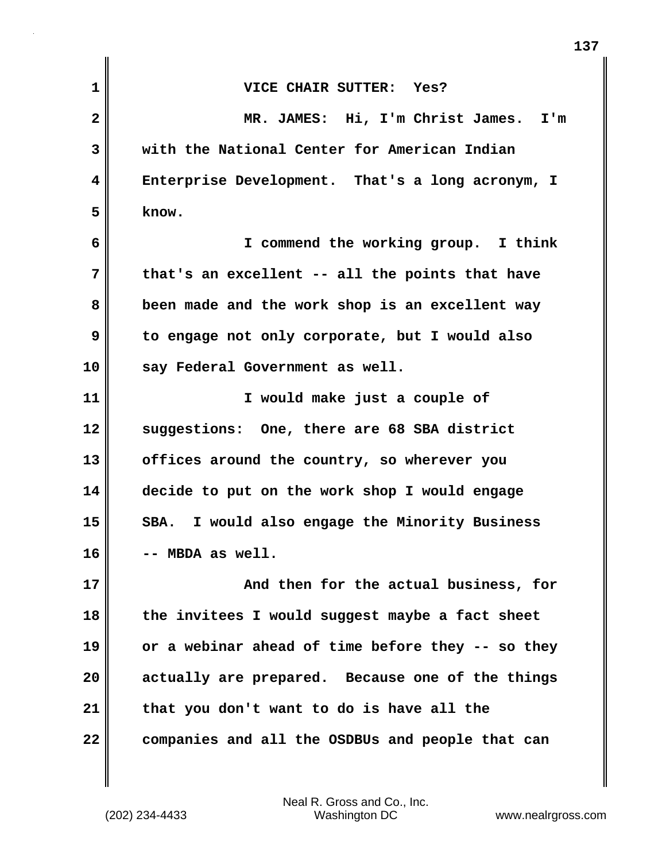| $\mathbf{1}$            | VICE CHAIR SUTTER: Yes?                           |
|-------------------------|---------------------------------------------------|
| $\overline{\mathbf{2}}$ | MR. JAMES: Hi, I'm Christ James. I'm              |
| 3                       | with the National Center for American Indian      |
| $\overline{\mathbf{4}}$ | Enterprise Development. That's a long acronym, I  |
| 5                       | know.                                             |
| 6                       | I commend the working group. I think              |
| 7                       | that's an excellent -- all the points that have   |
| 8                       | been made and the work shop is an excellent way   |
| 9                       | to engage not only corporate, but I would also    |
| 10                      | say Federal Government as well.                   |
| 11                      | I would make just a couple of                     |
| 12                      | suggestions: One, there are 68 SBA district       |
| 13                      | offices around the country, so wherever you       |
| 14                      | decide to put on the work shop I would engage     |
| 15                      | I would also engage the Minority Business<br>SBA. |
| 16                      | -- MBDA as well.                                  |
| 17                      | And then for the actual business, for             |
| 18                      | the invitees I would suggest maybe a fact sheet   |
| 19                      | or a webinar ahead of time before they -- so they |
| 20                      | actually are prepared. Because one of the things  |
| 21                      | that you don't want to do is have all the         |
| 22                      | companies and all the OSDBUs and people that can  |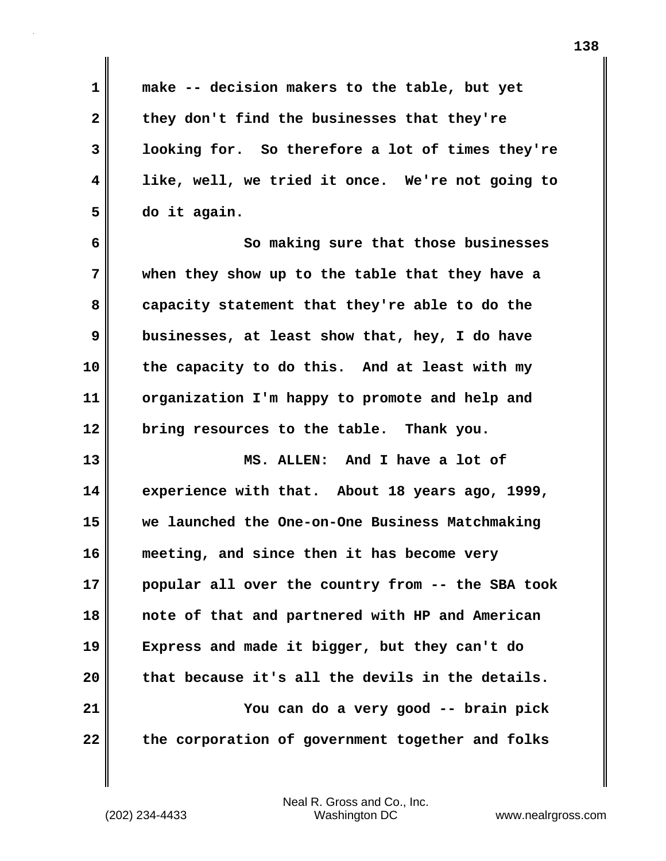**1 make -- decision makers to the table, but yet 2 they don't find the businesses that they're 3 looking for. So therefore a lot of times they're 4 like, well, we tried it once. We're not going to 5 do it again. 6 So making sure that those businesses 7 when they show up to the table that they have a 8 capacity statement that they're able to do the 9 businesses, at least show that, hey, I do have 10 the capacity to do this. And at least with my 11 organization I'm happy to promote and help and 12 bring resources to the table. Thank you. 13 MS. ALLEN: And I have a lot of 14 experience with that. About 18 years ago, 1999, 15 we launched the One-on-One Business Matchmaking 16 meeting, and since then it has become very 17 popular all over the country from -- the SBA took 18 note of that and partnered with HP and American 19 Express and made it bigger, but they can't do 20 that because it's all the devils in the details. 21 You can do a very good -- brain pick** 22 the corporation of government together and folks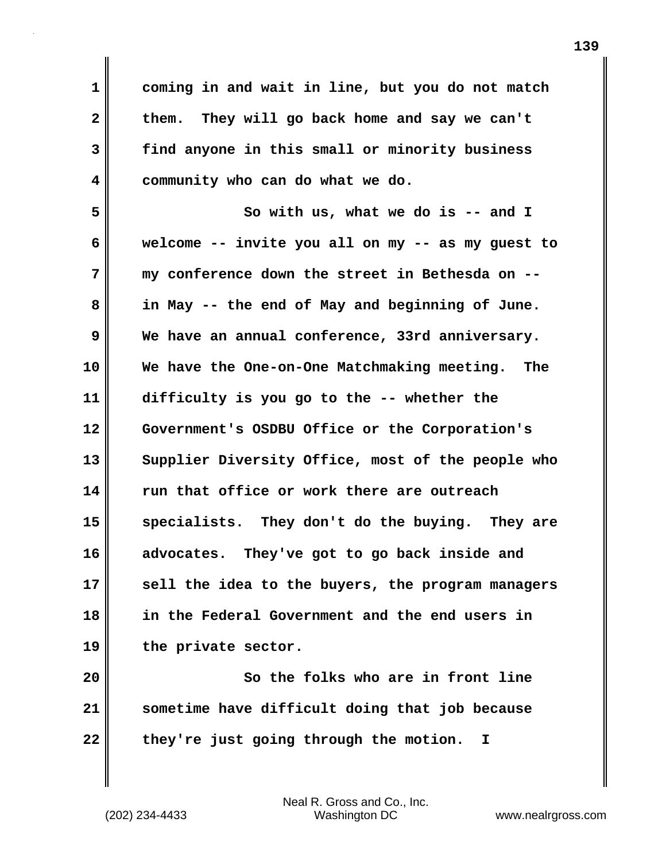**1 coming in and wait in line, but you do not match 2 them. They will go back home and say we can't 3 find anyone in this small or minority business 4 community who can do what we do.** 

**5 So with us, what we do is -- and I 6 welcome -- invite you all on my -- as my guest to 7 my conference down the street in Bethesda on -- 8 in May -- the end of May and beginning of June. 9 We have an annual conference, 33rd anniversary. 10 We have the One-on-One Matchmaking meeting. The 11 difficulty is you go to the -- whether the 12 Government's OSDBU Office or the Corporation's 13 Supplier Diversity Office, most of the people who 14 run that office or work there are outreach 15 specialists. They don't do the buying. They are 16 advocates. They've got to go back inside and 17 sell the idea to the buyers, the program managers 18 in the Federal Government and the end users in 19 the private sector.**

**20 So the folks who are in front line 21 sometime have difficult doing that job because 22 they're just going through the motion. I**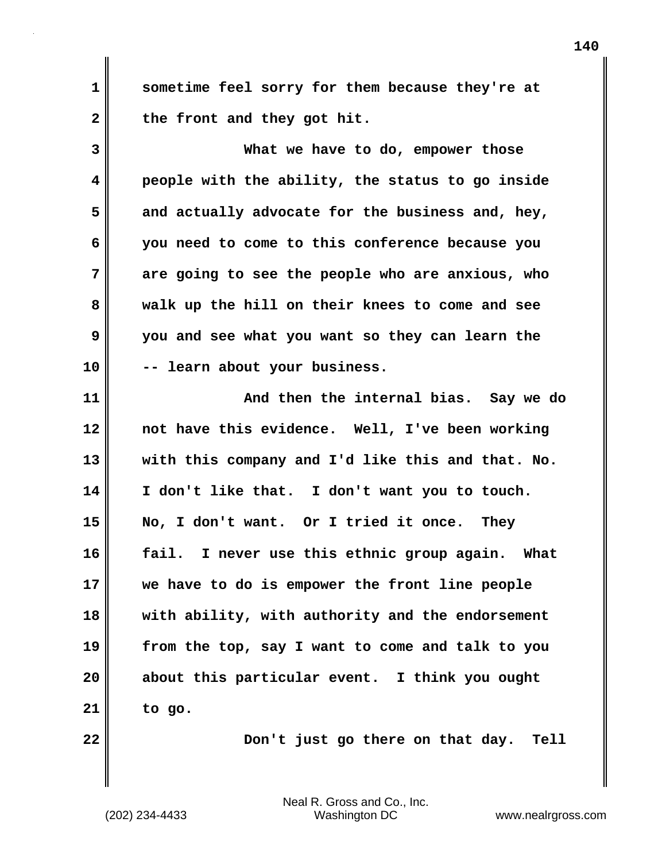**1 sometime feel sorry for them because they're at** 2 the front and they got hit.

**3 What we have to do, empower those 4 people with the ability, the status to go inside 5 and actually advocate for the business and, hey, 6 you need to come to this conference because you 7 are going to see the people who are anxious, who 8 walk up the hill on their knees to come and see 9 you and see what you want so they can learn the 10 -- learn about your business.**

**11 And then the internal bias. Say we do 12 not have this evidence. Well, I've been working 13 with this company and I'd like this and that. No. 14 I don't like that. I don't want you to touch. 15 No, I don't want. Or I tried it once. They 16 fail. I never use this ethnic group again. What 17 we have to do is empower the front line people 18 with ability, with authority and the endorsement 19 from the top, say I want to come and talk to you 20 about this particular event. I think you ought 21 to go.**

**22** Don't just go there on that day. Tell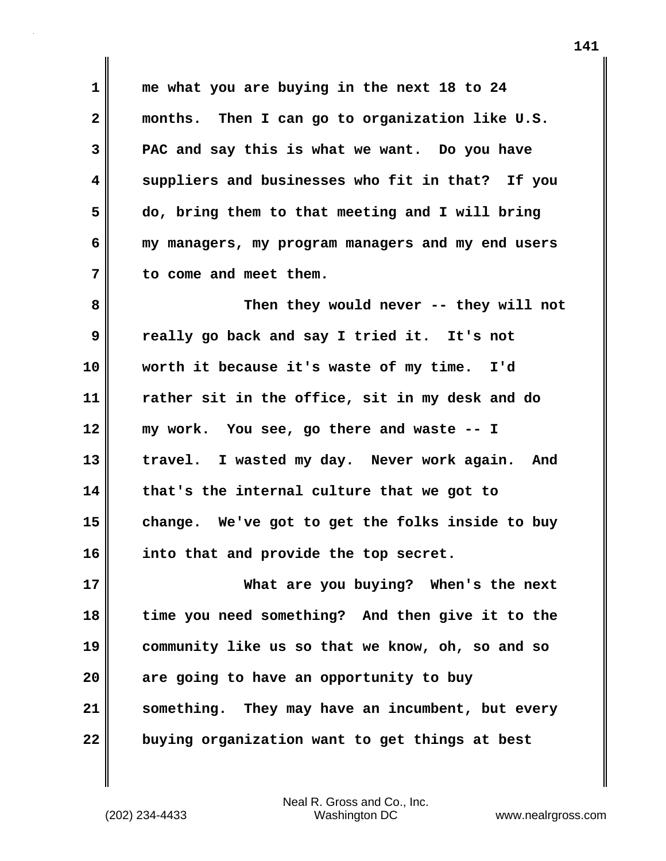**1 me what you are buying in the next 18 to 24 2 months. Then I can go to organization like U.S. 3 PAC and say this is what we want. Do you have 4 suppliers and businesses who fit in that? If you 5 do, bring them to that meeting and I will bring 6 my managers, my program managers and my end users 7 to come and meet them.** 

**8 Then they would never -- they will not 9 really go back and say I tried it. It's not 10 worth it because it's waste of my time. I'd 11 rather sit in the office, sit in my desk and do 12 my work. You see, go there and waste -- I 13 travel. I wasted my day. Never work again. And 14 that's the internal culture that we got to 15 change. We've got to get the folks inside to buy 16 into that and provide the top secret.** 

**17 What are you buying? When's the next 18 time you need something? And then give it to the 19 community like us so that we know, oh, so and so 20 are going to have an opportunity to buy 21 something. They may have an incumbent, but every 22 buying organization want to get things at best**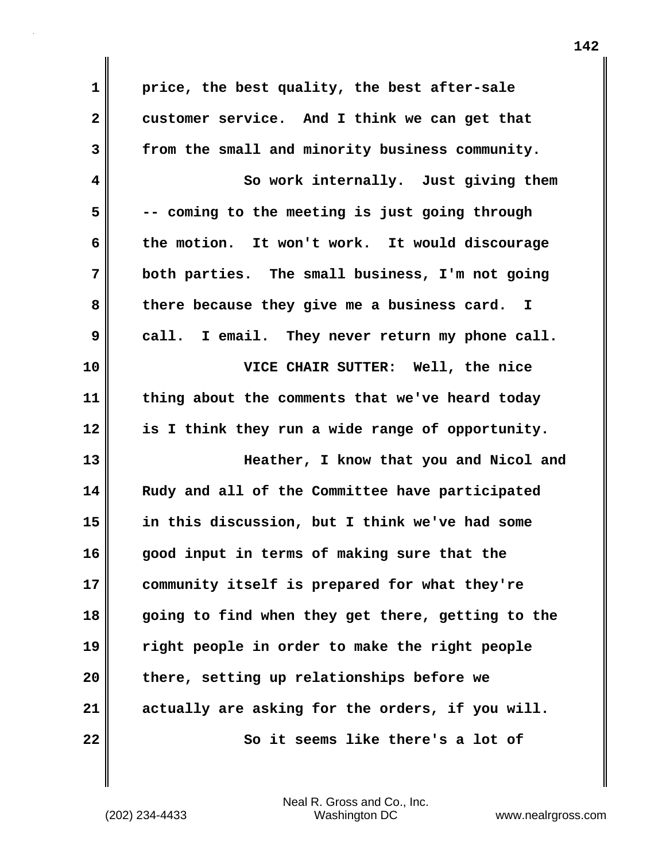**1 price, the best quality, the best after-sale 2 customer service. And I think we can get that 3 from the small and minority business community. 4 So work internally. Just giving them 5 -- coming to the meeting is just going through 6 the motion. It won't work. It would discourage 7 both parties. The small business, I'm not going 8 there because they give me a business card. I 9 call. I email. They never return my phone call. 10 VICE CHAIR SUTTER: Well, the nice 11 thing about the comments that we've heard today 12 is I think they run a wide range of opportunity. 13 Heather, I know that you and Nicol and 14 Rudy and all of the Committee have participated 15 in this discussion, but I think we've had some 16 good input in terms of making sure that the 17 community itself is prepared for what they're 18 going to find when they get there, getting to the 19 right people in order to make the right people 20 there, setting up relationships before we 21 actually are asking for the orders, if you will. 22 So it seems like there's a lot of**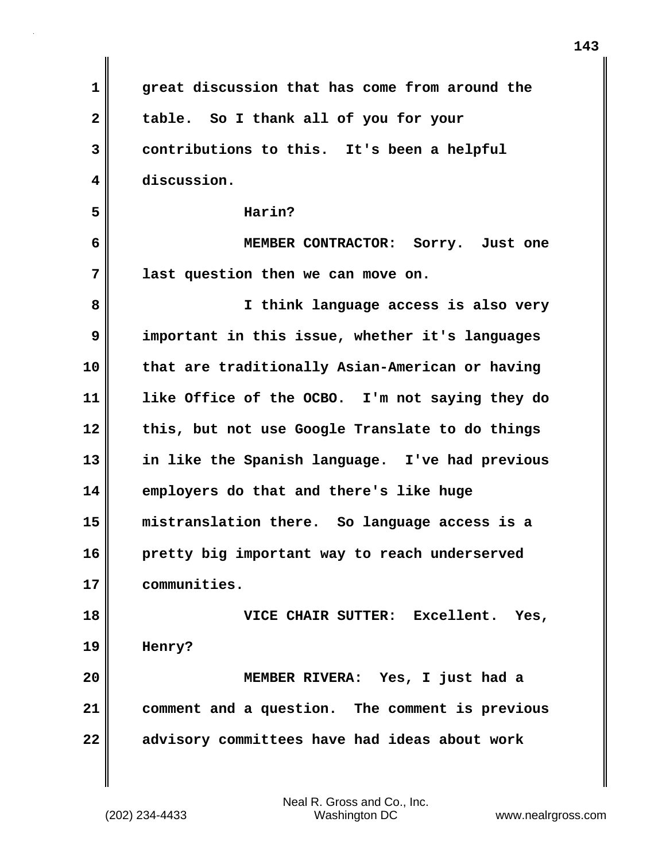| 1                       | great discussion that has come from around the  |
|-------------------------|-------------------------------------------------|
| $\overline{\mathbf{2}}$ | table. So I thank all of you for your           |
| 3                       | contributions to this. It's been a helpful      |
| 4                       | discussion.                                     |
| 5                       | Harin?                                          |
| 6                       | MEMBER CONTRACTOR: Sorry. Just one              |
| 7                       | last question then we can move on.              |
| 8                       | I think language access is also very            |
| 9                       | important in this issue, whether it's languages |
| 10                      | that are traditionally Asian-American or having |
| 11                      | like Office of the OCBO. I'm not saying they do |
| 12                      | this, but not use Google Translate to do things |
| 13                      | in like the Spanish language. I've had previous |
| 14                      | employers do that and there's like huge         |
| 15                      | mistranslation there. So language access is a   |
| 16                      | pretty big important way to reach underserved   |
| 17                      | communities.                                    |
| 18                      | VICE CHAIR SUTTER: Excellent. Yes,              |
| 19                      | Henry?                                          |
| 20                      | MEMBER RIVERA: Yes, I just had a                |
| 21                      | comment and a question. The comment is previous |
| 22                      | advisory committees have had ideas about work   |

 $\mathbf{I}$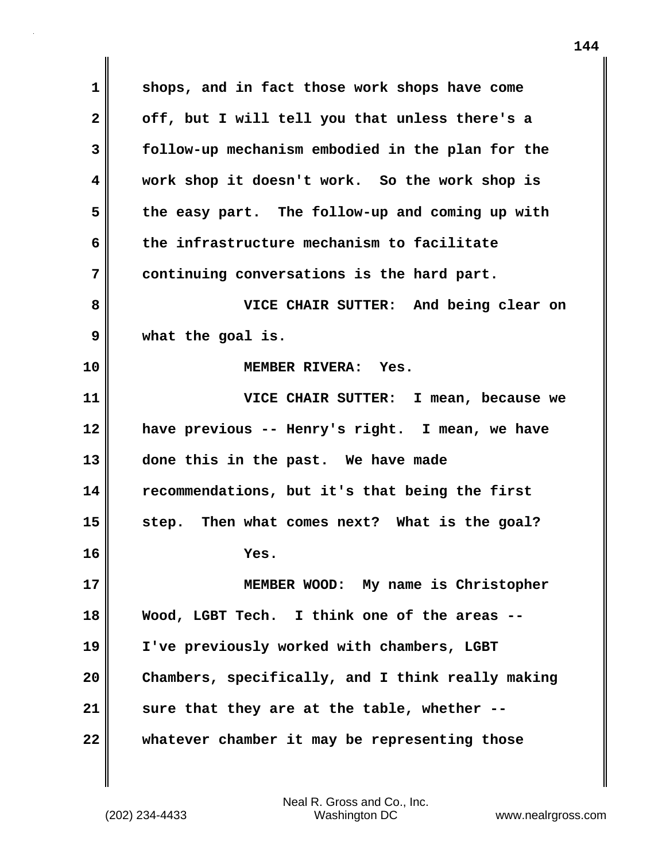**1 shops, and in fact those work shops have come 2 off, but I will tell you that unless there's a 3 follow-up mechanism embodied in the plan for the 4 work shop it doesn't work. So the work shop is 5 the easy part. The follow-up and coming up with 6 the infrastructure mechanism to facilitate 7 continuing conversations is the hard part. 8 VICE CHAIR SUTTER: And being clear on 9 what the goal is. 10 MEMBER RIVERA: Yes. 11 VICE CHAIR SUTTER: I mean, because we 12 have previous -- Henry's right. I mean, we have 13 done this in the past. We have made 14 recommendations, but it's that being the first 15 step. Then what comes next? What is the goal? 16 Yes. 17 MEMBER WOOD: My name is Christopher 18 Wood, LGBT Tech. I think one of the areas -- 19 I've previously worked with chambers, LGBT 20 Chambers, specifically, and I think really making 21 sure that they are at the table, whether -- 22 whatever chamber it may be representing those**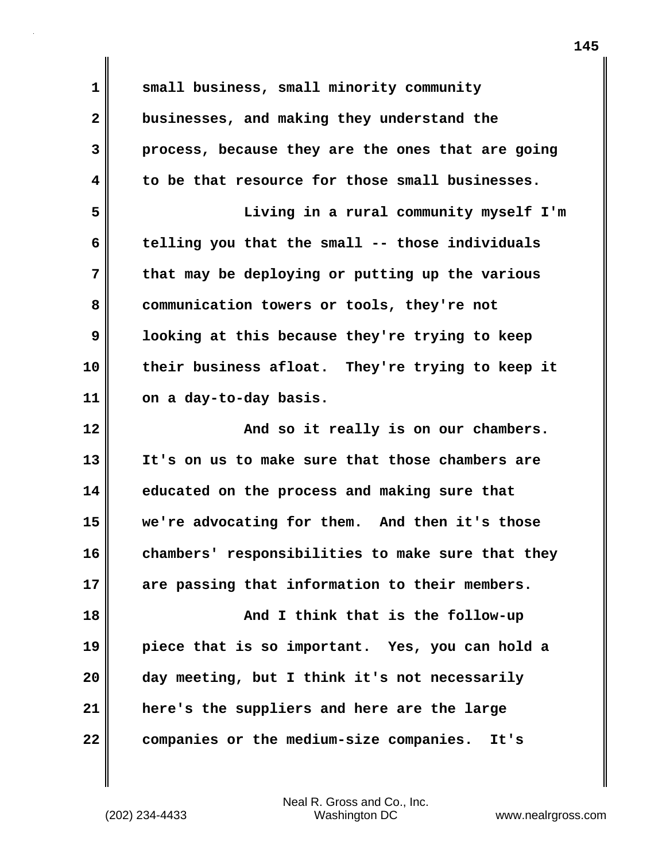**1 small business, small minority community 2 businesses, and making they understand the 3 process, because they are the ones that are going 4 to be that resource for those small businesses. 5 Living in a rural community myself I'm 6 telling you that the small -- those individuals 7 that may be deploying or putting up the various 8 communication towers or tools, they're not 9 looking at this because they're trying to keep 10 their business afloat. They're trying to keep it 11 on a day-to-day basis. 12 And so it really is on our chambers. 13 It's on us to make sure that those chambers are 14 educated on the process and making sure that 15 we're advocating for them. And then it's those 16 chambers' responsibilities to make sure that they 17 are passing that information to their members. 18 And I think that is the follow-up 19 piece that is so important. Yes, you can hold a 20 day meeting, but I think it's not necessarily 21 here's the suppliers and here are the large 22 companies or the medium-size companies. It's**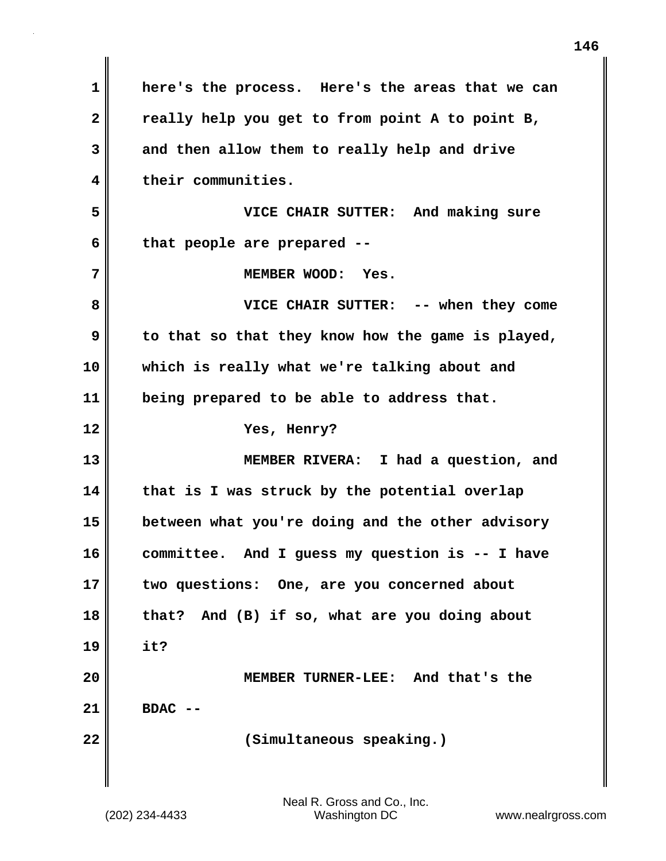| $\mathbf 1$  | here's the process. Here's the areas that we can  |
|--------------|---------------------------------------------------|
| $\mathbf{2}$ | really help you get to from point A to point B,   |
| 3            | and then allow them to really help and drive      |
| 4            | their communities.                                |
| 5            | VICE CHAIR SUTTER: And making sure                |
| 6            | that people are prepared --                       |
| 7            | MEMBER WOOD: Yes.                                 |
| 8            | VICE CHAIR SUTTER: -- when they come              |
| 9            | to that so that they know how the game is played, |
| 10           | which is really what we're talking about and      |
| 11           | being prepared to be able to address that.        |
| 12           | Yes, Henry?                                       |
| 13           | MEMBER RIVERA: I had a question, and              |
| 14           | that is I was struck by the potential overlap     |
| 15           | between what you're doing and the other advisory  |
| 16           | committee. And I guess my question is -- I have   |
| 17           | two questions: One, are you concerned about       |
| 18           | that? And (B) if so, what are you doing about     |
| 19           | it?                                               |
| 20           | MEMBER TURNER-LEE: And that's the                 |
| 21           | <b>BDAC</b>                                       |
| 22           | (Simultaneous speaking.)                          |
|              |                                                   |
|              |                                                   |

 $\mathbf{I}$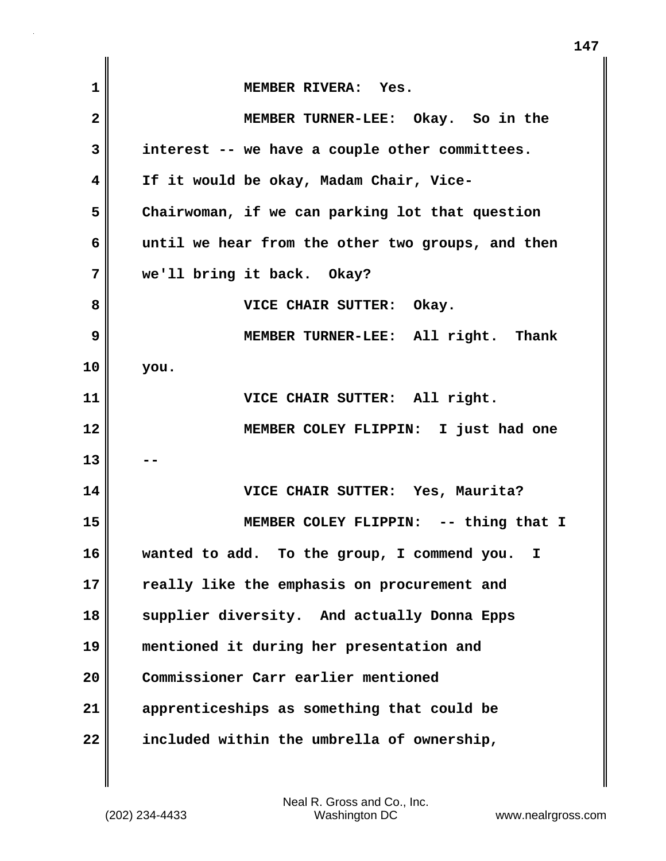| 1            | MEMBER RIVERA: Yes.                               |
|--------------|---------------------------------------------------|
| $\mathbf{2}$ | MEMBER TURNER-LEE: Okay. So in the                |
| 3            | interest -- we have a couple other committees.    |
| 4            | If it would be okay, Madam Chair, Vice-           |
| 5            | Chairwoman, if we can parking lot that question   |
| 6            | until we hear from the other two groups, and then |
| 7            | we'll bring it back. Okay?                        |
| 8            | VICE CHAIR SUTTER: Okay.                          |
| 9            | MEMBER TURNER-LEE: All right. Thank               |
| 10           | you.                                              |
| 11           | VICE CHAIR SUTTER: All right.                     |
| 12           | MEMBER COLEY FLIPPIN: I just had one              |
| 13           |                                                   |
| 14           | VICE CHAIR SUTTER: Yes, Maurita?                  |
| 15           | MEMBER COLEY FLIPPIN: -- thing that I             |
| 16           | wanted to add. To the group, I commend you.<br>I. |
| 17           | really like the emphasis on procurement and       |
| 18           | supplier diversity. And actually Donna Epps       |
| 19           | mentioned it during her presentation and          |
| 20           | Commissioner Carr earlier mentioned               |
| 21           | apprenticeships as something that could be        |
| 22           | included within the umbrella of ownership,        |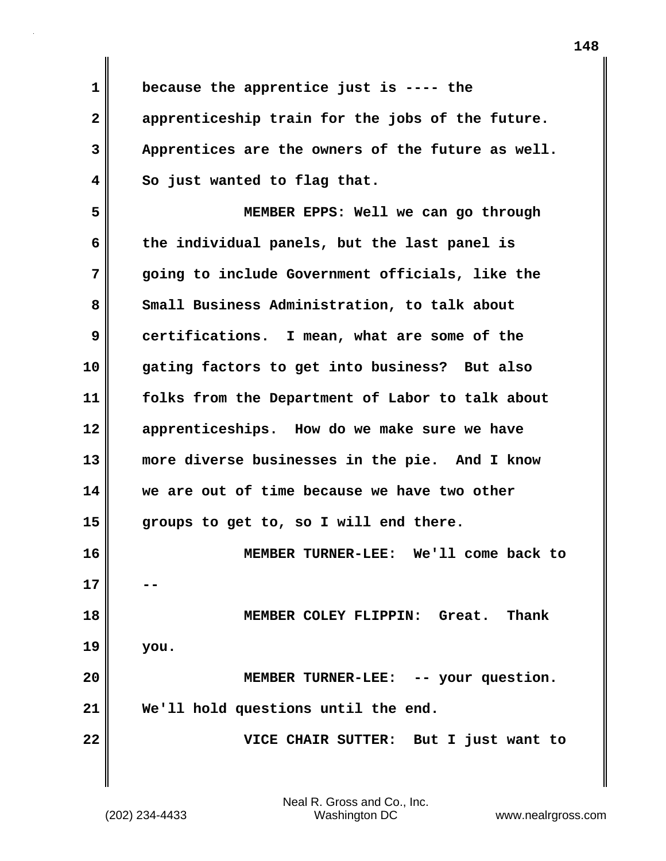**1 because the apprentice just is ---- the 2 apprenticeship train for the jobs of the future. 3 Apprentices are the owners of the future as well. 4 So just wanted to flag that. 5 MEMBER EPPS: Well we can go through 6 the individual panels, but the last panel is 7 going to include Government officials, like the** 8 Small Business Administration, to talk about **9 certifications. I mean, what are some of the 10 gating factors to get into business? But also 11 folks from the Department of Labor to talk about 12 apprenticeships. How do we make sure we have 13 more diverse businesses in the pie. And I know 14 we are out of time because we have two other 15 groups to get to, so I will end there. 16 MEMBER TURNER-LEE: We'll come back to 17 18 MEMBER COLEY FLIPPIN: Great. Thank 19 you. 20 MEMBER TURNER-LEE: -- your question. 21 We'll hold questions until the end. 22 VICE CHAIR SUTTER: But I just want to**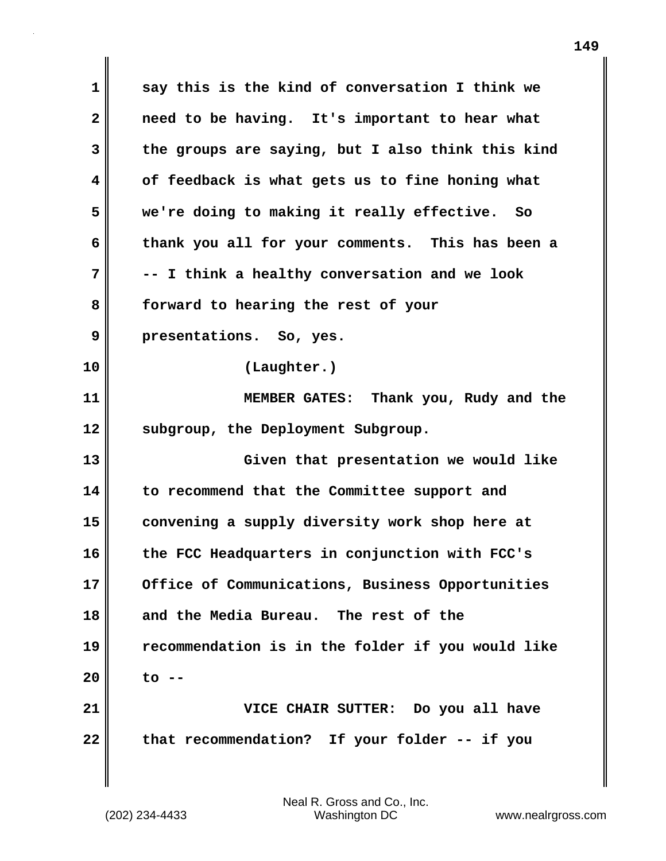**1 say this is the kind of conversation I think we 2 need to be having. It's important to hear what 3 the groups are saying, but I also think this kind 4 of feedback is what gets us to fine honing what 5 we're doing to making it really effective. So 6 thank you all for your comments. This has been a 7 -- I think a healthy conversation and we look 8 forward to hearing the rest of your 9 presentations. So, yes. 10 (Laughter.) 11 MEMBER GATES: Thank you, Rudy and the 12 subgroup, the Deployment Subgroup. 13 Given that presentation we would like 14 to recommend that the Committee support and 15 convening a supply diversity work shop here at 16 the FCC Headquarters in conjunction with FCC's 17 Office of Communications, Business Opportunities 18 and the Media Bureau. The rest of the 19 recommendation is in the folder if you would like 20 to -- 21 VICE CHAIR SUTTER: Do you all have 22 that recommendation? If your folder -- if you**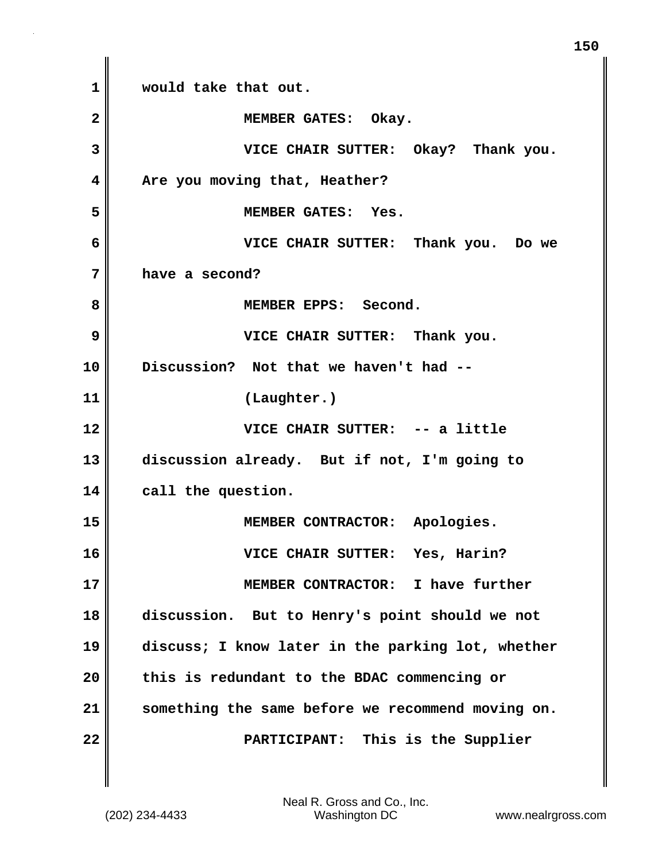**1 would take that out.** 2 **MEMBER GATES: Okay. 3 VICE CHAIR SUTTER: Okay? Thank you. 4 Are you moving that, Heather? 5 MEMBER GATES: Yes. 6 VICE CHAIR SUTTER: Thank you. Do we 7 have a second?** 8 || **MEMBER EPPS: Second. 9 VICE CHAIR SUTTER: Thank you. 10 Discussion? Not that we haven't had -- 11 (Laughter.) 12 VICE CHAIR SUTTER: -- a little 13 discussion already. But if not, I'm going to 14 call the question. 15 MEMBER CONTRACTOR: Apologies. 16 VICE CHAIR SUTTER: Yes, Harin? 17 MEMBER CONTRACTOR: I have further 18 discussion. But to Henry's point should we not 19 discuss; I know later in the parking lot, whether 20 this is redundant to the BDAC commencing or 21 something the same before we recommend moving on. 22 PARTICIPANT: This is the Supplier**

**150**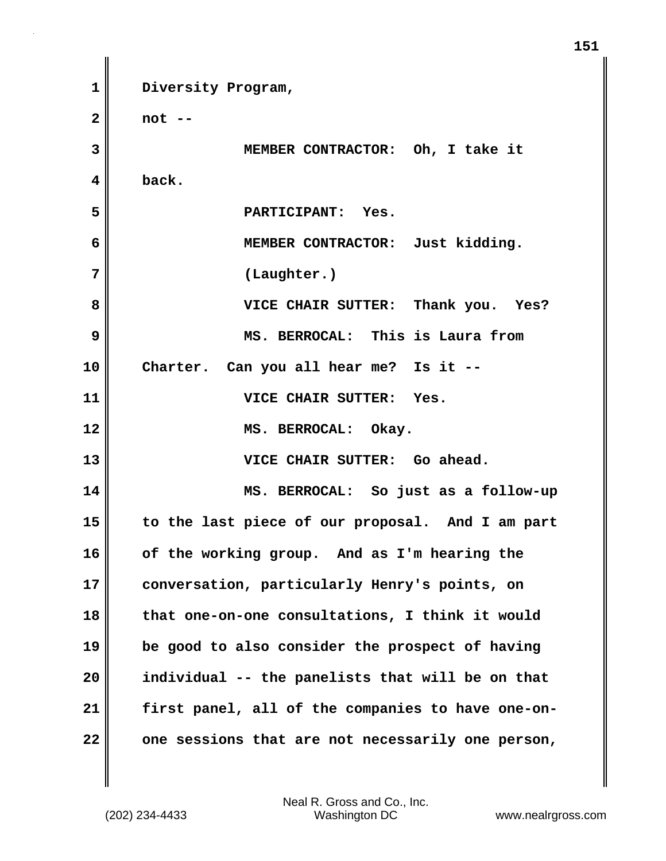**1 Diversity Program, 2 not -- 3 MEMBER CONTRACTOR: Oh, I take it 4 back. 5 PARTICIPANT: Yes. 6 MEMBER CONTRACTOR: Just kidding. 7 (Laughter.) 8 VICE CHAIR SUTTER: Thank you. Yes? 9 MS. BERROCAL: This is Laura from 10 Charter. Can you all hear me? Is it -- 11 VICE CHAIR SUTTER: Yes. 12 MS. BERROCAL: Okay. 13 VICE CHAIR SUTTER: Go ahead. 14 MS. BERROCAL: So just as a follow-up 15 to the last piece of our proposal. And I am part 16 of the working group. And as I'm hearing the 17 conversation, particularly Henry's points, on 18 that one-on-one consultations, I think it would 19 be good to also consider the prospect of having 20 individual -- the panelists that will be on that 21 first panel, all of the companies to have one-on-22 one sessions that are not necessarily one person,**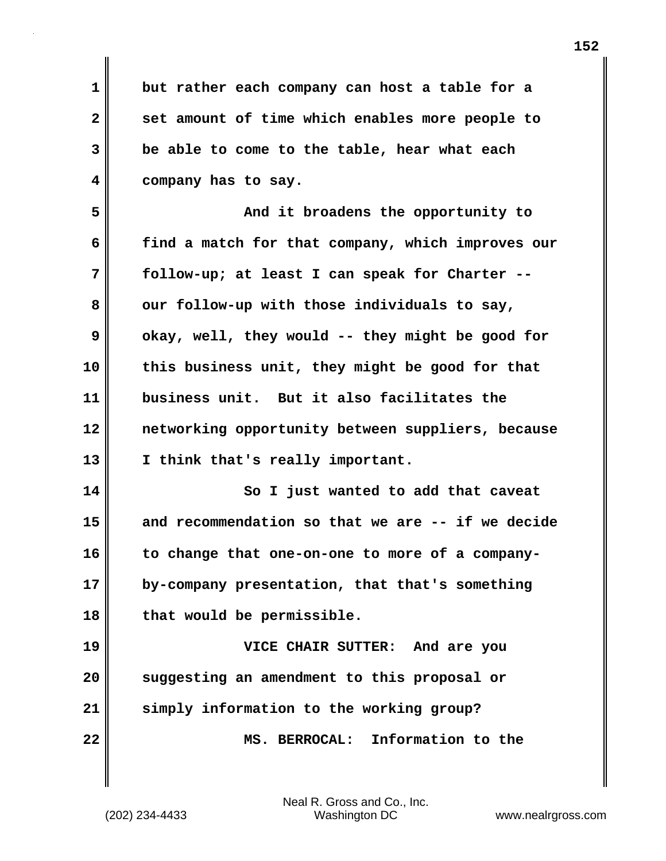**1 but rather each company can host a table for a 2 set amount of time which enables more people to 3 be able to come to the table, hear what each 4 company has to say.**

**5 And it broadens the opportunity to 6 find a match for that company, which improves our 7 follow-up; at least I can speak for Charter --** 8 our follow-up with those individuals to say, **9** okay, well, they would -- they might be good for **10 this business unit, they might be good for that 11 business unit. But it also facilitates the 12 networking opportunity between suppliers, because 13 I think that's really important.** 

**14** So I just wanted to add that caveat **15 and recommendation so that we are -- if we decide 16 to change that one-on-one to more of a company-17 by-company presentation, that that's something 18 that would be permissible.**

**19 VICE CHAIR SUTTER: And are you 20 suggesting an amendment to this proposal or 21 simply information to the working group? 22 MS. BERROCAL: Information to the**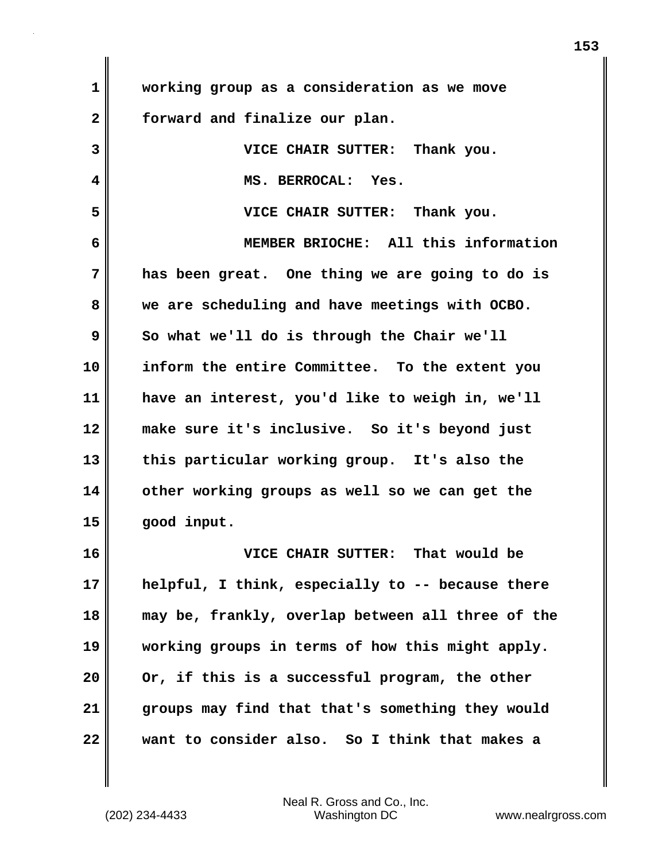| $\mathbf{1}$ | working group as a consideration as we move       |
|--------------|---------------------------------------------------|
| $\mathbf{2}$ | forward and finalize our plan.                    |
| 3            | VICE CHAIR SUTTER: Thank you.                     |
| 4            | MS. BERROCAL: Yes.                                |
| 5            | VICE CHAIR SUTTER: Thank you.                     |
| 6            | MEMBER BRIOCHE: All this information              |
| 7            | has been great. One thing we are going to do is   |
| 8            | we are scheduling and have meetings with OCBO.    |
| 9            | So what we'll do is through the Chair we'll       |
| 10           | inform the entire Committee. To the extent you    |
| 11           | have an interest, you'd like to weigh in, we'll   |
| 12           | make sure it's inclusive. So it's beyond just     |
| 13           | this particular working group. It's also the      |
| 14           | other working groups as well so we can get the    |
| 15           | good input.                                       |
| 16           | VICE CHAIR SUTTER: That would be                  |
| 17           | helpful, I think, especially to -- because there  |
| 18           | may be, frankly, overlap between all three of the |
| 19           | working groups in terms of how this might apply.  |
| 20           | Or, if this is a successful program, the other    |
| 21           | groups may find that that's something they would  |
| 22           | want to consider also. So I think that makes a    |

Neal R. Gross and Co., Inc.

(202) 234-4433 Washington DC www.nealrgross.com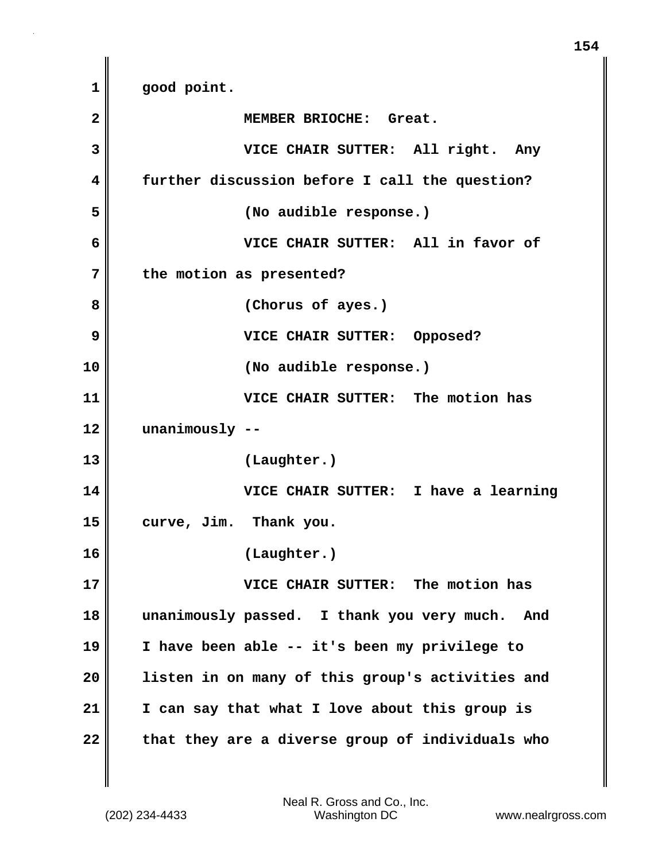**1 good point. 2 MEMBER BRIOCHE: Great. 3 VICE CHAIR SUTTER: All right. Any 4 further discussion before I call the question? 5 (No audible response.) 6 VICE CHAIR SUTTER: All in favor of 7 the motion as presented? 8 (Chorus of ayes.) 9** VICE CHAIR SUTTER: Opposed? **10 (No audible response.) 11 VICE CHAIR SUTTER: The motion has 12 unanimously -- 13 (Laughter.) 14 VICE CHAIR SUTTER: I have a learning 15 curve, Jim. Thank you. 16 (Laughter.) 17 VICE CHAIR SUTTER: The motion has 18 unanimously passed. I thank you very much. And 19 I have been able -- it's been my privilege to 20 listen in on many of this group's activities and 21 I can say that what I love about this group is** 22 that they are a diverse group of individuals who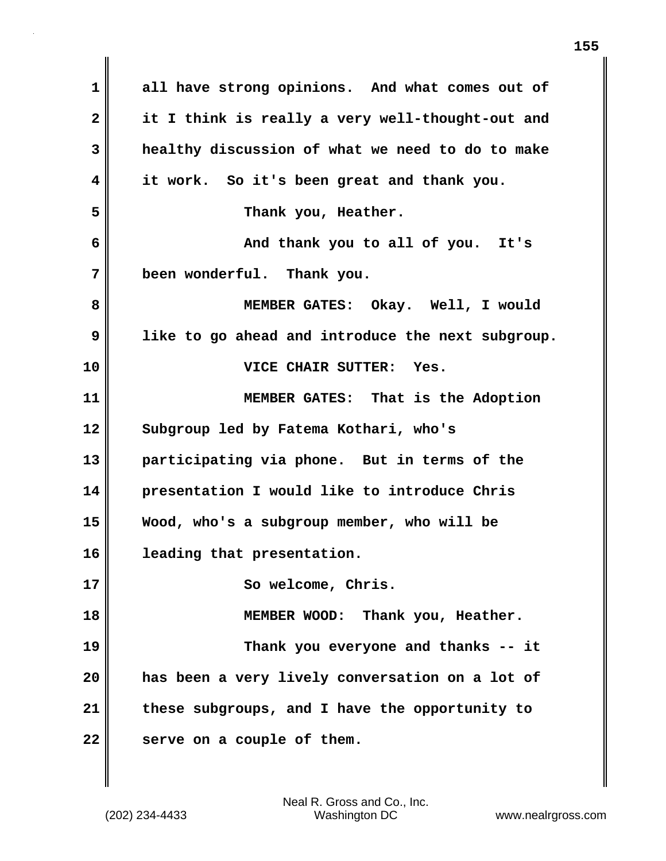| $\mathbf 1$ | all have strong opinions. And what comes out of   |
|-------------|---------------------------------------------------|
| 2           | it I think is really a very well-thought-out and  |
| 3           | healthy discussion of what we need to do to make  |
| 4           | it work. So it's been great and thank you.        |
| 5           | Thank you, Heather.                               |
| 6           | And thank you to all of you. It's                 |
| 7           | been wonderful. Thank you.                        |
| 8           | MEMBER GATES: Okay. Well, I would                 |
| 9           | like to go ahead and introduce the next subgroup. |
| 10          | VICE CHAIR SUTTER: Yes.                           |
| 11          | MEMBER GATES: That is the Adoption                |
| 12          | Subgroup led by Fatema Kothari, who's             |
| 13          | participating via phone. But in terms of the      |
| 14          | presentation I would like to introduce Chris      |
| 15          | Wood, who's a subgroup member, who will be        |
| 16          | leading that presentation.                        |
| 17          | So welcome, Chris.                                |
| 18          | MEMBER WOOD: Thank you, Heather.                  |
| 19          | Thank you everyone and thanks -- it               |
| 20          | has been a very lively conversation on a lot of   |
| 21          | these subgroups, and I have the opportunity to    |
| 22          | serve on a couple of them.                        |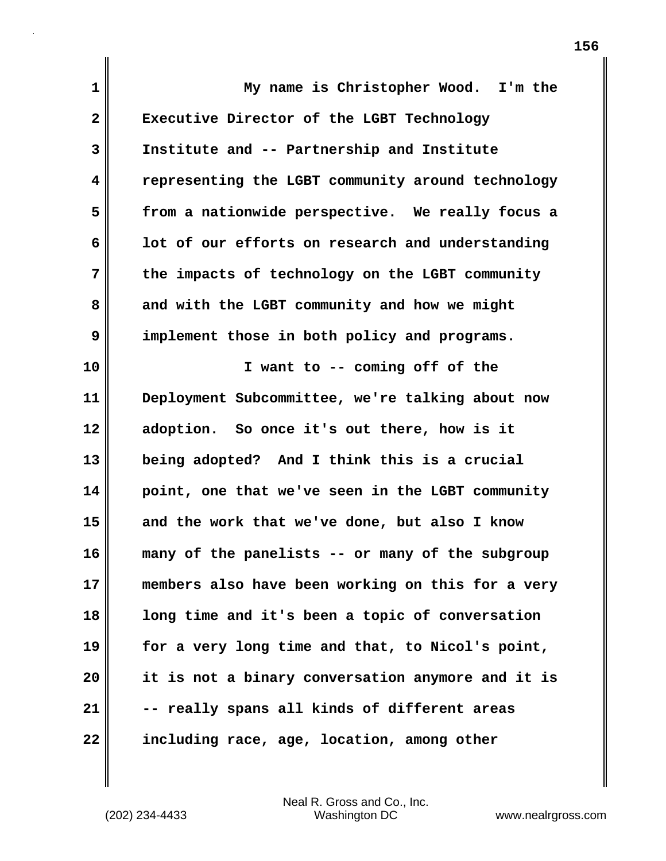| 1                       | My name is Christopher Wood. I'm the              |
|-------------------------|---------------------------------------------------|
| $\overline{\mathbf{2}}$ | Executive Director of the LGBT Technology         |
| 3                       | Institute and -- Partnership and Institute        |
| 4                       | representing the LGBT community around technology |
| 5                       | from a nationwide perspective. We really focus a  |
| 6                       | lot of our efforts on research and understanding  |
| 7                       | the impacts of technology on the LGBT community   |
| 8                       | and with the LGBT community and how we might      |
| 9                       | implement those in both policy and programs.      |
| 10                      | I want to -- coming off of the                    |
| 11                      | Deployment Subcommittee, we're talking about now  |
| 12                      | adoption. So once it's out there, how is it       |
| 13                      | being adopted? And I think this is a crucial      |
| 14                      | point, one that we've seen in the LGBT community  |
| 15                      | and the work that we've done, but also I know     |
| 16                      | many of the panelists -- or many of the subgroup  |
| 17                      | members also have been working on this for a very |
| 18                      | long time and it's been a topic of conversation   |
| 19                      | for a very long time and that, to Nicol's point,  |
| 20                      | it is not a binary conversation anymore and it is |
| 21                      | -- really spans all kinds of different areas      |
| 22                      | including race, age, location, among other        |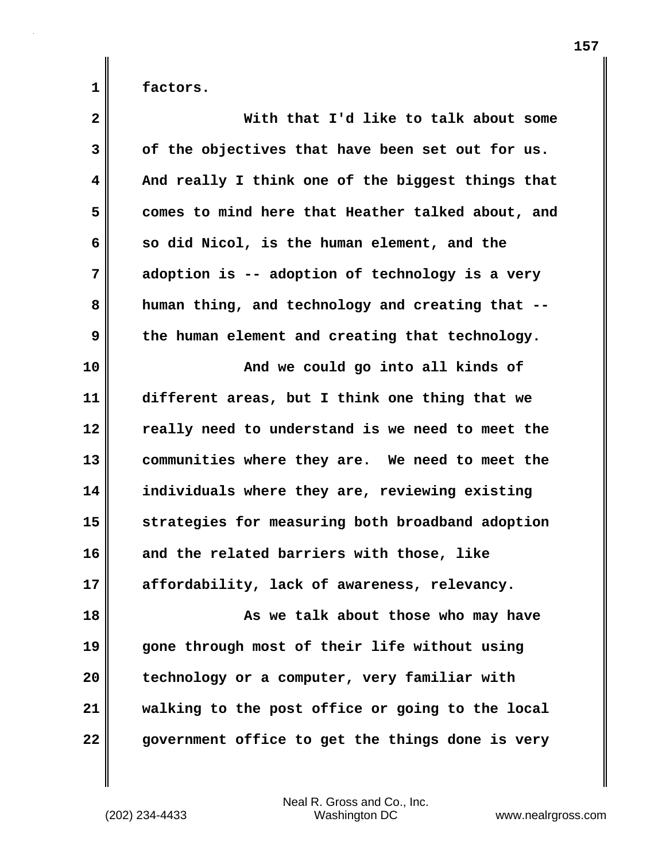**1 factors.**

| $\mathbf{2}$            | With that I'd like to talk about some             |
|-------------------------|---------------------------------------------------|
| $\mathbf{3}$            | of the objectives that have been set out for us.  |
| $\overline{\mathbf{4}}$ | And really I think one of the biggest things that |
| 5                       | comes to mind here that Heather talked about, and |
| 6                       | so did Nicol, is the human element, and the       |
| 7                       | adoption is -- adoption of technology is a very   |
| 8                       | human thing, and technology and creating that --  |
| 9                       | the human element and creating that technology.   |
| 10                      | And we could go into all kinds of                 |
| 11                      | different areas, but I think one thing that we    |
| 12                      | really need to understand is we need to meet the  |
| 13                      | communities where they are. We need to meet the   |
| 14                      | individuals where they are, reviewing existing    |
| 15                      | strategies for measuring both broadband adoption  |
| 16                      | and the related barriers with those, like         |
| 17                      | affordability, lack of awareness, relevancy.      |
| 18                      | As we talk about those who may have               |
| 19                      | gone through most of their life without using     |
| 20                      | technology or a computer, very familiar with      |
| 21                      | walking to the post office or going to the local  |
| 22                      | government office to get the things done is very  |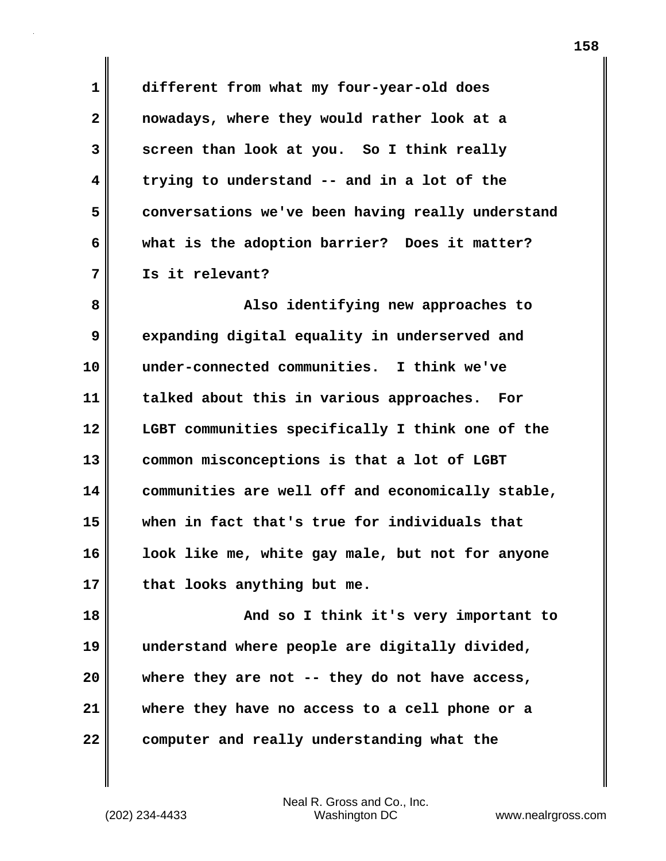**1 different from what my four-year-old does 2 nowadays, where they would rather look at a 3 screen than look at you. So I think really 4 trying to understand -- and in a lot of the 5 conversations we've been having really understand 6 what is the adoption barrier? Does it matter? 7 Is it relevant?** 

**8 Also identifying new approaches to 9 expanding digital equality in underserved and 10 under-connected communities. I think we've 11 talked about this in various approaches. For 12 LGBT communities specifically I think one of the 13 common misconceptions is that a lot of LGBT 14 communities are well off and economically stable, 15 when in fact that's true for individuals that 16 look like me, white gay male, but not for anyone 17 that looks anything but me.**

**18 And so I think it's very important to 19 understand where people are digitally divided, 20 where they are not -- they do not have access, 21 where they have no access to a cell phone or a 22 computer and really understanding what the**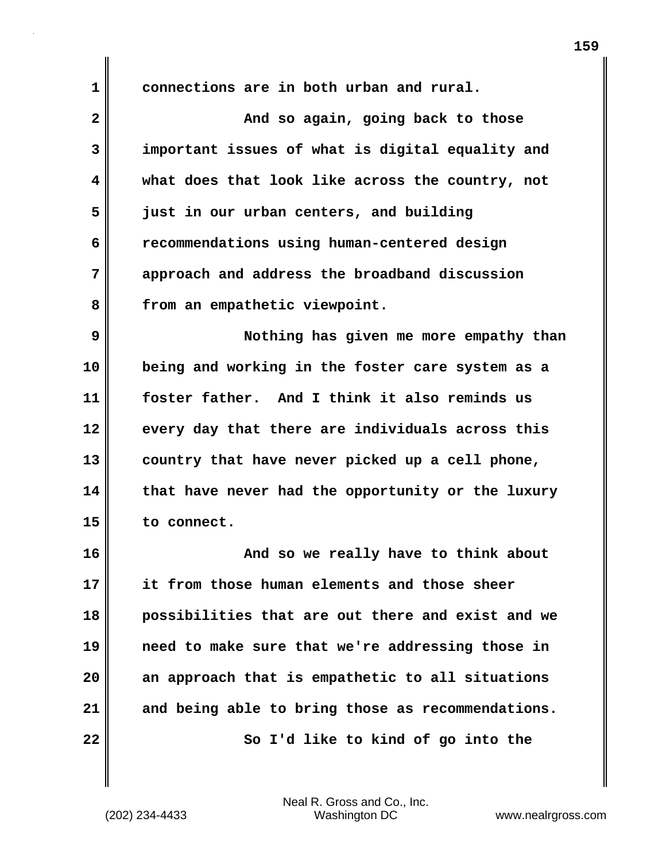**1 connections are in both urban and rural.** 

**2** And so again, going back to those **3 important issues of what is digital equality and 4 what does that look like across the country, not 5 just in our urban centers, and building 6 recommendations using human-centered design 7 approach and address the broadband discussion 8 from an empathetic viewpoint.** 

**9 Nothing has given me more empathy than 10 being and working in the foster care system as a 11 foster father. And I think it also reminds us 12 every day that there are individuals across this 13 country that have never picked up a cell phone, 14 that have never had the opportunity or the luxury 15 to connect.** 

**16 And so we really have to think about 17 it from those human elements and those sheer 18 possibilities that are out there and exist and we 19 need to make sure that we're addressing those in 20 an approach that is empathetic to all situations 21 and being able to bring those as recommendations. 22 So I'd like to kind of go into the**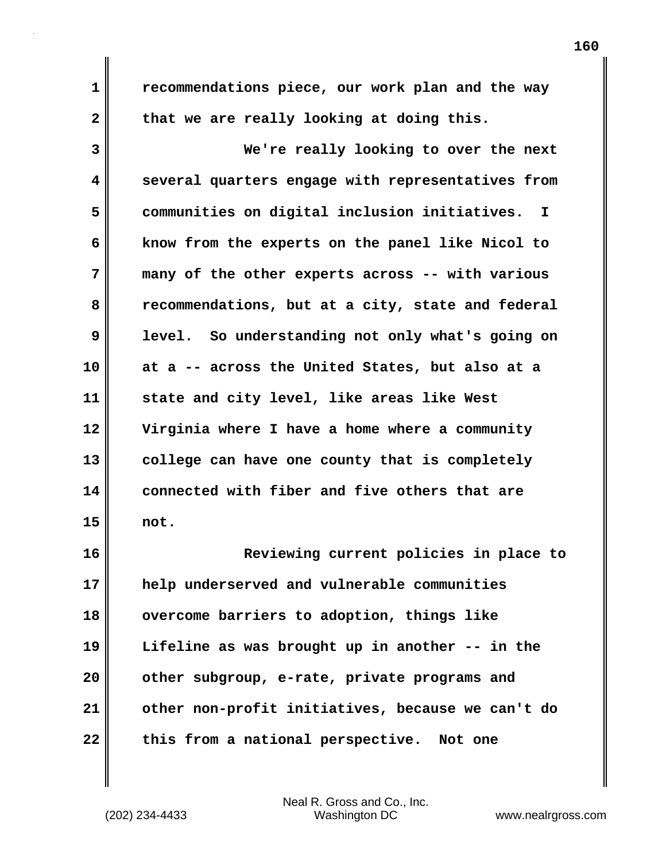**1 recommendations piece, our work plan and the way** 2 that we are really looking at doing this. **3 We're really looking to over the next**

**4 several quarters engage with representatives from 5 communities on digital inclusion initiatives. I 6 know from the experts on the panel like Nicol to 7 many of the other experts across -- with various 8 recommendations, but at a city, state and federal 9 level. So understanding not only what's going on 10 at a -- across the United States, but also at a 11 state and city level, like areas like West 12 Virginia where I have a home where a community 13 college can have one county that is completely 14 connected with fiber and five others that are 15 not.**

**16 Reviewing current policies in place to 17 help underserved and vulnerable communities 18 overcome barriers to adoption, things like 19 Lifeline as was brought up in another -- in the 20 other subgroup, e-rate, private programs and 21 other non-profit initiatives, because we can't do 22 this from a national perspective. Not one**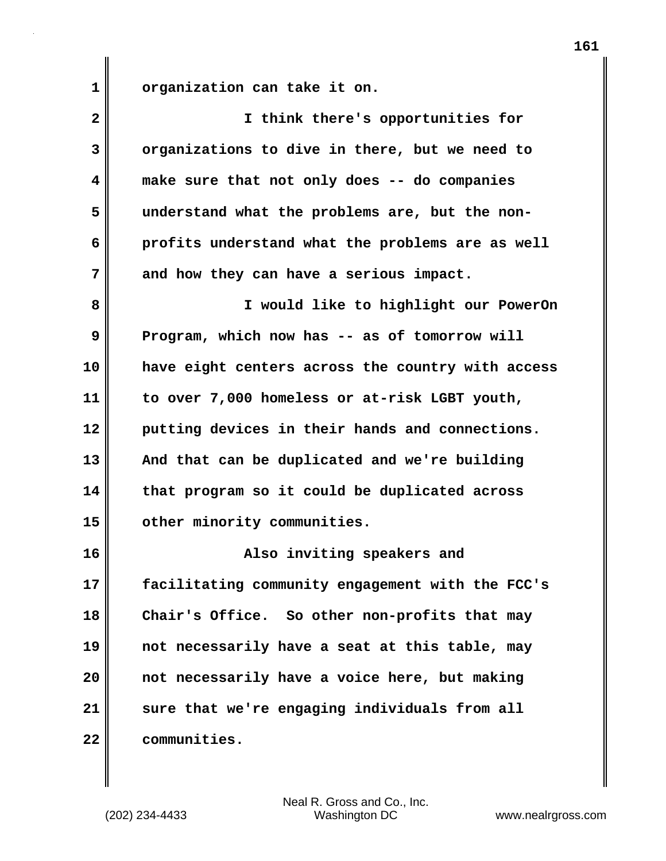**1 organization can take it on.** 

| $\mathbf{2}$ | I think there's opportunities for                 |
|--------------|---------------------------------------------------|
| 3            | organizations to dive in there, but we need to    |
| 4            | make sure that not only does -- do companies      |
| 5            | understand what the problems are, but the non-    |
| 6            | profits understand what the problems are as well  |
| 7            | and how they can have a serious impact.           |
| 8            | I would like to highlight our PowerOn             |
| 9            | Program, which now has -- as of tomorrow will     |
| 10           | have eight centers across the country with access |
| 11           | to over 7,000 homeless or at-risk LGBT youth,     |
| 12           | putting devices in their hands and connections.   |
| 13           | And that can be duplicated and we're building     |
| 14           | that program so it could be duplicated across     |
| 15           | other minority communities.                       |
| 16           | Also inviting speakers and                        |
| 17           | facilitating community engagement with the FCC's  |
| 18           | Chair's Office. So other non-profits that may     |
| 19           | not necessarily have a seat at this table, may    |
| 20           | not necessarily have a voice here, but making     |
| 21           | sure that we're engaging individuals from all     |
| 22           | communities.                                      |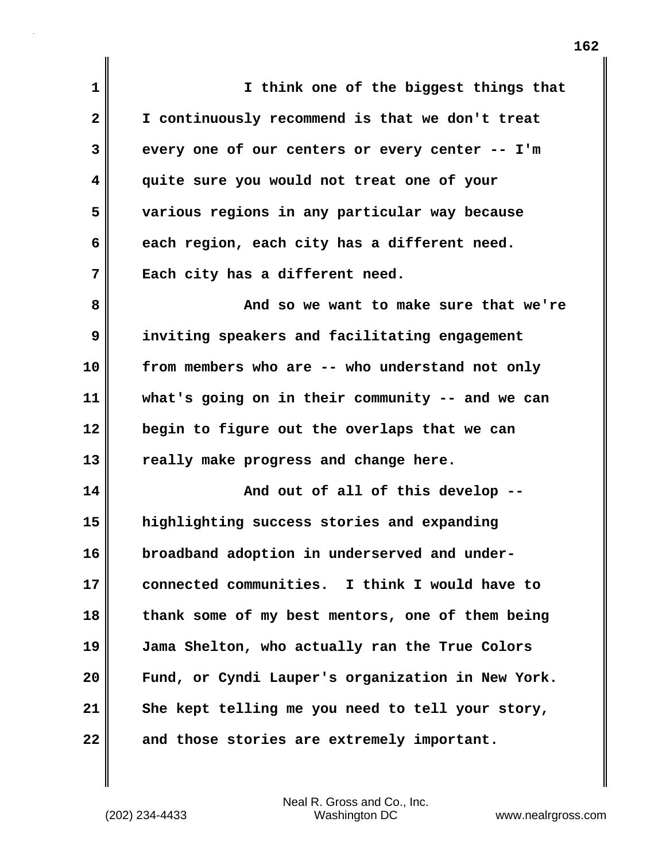**1 I think one of the biggest things that 2 I continuously recommend is that we don't treat 3 every one of our centers or every center -- I'm 4 quite sure you would not treat one of your 5 various regions in any particular way because 6 each region, each city has a different need. 7 Each city has a different need. 8 And so we want to make sure that we're 9 inviting speakers and facilitating engagement 10 from members who are -- who understand not only 11 what's going on in their community -- and we can 12 begin to figure out the overlaps that we can 13 really make progress and change here. 14 And out of all of this develop --15 highlighting success stories and expanding 16 broadband adoption in underserved and under-17 connected communities. I think I would have to 18 thank some of my best mentors, one of them being 19 Jama Shelton, who actually ran the True Colors 20 Fund, or Cyndi Lauper's organization in New York. 21 She kept telling me you need to tell your story, 22 and those stories are extremely important.**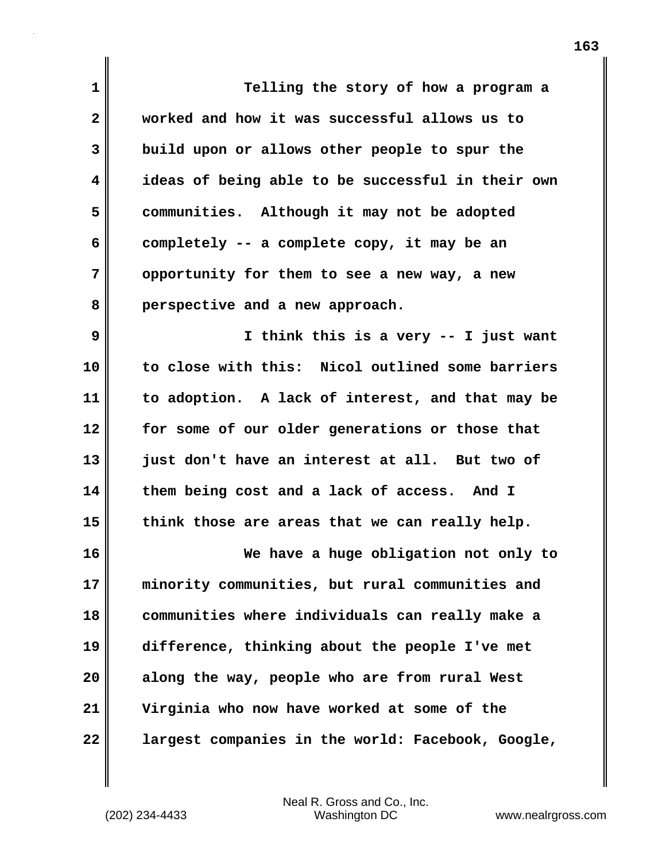**1 Telling the story of how a program a 2 worked and how it was successful allows us to 3 build upon or allows other people to spur the 4 ideas of being able to be successful in their own 5 communities. Although it may not be adopted 6 completely -- a complete copy, it may be an 7 opportunity for them to see a new way, a new 8 perspective and a new approach. 9 I think this is a very -- I just want 10 to close with this: Nicol outlined some barriers 11 to adoption. A lack of interest, and that may be**

**12 for some of our older generations or those that 13 just don't have an interest at all. But two of 14 them being cost and a lack of access. And I 15 think those are areas that we can really help.**

**16 We have a huge obligation not only to 17 minority communities, but rural communities and 18 communities where individuals can really make a 19 difference, thinking about the people I've met 20 along the way, people who are from rural West 21 Virginia who now have worked at some of the 22 largest companies in the world: Facebook, Google,**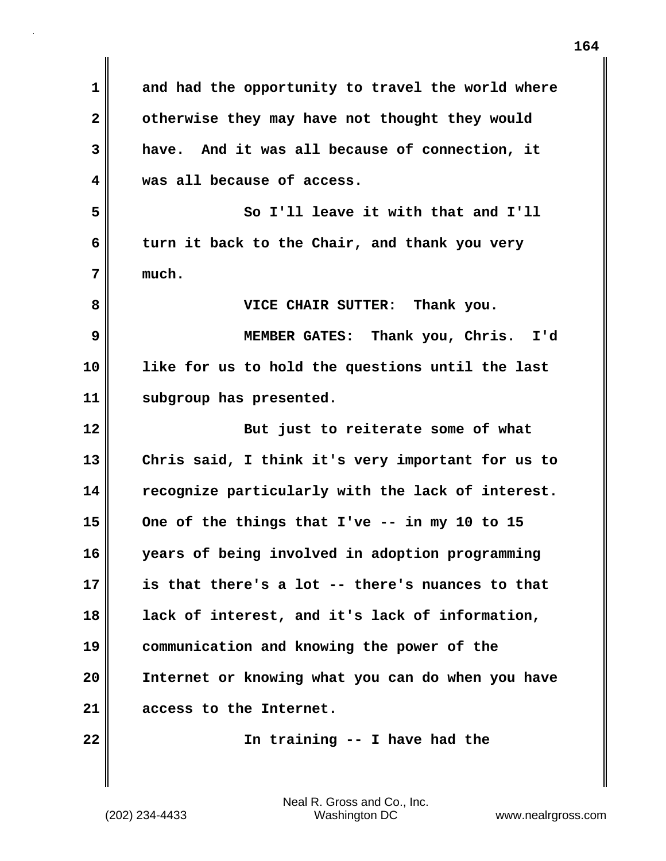| 1                       | and had the opportunity to travel the world where |
|-------------------------|---------------------------------------------------|
| $\overline{\mathbf{2}}$ | otherwise they may have not thought they would    |
| 3                       | have. And it was all because of connection, it    |
| 4                       | was all because of access.                        |
| 5                       | So I'll leave it with that and I'll               |
| 6                       | turn it back to the Chair, and thank you very     |
| 7                       | much.                                             |
| 8                       | VICE CHAIR SUTTER: Thank you.                     |
| 9                       | MEMBER GATES: Thank you, Chris. I'd               |
| 10                      | like for us to hold the questions until the last  |
| 11                      | subgroup has presented.                           |
| 12                      | But just to reiterate some of what                |
|                         |                                                   |
| 13                      | Chris said, I think it's very important for us to |
| 14                      | recognize particularly with the lack of interest. |
| 15                      | One of the things that $I'$ ve -- in my 10 to 15  |
| 16                      | years of being involved in adoption programming   |
| 17                      | is that there's a lot -- there's nuances to that  |
| 18                      | lack of interest, and it's lack of information,   |
| 19                      | communication and knowing the power of the        |
| 20                      | Internet or knowing what you can do when you have |
| 21                      | access to the Internet.                           |

 $\mathbf{I}$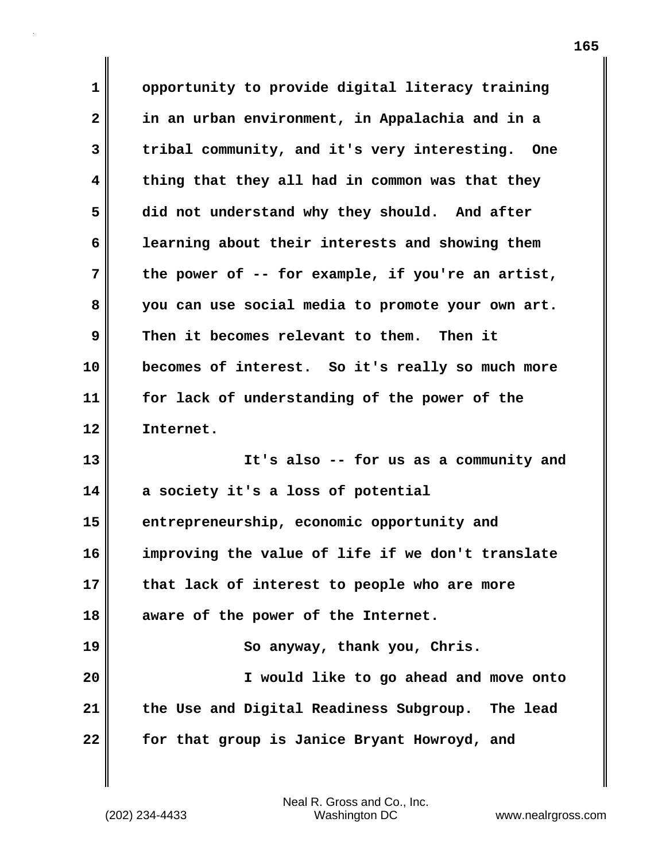**1 opportunity to provide digital literacy training 2 in an urban environment, in Appalachia and in a 3 tribal community, and it's very interesting. One 4 thing that they all had in common was that they 5 did not understand why they should. And after 6 learning about their interests and showing them 7 the power of -- for example, if you're an artist, 8 you can use social media to promote your own art. 9 Then it becomes relevant to them. Then it 10 becomes of interest. So it's really so much more 11 for lack of understanding of the power of the 12 Internet. 13 It's also -- for us as a community and 14 a society it's a loss of potential 15 entrepreneurship, economic opportunity and 16 improving the value of life if we don't translate 17 that lack of interest to people who are more 18 aware of the power of the Internet. 19 So anyway, thank you, Chris. 20 I would like to go ahead and move onto 21 the Use and Digital Readiness Subgroup. The lead 22 for that group is Janice Bryant Howroyd, and**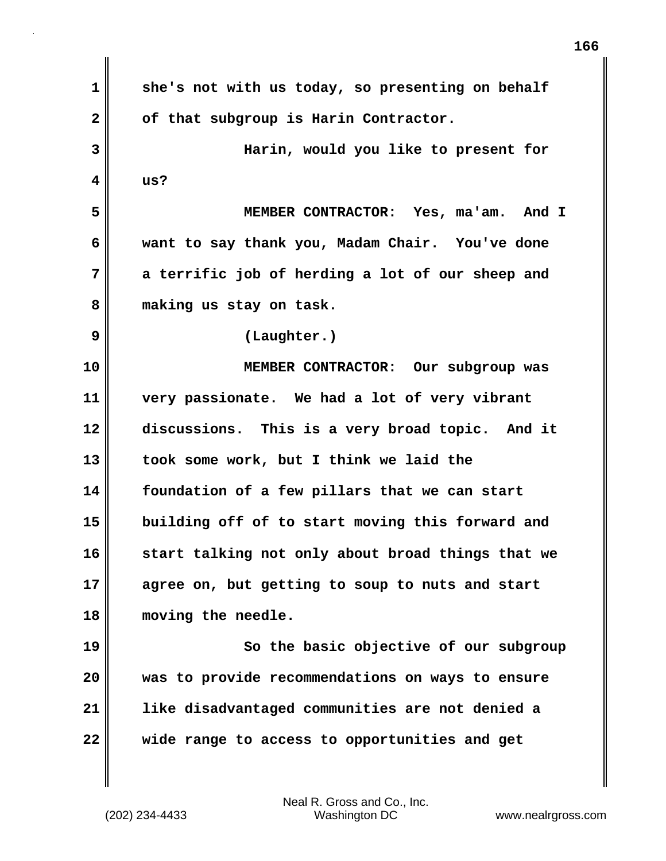**1 she's not with us today, so presenting on behalf 2 of that subgroup is Harin Contractor. 3 Harin, would you like to present for 4 us? 5 MEMBER CONTRACTOR: Yes, ma'am. And I 6 want to say thank you, Madam Chair. You've done 7 a terrific job of herding a lot of our sheep and 8 making us stay on task. 9 (Laughter.) 10 MEMBER CONTRACTOR: Our subgroup was 11 very passionate. We had a lot of very vibrant 12 discussions. This is a very broad topic. And it 13 took some work, but I think we laid the 14 foundation of a few pillars that we can start 15 building off of to start moving this forward and 16 start talking not only about broad things that we 17 agree on, but getting to soup to nuts and start 18 moving the needle. 19** So the basic objective of our subgroup **20 was to provide recommendations on ways to ensure 21 like disadvantaged communities are not denied a 22 wide range to access to opportunities and get**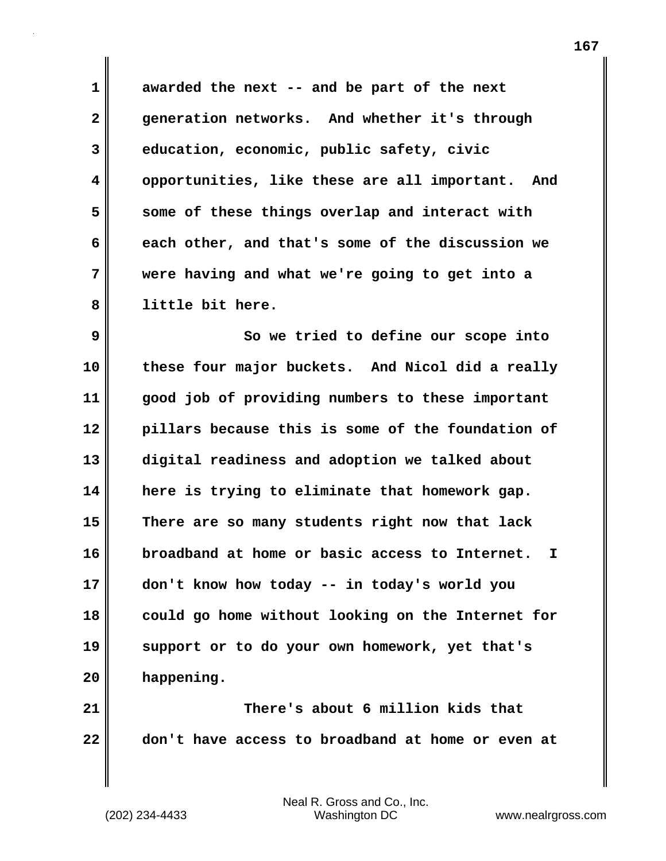**1 awarded the next -- and be part of the next 2 generation networks. And whether it's through 3 education, economic, public safety, civic 4 opportunities, like these are all important. And 5 some of these things overlap and interact with 6 each other, and that's some of the discussion we 7 were having and what we're going to get into a 8 little bit here.** 

**9 So we tried to define our scope into 10 these four major buckets. And Nicol did a really 11 good job of providing numbers to these important 12 pillars because this is some of the foundation of 13 digital readiness and adoption we talked about 14 here is trying to eliminate that homework gap. 15 There are so many students right now that lack 16 broadband at home or basic access to Internet. I 17 don't know how today -- in today's world you 18 could go home without looking on the Internet for 19 support or to do your own homework, yet that's 20 happening.** 

**21 There's about 6 million kids that 22 don't have access to broadband at home or even at**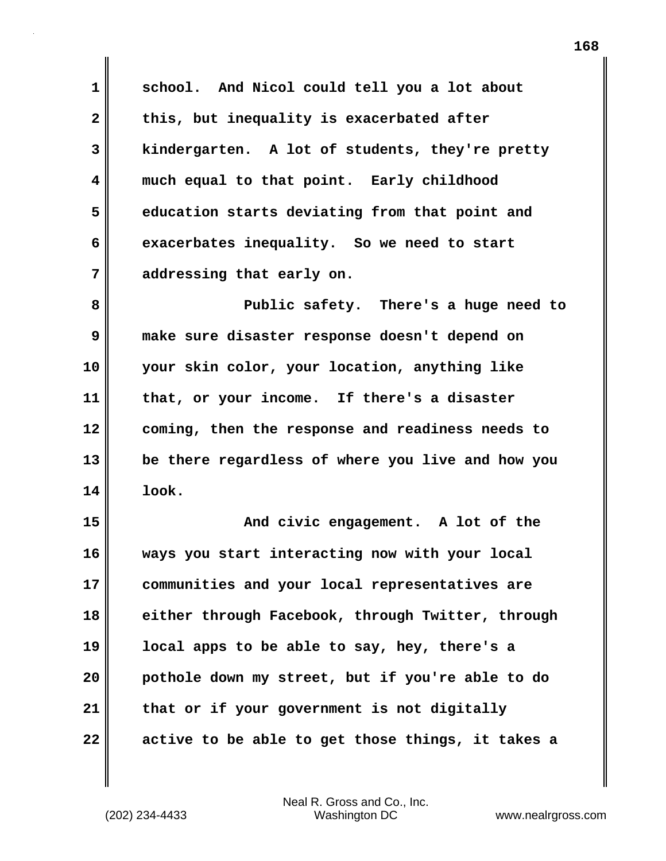**1 school. And Nicol could tell you a lot about** 2 this, but inequality is exacerbated after **3 kindergarten. A lot of students, they're pretty 4 much equal to that point. Early childhood 5 education starts deviating from that point and 6 exacerbates inequality. So we need to start 7 addressing that early on.**

**8 Public safety. There's a huge need to 9 make sure disaster response doesn't depend on 10 your skin color, your location, anything like 11 that, or your income. If there's a disaster 12 coming, then the response and readiness needs to 13 be there regardless of where you live and how you 14 look.**

**15 And civic engagement. A lot of the 16 ways you start interacting now with your local 17 communities and your local representatives are 18 either through Facebook, through Twitter, through 19 local apps to be able to say, hey, there's a 20 pothole down my street, but if you're able to do 21 that or if your government is not digitally 22 active to be able to get those things, it takes a**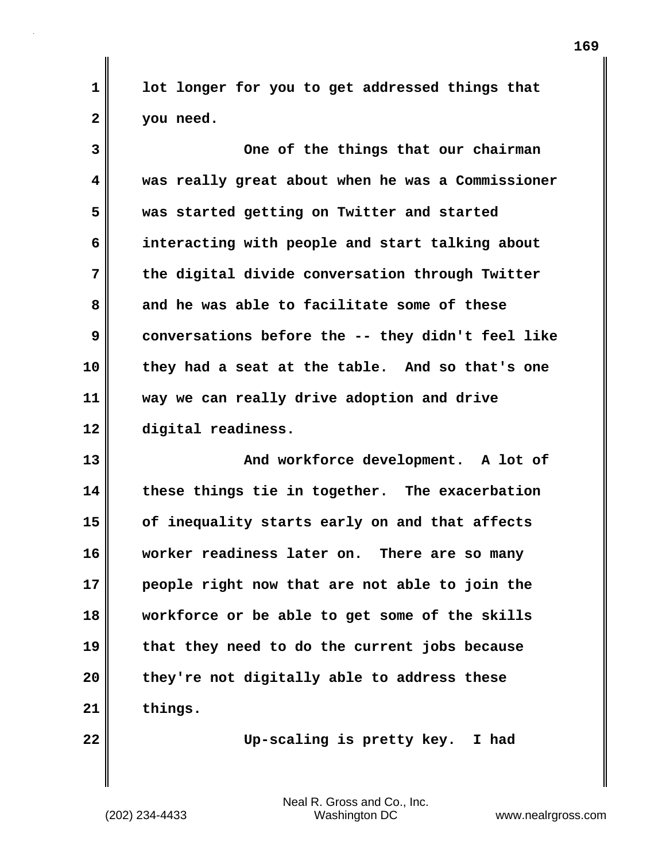**1 lot longer for you to get addressed things that 2 you need.**

**3 One of the things that our chairman 4 was really great about when he was a Commissioner 5 was started getting on Twitter and started 6 interacting with people and start talking about 7 the digital divide conversation through Twitter 8 and he was able to facilitate some of these 9 conversations before the -- they didn't feel like 10 they had a seat at the table. And so that's one 11 way we can really drive adoption and drive 12 digital readiness.** 

13 And workforce development. A lot of **14 these things tie in together. The exacerbation 15 of inequality starts early on and that affects 16 worker readiness later on. There are so many 17 people right now that are not able to join the 18 workforce or be able to get some of the skills 19 that they need to do the current jobs because 20 they're not digitally able to address these 21 things.** 

**22 Up-scaling is pretty key. I had**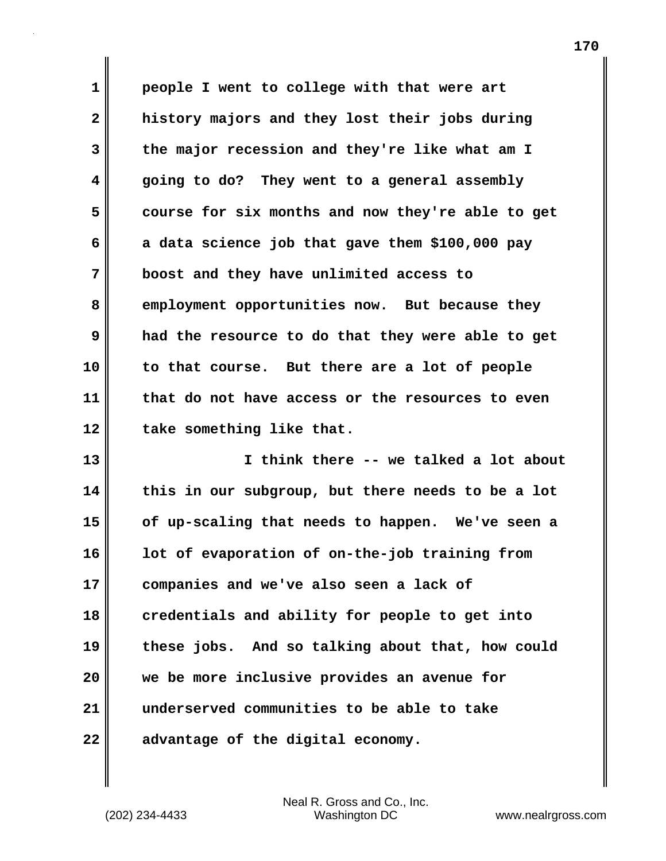**1 people I went to college with that were art 2 history majors and they lost their jobs during 3 the major recession and they're like what am I 4 going to do? They went to a general assembly 5 course for six months and now they're able to get 6 a data science job that gave them \$100,000 pay 7 boost and they have unlimited access to 8 employment opportunities now. But because they 9 had the resource to do that they were able to get 10 to that course. But there are a lot of people 11 that do not have access or the resources to even 12 take something like that.**

**13 I think there -- we talked a lot about 14 this in our subgroup, but there needs to be a lot 15 of up-scaling that needs to happen. We've seen a 16 lot of evaporation of on-the-job training from 17 companies and we've also seen a lack of 18 credentials and ability for people to get into 19 these jobs. And so talking about that, how could 20 we be more inclusive provides an avenue for 21 underserved communities to be able to take 22 advantage of the digital economy.**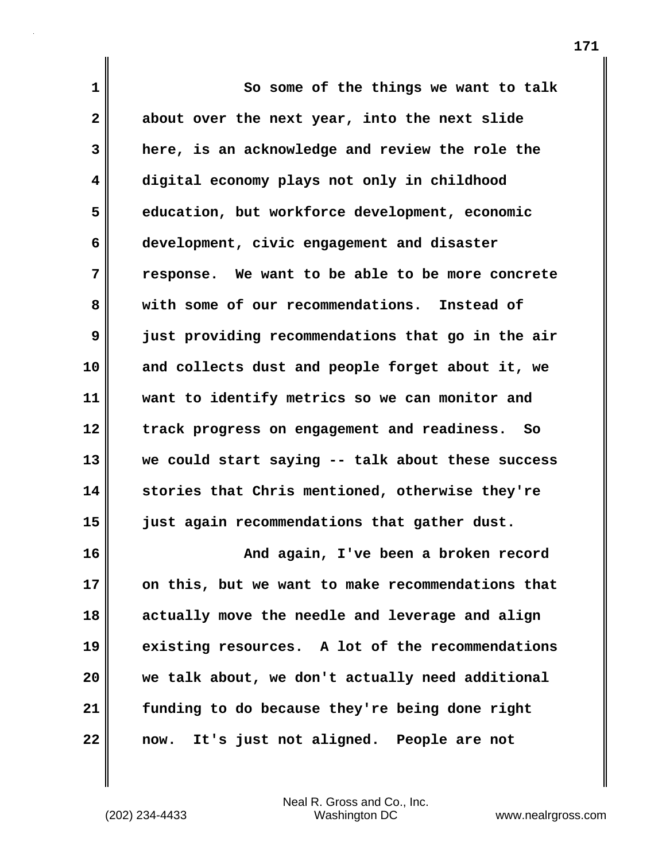| $\mathbf 1$  | So some of the things we want to talk               |
|--------------|-----------------------------------------------------|
| $\mathbf{2}$ | about over the next year, into the next slide       |
| 3            | here, is an acknowledge and review the role the     |
| 4            | digital economy plays not only in childhood         |
| 5            | education, but workforce development, economic      |
| 6            | development, civic engagement and disaster          |
| 7            | response. We want to be able to be more concrete    |
| 8            | with some of our recommendations. Instead of        |
| 9            | just providing recommendations that go in the air   |
| 10           | and collects dust and people forget about it, we    |
| 11           | want to identify metrics so we can monitor and      |
| 12           | track progress on engagement and readiness.<br>- So |
| 13           | we could start saying -- talk about these success   |
| 14           | stories that Chris mentioned, otherwise they're     |
| 15           | just again recommendations that gather dust.        |
| 16           | And again, I've been a broken record                |
| 17           | on this, but we want to make recommendations that   |
| 18           | actually move the needle and leverage and align     |
| 19           | existing resources. A lot of the recommendations    |
| 20           | we talk about, we don't actually need additional    |
| 21           | funding to do because they're being done right      |
| 22           | It's just not aligned. People are not<br>now.       |

(202) 234-4433 Washington DC www.nealrgross.com Neal R. Gross and Co., Inc.

 $\mathsf{l}$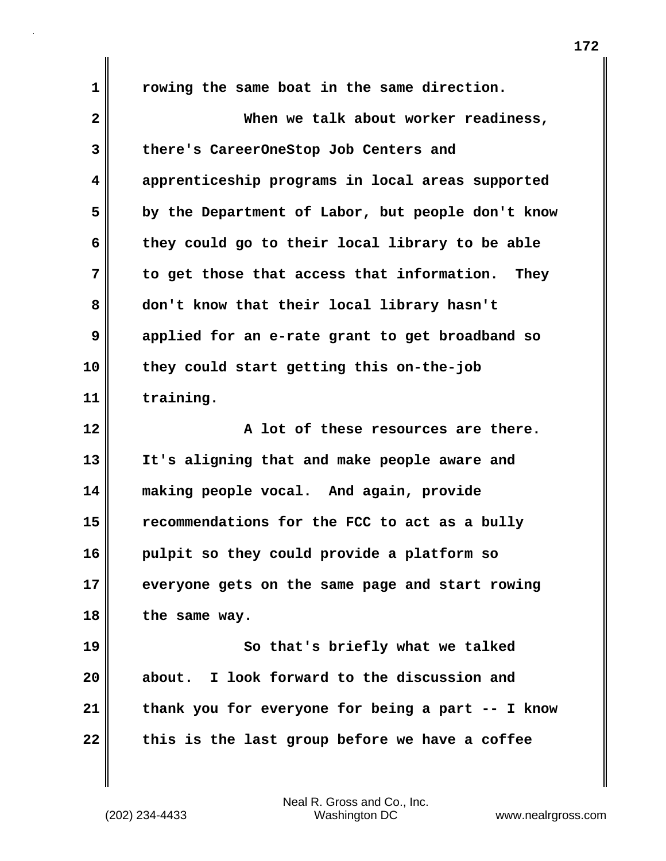**1 rowing the same boat in the same direction. 2 When we talk about worker readiness, 3 there's CareerOneStop Job Centers and 4 apprenticeship programs in local areas supported 5 by the Department of Labor, but people don't know 6 they could go to their local library to be able 7 to get those that access that information. They 8 don't know that their local library hasn't 9 applied for an e-rate grant to get broadband so 10 they could start getting this on-the-job 11 training. 12 A lot of these resources are there. 13 It's aligning that and make people aware and 14 making people vocal. And again, provide 15 recommendations for the FCC to act as a bully 16 pulpit so they could provide a platform so 17 everyone gets on the same page and start rowing 18 the same way. 19** So that's briefly what we talked **20 about. I look forward to the discussion and 21 thank you for everyone for being a part -- I know 22 this is the last group before we have a coffee**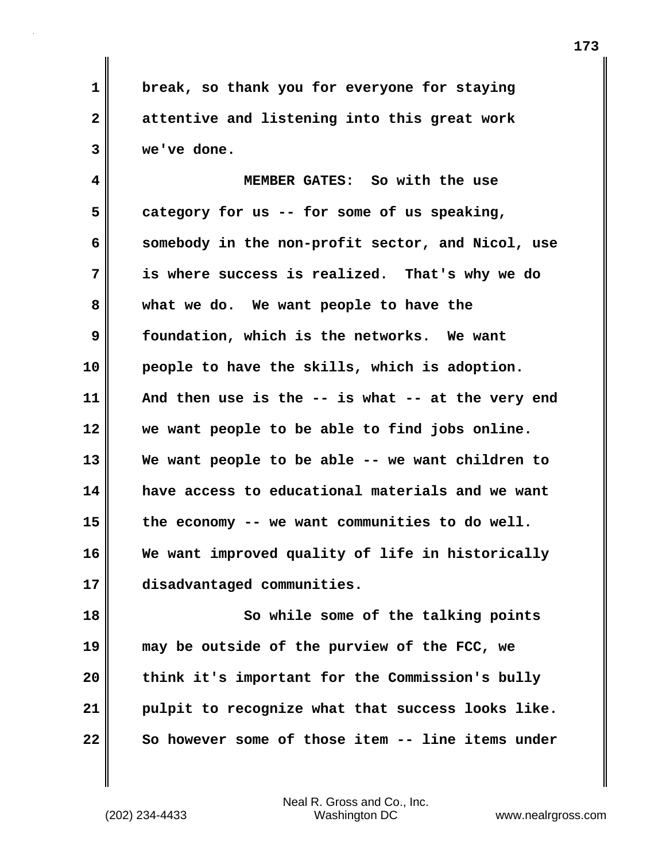**1 break, so thank you for everyone for staying 2 attentive and listening into this great work 3 we've done.**

**4 MEMBER GATES: So with the use 5 category for us -- for some of us speaking, 6 somebody in the non-profit sector, and Nicol, use 7 is where success is realized. That's why we do 8 what we do. We want people to have the 9 foundation, which is the networks. We want 10 people to have the skills, which is adoption. 11 And then use is the -- is what -- at the very end 12 we want people to be able to find jobs online. 13 We want people to be able -- we want children to 14 have access to educational materials and we want 15 the economy -- we want communities to do well. 16 We want improved quality of life in historically 17 disadvantaged communities.**

**18 So while some of the talking points 19 may be outside of the purview of the FCC, we 20 think it's important for the Commission's bully 21 pulpit to recognize what that success looks like. 22 So however some of those item -- line items under**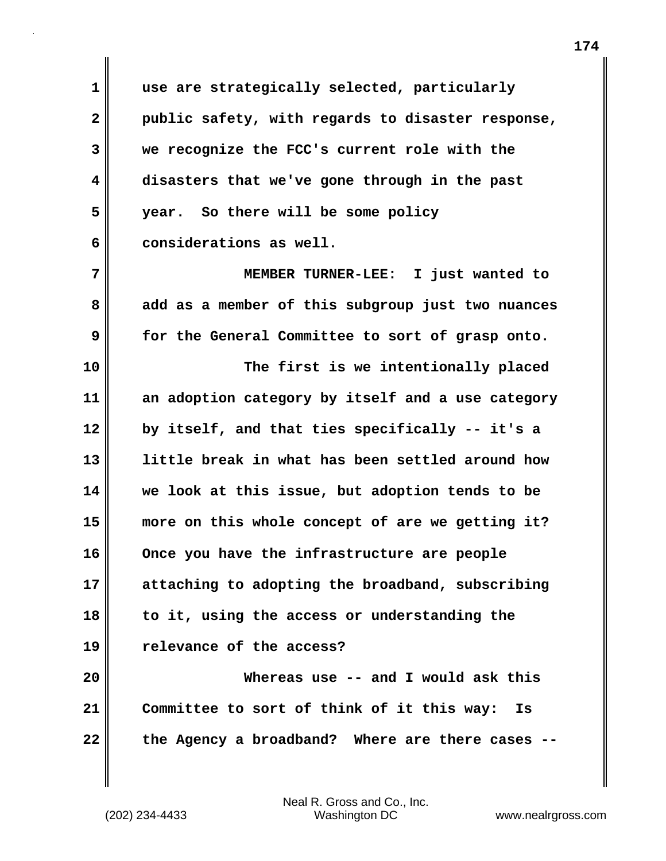**1 use are strategically selected, particularly 2 public safety, with regards to disaster response, 3 we recognize the FCC's current role with the 4 disasters that we've gone through in the past 5 year. So there will be some policy 6 considerations as well.**

**7 MEMBER TURNER-LEE: I just wanted to 8 add as a member of this subgroup just two nuances 9 for the General Committee to sort of grasp onto.** 

**10 The first is we intentionally placed 11 an adoption category by itself and a use category 12 by itself, and that ties specifically -- it's a 13 little break in what has been settled around how 14 we look at this issue, but adoption tends to be 15 more on this whole concept of are we getting it? 16 Once you have the infrastructure are people 17 attaching to adopting the broadband, subscribing 18 to it, using the access or understanding the 19 relevance of the access?** 

**20 Whereas use -- and I would ask this 21 Committee to sort of think of it this way: Is 22 the Agency a broadband? Where are there cases --**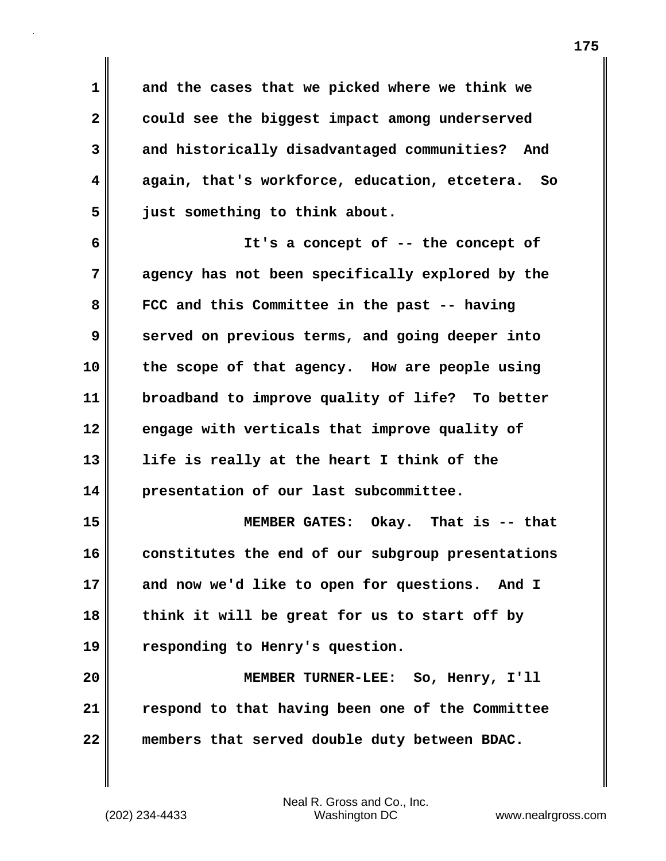**1 and the cases that we picked where we think we 2 could see the biggest impact among underserved 3 and historically disadvantaged communities? And 4 again, that's workforce, education, etcetera. So 5 just something to think about.** 

**6 It's a concept of -- the concept of 7 agency has not been specifically explored by the 8 FCC and this Committee in the past -- having 9** served on previous terms, and going deeper into **10 the scope of that agency. How are people using 11 broadband to improve quality of life? To better 12 engage with verticals that improve quality of 13 life is really at the heart I think of the 14 presentation of our last subcommittee.** 

**15 MEMBER GATES: Okay. That is -- that 16 constitutes the end of our subgroup presentations 17 and now we'd like to open for questions. And I 18 think it will be great for us to start off by 19 responding to Henry's question.**

**20 MEMBER TURNER-LEE: So, Henry, I'll 21 respond to that having been one of the Committee 22 members that served double duty between BDAC.**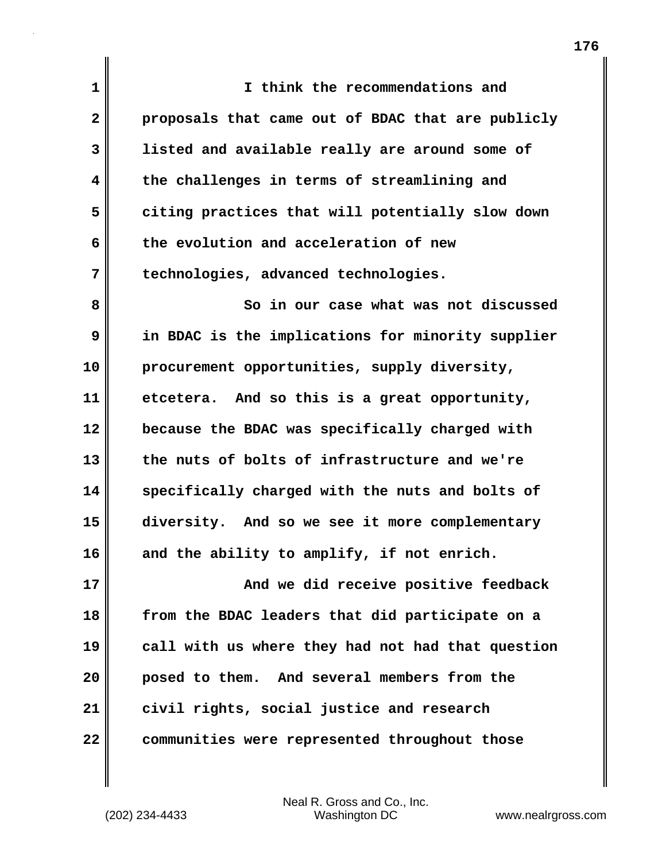| 1            | I think the recommendations and                   |
|--------------|---------------------------------------------------|
| $\mathbf{2}$ | proposals that came out of BDAC that are publicly |
| 3            | listed and available really are around some of    |
| 4            | the challenges in terms of streamlining and       |
| 5            | citing practices that will potentially slow down  |
| 6            | the evolution and acceleration of new             |
| 7            | technologies, advanced technologies.              |
| 8            | So in our case what was not discussed             |
| 9            | in BDAC is the implications for minority supplier |
| 10           | procurement opportunities, supply diversity,      |
| 11           | etcetera. And so this is a great opportunity,     |
| 12           | because the BDAC was specifically charged with    |
| 13           | the nuts of bolts of infrastructure and we're     |
| 14           | specifically charged with the nuts and bolts of   |
| 15           | diversity. And so we see it more complementary    |
| 16           | and the ability to amplify, if not enrich.        |
| 17           | And we did receive positive feedback              |
| 18           | from the BDAC leaders that did participate on a   |
| 19           | call with us where they had not had that question |
| 20           | posed to them. And several members from the       |
| 21           | civil rights, social justice and research         |
| 22           | communities were represented throughout those     |

 $\mathbf{I}$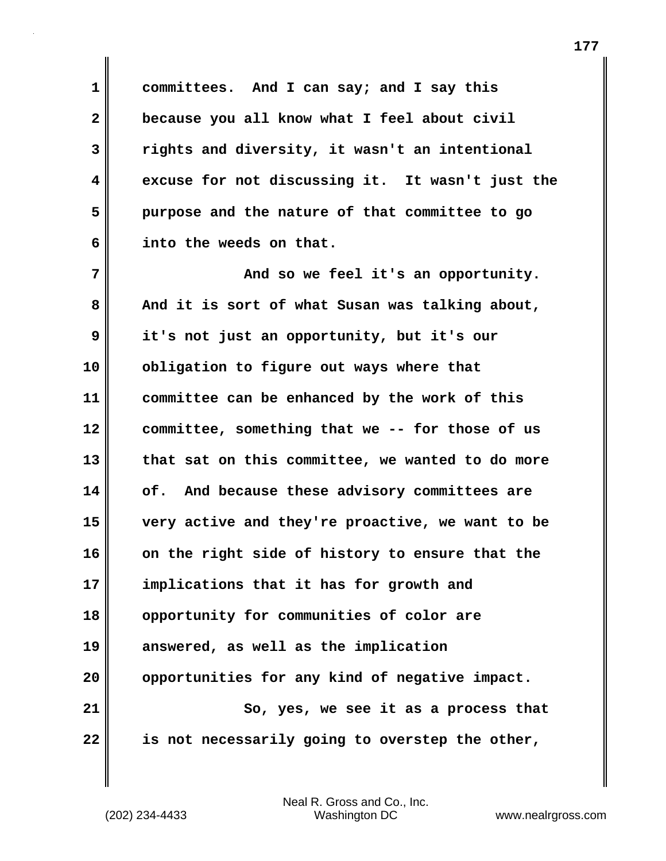**1 committees. And I can say; and I say this 2 because you all know what I feel about civil 3 rights and diversity, it wasn't an intentional 4 excuse for not discussing it. It wasn't just the 5 purpose and the nature of that committee to go 6 into the weeds on that.**

**7 And so we feel it's an opportunity. 8 And it is sort of what Susan was talking about, 9 it's not just an opportunity, but it's our 10 obligation to figure out ways where that 11 committee can be enhanced by the work of this 12 committee, something that we -- for those of us 13 that sat on this committee, we wanted to do more 14 of. And because these advisory committees are 15 very active and they're proactive, we want to be 16 on the right side of history to ensure that the 17 implications that it has for growth and 18 opportunity for communities of color are 19 answered, as well as the implication 20 opportunities for any kind of negative impact. 21** So, yes, we see it as a process that **22 is not necessarily going to overstep the other,**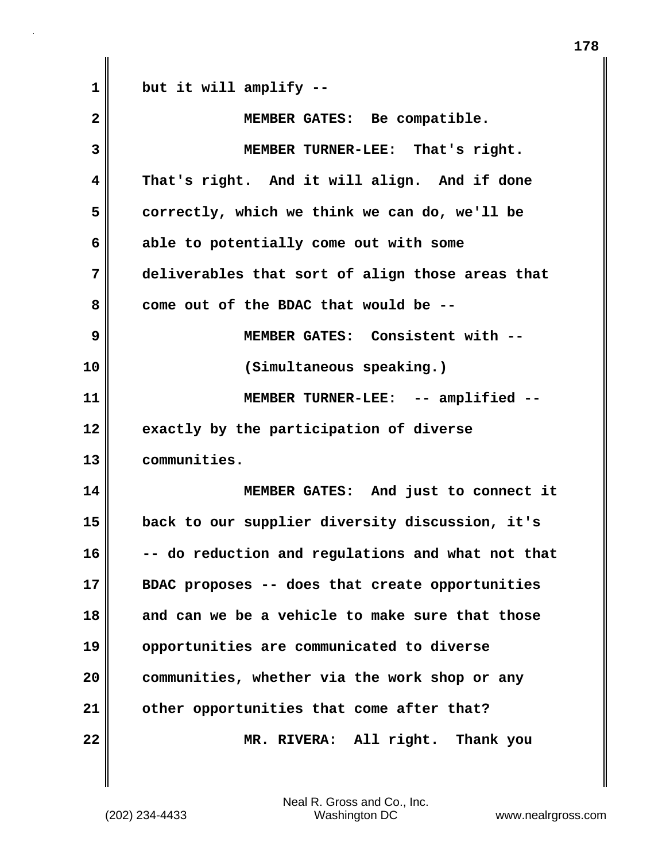| $\mathbf 1$ | but it will amplify --                            |
|-------------|---------------------------------------------------|
| 2           | MEMBER GATES: Be compatible.                      |
| 3           | MEMBER TURNER-LEE: That's right.                  |
| 4           | That's right. And it will align. And if done      |
| 5           | correctly, which we think we can do, we'll be     |
| 6           | able to potentially come out with some            |
| 7           | deliverables that sort of align those areas that  |
| 8           | come out of the BDAC that would be --             |
| 9           | MEMBER GATES: Consistent with --                  |
| 10          | (Simultaneous speaking.)                          |
| 11          | MEMBER TURNER-LEE: -- amplified --                |
| 12          | exactly by the participation of diverse           |
| 13          | communities.                                      |
| 14          | MEMBER GATES: And just to connect it              |
| 15          | back to our supplier diversity discussion, it's   |
| 16          | -- do reduction and regulations and what not that |
| 17          | BDAC proposes -- does that create opportunities   |
| 18          | and can we be a vehicle to make sure that those   |
| 19          | opportunities are communicated to diverse         |
| 20          | communities, whether via the work shop or any     |
| 21          | other opportunities that come after that?         |
| 22          |                                                   |

(202) 234-4433 Washington DC www.nealrgross.com Neal R. Gross and Co., Inc.

 $\mathbf{I}$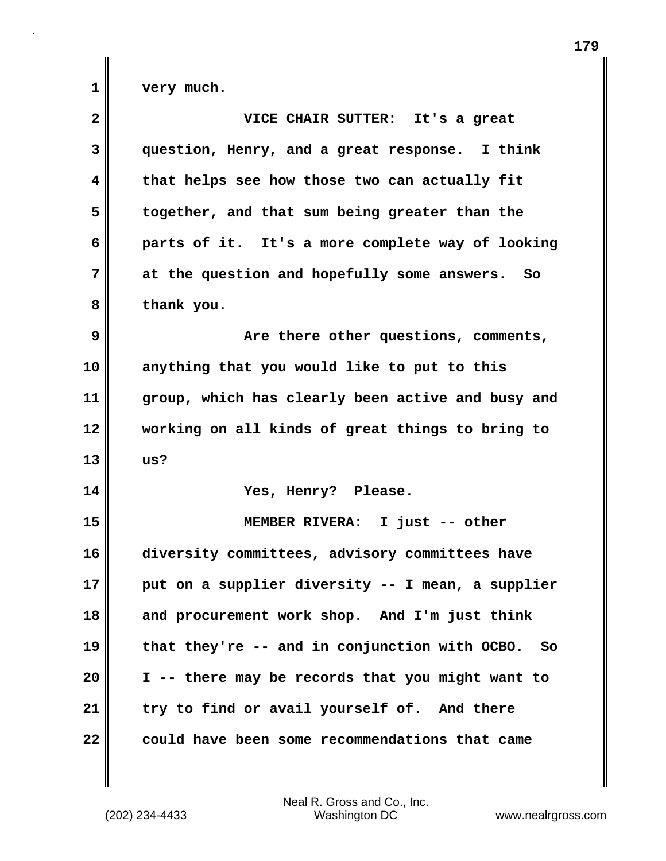1 very much.

| $\overline{\mathbf{2}}$ | VICE CHAIR SUTTER: It's a great                            |
|-------------------------|------------------------------------------------------------|
| 3                       | question, Henry, and a great response. I think             |
| 4                       | that helps see how those two can actually fit              |
| 5                       | together, and that sum being greater than the              |
| 6                       | parts of it. It's a more complete way of looking           |
| 7                       | at the question and hopefully some answers. So             |
| 8                       | thank you.                                                 |
| 9                       | Are there other questions, comments,                       |
| 10                      | anything that you would like to put to this                |
| 11                      | group, which has clearly been active and busy and          |
| 12                      | working on all kinds of great things to bring to           |
| 13                      | us?                                                        |
| 14                      | Yes, Henry? Please.                                        |
| 15                      | MEMBER RIVERA: I just -- other                             |
| 16                      | diversity committees, advisory committees have             |
| 17                      | put on a supplier diversity -- I mean, a supplier          |
| 18                      | and procurement work shop. And I'm just think              |
| 19                      | that they're -- and in conjunction with OCBO.<br><b>So</b> |
| 20                      | I -- there may be records that you might want to           |
| 21                      | try to find or avail yourself of. And there                |
| 22                      | could have been some recommendations that came             |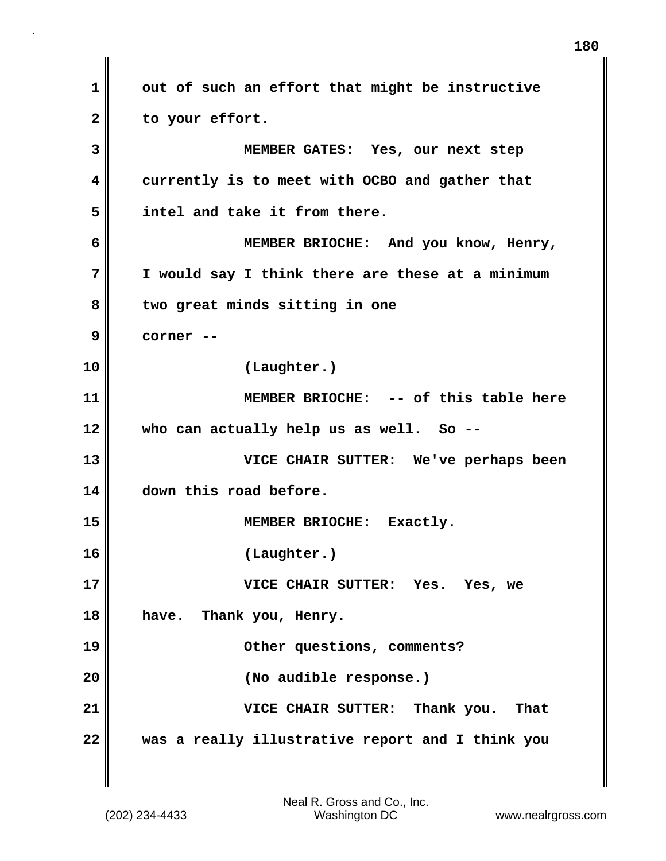**1 out of such an effort that might be instructive 2 to your effort. 3 MEMBER GATES: Yes, our next step 4 currently is to meet with OCBO and gather that 5 intel and take it from there. 6 MEMBER BRIOCHE: And you know, Henry, 7 I would say I think there are these at a minimum 8 two great minds sitting in one 9 corner -- 10 (Laughter.) 11 MEMBER BRIOCHE: -- of this table here 12 who can actually help us as well. So -- 13 VICE CHAIR SUTTER: We've perhaps been 14 down this road before. 15 MEMBER BRIOCHE: Exactly. 16 (Laughter.) 17 VICE CHAIR SUTTER: Yes. Yes, we 18 have. Thank you, Henry. 19 Other questions, comments? 20 (No audible response.) 21 VICE CHAIR SUTTER: Thank you. That 22 was a really illustrative report and I think you**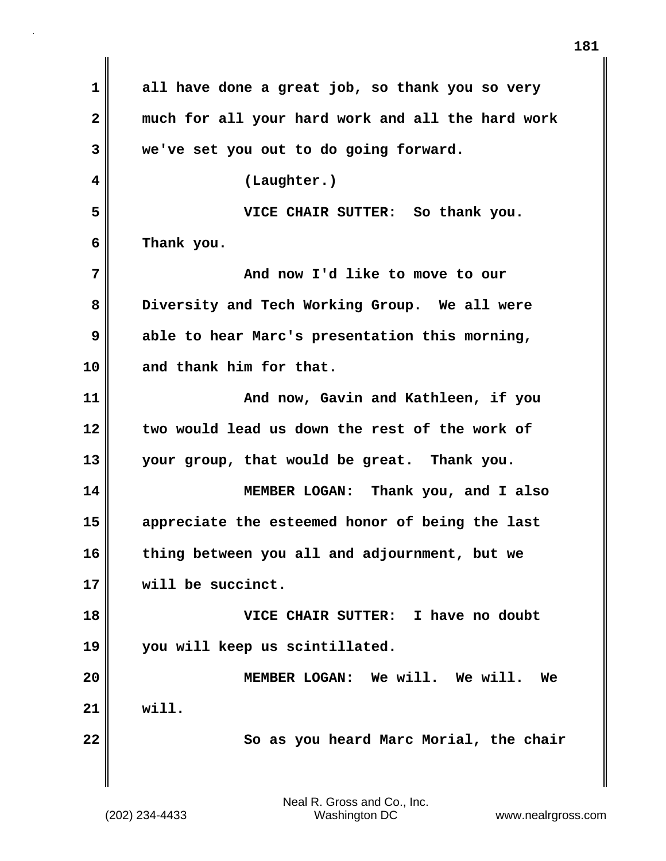| 1            | all have done a great job, so thank you so very   |
|--------------|---------------------------------------------------|
| $\mathbf{2}$ | much for all your hard work and all the hard work |
| 3            | we've set you out to do going forward.            |
| 4            | (Laughter.)                                       |
| 5            | VICE CHAIR SUTTER: So thank you.                  |
| 6            | Thank you.                                        |
| 7            | And now I'd like to move to our                   |
| 8            | Diversity and Tech Working Group. We all were     |
| 9            | able to hear Marc's presentation this morning,    |
| 10           | and thank him for that.                           |
| 11           | And now, Gavin and Kathleen, if you               |
| 12           | two would lead us down the rest of the work of    |
| 13           | your group, that would be great. Thank you.       |
| 14           | MEMBER LOGAN: Thank you, and I also               |
| 15           | appreciate the esteemed honor of being the last   |
| 16           | thing between you all and adjournment, but we     |
| 17           | will be succinct.                                 |
| 18           | VICE CHAIR SUTTER: I have no doubt                |
| 19           | you will keep us scintillated.                    |
| 20           | MEMBER LOGAN: We will. We will.<br>We             |
| 21           | will.                                             |
| 22           | So as you heard Marc Morial, the chair            |
|              |                                                   |
|              |                                                   |

 $\mathbf{I}$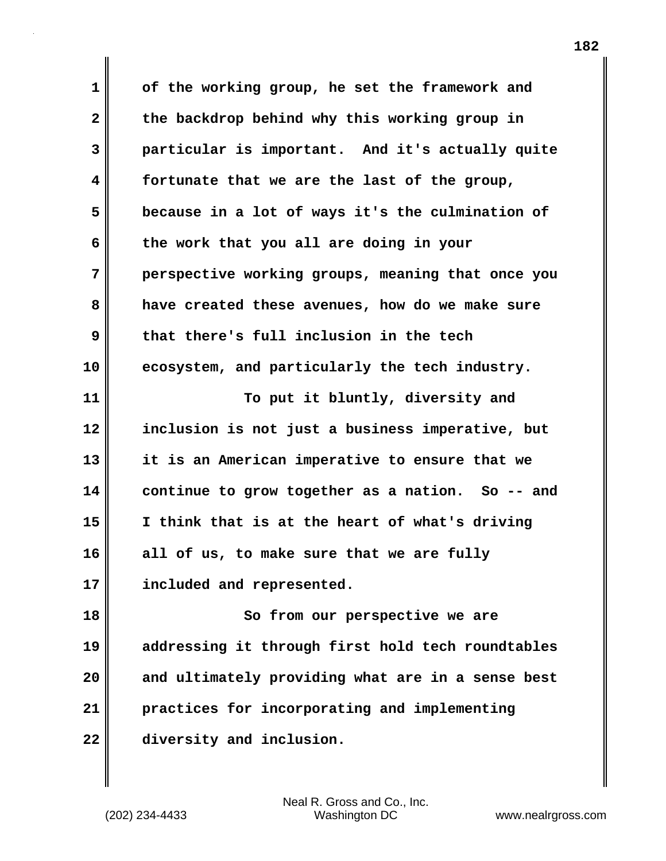**1 of the working group, he set the framework and 2 the backdrop behind why this working group in 3 particular is important. And it's actually quite 4 fortunate that we are the last of the group, 5 because in a lot of ways it's the culmination of 6 the work that you all are doing in your 7 perspective working groups, meaning that once you 8 have created these avenues, how do we make sure 9 that there's full inclusion in the tech 10 ecosystem, and particularly the tech industry. 11** To put it bluntly, diversity and **12 inclusion is not just a business imperative, but 13 it is an American imperative to ensure that we 14 continue to grow together as a nation. So -- and 15 I think that is at the heart of what's driving 16 all of us, to make sure that we are fully 17 included and represented. 18 So from our perspective we are 19 addressing it through first hold tech roundtables 20 and ultimately providing what are in a sense best 21 practices for incorporating and implementing 22 diversity and inclusion.**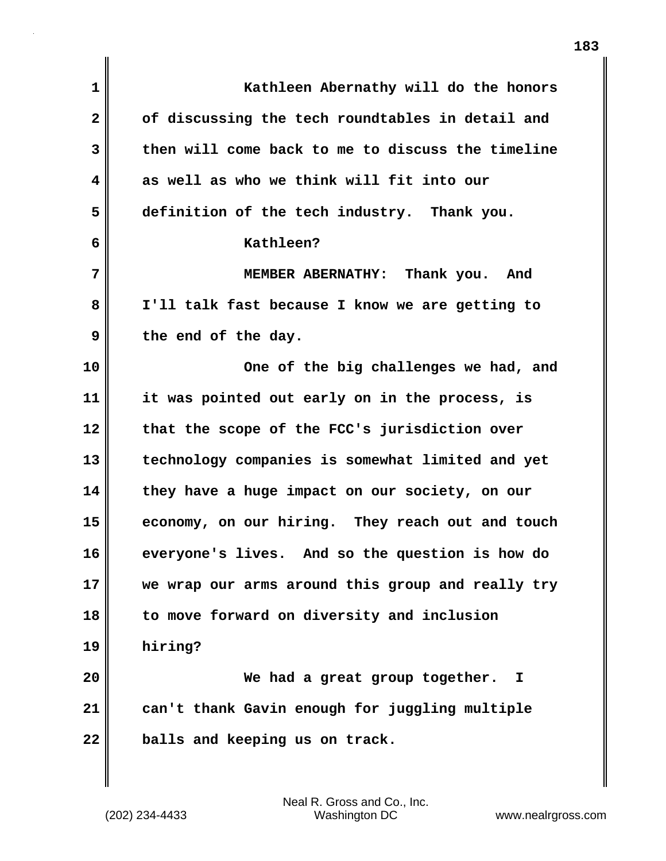| $\mathbf 1$  | Kathleen Abernathy will do the honors             |
|--------------|---------------------------------------------------|
| $\mathbf{2}$ | of discussing the tech roundtables in detail and  |
| 3            | then will come back to me to discuss the timeline |
| 4            | as well as who we think will fit into our         |
| 5            | definition of the tech industry. Thank you.       |
| 6            | Kathleen?                                         |
| 7            | MEMBER ABERNATHY: Thank you. And                  |
| 8            | I'll talk fast because I know we are getting to   |
| 9            | the end of the day.                               |
| 10           | One of the big challenges we had, and             |
| 11           | it was pointed out early on in the process, is    |
| 12           | that the scope of the FCC's jurisdiction over     |
| 13           | technology companies is somewhat limited and yet  |
| 14           | they have a huge impact on our society, on our    |
| 15           | economy, on our hiring. They reach out and touch  |
| 16           | everyone's lives. And so the question is how do   |
| 17           | we wrap our arms around this group and really try |
| 18           | to move forward on diversity and inclusion        |
| 19           | hiring?                                           |
| 20           | We had a great group together.<br>I               |
| 21           | can't thank Gavin enough for juggling multiple    |
| 22           | balls and keeping us on track.                    |
|              |                                                   |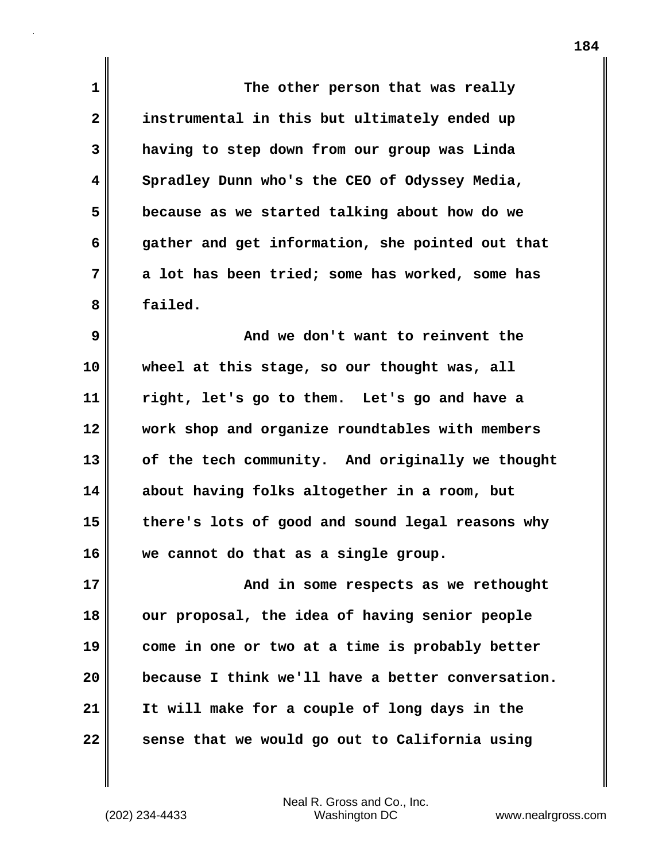| $\mathbf 1$  | The other person that was really                  |
|--------------|---------------------------------------------------|
| $\mathbf{2}$ | instrumental in this but ultimately ended up      |
| 3            | having to step down from our group was Linda      |
| 4            | Spradley Dunn who's the CEO of Odyssey Media,     |
| 5            | because as we started talking about how do we     |
| 6            | gather and get information, she pointed out that  |
| 7            | a lot has been tried; some has worked, some has   |
| 8            | failed.                                           |
| 9            | And we don't want to reinvent the                 |
| 10           | wheel at this stage, so our thought was, all      |
| 11           | right, let's go to them. Let's go and have a      |
| 12           | work shop and organize roundtables with members   |
| 13           | of the tech community. And originally we thought  |
| 14           | about having folks altogether in a room, but      |
| 15           | there's lots of good and sound legal reasons why  |
| 16           | we cannot do that as a single group.              |
| 17           | And in some respects as we rethought              |
| 18           | our proposal, the idea of having senior people    |
| 19           | come in one or two at a time is probably better   |
| 20           | because I think we'll have a better conversation. |
| 21           | It will make for a couple of long days in the     |
| 22           | sense that we would go out to California using    |

(202) 234-4433 Washington DC www.nealrgross.com Neal R. Gross and Co., Inc.

 $\mathbf{l}$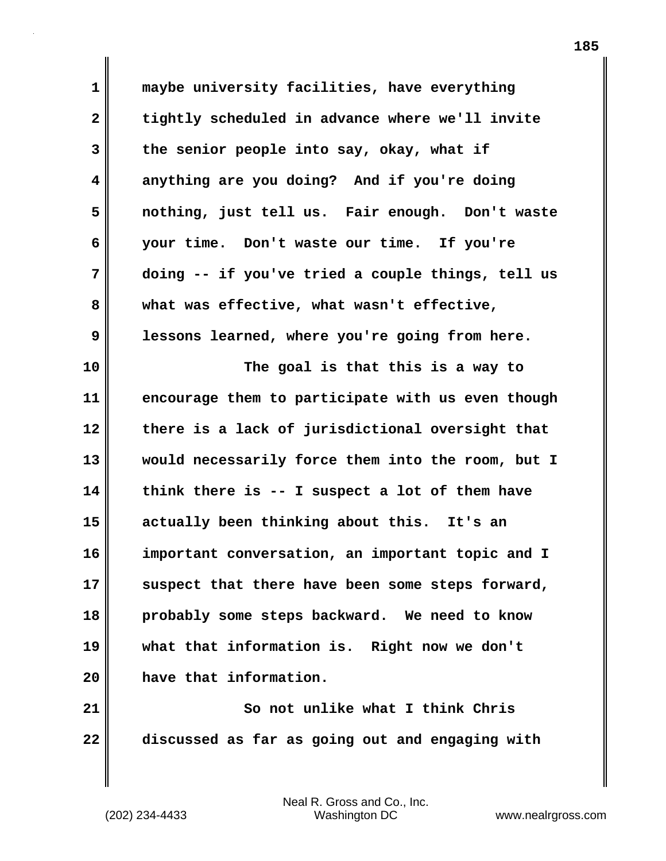**1 maybe university facilities, have everything 2 tightly scheduled in advance where we'll invite 3 the senior people into say, okay, what if 4 anything are you doing? And if you're doing 5 nothing, just tell us. Fair enough. Don't waste 6 your time. Don't waste our time. If you're 7 doing -- if you've tried a couple things, tell us 8 what was effective, what wasn't effective, 9 lessons learned, where you're going from here. 10 The goal is that this is a way to 11 encourage them to participate with us even though 12 there is a lack of jurisdictional oversight that 13 would necessarily force them into the room, but I 14 think there is -- I suspect a lot of them have 15 actually been thinking about this. It's an 16 important conversation, an important topic and I 17 suspect that there have been some steps forward, 18 probably some steps backward. We need to know 19 what that information is. Right now we don't 20 have that information. 21** So not unlike what I think Chris

**22 discussed as far as going out and engaging with**

(202) 234-4433 Washington DC www.nealrgross.com Neal R. Gross and Co., Inc.

**185**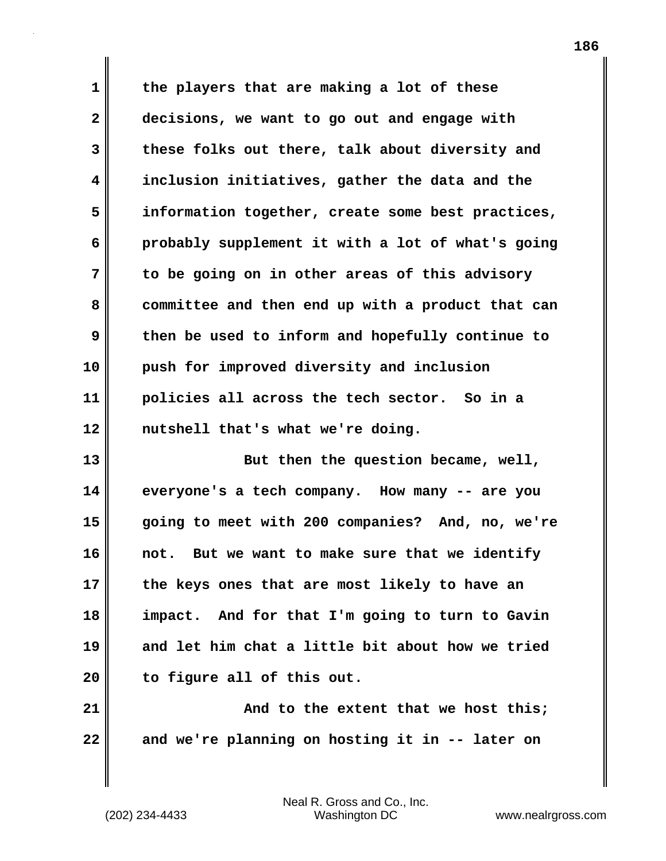**1 the players that are making a lot of these 2 decisions, we want to go out and engage with 3 these folks out there, talk about diversity and 4 inclusion initiatives, gather the data and the 5 information together, create some best practices, 6 probably supplement it with a lot of what's going 7 to be going on in other areas of this advisory 8 committee and then end up with a product that can 9 then be used to inform and hopefully continue to 10 push for improved diversity and inclusion 11 policies all across the tech sector. So in a 12 nutshell that's what we're doing.**

**13 But then the question became, well, 14 everyone's a tech company. How many -- are you 15 going to meet with 200 companies? And, no, we're 16 not. But we want to make sure that we identify 17 the keys ones that are most likely to have an 18 impact. And for that I'm going to turn to Gavin 19 and let him chat a little bit about how we tried 20 to figure all of this out.** 

**21 And to the extent that we host this; 22 and we're planning on hosting it in -- later on**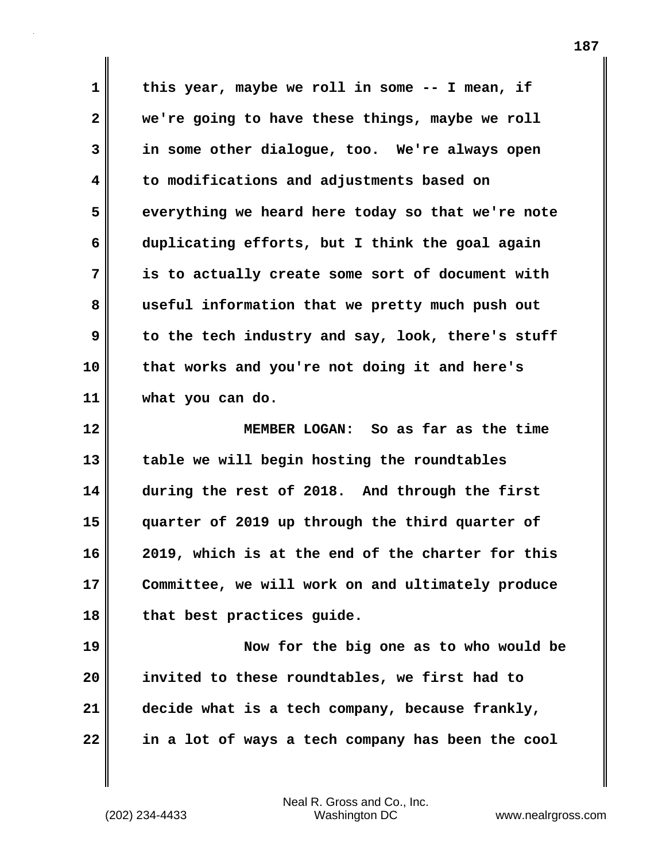**1 this year, maybe we roll in some -- I mean, if 2 we're going to have these things, maybe we roll 3 in some other dialogue, too. We're always open 4 to modifications and adjustments based on 5 everything we heard here today so that we're note 6 duplicating efforts, but I think the goal again 7 is to actually create some sort of document with 8 useful information that we pretty much push out 9** to the tech industry and say, look, there's stuff **10 that works and you're not doing it and here's 11 what you can do. 12 MEMBER LOGAN: So as far as the time 13 table we will begin hosting the roundtables**

**14 during the rest of 2018. And through the first 15 quarter of 2019 up through the third quarter of 16 2019, which is at the end of the charter for this 17 Committee, we will work on and ultimately produce 18 that best practices guide.**

**19 Now for the big one as to who would be 20 invited to these roundtables, we first had to 21 decide what is a tech company, because frankly, 22 in a lot of ways a tech company has been the cool**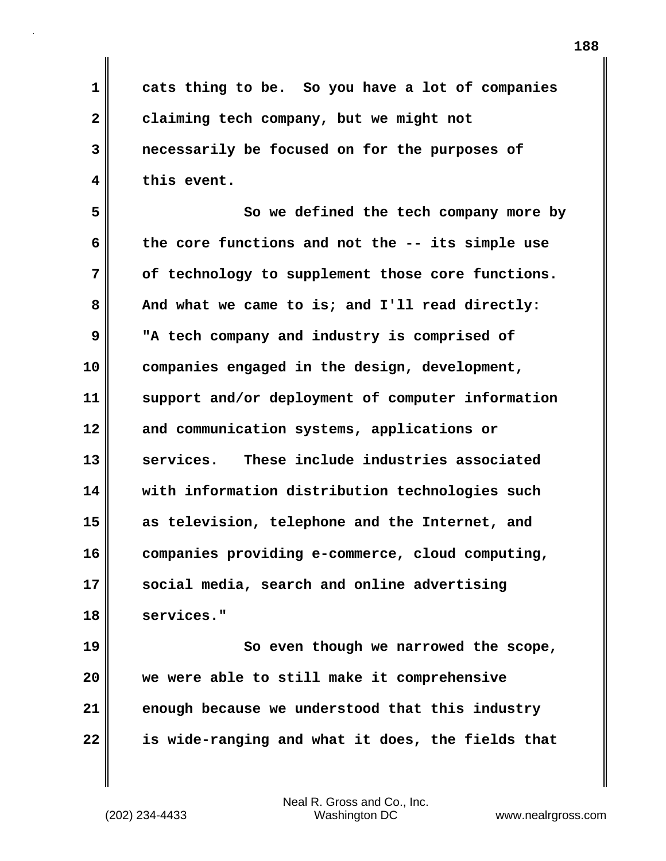**1 cats thing to be. So you have a lot of companies 2 claiming tech company, but we might not 3 necessarily be focused on for the purposes of 4 this event.**

**5 So we defined the tech company more by 6 the core functions and not the -- its simple use 7 of technology to supplement those core functions. 8 And what we came to is; and I'll read directly: 9 "A tech company and industry is comprised of 10 companies engaged in the design, development, 11 support and/or deployment of computer information 12 and communication systems, applications or 13 services. These include industries associated 14 with information distribution technologies such 15 as television, telephone and the Internet, and 16 companies providing e-commerce, cloud computing, 17 social media, search and online advertising 18 services."**

**19 So even though we narrowed the scope, 20 we were able to still make it comprehensive 21 enough because we understood that this industry 22 is wide-ranging and what it does, the fields that**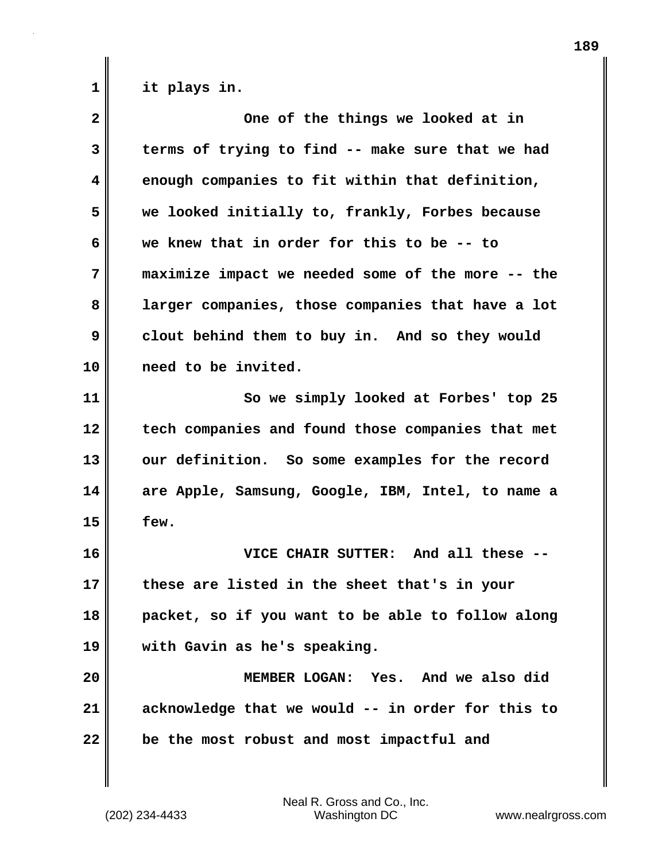**1 it plays in.**

| $\mathbf{2}$            | One of the things we looked at in                 |
|-------------------------|---------------------------------------------------|
| 3                       | terms of trying to find -- make sure that we had  |
| $\overline{\mathbf{4}}$ | enough companies to fit within that definition,   |
| 5                       | we looked initially to, frankly, Forbes because   |
| 6                       | we knew that in order for this to be -- to        |
| 7                       | maximize impact we needed some of the more -- the |
| 8                       | larger companies, those companies that have a lot |
| 9                       | clout behind them to buy in. And so they would    |
| 10                      | need to be invited.                               |
| 11                      | So we simply looked at Forbes' top 25             |
| 12                      | tech companies and found those companies that met |
| 13                      | our definition. So some examples for the record   |
| 14                      | are Apple, Samsung, Google, IBM, Intel, to name a |
| 15                      | few.                                              |
| 16                      | VICE CHAIR SUTTER: And all these --               |
| 17                      | these are listed in the sheet that's in your      |
| 18                      | packet, so if you want to be able to follow along |
| 19                      | with Gavin as he's speaking.                      |
| 20                      | MEMBER LOGAN: Yes. And we also did                |
| 21                      | acknowledge that we would -- in order for this to |
| 22                      | be the most robust and most impactful and         |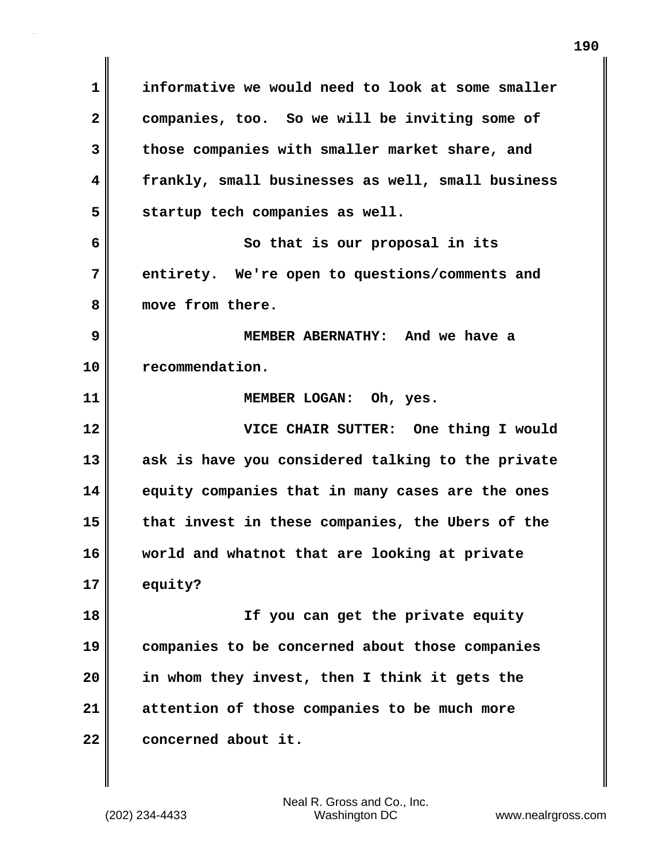**1 informative we would need to look at some smaller 2 companies, too. So we will be inviting some of 3 those companies with smaller market share, and 4 frankly, small businesses as well, small business 5 startup tech companies as well. 6** So that is our proposal in its **7 entirety. We're open to questions/comments and 8 move from there. 9 MEMBER ABERNATHY: And we have a 10 recommendation. 11 MEMBER LOGAN: Oh, yes. 12 VICE CHAIR SUTTER: One thing I would 13 ask is have you considered talking to the private 14 equity companies that in many cases are the ones 15 that invest in these companies, the Ubers of the 16 world and whatnot that are looking at private 17 equity? 18 If you can get the private equity 19 companies to be concerned about those companies 20 in whom they invest, then I think it gets the 21 attention of those companies to be much more** 22 **concerned** about it.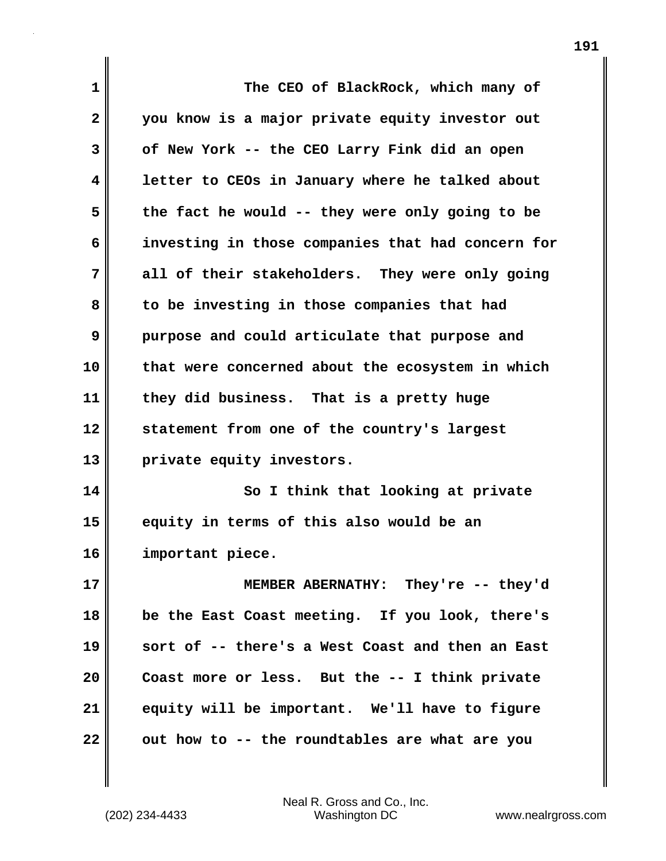| 1            | The CEO of BlackRock, which many of               |
|--------------|---------------------------------------------------|
| $\mathbf{2}$ | you know is a major private equity investor out   |
| 3            | of New York -- the CEO Larry Fink did an open     |
| 4            | letter to CEOs in January where he talked about   |
| 5            | the fact he would -- they were only going to be   |
| 6            | investing in those companies that had concern for |
| 7            | all of their stakeholders. They were only going   |
| 8            | to be investing in those companies that had       |
| 9            | purpose and could articulate that purpose and     |
| 10           | that were concerned about the ecosystem in which  |
| 11           | they did business. That is a pretty huge          |
| 12           | statement from one of the country's largest       |
| 13           | private equity investors.                         |
| 14           | So I think that looking at private                |
| 15           | equity in terms of this also would be an          |
| 16           | important piece.                                  |
| 17           | MEMBER ABERNATHY: They're -- they'd               |
| 18           | be the East Coast meeting. If you look, there's   |
| 19           | sort of -- there's a West Coast and then an East  |
| 20           | Coast more or less. But the -- I think private    |
| 21           | equity will be important. We'll have to figure    |
| 22           | out how to -- the roundtables are what are you    |

 $\mathbf{I}$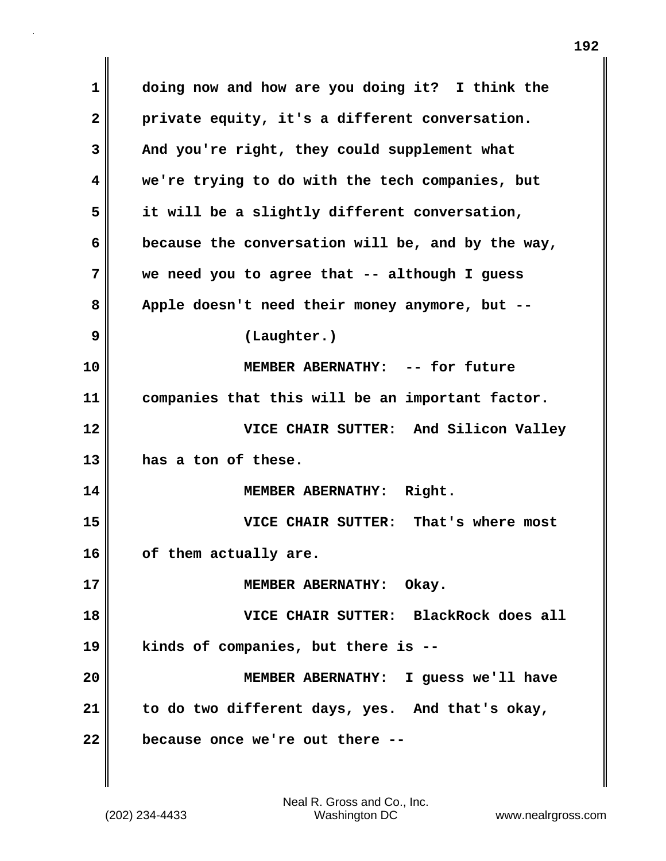**1 doing now and how are you doing it? I think the 2 private equity, it's a different conversation. 3 And you're right, they could supplement what 4 we're trying to do with the tech companies, but 5 it will be a slightly different conversation, 6 because the conversation will be, and by the way, 7 we need you to agree that -- although I guess 8 Apple doesn't need their money anymore, but -- 9 (Laughter.) 10 MEMBER ABERNATHY: -- for future 11 companies that this will be an important factor. 12 VICE CHAIR SUTTER: And Silicon Valley 13 has a ton of these. 14 MEMBER ABERNATHY: Right. 15 VICE CHAIR SUTTER: That's where most 16 of them actually are. 17 MEMBER ABERNATHY: Okay. 18 VICE CHAIR SUTTER: BlackRock does all 19 kinds of companies, but there is -- 20 MEMBER ABERNATHY: I guess we'll have 21 to do two different days, yes. And that's okay, 22 because once we're out there --**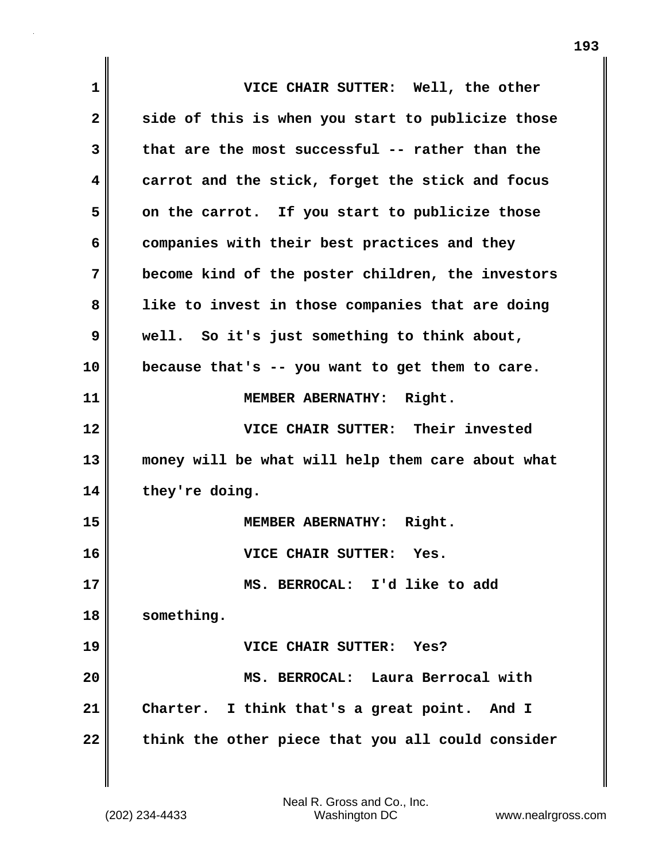| 1            | VICE CHAIR SUTTER: Well, the other                |
|--------------|---------------------------------------------------|
| $\mathbf{2}$ | side of this is when you start to publicize those |
| 3            | that are the most successful -- rather than the   |
| 4            | carrot and the stick, forget the stick and focus  |
| 5            | on the carrot. If you start to publicize those    |
| 6            | companies with their best practices and they      |
| 7            | become kind of the poster children, the investors |
| 8            | like to invest in those companies that are doing  |
| 9            | well. So it's just something to think about,      |
| 10           | because that's -- you want to get them to care.   |
| 11           | MEMBER ABERNATHY: Right.                          |
| 12           | VICE CHAIR SUTTER: Their invested                 |
| 13           | money will be what will help them care about what |
| 14           | they're doing.                                    |
| 15           | MEMBER ABERNATHY: Right.                          |
| 16           | VICE CHAIR SUTTER:<br>Yes.                        |
| 17           | MS. BERROCAL: I'd like to add                     |
| 18           | something.                                        |
| 19           | VICE CHAIR SUTTER: Yes?                           |
| 20           | MS. BERROCAL: Laura Berrocal with                 |
| 21           | Charter. I think that's a great point. And I      |
| 22           | think the other piece that you all could consider |

 $\mathbf{I}$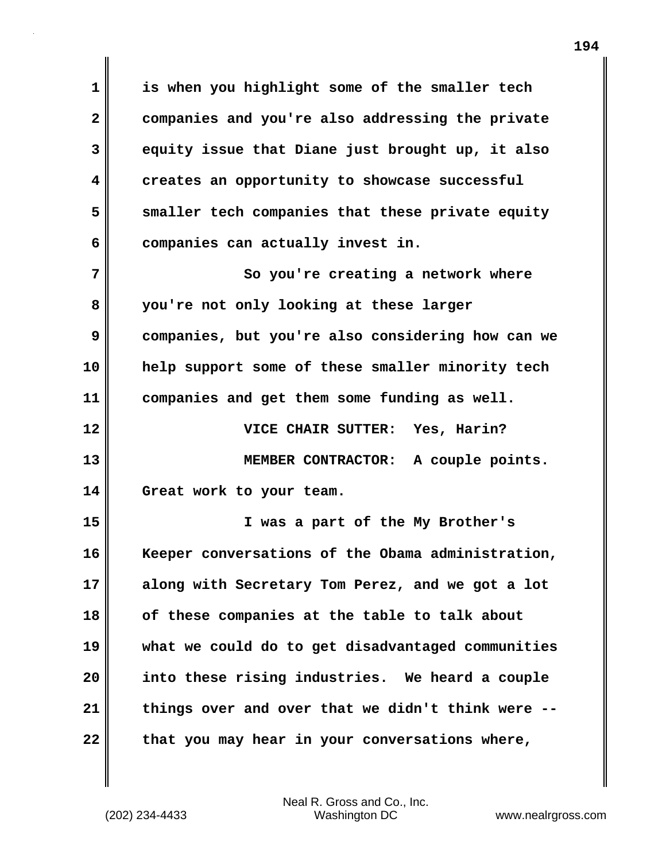**1 is when you highlight some of the smaller tech 2 companies and you're also addressing the private 3 equity issue that Diane just brought up, it also 4 creates an opportunity to showcase successful 5 smaller tech companies that these private equity** 6 companies can actually invest in. **7** So you're creating a network where **8 you're not only looking at these larger 9 companies, but you're also considering how can we 10 help support some of these smaller minority tech 11 companies and get them some funding as well. 12 VICE CHAIR SUTTER: Yes, Harin? 13 MEMBER CONTRACTOR: A couple points. 14 Great work to your team. 15 I was a part of the My Brother's 16 Keeper conversations of the Obama administration, 17 along with Secretary Tom Perez, and we got a lot 18 of these companies at the table to talk about 19 what we could do to get disadvantaged communities 20 into these rising industries. We heard a couple 21 things over and over that we didn't think were -- 22 that you may hear in your conversations where,**

Neal R. Gross and Co., Inc.

(202) 234-4433 Washington DC www.nealrgross.com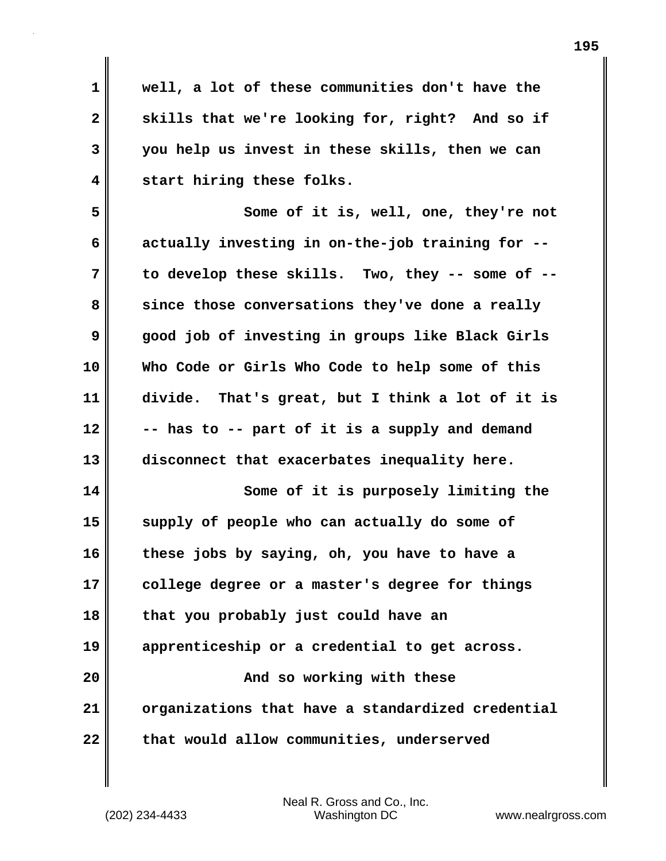**1 well, a lot of these communities don't have the** 2 skills that we're looking for, right? And so if **3 you help us invest in these skills, then we can 4 start hiring these folks. 5 Some of it is, well, one, they're not 6 actually investing in on-the-job training for -- 7 to develop these skills. Two, they -- some of -- 8 since those conversations they've done a really 9 good job of investing in groups like Black Girls 10 Who Code or Girls Who Code to help some of this 11 divide. That's great, but I think a lot of it is 12 -- has to -- part of it is a supply and demand 13 disconnect that exacerbates inequality here. 14 Some of it is purposely limiting the 15 supply of people who can actually do some of 16 these jobs by saying, oh, you have to have a 17 college degree or a master's degree for things 18 that you probably just could have an 19 apprenticeship or a credential to get across. 20 And so working with these 21 organizations that have a standardized credential 22** that would allow communities, underserved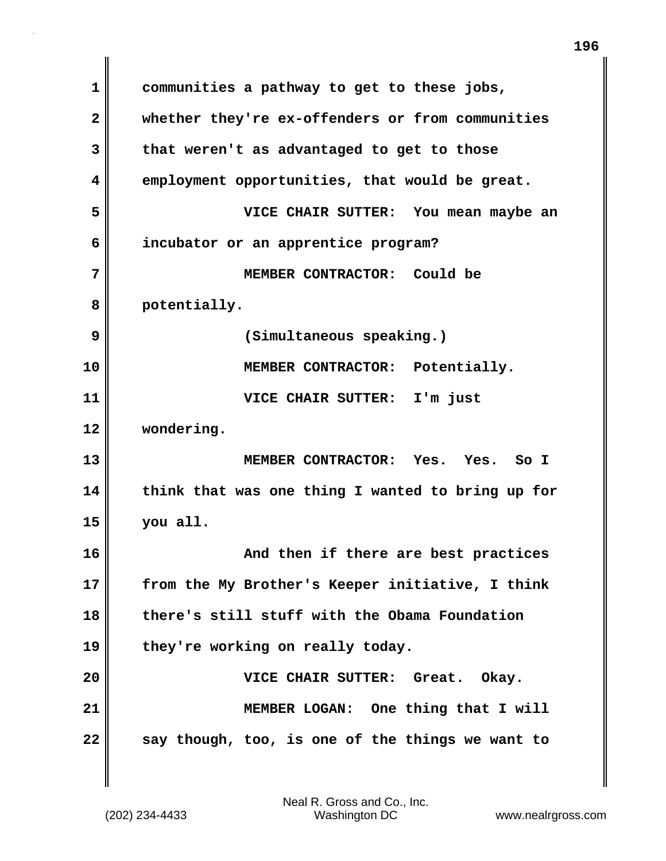**1 communities a pathway to get to these jobs, 2 whether they're ex-offenders or from communities 3 that weren't as advantaged to get to those 4 employment opportunities, that would be great. 5 VICE CHAIR SUTTER: You mean maybe an 6 incubator or an apprentice program? 7 MEMBER CONTRACTOR: Could be 8 potentially. 9 (Simultaneous speaking.) 10 MEMBER CONTRACTOR: Potentially. 11 VICE CHAIR SUTTER: I'm just 12 wondering. 13 MEMBER CONTRACTOR: Yes. Yes. So I 14 think that was one thing I wanted to bring up for 15 you all. 16 And then if there are best practices 17 from the My Brother's Keeper initiative, I think 18 there's still stuff with the Obama Foundation 19 they're working on really today. 20 VICE CHAIR SUTTER: Great. Okay. 21** MEMBER LOGAN: One thing that I will **22 say though, too, is one of the things we want to**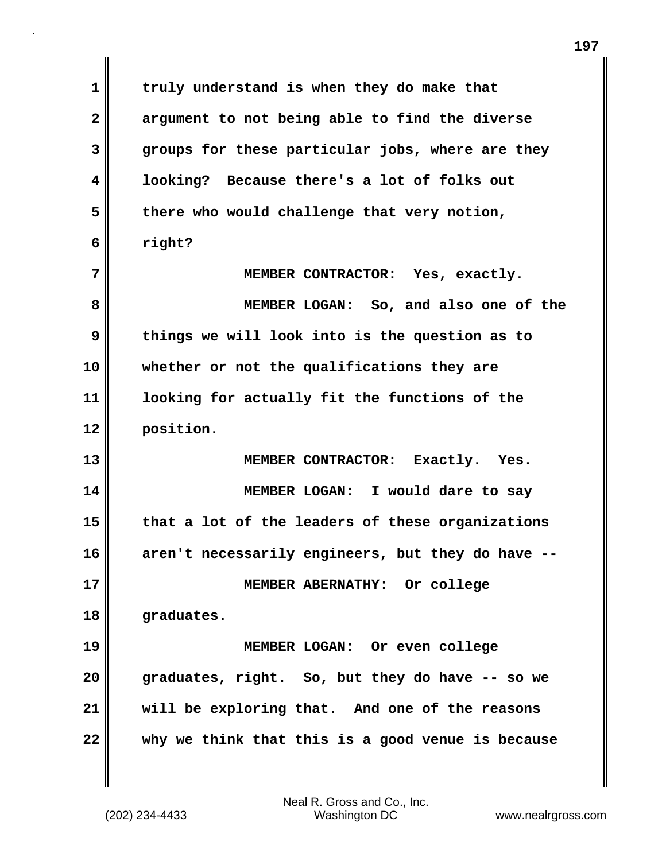**1 truly understand is when they do make that 2 argument to not being able to find the diverse 3 groups for these particular jobs, where are they 4 looking? Because there's a lot of folks out 5 there who would challenge that very notion, 6 right? 7 MEMBER CONTRACTOR: Yes, exactly. 8 MEMBER LOGAN: So, and also one of the 9 things we will look into is the question as to 10 whether or not the qualifications they are 11 looking for actually fit the functions of the 12 position. 13 MEMBER CONTRACTOR: Exactly. Yes. 14 MEMBER LOGAN: I would dare to say 15 that a lot of the leaders of these organizations 16 aren't necessarily engineers, but they do have -- 17 MEMBER ABERNATHY: Or college 18 graduates. 19 MEMBER LOGAN: Or even college 20 graduates, right. So, but they do have -- so we 21 will be exploring that. And one of the reasons 22 why we think that this is a good venue is because**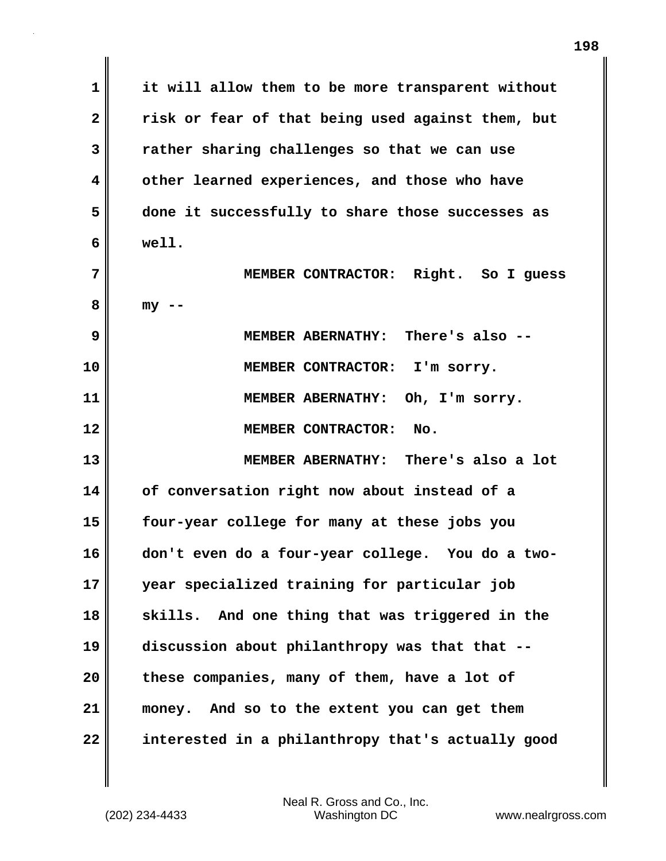**1 it will allow them to be more transparent without 2 risk or fear of that being used against them, but 3 rather sharing challenges so that we can use 4 other learned experiences, and those who have 5 done it successfully to share those successes as 6 well. 7 MEMBER CONTRACTOR: Right. So I guess 8 my -- 9 MEMBER ABERNATHY: There's also -- 10 MEMBER CONTRACTOR: I'm sorry. 11 MEMBER ABERNATHY: Oh, I'm sorry. 12 MEMBER CONTRACTOR: No. 13 MEMBER ABERNATHY: There's also a lot 14 of conversation right now about instead of a 15 four-year college for many at these jobs you 16 don't even do a four-year college. You do a two-17 year specialized training for particular job 18 skills. And one thing that was triggered in the 19 discussion about philanthropy was that that -- 20 these companies, many of them, have a lot of 21 money. And so to the extent you can get them 22 interested in a philanthropy that's actually good**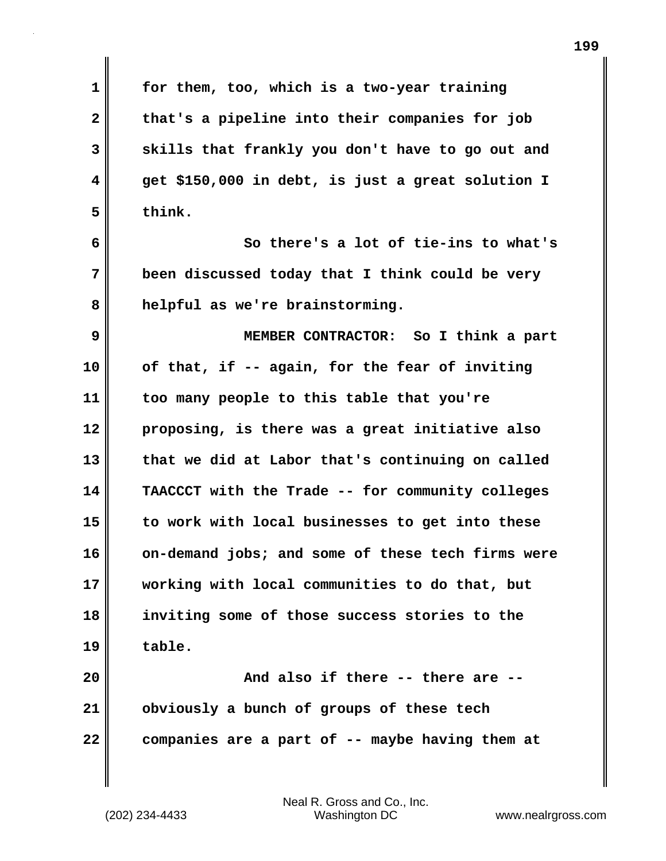| $\mathbf 1$  | for them, too, which is a two-year training       |
|--------------|---------------------------------------------------|
| $\mathbf{2}$ | that's a pipeline into their companies for job    |
| 3            | skills that frankly you don't have to go out and  |
| 4            | get \$150,000 in debt, is just a great solution I |
| 5            | think.                                            |
| 6            | So there's a lot of tie-ins to what's             |
| 7            | been discussed today that I think could be very   |
| 8            | helpful as we're brainstorming.                   |
| 9            | MEMBER CONTRACTOR: So I think a part              |
| 10           | of that, if -- again, for the fear of inviting    |
| 11           | too many people to this table that you're         |
| 12           | proposing, is there was a great initiative also   |
| 13           | that we did at Labor that's continuing on called  |
| 14           | TAACCCT with the Trade -- for community colleges  |
| 15           | to work with local businesses to get into these   |
| 16           | on-demand jobs; and some of these tech firms were |
| 17           | working with local communities to do that, but    |
| 18           | inviting some of those success stories to the     |
| 19           | table.                                            |
| 20           | And also if there -- there are --                 |
| 21           | obviously a bunch of groups of these tech         |
| 22           | companies are a part of -- maybe having them at   |

 $\mathbf{I}$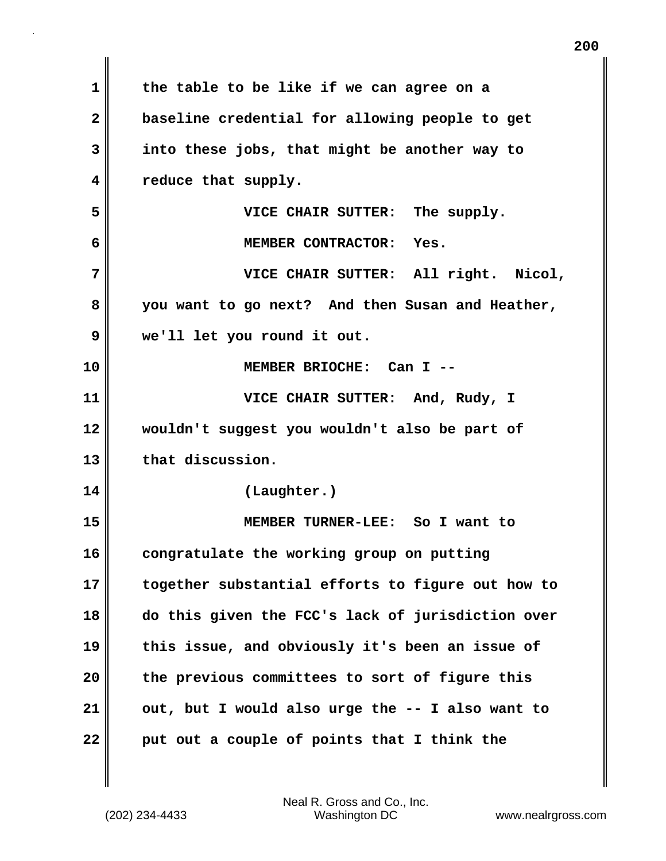| 1            | the table to be like if we can agree on a         |
|--------------|---------------------------------------------------|
| $\mathbf{2}$ | baseline credential for allowing people to get    |
| 3            | into these jobs, that might be another way to     |
| 4            | reduce that supply.                               |
| 5            | The supply.<br>VICE CHAIR SUTTER:                 |
| 6            | MEMBER CONTRACTOR: Yes.                           |
| 7            | VICE CHAIR SUTTER: All right. Nicol,              |
| 8            | you want to go next? And then Susan and Heather,  |
| 9            | we'll let you round it out.                       |
| 10           | MEMBER BRIOCHE: Can I --                          |
| 11           | VICE CHAIR SUTTER: And, Rudy, I                   |
| 12           | wouldn't suggest you wouldn't also be part of     |
| 13           | that discussion.                                  |
| 14           | (Laughter.)                                       |
| 15           | MEMBER TURNER-LEE: So I want to                   |
| 16           | congratulate the working group on putting         |
| 17           | together substantial efforts to figure out how to |
| 18           | do this given the FCC's lack of jurisdiction over |
| 19           | this issue, and obviously it's been an issue of   |
| 20           | the previous committees to sort of figure this    |
| 21           | out, but I would also urge the -- I also want to  |
| 22           | put out a couple of points that I think the       |

(202) 234-4433 Washington DC www.nealrgross.com Neal R. Gross and Co., Inc.

 $\mathbf{I}$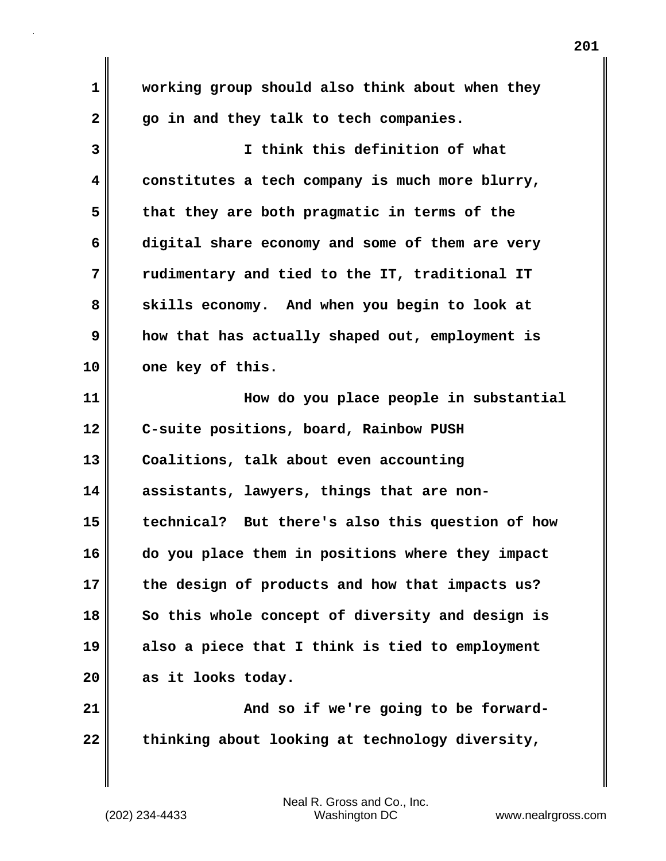**1 working group should also think about when they 2 go in and they talk to tech companies. 3 I think this definition of what 4 constitutes a tech company is much more blurry, 5 that they are both pragmatic in terms of the 6 digital share economy and some of them are very 7 rudimentary and tied to the IT, traditional IT 8 skills economy. And when you begin to look at 9 how that has actually shaped out, employment is 10 one key of this. 11 How do you place people in substantial 12 C-suite positions, board, Rainbow PUSH 13 Coalitions, talk about even accounting 14 assistants, lawyers, things that are non-15 technical? But there's also this question of how 16 do you place them in positions where they impact 17 the design of products and how that impacts us? 18 So this whole concept of diversity and design is 19 also a piece that I think is tied to employment 20 as it looks today.** 21 **And so if we're going to be forward-**

22 thinking about looking at technology diversity,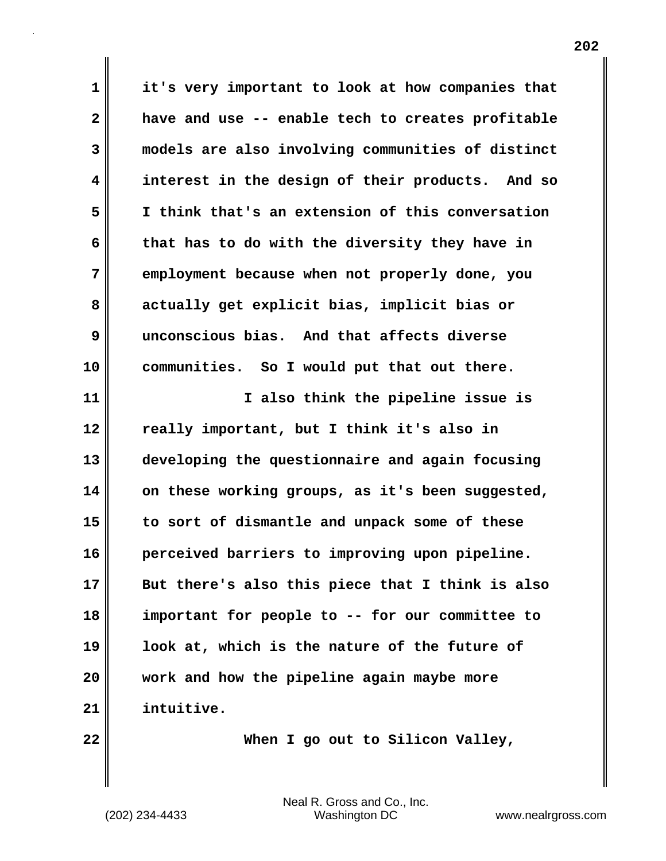**1 it's very important to look at how companies that 2 have and use -- enable tech to creates profitable 3 models are also involving communities of distinct 4 interest in the design of their products. And so 5 I think that's an extension of this conversation 6 that has to do with the diversity they have in 7 employment because when not properly done, you 8 actually get explicit bias, implicit bias or 9 unconscious bias. And that affects diverse 10 communities. So I would put that out there. 11 I also think the pipeline issue is 12 really important, but I think it's also in 13 developing the questionnaire and again focusing 14 on these working groups, as it's been suggested, 15 to sort of dismantle and unpack some of these 16 perceived barriers to improving upon pipeline. 17 But there's also this piece that I think is also 18 important for people to -- for our committee to 19 look at, which is the nature of the future of 20 work and how the pipeline again maybe more 21 intuitive.** 

**22 When I go out to Silicon Valley,**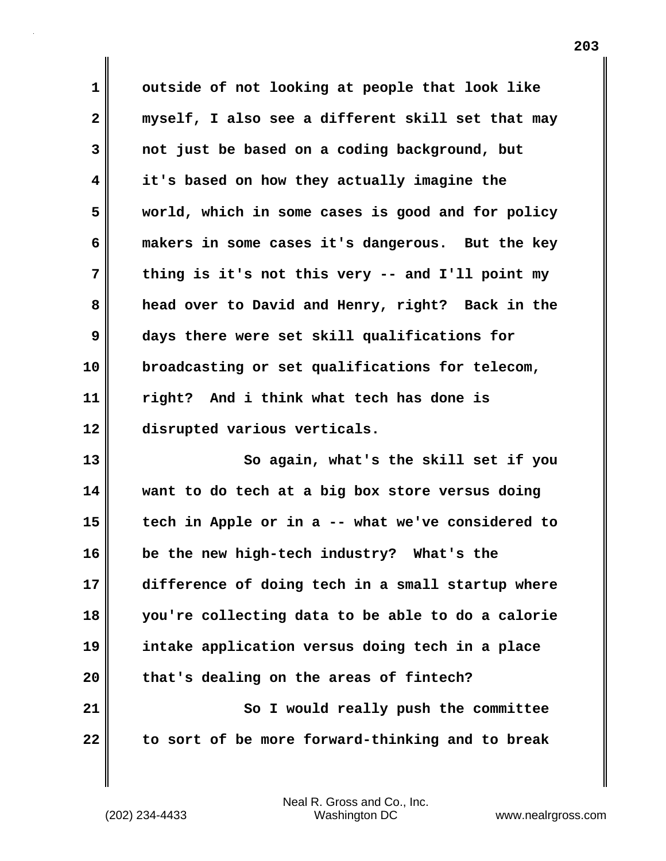**1 outside of not looking at people that look like 2 myself, I also see a different skill set that may 3 not just be based on a coding background, but 4 it's based on how they actually imagine the 5 world, which in some cases is good and for policy 6 makers in some cases it's dangerous. But the key 7 thing is it's not this very -- and I'll point my 8 head over to David and Henry, right? Back in the 9 days there were set skill qualifications for 10 broadcasting or set qualifications for telecom, 11 right? And i think what tech has done is 12 disrupted various verticals. 13 So again, what's the skill set if you**

**14 want to do tech at a big box store versus doing 15 tech in Apple or in a -- what we've considered to 16 be the new high-tech industry? What's the 17 difference of doing tech in a small startup where 18 you're collecting data to be able to do a calorie 19 intake application versus doing tech in a place 20 that's dealing on the areas of fintech? 21** So I would really push the committee **22 to sort of be more forward-thinking and to break**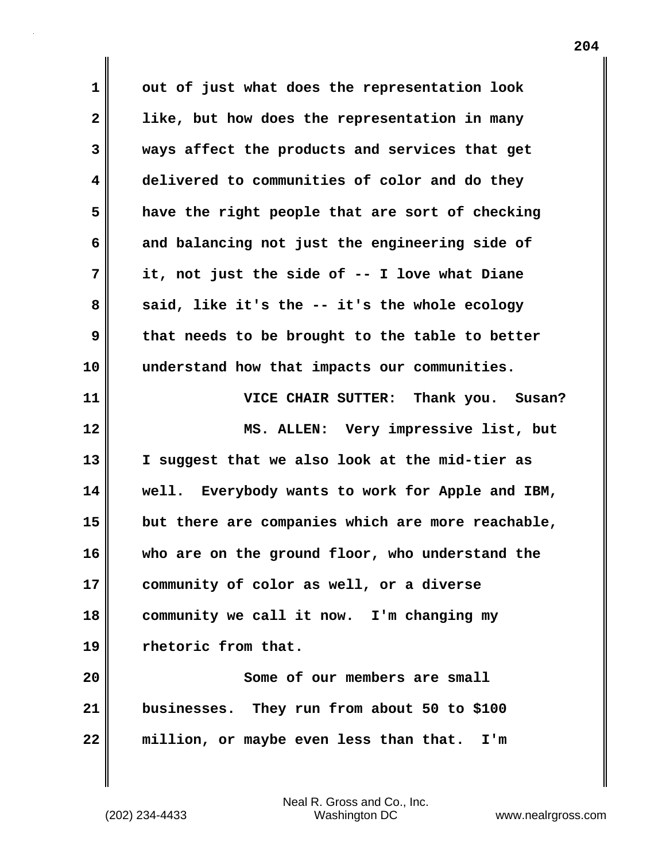**1 out of just what does the representation look 2 like, but how does the representation in many 3 ways affect the products and services that get 4 delivered to communities of color and do they 5 have the right people that are sort of checking 6 and balancing not just the engineering side of 7 it, not just the side of -- I love what Diane** 8 said, like it's the -- it's the whole ecology **9 that needs to be brought to the table to better 10 understand how that impacts our communities. 11 VICE CHAIR SUTTER: Thank you. Susan? 12 MS. ALLEN: Very impressive list, but 13 I suggest that we also look at the mid-tier as 14 well. Everybody wants to work for Apple and IBM, 15 but there are companies which are more reachable, 16 who are on the ground floor, who understand the 17 community of color as well, or a diverse 18 community we call it now. I'm changing my 19 rhetoric from that. 20 Some of our members are small 21 businesses. They run from about 50 to \$100 22 million, or maybe even less than that. I'm**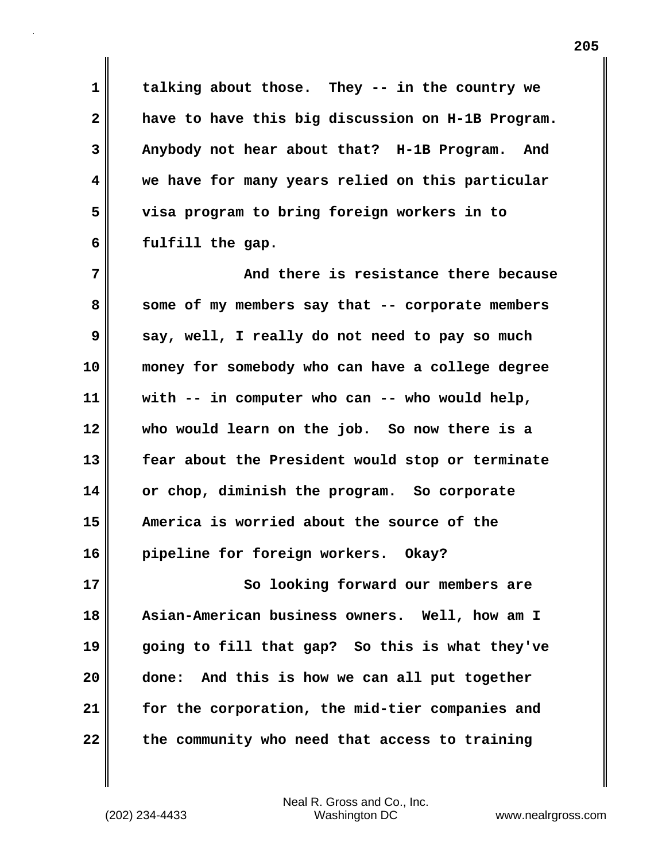**1 talking about those. They -- in the country we 2 have to have this big discussion on H-1B Program. 3 Anybody not hear about that? H-1B Program. And 4 we have for many years relied on this particular 5 visa program to bring foreign workers in to 6 fulfill the gap.** 

**7 And there is resistance there because 8 some of my members say that -- corporate members 9 say, well, I really do not need to pay so much 10 money for somebody who can have a college degree 11 with -- in computer who can -- who would help, 12 who would learn on the job. So now there is a 13 fear about the President would stop or terminate 14 or chop, diminish the program. So corporate 15 America is worried about the source of the 16 pipeline for foreign workers. Okay?**

**17 So looking forward our members are 18 Asian-American business owners. Well, how am I 19 going to fill that gap? So this is what they've 20 done: And this is how we can all put together 21 for the corporation, the mid-tier companies and 22 the community who need that access to training**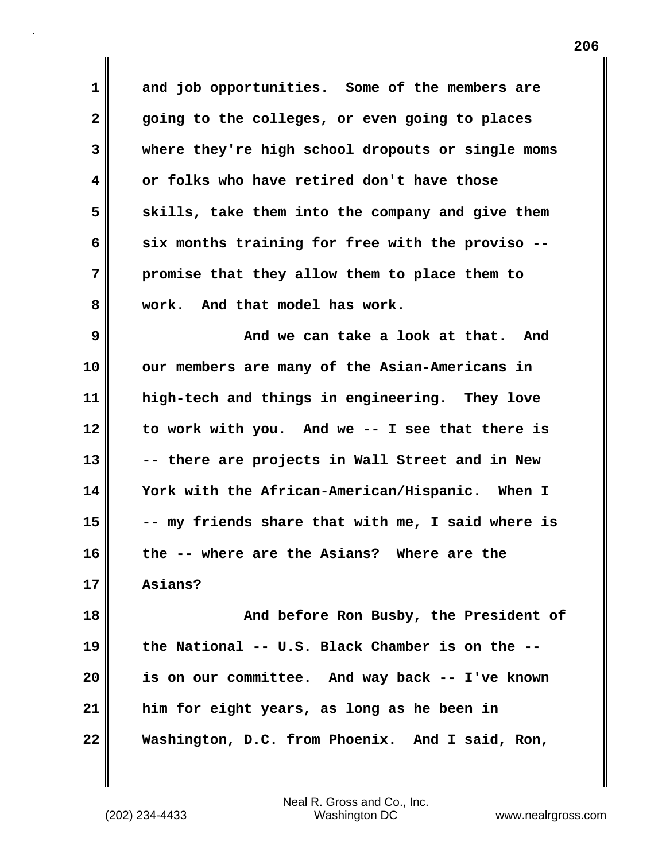**1 and job opportunities. Some of the members are 2 going to the colleges, or even going to places 3 where they're high school dropouts or single moms 4 or folks who have retired don't have those 5 skills, take them into the company and give them 6 six months training for free with the proviso -- 7 promise that they allow them to place them to 8 work. And that model has work.** 

**9 And we can take a look at that. And 10 our members are many of the Asian-Americans in 11 high-tech and things in engineering. They love 12 to work with you. And we -- I see that there is 13 -- there are projects in Wall Street and in New 14 York with the African-American/Hispanic. When I 15 -- my friends share that with me, I said where is 16 the -- where are the Asians? Where are the 17 Asians?** 

**18** And before Ron Busby, the President of **19 the National -- U.S. Black Chamber is on the -- 20 is on our committee. And way back -- I've known 21 him for eight years, as long as he been in 22 Washington, D.C. from Phoenix. And I said, Ron,**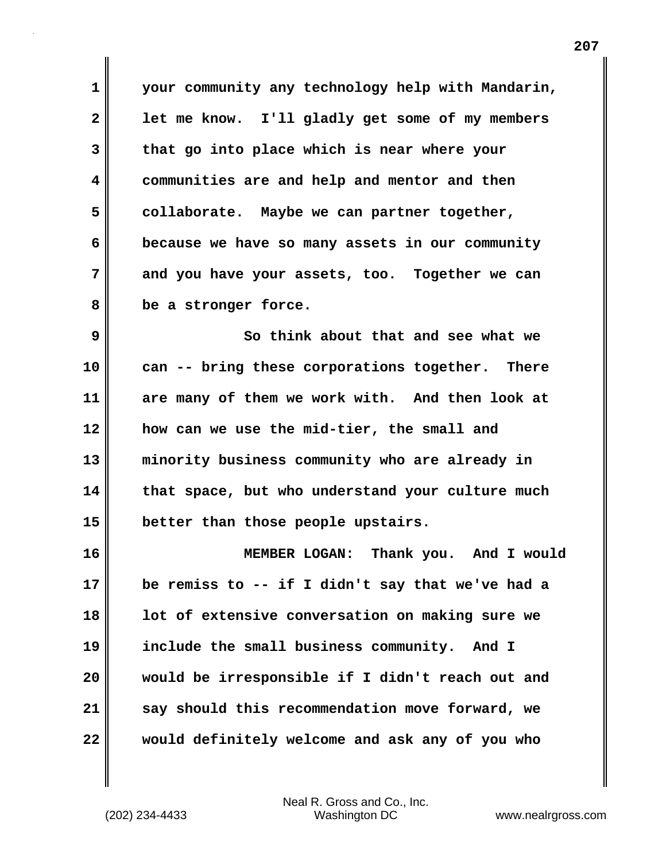**1 your community any technology help with Mandarin, 2 let me know. I'll gladly get some of my members 3 that go into place which is near where your 4 communities are and help and mentor and then 5 collaborate. Maybe we can partner together, 6 because we have so many assets in our community 7 and you have your assets, too. Together we can 8 be a stronger force.**

**9 So think about that and see what we 10 can -- bring these corporations together. There 11 are many of them we work with. And then look at 12 how can we use the mid-tier, the small and 13 minority business community who are already in 14 that space, but who understand your culture much 15 better than those people upstairs.**

**16 MEMBER LOGAN: Thank you. And I would 17 be remiss to -- if I didn't say that we've had a 18 lot of extensive conversation on making sure we 19 include the small business community. And I 20 would be irresponsible if I didn't reach out and 21 say should this recommendation move forward, we 22 would definitely welcome and ask any of you who**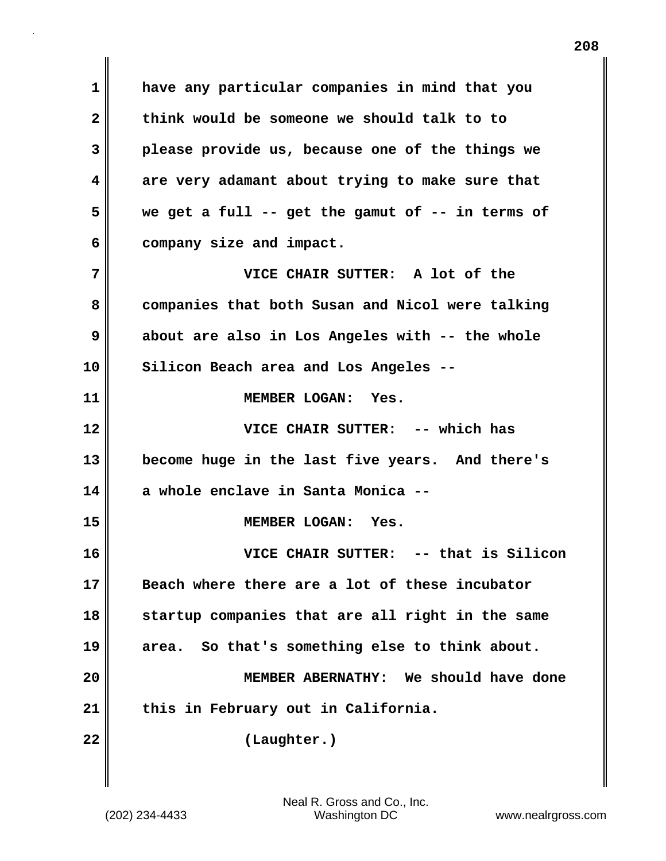**1 have any particular companies in mind that you 2 think would be someone we should talk to to 3 please provide us, because one of the things we 4 are very adamant about trying to make sure that 5 we get a full -- get the gamut of -- in terms of 6 company size and impact. 7 VICE CHAIR SUTTER: A lot of the 8 companies that both Susan and Nicol were talking 9 about are also in Los Angeles with -- the whole 10 Silicon Beach area and Los Angeles -- 11 MEMBER LOGAN: Yes. 12 VICE CHAIR SUTTER: -- which has 13 become huge in the last five years. And there's 14 a whole enclave in Santa Monica -- 15 MEMBER LOGAN: Yes. 16 VICE CHAIR SUTTER: -- that is Silicon 17 Beach where there are a lot of these incubator 18 startup companies that are all right in the same 19 area. So that's something else to think about. 20 MEMBER ABERNATHY: We should have done 21 this in February out in California. 22 (Laughter.)**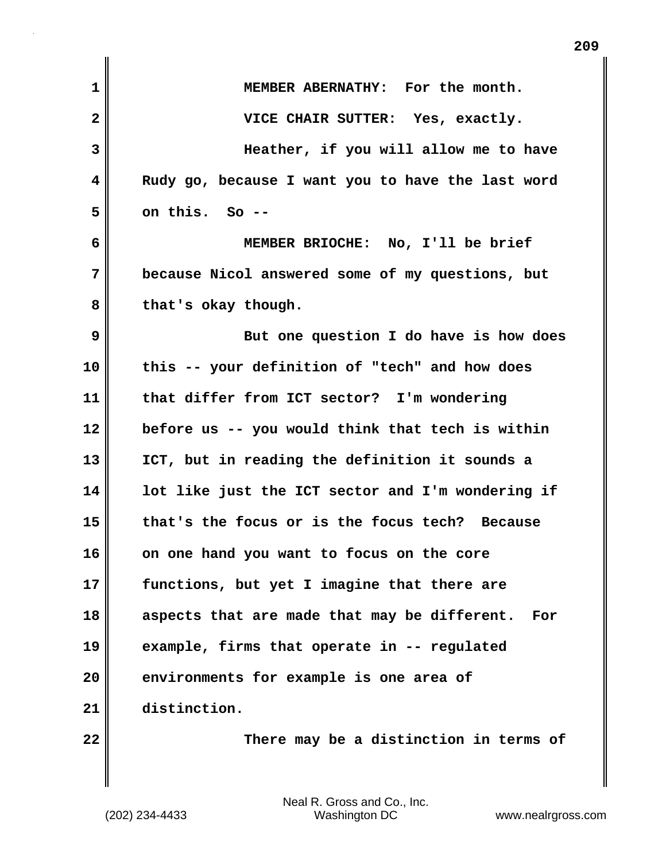| 1            | MEMBER ABERNATHY: For the month.                    |
|--------------|-----------------------------------------------------|
| $\mathbf{2}$ | VICE CHAIR SUTTER: Yes, exactly.                    |
| 3            | Heather, if you will allow me to have               |
| 4            | Rudy go, because I want you to have the last word   |
| 5            | on this. So --                                      |
| 6            | MEMBER BRIOCHE: No, I'll be brief                   |
| 7            | because Nicol answered some of my questions, but    |
| 8            | that's okay though.                                 |
| 9            | But one question I do have is how does              |
| 10           | this -- your definition of "tech" and how does      |
| 11           | that differ from ICT sector? I'm wondering          |
| 12           | before us -- you would think that tech is within    |
| 13           | ICT, but in reading the definition it sounds a      |
| 14           | lot like just the ICT sector and I'm wondering if   |
| 15           | that's the focus or is the focus tech? Because      |
| 16           | on one hand you want to focus on the core           |
| 17           | functions, but yet I imagine that there are         |
| 18           | aspects that are made that may be different.<br>For |
| 19           | example, firms that operate in -- regulated         |
| 20           | environments for example is one area of             |
| 21           | distinction.                                        |
| 22           | There may be a distinction in terms of              |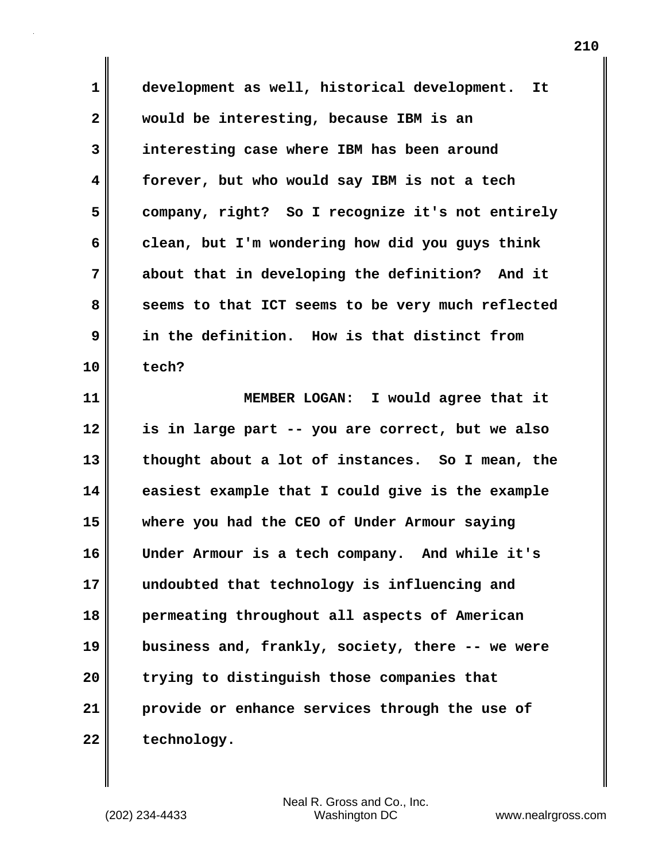**1 development as well, historical development. It 2 would be interesting, because IBM is an 3 interesting case where IBM has been around 4 forever, but who would say IBM is not a tech 5 company, right? So I recognize it's not entirely 6 clean, but I'm wondering how did you guys think 7 about that in developing the definition? And it 8 seems to that ICT seems to be very much reflected 9 in the definition. How is that distinct from 10 tech?**

**11 MEMBER LOGAN: I would agree that it 12 is in large part -- you are correct, but we also 13 thought about a lot of instances. So I mean, the 14 easiest example that I could give is the example 15 where you had the CEO of Under Armour saying 16 Under Armour is a tech company. And while it's 17 undoubted that technology is influencing and 18 permeating throughout all aspects of American 19 business and, frankly, society, there -- we were 20 trying to distinguish those companies that 21 provide or enhance services through the use of** 22 technology.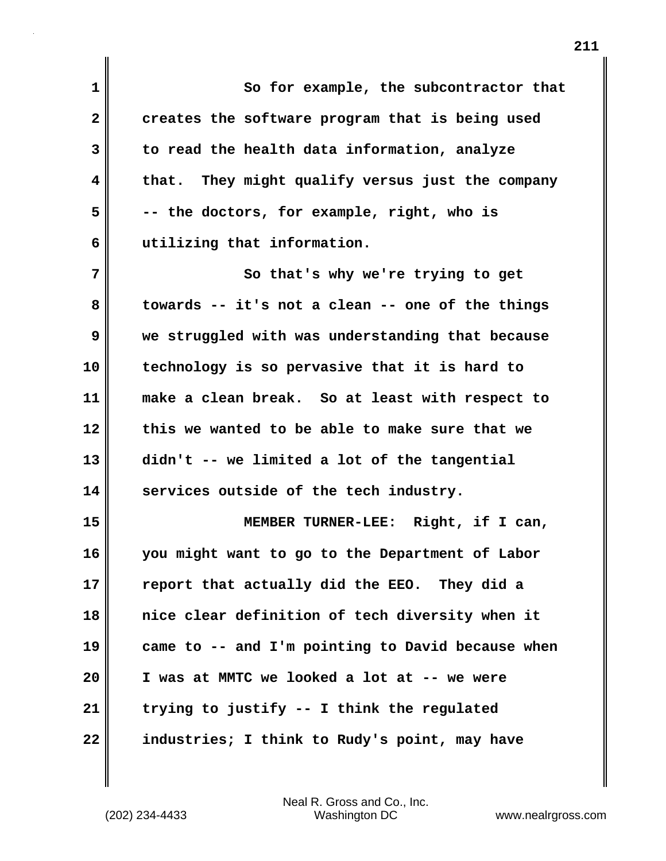**1 So for example, the subcontractor that 2 creates the software program that is being used 3 to read the health data information, analyze 4 that. They might qualify versus just the company 5 -- the doctors, for example, right, who is 6 utilizing that information. 7** So that's why we're trying to get **8 towards -- it's not a clean -- one of the things 9 we struggled with was understanding that because 10 technology is so pervasive that it is hard to 11 make a clean break. So at least with respect to 12 this we wanted to be able to make sure that we 13 didn't -- we limited a lot of the tangential 14 services outside of the tech industry. 15 MEMBER TURNER-LEE: Right, if I can, 16 you might want to go to the Department of Labor 17 report that actually did the EEO. They did a 18 nice clear definition of tech diversity when it 19 came to -- and I'm pointing to David because when 20 I was at MMTC we looked a lot at -- we were 21 trying to justify -- I think the regulated 22 industries; I think to Rudy's point, may have**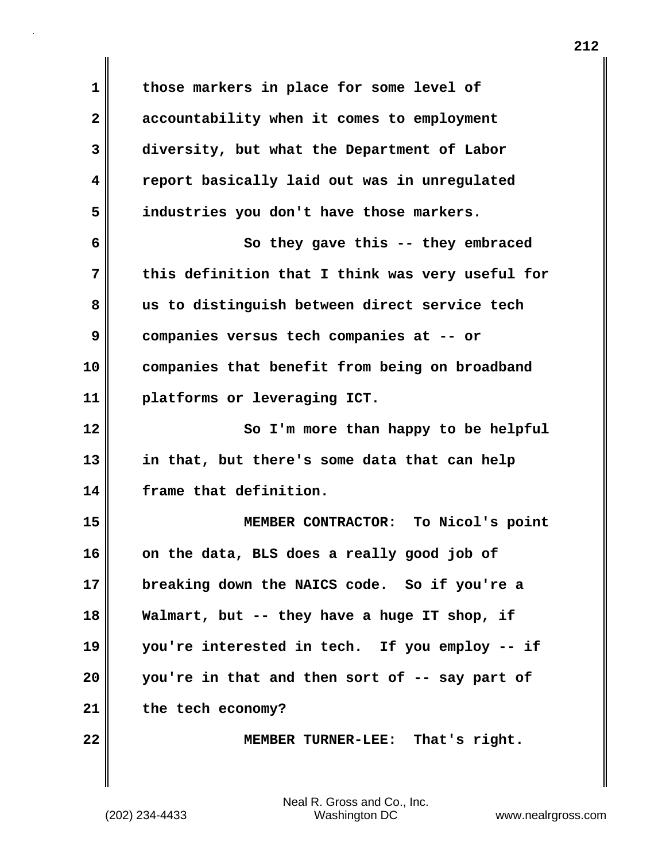**1 those markers in place for some level of 2 accountability when it comes to employment 3 diversity, but what the Department of Labor 4 report basically laid out was in unregulated 5 industries you don't have those markers. 6 So they gave this -- they embraced 7 this definition that I think was very useful for 8 us to distinguish between direct service tech 9 companies versus tech companies at -- or 10 companies that benefit from being on broadband 11 platforms or leveraging ICT. 12** So I'm more than happy to be helpful **13 in that, but there's some data that can help 14 frame that definition. 15 MEMBER CONTRACTOR: To Nicol's point 16 on the data, BLS does a really good job of 17 breaking down the NAICS code. So if you're a 18 Walmart, but -- they have a huge IT shop, if 19 you're interested in tech. If you employ -- if 20 you're in that and then sort of -- say part of 21 the tech economy? 22 MEMBER TURNER-LEE: That's right.**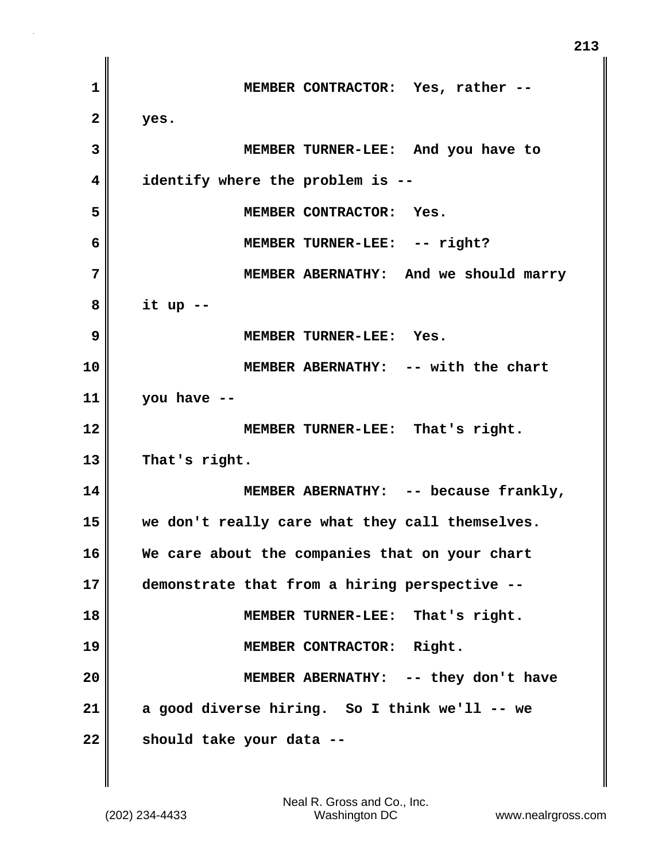**1 MEMBER CONTRACTOR: Yes, rather -- 2 yes. 3 MEMBER TURNER-LEE: And you have to 4 identify where the problem is -- 5 MEMBER CONTRACTOR: Yes. 6 MEMBER TURNER-LEE: -- right? 7 MEMBER ABERNATHY: And we should marry 8 it up -- 9 MEMBER TURNER-LEE: Yes. 10 MEMBER ABERNATHY: -- with the chart 11 you have -- 12 MEMBER TURNER-LEE: That's right. 13 That's right. 14 MEMBER ABERNATHY: -- because frankly, 15 we don't really care what they call themselves. 16 We care about the companies that on your chart 17 demonstrate that from a hiring perspective -- 18 MEMBER TURNER-LEE: That's right. 19 MEMBER CONTRACTOR: Right. 20 MEMBER ABERNATHY: -- they don't have 21 a good diverse hiring. So I think we'll -- we 22 should take your data --**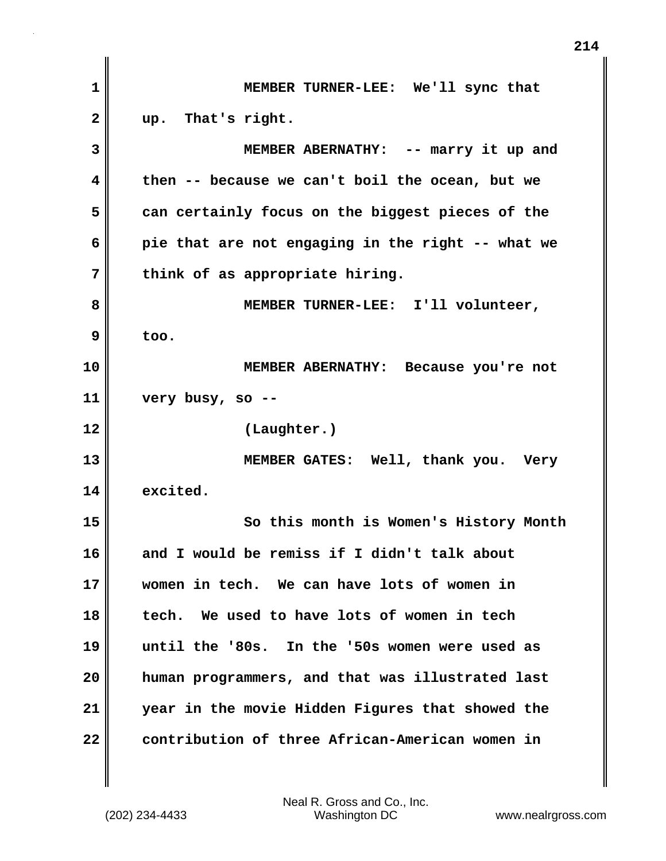| $\mathbf 1$  | MEMBER TURNER-LEE: We'll sync that                |
|--------------|---------------------------------------------------|
| $\mathbf{2}$ | up. That's right.                                 |
| 3            | MEMBER ABERNATHY: -- marry it up and              |
| 4            | then -- because we can't boil the ocean, but we   |
| 5            | can certainly focus on the biggest pieces of the  |
| 6            | pie that are not engaging in the right -- what we |
| 7            | think of as appropriate hiring.                   |
| 8            | MEMBER TURNER-LEE: I'll volunteer,                |
| 9            | too.                                              |
| 10           | MEMBER ABERNATHY: Because you're not              |
| 11           | very busy, so --                                  |
| 12           | (Laughter.)                                       |
| 13           | MEMBER GATES: Well, thank you. Very               |
| 14           | excited.                                          |
| 15           | So this month is Women's History Month            |
| 16           | and I would be remiss if I didn't talk about      |
| 17           | women in tech. We can have lots of women in       |
| 18           | tech. We used to have lots of women in tech       |
| 19           | until the '80s. In the '50s women were used as    |
| 20           | human programmers, and that was illustrated last  |
| 21           | year in the movie Hidden Figures that showed the  |
| 22           | contribution of three African-American women in   |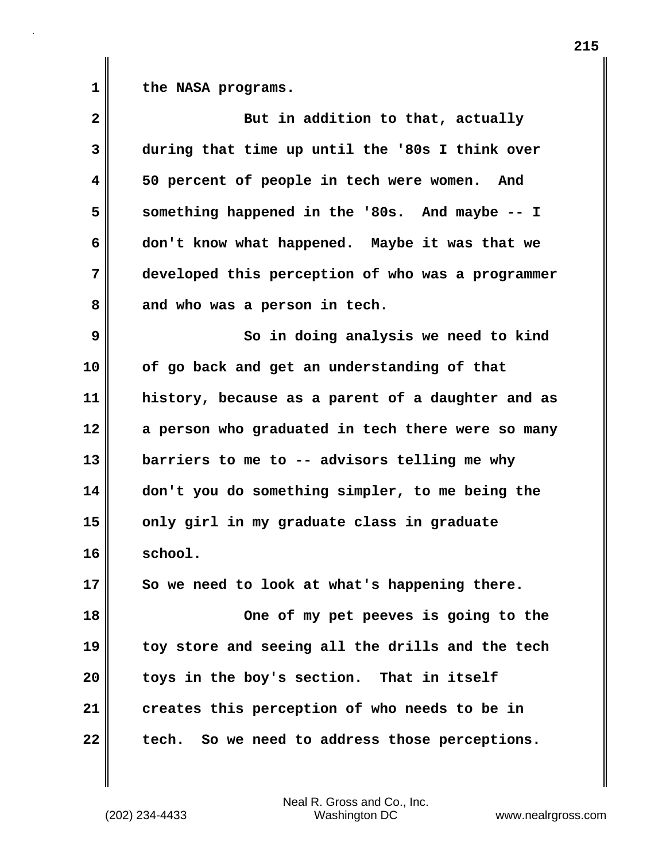1 the NASA programs.

| $\overline{\mathbf{2}}$ | But in addition to that, actually                 |
|-------------------------|---------------------------------------------------|
| 3                       | during that time up until the '80s I think over   |
| 4                       | 50 percent of people in tech were women. And      |
| 5                       | something happened in the '80s. And maybe -- I    |
| 6                       | don't know what happened. Maybe it was that we    |
| 7                       | developed this perception of who was a programmer |
| 8                       | and who was a person in tech.                     |
| 9                       | So in doing analysis we need to kind              |
| 10                      | of go back and get an understanding of that       |
| 11                      | history, because as a parent of a daughter and as |
| 12                      | a person who graduated in tech there were so many |
| 13                      | barriers to me to -- advisors telling me why      |
| 14                      | don't you do something simpler, to me being the   |
| 15                      | only girl in my graduate class in graduate        |
| 16                      | school.                                           |
| 17                      | So we need to look at what's happening there.     |
| 18                      | One of my pet peeves is going to the              |
| 19                      | toy store and seeing all the drills and the tech  |
| 20                      | toys in the boy's section. That in itself         |
| 21                      | creates this perception of who needs to be in     |
| 22                      | So we need to address those perceptions.<br>tech. |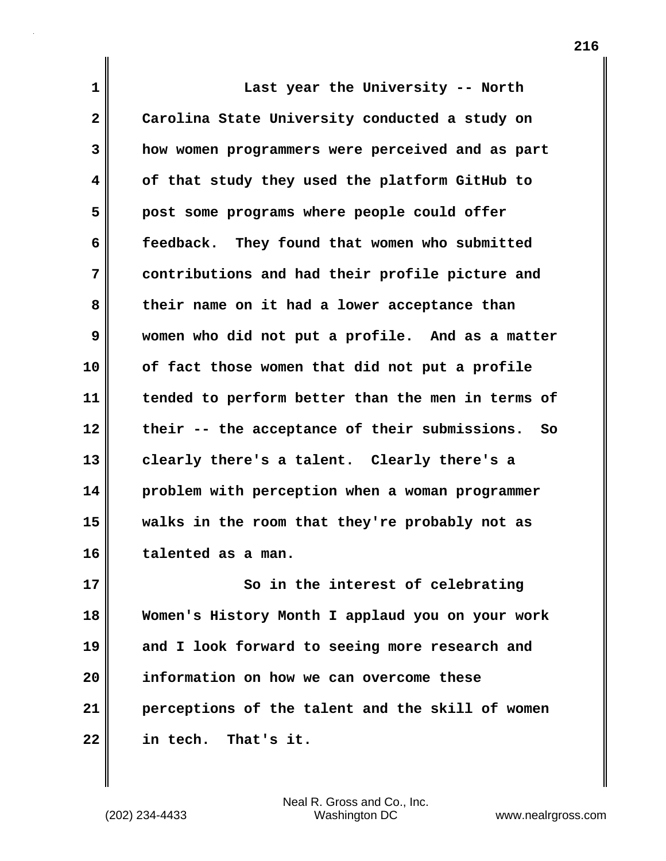**1 Last year the University -- North 2 Carolina State University conducted a study on 3 how women programmers were perceived and as part 4 of that study they used the platform GitHub to 5 post some programs where people could offer 6 feedback. They found that women who submitted 7 contributions and had their profile picture and 8 their name on it had a lower acceptance than 9 women who did not put a profile. And as a matter 10 of fact those women that did not put a profile 11 tended to perform better than the men in terms of 12 their -- the acceptance of their submissions. So 13 clearly there's a talent. Clearly there's a 14 problem with perception when a woman programmer 15 walks in the room that they're probably not as 16 talented as a man. 17** So in the interest of celebrating **18 Women's History Month I applaud you on your work**

**19 and I look forward to seeing more research and 20 information on how we can overcome these 21 perceptions of the talent and the skill of women 22 in tech. That's it.**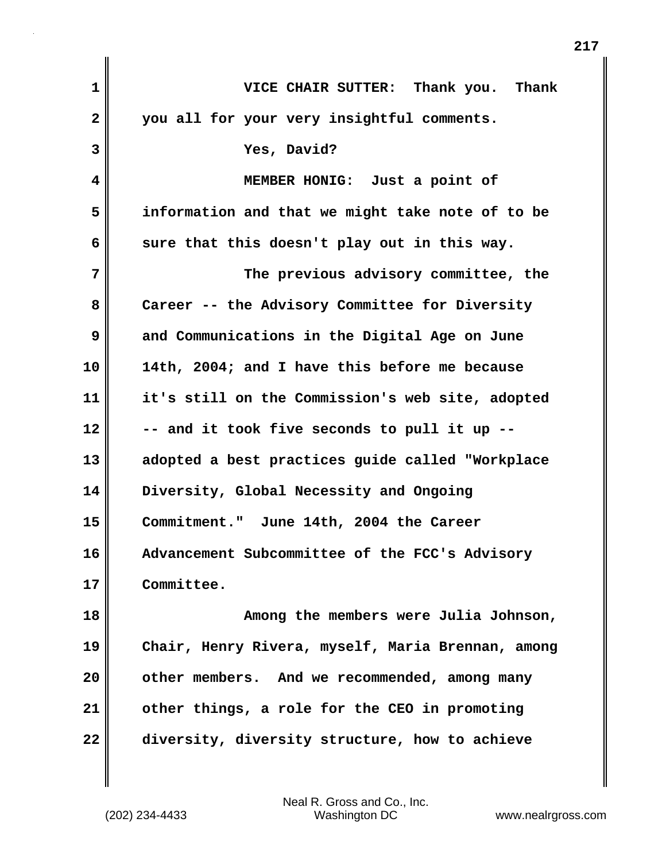| 1            | VICE CHAIR SUTTER: Thank you. Thank               |
|--------------|---------------------------------------------------|
| $\mathbf{2}$ | you all for your very insightful comments.        |
| 3            | Yes, David?                                       |
| 4            | MEMBER HONIG: Just a point of                     |
| 5            | information and that we might take note of to be  |
| 6            | sure that this doesn't play out in this way.      |
| 7            | The previous advisory committee, the              |
| 8            | Career -- the Advisory Committee for Diversity    |
| 9            | and Communications in the Digital Age on June     |
| 10           | 14th, 2004; and I have this before me because     |
| 11           | it's still on the Commission's web site, adopted  |
| 12           | -- and it took five seconds to pull it up --      |
| 13           | adopted a best practices guide called "Workplace  |
| 14           | Diversity, Global Necessity and Ongoing           |
| 15           | Commitment." June 14th, 2004 the Career           |
| 16           | Advancement Subcommittee of the FCC's Advisory    |
| 17           | Committee.                                        |
| 18           | Among the members were Julia Johnson,             |
| 19           | Chair, Henry Rivera, myself, Maria Brennan, among |
| 20           | other members. And we recommended, among many     |
| 21           | other things, a role for the CEO in promoting     |
| 22           | diversity, diversity structure, how to achieve    |

(202) 234-4433 Washington DC www.nealrgross.com Neal R. Gross and Co., Inc.

 $\mathbf{I}$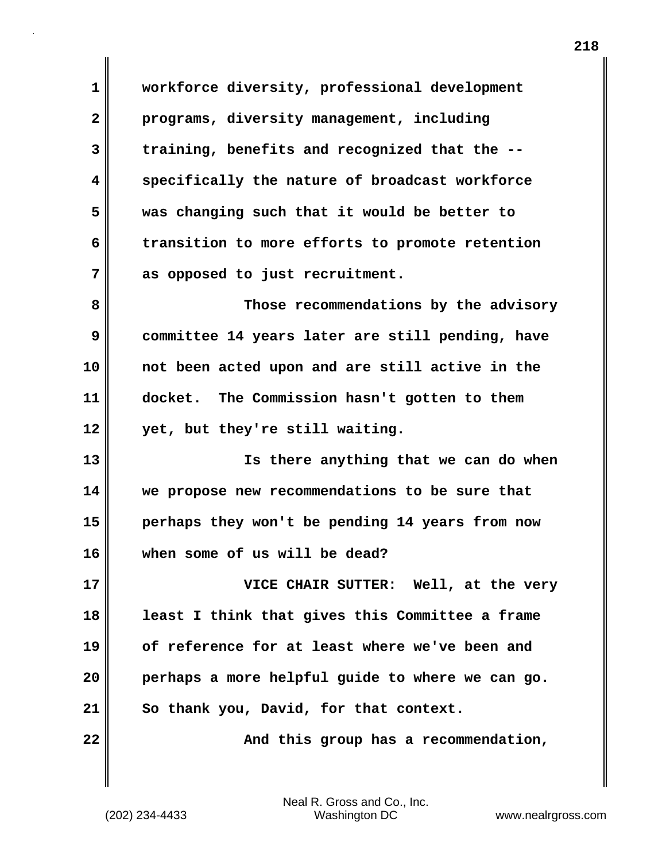**1 workforce diversity, professional development 2 programs, diversity management, including 3 training, benefits and recognized that the -- 4 specifically the nature of broadcast workforce 5 was changing such that it would be better to 6 transition to more efforts to promote retention 7 as opposed to just recruitment.** 

**8 Those recommendations by the advisory 9 committee 14 years later are still pending, have 10 not been acted upon and are still active in the 11 docket. The Commission hasn't gotten to them 12 yet, but they're still waiting.** 

**13 Is there anything that we can do when 14 we propose new recommendations to be sure that 15 perhaps they won't be pending 14 years from now 16 when some of us will be dead?**

**17 VICE CHAIR SUTTER: Well, at the very 18 least I think that gives this Committee a frame 19 of reference for at least where we've been and 20 perhaps a more helpful guide to where we can go. 21 So thank you, David, for that context.**

22 **And this group has a recommendation,** 

(202) 234-4433 Washington DC www.nealrgross.com Neal R. Gross and Co., Inc.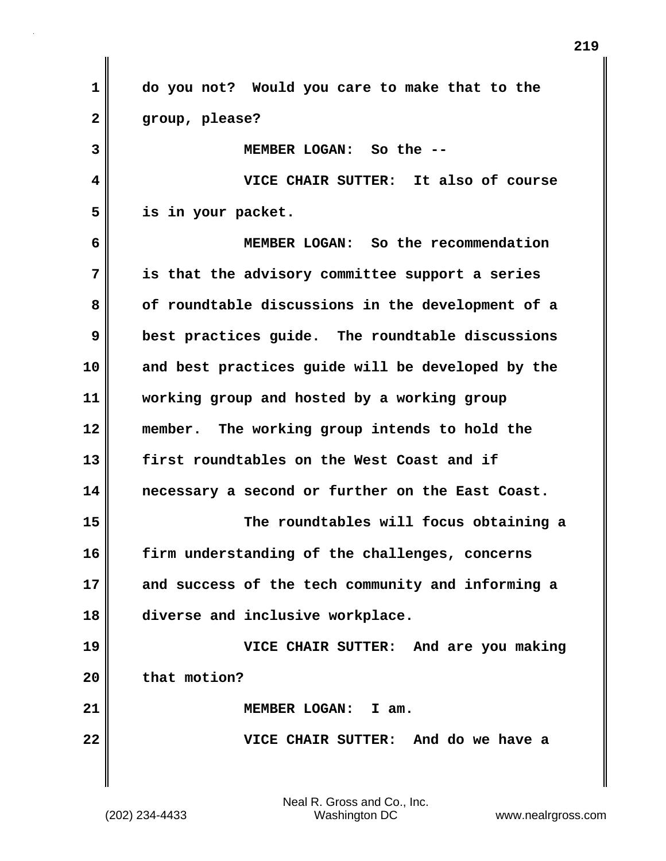**1 do you not? Would you care to make that to the 2 group, please? 3 MEMBER LOGAN: So the -- 4 VICE CHAIR SUTTER: It also of course 5 is in your packet. 6 MEMBER LOGAN: So the recommendation 7 is that the advisory committee support a series 8 of roundtable discussions in the development of a 9 best practices guide. The roundtable discussions 10 and best practices guide will be developed by the 11 working group and hosted by a working group 12 member. The working group intends to hold the 13 first roundtables on the West Coast and if 14 necessary a second or further on the East Coast. 15 The roundtables will focus obtaining a 16 firm understanding of the challenges, concerns 17 and success of the tech community and informing a 18 diverse and inclusive workplace. 19 VICE CHAIR SUTTER: And are you making 20 that motion? 21 MEMBER LOGAN: I am. 22 VICE CHAIR SUTTER: And do we have a**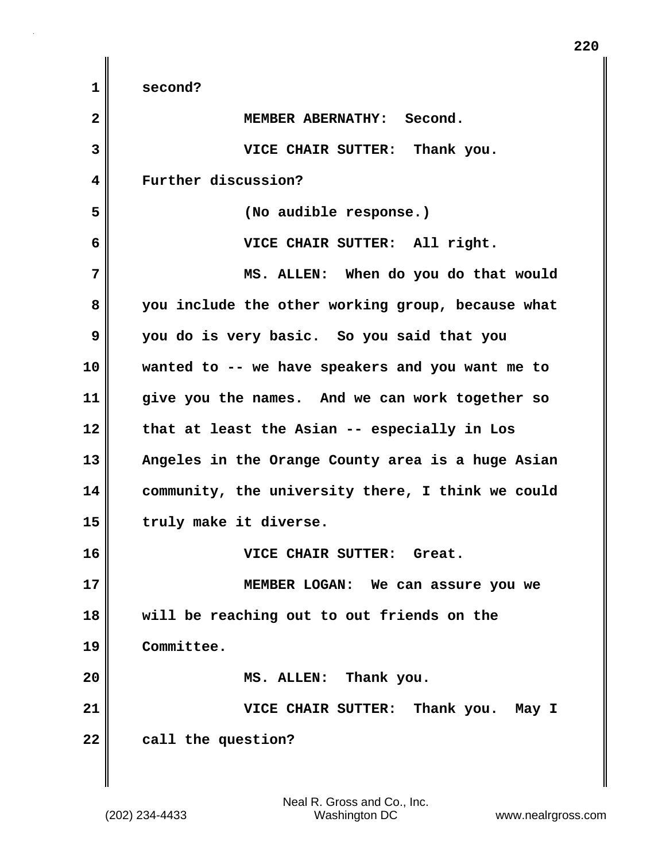| 1            | second?                                           |
|--------------|---------------------------------------------------|
| $\mathbf{2}$ | MEMBER ABERNATHY: Second.                         |
| 3            | VICE CHAIR SUTTER: Thank you.                     |
| 4            | Further discussion?                               |
| 5            | (No audible response.)                            |
| 6            | VICE CHAIR SUTTER: All right.                     |
| 7            | MS. ALLEN: When do you do that would              |
| 8            | you include the other working group, because what |
| 9            | you do is very basic. So you said that you        |
| 10           | wanted to -- we have speakers and you want me to  |
| 11           | give you the names. And we can work together so   |
| 12           | that at least the Asian -- especially in Los      |
| 13           | Angeles in the Orange County area is a huge Asian |
| 14           | community, the university there, I think we could |
| 15           | truly make it diverse.                            |
| 16           | VICE CHAIR SUTTER: Great.                         |
| 17           | MEMBER LOGAN: We can assure you we                |
| 18           | will be reaching out to out friends on the        |
| 19           | Committee.                                        |
| 20           | MS. ALLEN: Thank you.                             |
| 21           | VICE CHAIR SUTTER: Thank you. May I               |
| 22           | call the question?                                |
|              |                                                   |

 $\mathbf{I}$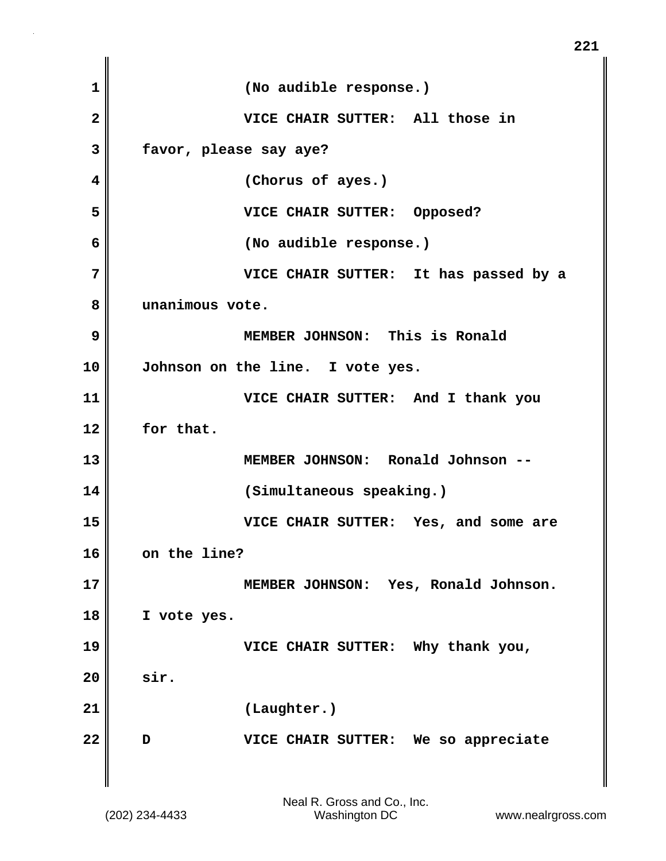| $\mathbf{1}$   | (No audible response.)                   |
|----------------|------------------------------------------|
| $\overline{2}$ | VICE CHAIR SUTTER: All those in          |
| 3              | favor, please say aye?                   |
| 4              | (Chorus of ayes.)                        |
| 5              | VICE CHAIR SUTTER: Opposed?              |
| 6              | (No audible response.)                   |
| 7              | VICE CHAIR SUTTER: It has passed by a    |
| 8              | unanimous vote.                          |
| 9              | MEMBER JOHNSON: This is Ronald           |
| 10             | Johnson on the line. I vote yes.         |
| 11             | VICE CHAIR SUTTER: And I thank you       |
| 12             | for that.                                |
| 13             | MEMBER JOHNSON: Ronald Johnson --        |
| 14             | (Simultaneous speaking.)                 |
| 15             | VICE CHAIR SUTTER: Yes, and some are     |
| 16             | on the line?                             |
| 17             | MEMBER JOHNSON: Yes, Ronald Johnson.     |
| 18             | I vote yes.                              |
| 19             | VICE CHAIR SUTTER: Why thank you,        |
| 20             | sir.                                     |
| 21             | (Laughter.)                              |
| 22             | VICE CHAIR SUTTER: We so appreciate<br>D |
|                |                                          |

**221**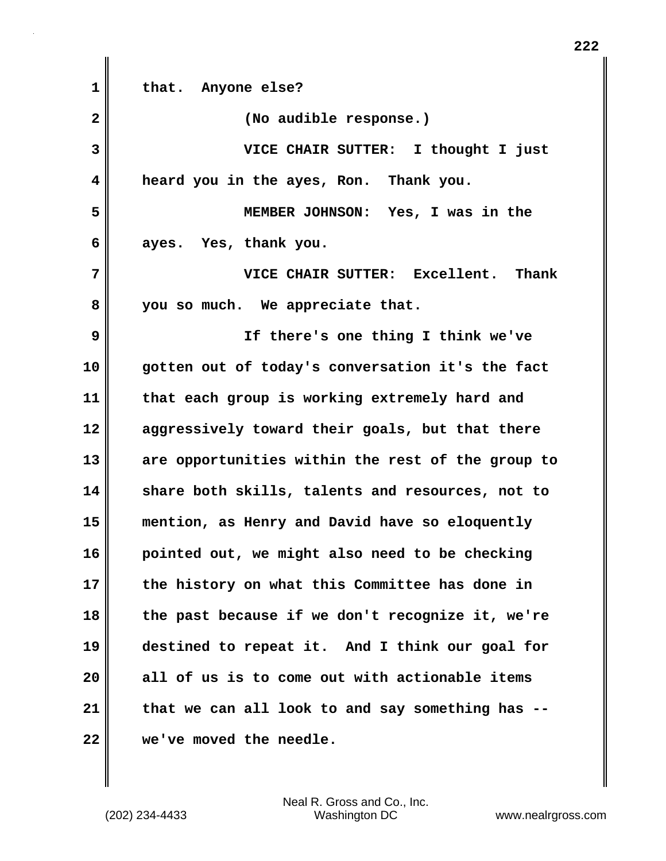**1 that. Anyone else? 2 (No audible response.) 3 VICE CHAIR SUTTER: I thought I just 4 heard you in the ayes, Ron. Thank you. 5 MEMBER JOHNSON: Yes, I was in the 6 ayes. Yes, thank you. 7 VICE CHAIR SUTTER: Excellent. Thank 8 you so much. We appreciate that. 9 If there's one thing I think we've 10 gotten out of today's conversation it's the fact 11 that each group is working extremely hard and 12 aggressively toward their goals, but that there 13 are opportunities within the rest of the group to 14 share both skills, talents and resources, not to 15 mention, as Henry and David have so eloquently 16 pointed out, we might also need to be checking 17 the history on what this Committee has done in 18 the past because if we don't recognize it, we're 19 destined to repeat it. And I think our goal for 20 all of us is to come out with actionable items 21 that we can all look to and say something has -- 22 we've moved the needle.**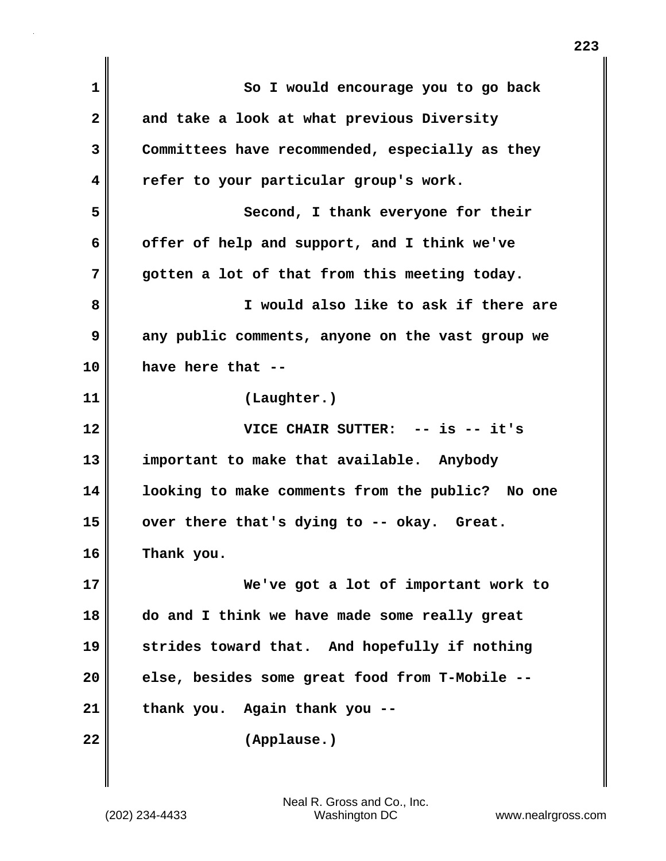| 1                    | So I would encourage you to go back              |
|----------------------|--------------------------------------------------|
| 2                    | and take a look at what previous Diversity       |
| 3                    | Committees have recommended, especially as they  |
| 4                    | refer to your particular group's work.           |
| 5                    | Second, I thank everyone for their               |
| 6                    | offer of help and support, and I think we've     |
| 7                    | gotten a lot of that from this meeting today.    |
| 8                    | I would also like to ask if there are            |
| 9                    | any public comments, anyone on the vast group we |
| 10                   | have here that --                                |
| 11                   | (Laughter.)                                      |
| 12                   | VICE CHAIR SUTTER: -- is -- it's                 |
| 13                   | important to make that available. Anybody        |
| 14                   | looking to make comments from the public? No one |
|                      |                                                  |
|                      | over there that's dying to -- okay. Great.       |
|                      | Thank you.                                       |
|                      | We've got a lot of important work to             |
| 15<br>16<br>17<br>18 | do and I think we have made some really great    |
| 19                   | strides toward that. And hopefully if nothing    |
| 20                   | else, besides some great food from T-Mobile --   |
| 21                   | thank you. Again thank you --                    |
| 22                   | (Applause.)                                      |

 $\mathbf{I}$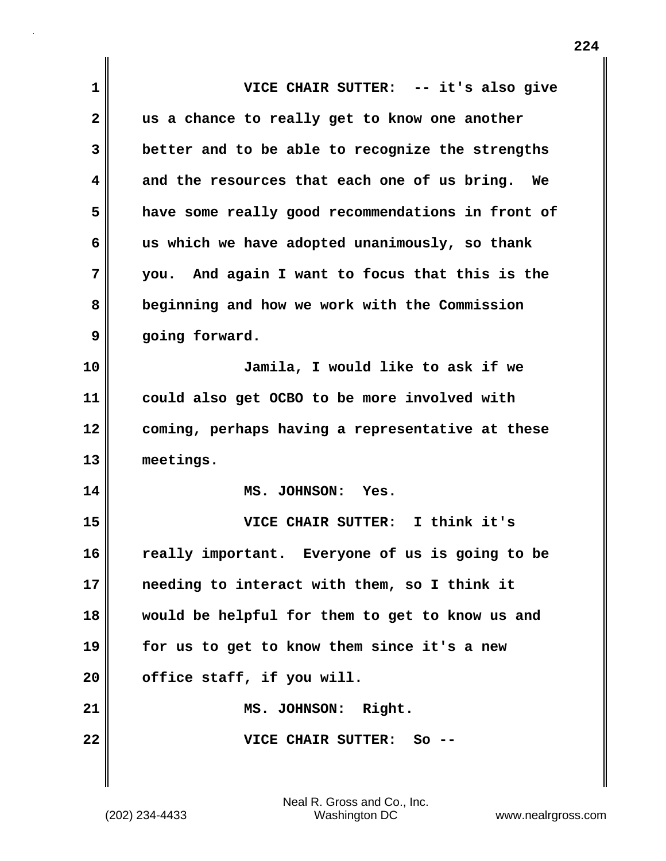| $\mathbf 1$ | VICE CHAIR SUTTER: -- it's also give              |
|-------------|---------------------------------------------------|
| 2           | us a chance to really get to know one another     |
| 3           | better and to be able to recognize the strengths  |
| 4           | and the resources that each one of us bring. We   |
| 5           | have some really good recommendations in front of |
| 6           | us which we have adopted unanimously, so thank    |
| 7           | you. And again I want to focus that this is the   |
| 8           | beginning and how we work with the Commission     |
| 9           | going forward.                                    |
| 10          | Jamila, I would like to ask if we                 |
| 11          | could also get OCBO to be more involved with      |
| 12          | coming, perhaps having a representative at these  |
| 13          | meetings.                                         |
| 14          | MS. JOHNSON: Yes.                                 |
| 15          | VICE CHAIR SUTTER: I think it's                   |
| 16          | really important. Everyone of us is going to be   |
| 17          | needing to interact with them, so I think it      |
| 18          | would be helpful for them to get to know us and   |
| 19          | for us to get to know them since it's a new       |
| 20          | office staff, if you will.                        |
| 21          | MS. JOHNSON: Right.                               |
| 22          | VICE CHAIR SUTTER:<br>So                          |
|             |                                                   |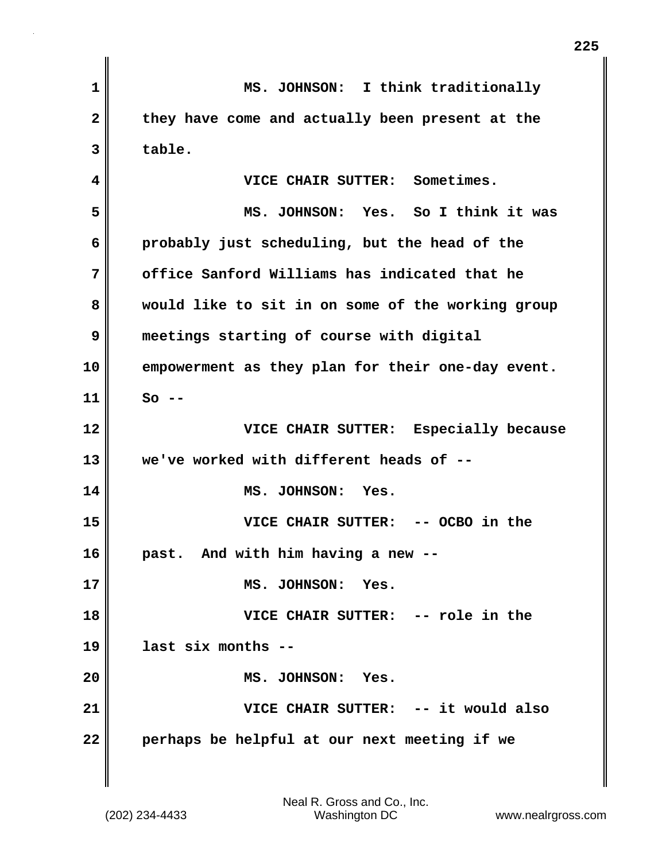| $\mathbf{1}$   | MS. JOHNSON: I think traditionally                |
|----------------|---------------------------------------------------|
| $\overline{2}$ | they have come and actually been present at the   |
| 3              | table.                                            |
| 4              | VICE CHAIR SUTTER: Sometimes.                     |
| 5              | MS. JOHNSON: Yes. So I think it was               |
| 6              | probably just scheduling, but the head of the     |
| 7              | office Sanford Williams has indicated that he     |
| 8              | would like to sit in on some of the working group |
| 9              | meetings starting of course with digital          |
| 10             | empowerment as they plan for their one-day event. |
| 11             | $So$ --                                           |
| 12             | VICE CHAIR SUTTER: Especially because             |
| 13             | we've worked with different heads of --           |
| 14             | MS. JOHNSON: Yes.                                 |
| 15             | VICE CHAIR SUTTER:<br>-- OCBO in the              |
| 16             | past. And with him having a new --                |
| 17             | MS. JOHNSON: Yes.                                 |
| 18             | VICE CHAIR SUTTER: -- role in the                 |
| 19             | last six months --                                |
| 20             | MS. JOHNSON: Yes.                                 |
| 21             | VICE CHAIR SUTTER: -- it would also               |
| 22             | perhaps be helpful at our next meeting if we      |

**225**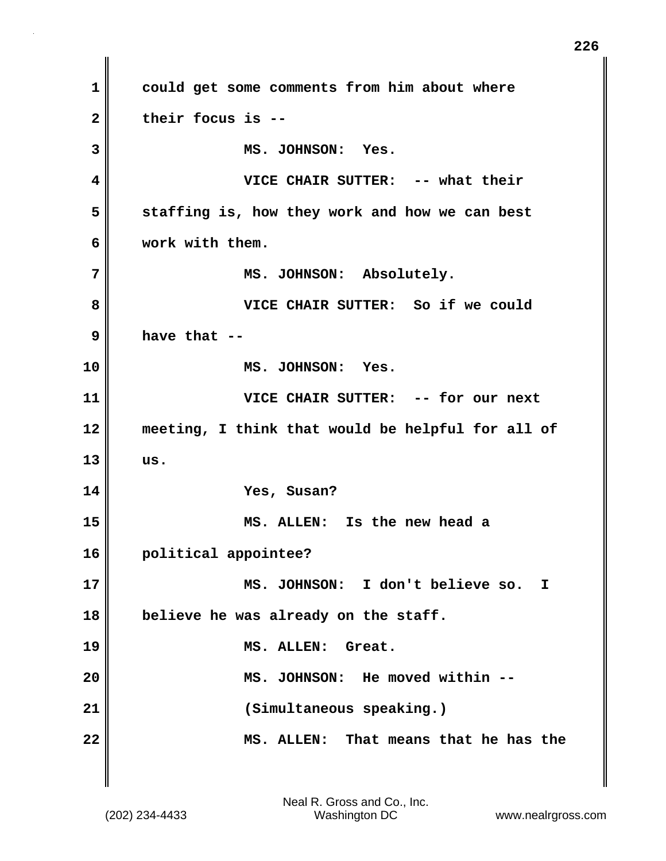**1 could get some comments from him about where 2 their focus is -- 3 MS. JOHNSON: Yes. 4 VICE CHAIR SUTTER: -- what their 5 staffing is, how they work and how we can best 6 work with them. 7 MS. JOHNSON: Absolutely. 8 VICE CHAIR SUTTER: So if we could 9 have that -- 10 MS. JOHNSON: Yes. 11 VICE CHAIR SUTTER: -- for our next 12 meeting, I think that would be helpful for all of 13 us. 14 Yes, Susan? 15 MS. ALLEN: Is the new head a 16 political appointee? 17 MS. JOHNSON: I don't believe so. I 18 believe he was already on the staff. 19 MS. ALLEN: Great. 20 MS. JOHNSON: He moved within -- 21 (Simultaneous speaking.) 22 MS. ALLEN: That means that he has the**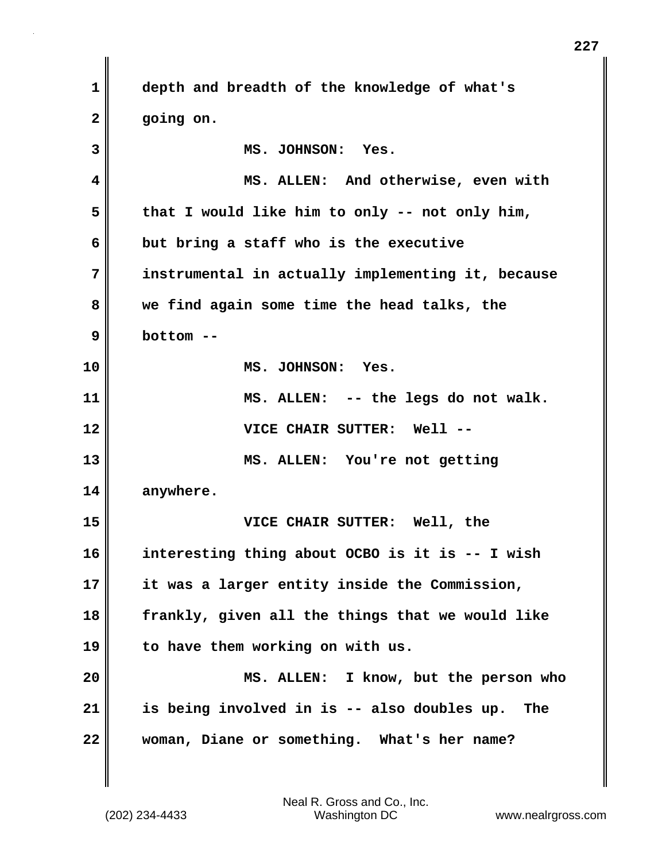**1 depth and breadth of the knowledge of what's 2 going on. 3 MS. JOHNSON: Yes. 4 MS. ALLEN: And otherwise, even with 5 that I would like him to only -- not only him, 6 but bring a staff who is the executive 7 instrumental in actually implementing it, because 8 we find again some time the head talks, the 9 bottom -- 10 MS. JOHNSON: Yes. 11 MS. ALLEN: -- the legs do not walk. 12 VICE CHAIR SUTTER: Well -- 13 MS. ALLEN: You're not getting 14 anywhere. 15 VICE CHAIR SUTTER: Well, the 16 interesting thing about OCBO is it is -- I wish 17 it was a larger entity inside the Commission, 18 frankly, given all the things that we would like 19 to have them working on with us. 20 MS. ALLEN: I know, but the person who 21 is being involved in is -- also doubles up. The 22 woman, Diane or something. What's her name?** 

(202) 234-4433 Washington DC www.nealrgross.com Neal R. Gross and Co., Inc.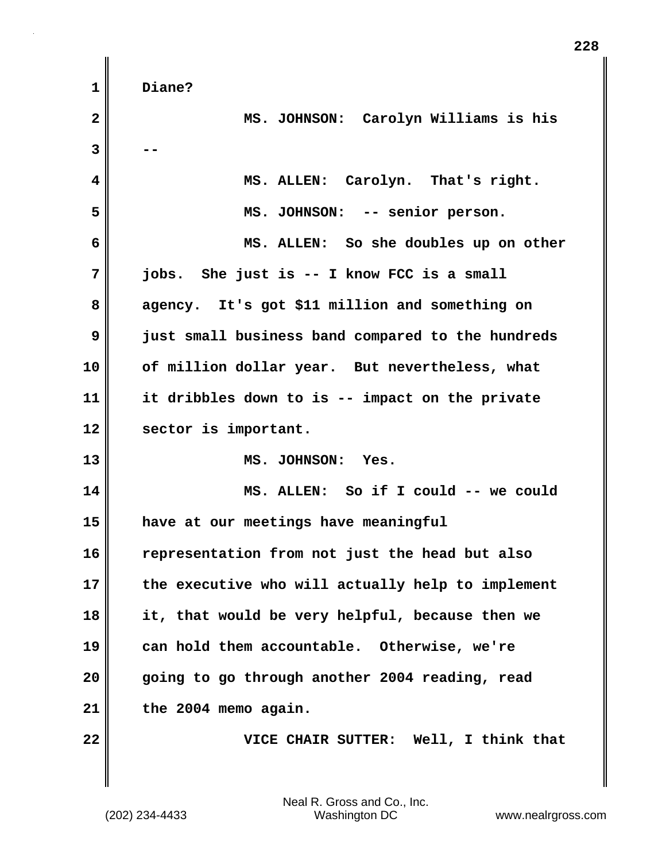**1 Diane?**

| $\overline{\mathbf{2}}$ | MS. JOHNSON: Carolyn Williams is his              |
|-------------------------|---------------------------------------------------|
| 3                       |                                                   |
| 4                       | MS. ALLEN: Carolyn. That's right.                 |
| 5                       | MS. JOHNSON: -- senior person.                    |
| 6                       | MS. ALLEN: So she doubles up on other             |
| 7                       | jobs. She just is -- I know FCC is a small        |
| 8                       | agency. It's got \$11 million and something on    |
| 9                       | just small business band compared to the hundreds |
| 10                      | of million dollar year. But nevertheless, what    |
| 11                      | it dribbles down to is -- impact on the private   |
| 12                      | sector is important.                              |
| 13                      | MS. JOHNSON: Yes.                                 |
| 14                      | MS. ALLEN: So if I could -- we could              |
| 15                      | have at our meetings have meaningful              |
| 16                      | representation from not just the head but also    |
| 17                      | the executive who will actually help to implement |
| 18                      | it, that would be very helpful, because then we   |
| 19                      | can hold them accountable. Otherwise, we're       |
| 20                      | going to go through another 2004 reading, read    |
| 21                      | the 2004 memo again.                              |
| 22                      | VICE CHAIR SUTTER: Well, I think that             |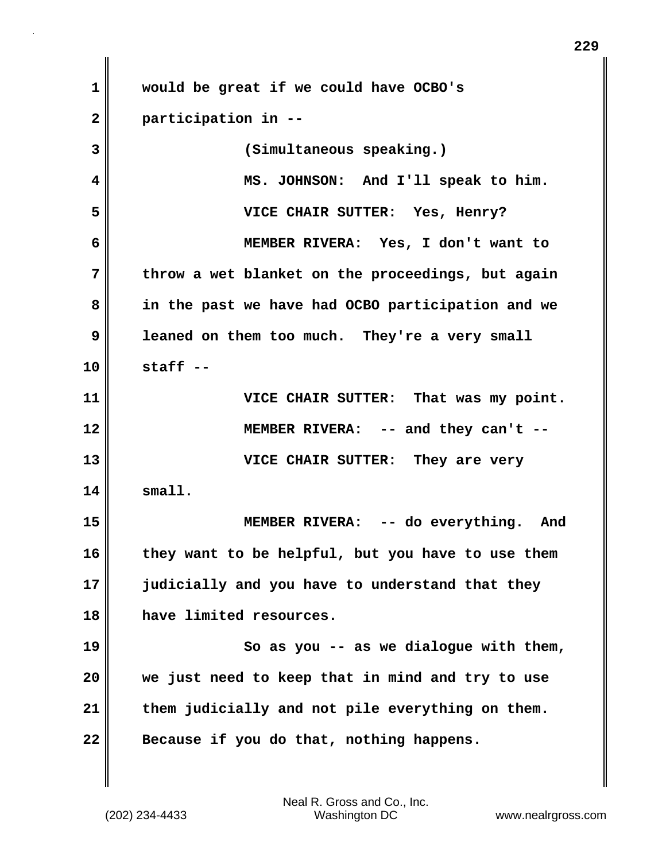| $\mathbf 1$  | would be great if we could have OCBO's            |
|--------------|---------------------------------------------------|
| $\mathbf{2}$ | participation in --                               |
| 3            | (Simultaneous speaking.)                          |
| 4            | MS. JOHNSON: And I'll speak to him.               |
| 5            | VICE CHAIR SUTTER: Yes, Henry?                    |
| 6            | MEMBER RIVERA: Yes, I don't want to               |
| 7            | throw a wet blanket on the proceedings, but again |
| 8            | in the past we have had OCBO participation and we |
| 9            | leaned on them too much. They're a very small     |
| 10           | $statf -$                                         |
| 11           | VICE CHAIR SUTTER: That was my point.             |
| 12           | MEMBER RIVERA: -- and they can't --               |
| 13           | VICE CHAIR SUTTER: They are very                  |
| 14           | small.                                            |
| 15           | MEMBER RIVERA: -- do everything. And              |
| 16           | they want to be helpful, but you have to use them |
| 17           | judicially and you have to understand that they   |
| 18           | have limited resources.                           |
| 19           | So as you $-$ as we dialogue with them,           |
| 20           | we just need to keep that in mind and try to use  |
| 21           | them judicially and not pile everything on them.  |
| 22           | Because if you do that, nothing happens.          |

**229**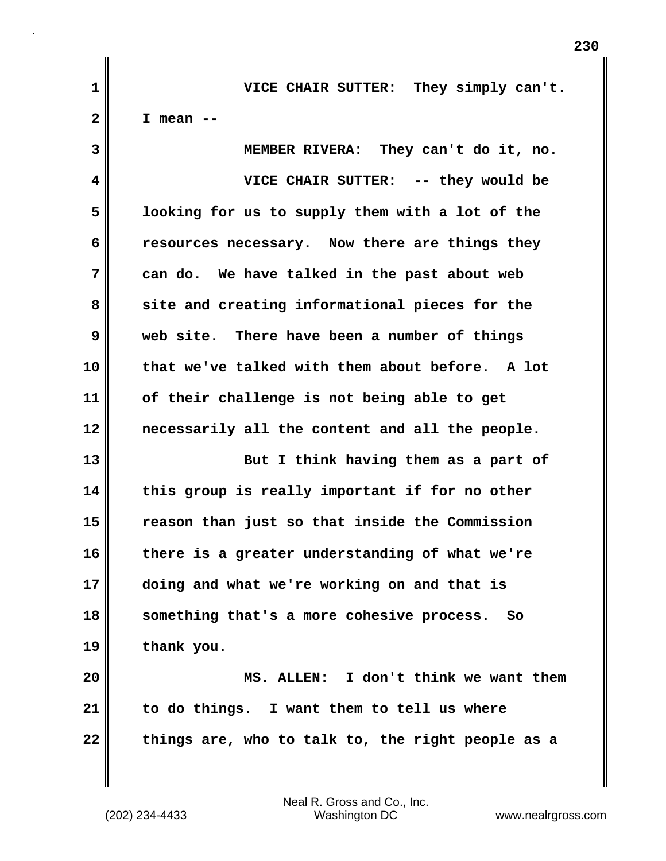**1 VICE CHAIR SUTTER: They simply can't. 2 I mean -- 3 MEMBER RIVERA: They can't do it, no. 4 VICE CHAIR SUTTER: -- they would be 5 looking for us to supply them with a lot of the 6 resources necessary. Now there are things they 7 can do. We have talked in the past about web 8 site and creating informational pieces for the 9 web site. There have been a number of things 10 that we've talked with them about before. A lot 11 of their challenge is not being able to get 12 necessarily all the content and all the people. 13 But I think having them as a part of 14 this group is really important if for no other 15 reason than just so that inside the Commission 16 there is a greater understanding of what we're 17 doing and what we're working on and that is 18 something that's a more cohesive process. So 19 thank you. 20 MS. ALLEN: I don't think we want them 21 to do things. I want them to tell us where 22 things are, who to talk to, the right people as a**

(202) 234-4433 Washington DC www.nealrgross.com Neal R. Gross and Co., Inc.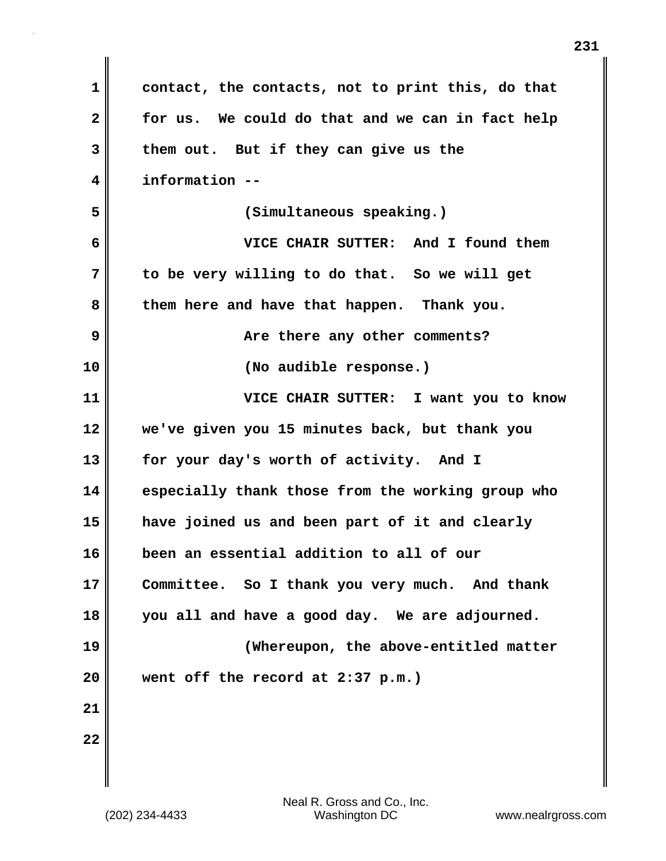| 1            | contact, the contacts, not to print this, do that |
|--------------|---------------------------------------------------|
| $\mathbf{2}$ | for us. We could do that and we can in fact help  |
| 3            | them out. But if they can give us the             |
| 4            | information --                                    |
| 5            | (Simultaneous speaking.)                          |
| 6            | VICE CHAIR SUTTER: And I found them               |
| 7            | to be very willing to do that. So we will get     |
| 8            | them here and have that happen. Thank you.        |
| 9            | Are there any other comments?                     |
| 10           | (No audible response.)                            |
| 11           | VICE CHAIR SUTTER: I want you to know             |
| 12           | we've given you 15 minutes back, but thank you    |
| 13           | for your day's worth of activity. And I           |
| 14           | especially thank those from the working group who |
| 15           | have joined us and been part of it and clearly    |
| 16           | been an essential addition to all of our          |
| 17           | Committee. So I thank you very much. And thank    |
| 18           | you all and have a good day. We are adjourned.    |
| 19           | (Whereupon, the above-entitled matter             |
| 20           | went off the record at 2:37 p.m.)                 |
| 21           |                                                   |
| 22           |                                                   |
|              |                                                   |

 $\mathbf{I}$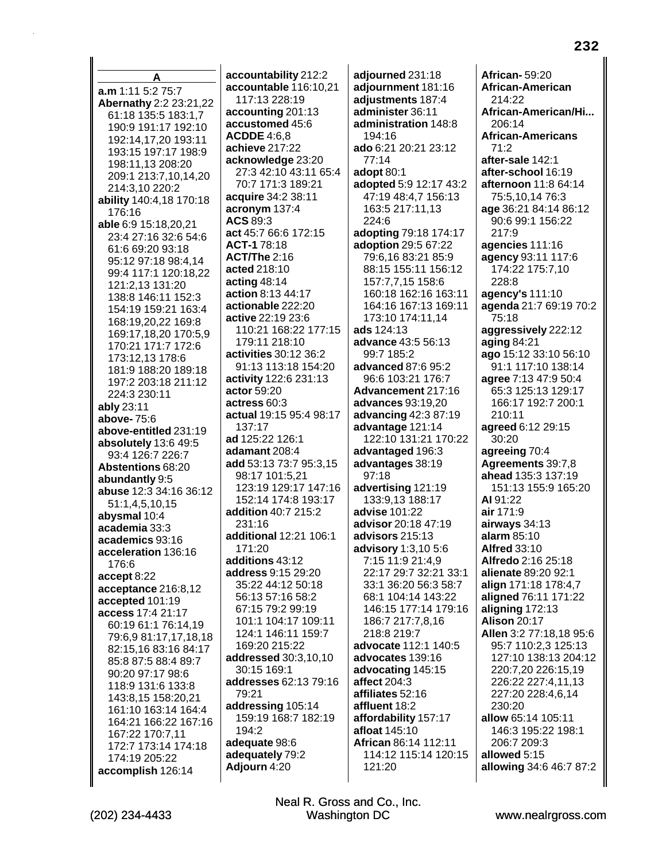A a.m 1:11 5:2 75:7 Abernathy 2:2 23:21,22 61:18 135:5 183:1.7 190:9 191:17 192:10 192:14.17.20 193:11 193:15 197:17 198:9 198:11.13 208:20 209:1 213:7,10,14,20 214:3,10 220:2 ability 140:4,18 170:18 176:16 able 6:9 15:18,20,21 23:4 27:16 32:6 54:6 61:6 69:20 93:18 95:12 97:18 98:4.14 99:4 117:1 120:18,22 121:2,13 131:20 138:8 146:11 152:3 154:19 159:21 163:4 168:19,20,22 169:8 169:17,18,20 170:5,9 170:21 171:7 172:6 173:12,13 178:6 181:9 188:20 189:18 197:2 203:18 211:12 224:3 230:11 ably 23:11 above-75:6 above-entitled 231:19 absolutely 13:6 49:5 93:4 126:7 226:7 **Abstentions 68:20** abundantly 9:5 abuse 12:3 34:16 36:12 51:1,4,5,10,15 abysmal 10:4 academia 33:3 academics 93:16 acceleration 136:16 176:6 accept 8:22 acceptance 216:8,12 accepted 101:19 access 17:4 21:17 60:19 61:1 76:14.19 79:6,9 81:17,17,18,18 82:15,16 83:16 84:17 85:8 87:5 88:4 89:7 90:20 97:17 98:6 118:9 131:6 133:8 143:8.15 158:20.21 161:10 163:14 164:4 164:21 166:22 167:16 167:22 170:7,11 172:7 173:14 174:18 174:19 205:22 accomplish 126:14

accountability 212:2 accountable 116:10,21 117:13 228:19 accounting 201:13 accustomed 45:6 **ACDDE 4:6.8** achieve 217:22 acknowledge 23:20 27:3 42:10 43:11 65:4 70:7 171:3 189:21 acquire 34:2 38:11 acronym 137:4 ACS 89:3 act 45:7 66:6 172:15 ACT-178:18 **ACT/The 2:16** acted 218:10 acting  $48:14$ action 8:13 44:17 actionable 222:20 active 22:19 23:6 110:21 168:22 177:15 179:11 218:10 activities 30:12 36:2 91:13 113:18 154:20 activity 122:6 231:13 actor 59:20 actress 60:3 actual 19:15 95:4 98:17 137:17 ad 125:22 126:1 adamant  $208:4$ add 53:13 73:7 95:3,15 98:17 101:5.21 123:19 129:17 147:16 152:14 174:8 193:17 addition 40:7 215:2 231:16 additional 12:21 106:1 171:20 additions 43:12 address 9:15 29:20 35:22 44:12 50:18 56:13 57:16 58:2 67:15 79:2 99:19 101:1 104:17 109:11 124:1 146:11 159:7 169:20 215:22 addressed 30:3.10.10 30:15 169:1 addresses 62:13 79:16 79:21 addressing 105:14 159:19 168:7 182:19 194:2 adequate 98:6 adequately 79:2 Adjourn 4:20

adjourned 231:18 adjournment 181:16 adjustments 187:4 administer 36:11 administration 148:8  $194.16$ ado 6:21 20:21 23:12  $77:14$ adopt 80:1 adopted 5:9 12:17 43:2 47:19 48:4,7 156:13 163:5 217:11,13 224:6 adopting 79:18 174:17 adoption 29:5 67:22 79:6,16 83:21 85:9 88:15 155:11 156:12 157:7,7,15 158:6 160:18 162:16 163:11 164:16 167:13 169:11 173:10 174:11,14 ads 124:13 advance 43:5 56:13 99:7 185:2 advanced 87:6 95:2 96:6 103:21 176:7 Advancement 217:16 advances 93:19,20 advancing  $42:387:19$ advantage 121:14 122:10 131:21 170:22 advantaged 196:3 advantages 38:19  $97:18$ advertising 121:19 133:9.13 188:17 advise 101:22 advisor 20:18 47:19 advisors 215:13 advisory 1:3,10 5:6 7:15 11:9 21:4,9 22:17 29:7 32:21 33:1 33:1 36:20 56:3 58:7 68:1 104:14 143:22 146:15 177:14 179:16 186:7 217:7,8,16 218:8 219:7 advocate 112:1 140:5 advocates 139:16 advocating 145:15 affect 204:3 affiliates 52:16 affluent 18:2 affordability 157:17 afloat 145:10 African 86:14 112:11 114:12 115:14 120:15 121:20

**African-59:20** African-American 214:22 African-American/Hi... 206:14 **African-Americans**  $71:2$ after-sale 142:1 after-school 16:19 afternoon 11:8 64:14 75:5,10,14 76:3 age 36:21 84:14 86:12 90:6 99:1 156:22 217:9 agencies 111:16 agency 93:11 117:6 174:22 175:7,10 228:8 agency's 111:10 agenda 21:7 69:19 70:2 75:18 aggressively 222:12 aging 84:21 ago 15:12 33:10 56:10 91:1 117:10 138:14 agree 7:13 47:9 50:4 65:3 125:13 129:17 166:17 192:7 200:1 210:11 agreed 6:12 29:15 30:20 agreeing 70:4 Agreements 39:7,8 ahead 135:3 137:19 151:13 155:9 165:20 AI 91:22 air 171:9 airways 34:13 alarm  $85:10$ **Alfred 33:10** Alfredo 2:16 25:18 alienate 89:20 92:1 align 171:18 178:4,7 aligned 76:11 171:22 aligning 172:13 **Alison 20:17** Allen 3:2 77:18,18 95:6 95:7 110:2,3 125:13 127:10 138:13 204:12 220:7,20 226:15,19 226:22 227:4,11,13 227:20 228:4,6,14 230:20 allow 65:14 105:11 146:3 195:22 198:1 206:7 209:3 allowed 5:15 allowing 34:6 46:7 87:2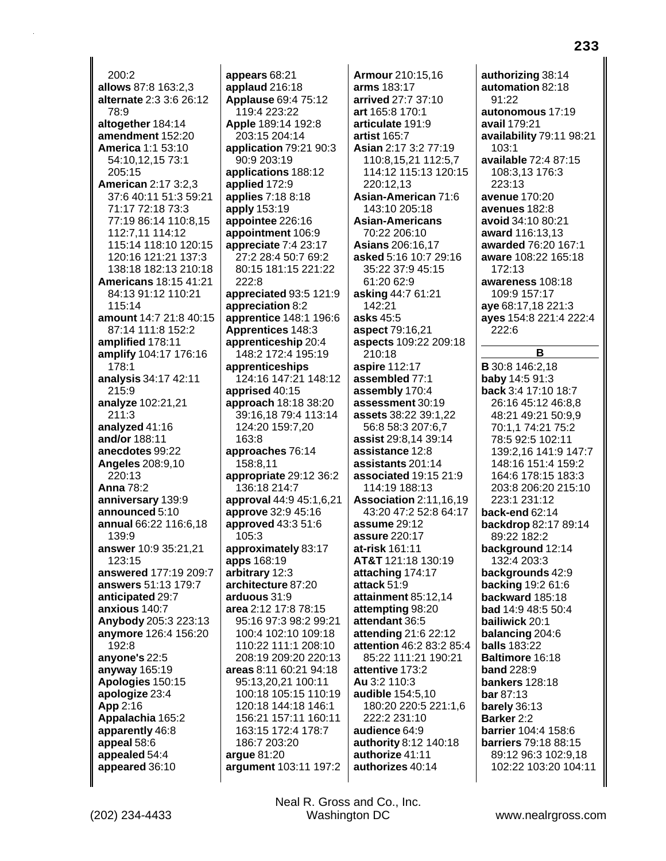$200:2$ allows 87:8 163:2,3 alternate 2:3 3:6 26:12 78:9 altogether 184:14 amendment 152:20 America 1:1 53:10 54:10,12,15 73:1 205:15 **American 2:17 3:2.3** 37:6 40:11 51:3 59:21 71:17 72:18 73:3 77:19 86:14 110:8.15 112:7,11 114:12 115:14 118:10 120:15 120:16 121:21 137:3 138:18 182:13 210:18 **Americans 18:15 41:21** 84:13 91:12 110:21 115:14 amount 14:7 21:8 40:15 87:14 111:8 152:2 amplified 178:11 amplify 104:17 176:16 178:1 analysis 34:17 42:11  $215:9$ analyze 102:21,21 211:3 analyzed 41:16 and/or 188:11 anecdotes 99:22 **Angeles 208:9,10** 220:13 **Anna 78:2** anniversary 139:9 announced 5:10 annual 66:22 116:6,18 139:9 answer 10:9 35:21,21  $123:15$ answered 177:19 209:7 answers 51:13 179:7 anticipated 29:7 anxious 140:7 Anybody 205:3 223:13 anymore 126:4 156:20 192:8 anyone's 22:5 anyway 165:19 Apologies 150:15 apologize 23:4 App 2:16 Appalachia 165:2 apparently 46:8 appeal 58:6 appealed 54:4 appeared 36:10

appears 68:21 applaud 216:18 **Applause 69:4 75:12** 119:4 223:22 Apple 189:14 192:8 203:15 204:14 application 79:21 90:3 90:9 203:19 applications 188:12 applied 172:9 applies 7:18 8:18 apply 153:19 appointee 226:16 appointment 106:9 appreciate 7:4 23:17 27:2 28:4 50:7 69:2 80:15 181:15 221:22 222:8 appreciated 93:5 121:9 appreciation 8:2 apprentice 148:1 196:6 Apprentices 148:3 apprenticeship 20:4 148:2 172:4 195:19 apprenticeships 124:16 147:21 148:12 apprised 40:15 approach 18:18 38:20 39:16.18 79:4 113:14 124:20 159:7,20  $163.8$ approaches 76:14 158:8.11 appropriate 29:12 36:2 136:18 214:7 approval 44:9 45:1,6,21 approve 32:9 45:16 approved 43:3 51:6 105:3 approximately 83:17 apps 168:19 arbitrary 12:3 architecture 87:20 arduous 31:9 area 2:12 17:8 78:15 95:16 97:3 98:2 99:21 100:4 102:10 109:18 110:22 111:1 208:10 208:19 209:20 220:13 areas 8:11 60:21 94:18 95:13,20,21 100:11 100:18 105:15 110:19 120:18 144:18 146:1 156:21 157:11 160:11 163:15 172:4 178:7 186:7 203:20 arque 81:20 argument 103:11 197:2

**Armour 210:15.16** arms 183:17 arrived 27:7 37:10 art 165:8 170:1 articulate 191:9 artist  $165.7$ Asian 2:17 3:2 77:19 110:8,15,21 112:5,7 114:12 115:13 120:15 220:12.13 Asian-American 71:6 143:10 205:18 **Asian-Americans** 70:22 206:10 Asians 206:16.17 asked 5:16 10:7 29:16 35:22 37:9 45:15 61:20 62:9 asking 44:7 61:21 142:21 asks 45:5 aspect 79:16,21 aspects 109:22 209:18 210:18 aspire 112:17 assembled 77:1 assembly 170:4 assessment 30:19 **assets** 38:22 39:1,22 56:8 58:3 207:6,7 assist 29:8.14 39:14 assistance 12:8 assistants 201:14 associated 19:15 21:9 114:19 188:13 **Association 2:11,16,19** 43:20 47:2 52:8 64:17 assume 29:12 assure 220:17 at-risk 161:11 AT&T 121:18 130:19 attaching 174:17 attack 51:9 attainment 85:12.14 attempting 98:20 attendant 36:5 attending 21:6 22:12 attention 46:2 83:2 85:4 85:22 111:21 190:21 attentive 173:2 Au 3:2 110:3 audible 154:5,10 180:20 220:5 221:1,6 222:2 231:10 audience 64:9 authority 8:12 140:18 authorize 41:11 authorizes 40:14

233 authorizing 38:14 automation 82:18 autonomous 17:19 availability 79:11 98:21 available 72:4 87:15

223:13 avenue 170:20 avenues 182:8 avoid 34:10 80:21 award 116:13.13 awarded 76:20 167:1 aware 108:22 165:18 172:13 awareness 108:18 109:9 157:17 aye 68:17,18 221:3 ayes 154:8 221:4 222:4 222:6

 $91:22$ 

 $103:1$ 

avail 179:21

108:3.13 176:3

## В

**B** 30:8 146:2.18 **baby 14:5 91:3** back 3:4 17:10 18:7 26:16 45:12 46:8,8 48:21 49:21 50:9.9 70:1.1 74:21 75:2 78:5 92:5 102:11 139:2,16 141:9 147:7 148:16 151:4 159:2 164:6 178:15 183:3 203:8 206:20 215:10 223:1 231:12 back-end 62:14 backdrop 82:17 89:14 89:22 182:2 background 12:14 132:4 203:3 backgrounds 42:9 **backing 19:2 61:6** backward 185:18 bad 14:9 48:5 50:4 bailiwick 20:1 balancing 204:6 **balls 183:22** Baltimore 16:18 band  $228.9$ **bankers** 128:18 bar 87:13 barely 36:13 Barker 2:2 barrier 104:4 158:6 **barriers** 79:18 88:15 89:12 96:3 102:9.18 102:22 103:20 104:11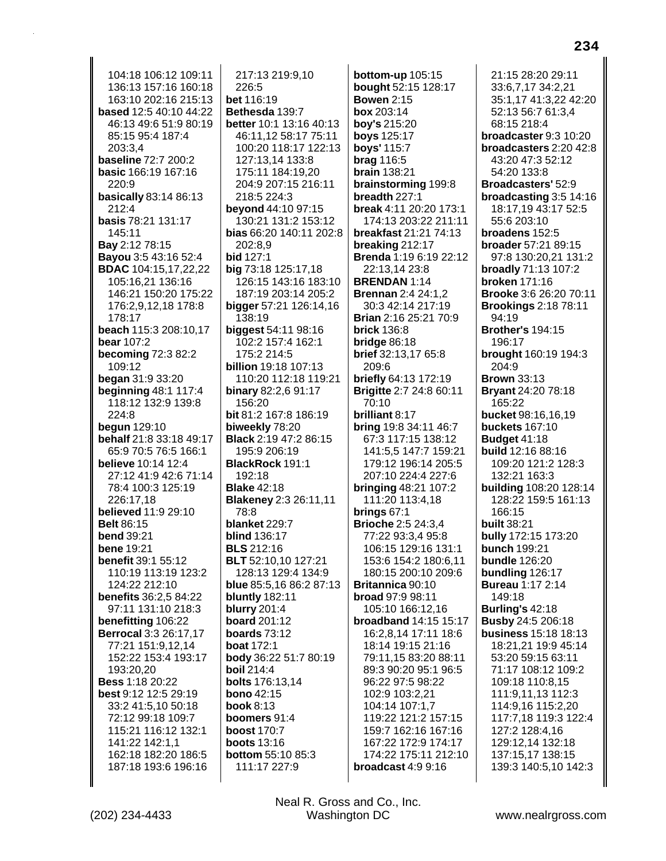104:18 106:12 109:11 136:13 157:16 160:18 163:10 202:16 215:13 based 12:5 40:10 44:22 46:13 49:6 51:9 80:19 85:15 95:4 187:4 203:3.4 baseline 72:7 200:2 basic 166:19 167:16 220:9 basically 83:14 86:13 212:4 **basis 78:21 131:17** 145:11 Bay 2:12 78:15 **Bayou** 3:5 43:16 52:4 **BDAC** 104:15,17,22,22 105:16,21 136:16 146:21 150:20 175:22 176:2,9,12,18 178:8 178:17 beach 115:3 208:10.17 **bear 107:2 becoming 72:3 82:2** 109:12 **began** 31:9 33:20 **beginning 48:1 117:4** 118:12 132:9 139:8 224:8 **begun** 129:10 behalf 21:8 33:18 49:17 65:9 70:5 76:5 166:1 **believe** 10:14 12:4 27:12 41:9 42:6 71:14 78:4 100:3 125:19 226:17,18 believed 11:9 29:10 **Belt 86:15 bend** 39:21 **bene 19:21 benefit 39:1 55:12** 110:19 113:19 123:2 124:22 212:10 benefits 36:2.5 84:22 97:11 131:10 218:3 benefitting 106:22 Berrocal 3:3 26:17,17 77:21 151:9,12,14 152:22 153:4 193:17 193:20,20 **Bess 1:18 20:22** best 9:12 12:5 29:19 33:2 41:5,10 50:18 72:12 99:18 109:7 115:21 116:12 132:1 141:22 142:1.1 162:18 182:20 186:5 187:18 193:6 196:16

217:13 219:9.10 226:5 bet 116:19 Bethesda 139:7 better 10:1 13:16 40:13 46:11.12 58:17 75:11 100:20 118:17 122:13 127:13,14 133:8 175:11 184:19,20 204:9 207:15 216:11 218:5 224:3 beyond 44:10 97:15 130:21 131:2 153:12 bias 66:20 140:11 202:8 202:8.9 bid 127:1 big 73:18 125:17,18 126:15 143:16 183:10 187:19 203:14 205:2 bigger 57:21 126:14,16 138:19 biggest 54:11 98:16 102:2 157:4 162:1 175:2 214:5 **billion** 19:18 107:13 110:20 112:18 119:21 binary 82:2,6 91:17 156:20 **bit** 81:2 167:8 186:19 biweekly 78:20 **Black** 2:19 47:2 86:15 195:9 206:19 BlackRock 191:1 192:18 **Blake 42:18 Blakeney 2:3 26:11,11** 78:8 blanket 229:7 **blind 136:17 BLS** 212:16 BLT 52:10,10 127:21 128:13 129:4 134:9 blue 85:5,16 86:2 87:13 bluntly 182:11 **blurry** 201:4 **board** 201:12 boards  $73:12$ **boat 172:1** body 36:22 51:7 80:19 **boil 214:4** bolts 176:13,14 **bono** 42:15 **book 8:13** boomers 91:4 **boost 170:7 boots** 13:16 **bottom** 55:10 85:3 111:17 227:9

bottom-up 105:15 bought 52:15 128:17 **Bowen 2:15** box 203:14 boy's 215:20 boys 125:17 boys' 115:7 brag 116:5 **brain** 138:21 brainstorming 199:8 breadth 227:1 break 4:11 20:20 173:1 174:13 203:22 211:11 breakfast 21:21 74:13 breaking 212:17 Brenda 1:19 6:19 22:12 22:13,14 23:8 **BRENDAN 1:14 Brennan 2:4 24:1,2** 30:3 42:14 217:19 Brian 2:16 25:21 70:9 **brick 136:8** bridge  $86:18$ brief 32:13,17 65:8 209:6 **briefly** 64:13 172:19 **Brigitte 2:7 24:8 60:11** 70:10 brilliant 8:17 **bring** 19:8 34:11 46:7 67:3 117:15 138:12 141:5.5 147:7 159:21 179:12 196:14 205:5 207:10 224:4 227:6 **bringing 48:21 107:2** 111:20 113:4,18 brings  $67:1$ **Brioche 2:5 24:3,4** 77:22 93:3,4 95:8 106:15 129:16 131:1 153:6 154:2 180:6.11 180:15 200:10 209:6 Britannica 90:10 broad 97:9 98:11 105:10 166:12,16 broadband 14:15 15:17 16:2,8,14 17:11 18:6 18:14 19:15 21:16 79:11.15 83:20 88:11 89:3 90:20 95:1 96:5 96:22 97:5 98:22 102:9 103:2,21 104:14 107:1.7 119:22 121:2 157:15 159:7 162:16 167:16 167:22 172:9 174:17 174:22 175:11 212:10 broadcast 4:9 9:16

21:15 28:20 29:11 33:6,7,17 34:2,21 35:1,17 41:3,22 42:20 52:13 56:7 61:3.4 68:15 218:4 broadcaster 9:3 10:20 broadcasters 2:20 42:8 43:20 47:3 52:12 54:20 133:8 **Broadcasters' 52:9** broadcasting 3:5 14:16 18:17,19 43:17 52:5 55:6 203:10 broadens 152:5 broader 57:21 89:15 97:8 130:20,21 131:2 broadly 71:13 107:2 **broken** 171:16 Brooke 3:6 26:20 70:11 **Brookings 2:18 78:11** 94:19 **Brother's 194:15** 196:17 brought 160:19 194:3 204:9 **Brown 33:13 Bryant 24:20 78:18** 165:22 bucket 98:16,16,19 **buckets** 167:10 **Budget 41:18** build 12:16 88:16 109:20 121:2 128:3 132:21 163:3 building 108:20 128:14 128:22 159:5 161:13 166:15 **built 38:21** bully 172:15 173:20 **bunch 199:21 bundle** 126:20 bundling 126:17 **Bureau 1:17 2:14** 149:18 **Burling's 42:18 Busby 24:5 206:18 business 15:18 18:13** 18:21,21 19:9 45:14 53:20 59:15 63:11 71:17 108:12 109:2 109:18 110:8,15 111:9,11,13 112:3 114:9,16 115:2,20 117:7,18 119:3 122:4 127:2 128:4,16 129:12,14 132:18 137:15,17 138:15 139:3 140:5,10 142:3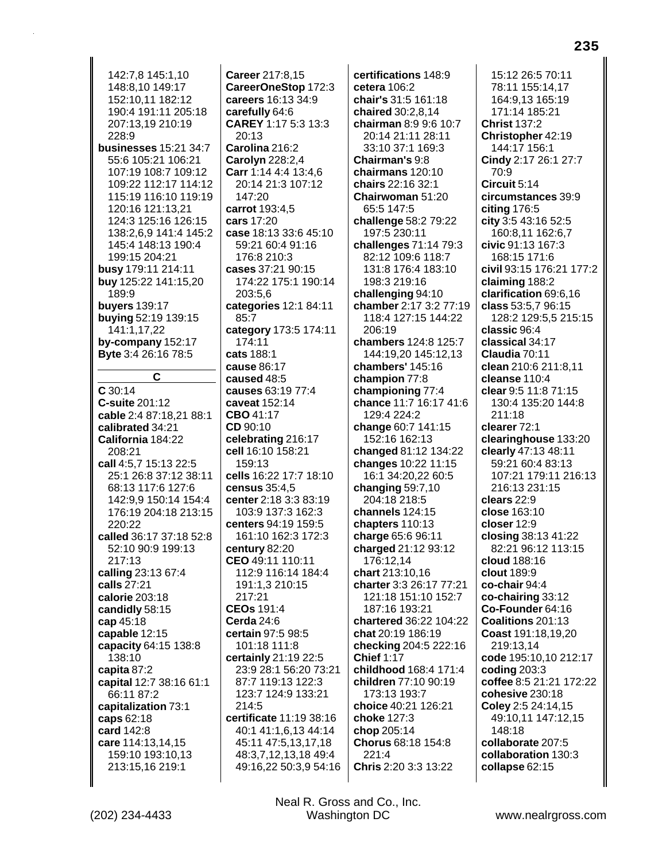142:7,8 145:1,10 148:8,10 149:17 152:10,11 182:12 190:4 191:11 205:18 207:13,19 210:19  $228.9$ businesses 15:21 34:7 55:6 105:21 106:21 107:19 108:7 109:12 109:22 112:17 114:12 115:19 116:10 119:19 120:16 121:13,21 124:3 125:16 126:15 138:2.6.9 141:4 145:2 145:4 148:13 190:4 199:15 204:21 busy 179:11 214:11 buy 125:22 141:15,20 189:9 **buyers** 139:17 buying 52:19 139:15 141:1,17,22 by-company 152:17 Byte 3:4 26:16 78:5  $\mathbf{C}$  $C$  30:14 C-suite 201:12 cable 2:4 87:18.21 88:1 calibrated 34:21 California 184:22 208:21 call 4:5,7 15:13 22:5 25:1 26:8 37:12 38:11 68:13 117:6 127:6 142:9.9 150:14 154:4 176:19 204:18 213:15 220:22 called 36:17 37:18 52:8 52:10 90:9 199:13  $217:13$ calling 23:13 67:4 calls 27:21 calorie 203:18 candidly 58:15 cap 45:18 capable 12:15 capacity 64:15 138:8 138:10 capita 87:2 capital 12:7 38:16 61:1 66:11 87:2 capitalization 73:1 caps 62:18 card 142:8 care 114:13,14,15 159:10 193:10.13 213:15,16 219:1

Career 217:8.15 CareerOneStop 172:3 careers 16:13 34:9 carefully 64:6 CAREY 1:17 5:3 13:3  $20.13$ Carolina 216:2 Carolyn 228:2,4 Carr 1:14 4:4 13:4,6 20:14 21:3 107:12 147:20 carrot 193:4,5 cars 17:20 case 18:13 33:6 45:10 59:21 60:4 91:16 176:8 210:3 cases 37:21 90:15 174:22 175:1 190:14 203:5,6 categories 12:1 84:11 85:7 category 173:5 174:11 174:11 cats 188:1 cause 86:17 caused 48:5 causes 63:19 77:4 caveat 152:14 CBO 41:17  $CD$  90:10 celebrating 216:17 cell 16:10 158:21  $159:13$ cells 16:22 17:7 18:10 census 35:4.5 center 2:18 3:3 83:19 103:9 137:3 162:3 centers 94:19 159:5 161:10 162:3 172:3 century 82:20 CEO 49:11 110:11 112:9 116:14 184:4 191:1.3 210:15 217:21 CEOs 191:4 Cerda 24:6 certain 97:5 98:5 101:18 111:8 certainly 21:19 22:5 23:9 28:1 56:20 73:21 87:7 119:13 122:3 123:7 124:9 133:21 214:5 certificate 11:19 38:16 40:1 41:1,6,13 44:14 45:11 47:5,13,17,18 48:3,7,12,13,18 49:4 49:16,22 50:3,9 54:16 certifications 148:9 cetera 106:2 chair's 31:5 161:18 chaired 30:2,8,14 chairman 8:9 9:6 10:7 20:14 21:11 28:11 33:10 37:1 169:3 Chairman's 9:8 chairmans 120:10 chairs 22:16 32:1 Chairwoman 51:20 65:5 147:5 challenge 58:2 79:22 197:5 230:11 challenges 71:14 79:3 82:12 109:6 118:7 131:8 176:4 183:10 198:3 219:16 challenging 94:10 chamber 2:17 3:2 77:19 118:4 127:15 144:22 206:19 chambers 124:8 125:7 144:19,20 145:12,13 chambers' 145:16 champion 77:8 championing 77:4 chance 11:7 16:17 41:6 129:4 224:2 change 60:7 141:15 152:16 162:13 changed 81:12 134:22 changes 10:22 11:15 16:1 34:20,22 60:5 changing  $59:7,10$ 204:18 218:5 channels 124:15 chapters 110:13 charge 65:6 96:11 charged 21:12 93:12 176:12,14 chart 213:10,16 charter 3:3 26:17 77:21 121:18 151:10 152:7 187:16 193:21 chartered 36:22 104:22 chat 20:19 186:19 checking 204:5 222:16 **Chief 1:17** childhood 168:4 171:4 children 77:10 90:19 173:13 193:7 choice 40:21 126:21 choke 127:3 chop 205:14 Chorus 68:18 154:8 221:4 Chris 2:20 3:3 13:22

15:12 26:5 70:11 78:11 155:14,17 164:9,13 165:19 171:14 185:21 **Christ 137:2** Christopher 42:19 144:17 156:1 Cindy 2:17 26:1 27:7 70:9 Circuit 5:14 circumstances 39:9 citing 176:5 city 3:5 43:16 52:5 160:8.11 162:6.7 civic 91:13 167:3 168:15 171:6 civil 93:15 176:21 177:2 claiming 188:2 clarification 69:6,16 class 53:5,7 96:15 128:2 129:5,5 215:15 classic 96:4 classical 34:17 Claudia 70:11 clean 210:6 211:8.11 cleanse 110:4 clear 9:5 11:8 71:15 130:4 135:20 144:8 211:18 clearer 72:1 clearinghouse 133:20 clearly 47:13 48:11 59:21 60:4 83:13 107:21 179:11 216:13 216:13 231:15 clears  $22:9$ close 163:10 closer 12:9 closing 38:13 41:22 82:21 96:12 113:15 cloud 188:16 clout 189:9 co-chair 94:4 co-chairing 33:12 Co-Founder 64:16 Coalitions 201:13 Coast 191:18,19,20 219:13,14 code 195:10,10 212:17 coding  $203:3$ coffee 8:5 21:21 172:22 cohesive 230:18 Coley 2:5 24:14,15 49:10,11 147:12,15  $148.18$ collaborate 207:5 collaboration 130:3 collapse 62:15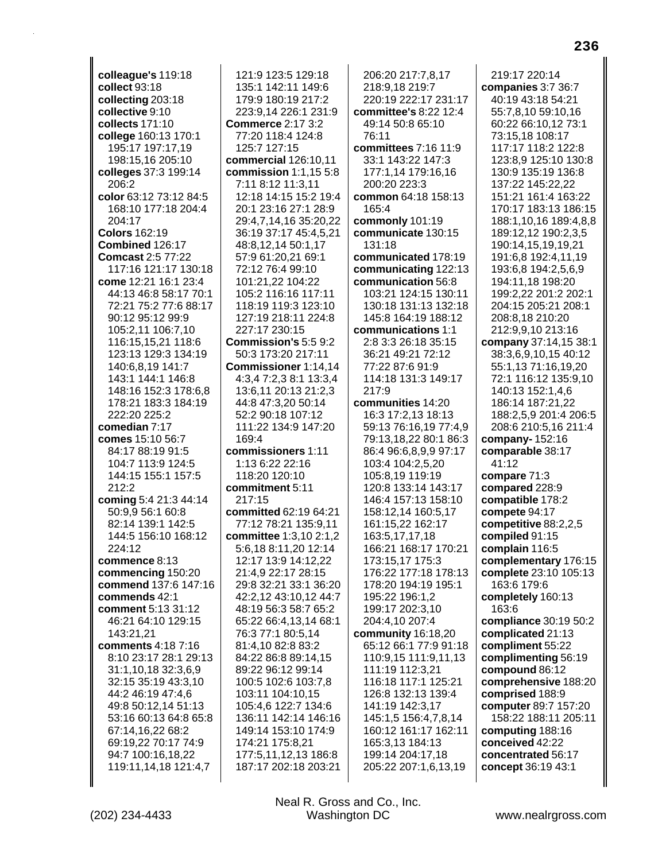colleague's 119:18 collect 93:18 collecting 203:18 collective 9:10 collects 171:10 college 160:13 170:1 195:17 197:17,19 198:15,16 205:10 colleges 37:3 199:14  $206.2$ color 63:12 73:12 84:5 168:10 177:18 204:4 204:17 **Colors 162:19** Combined 126:17 **Comcast 2:5 77:22** 117:16 121:17 130:18 come 12:21 16:1 23:4 44:13 46:8 58:17 70:1 72:21 75:2 77:6 88:17 90:12 95:12 99:9 105:2,11 106:7,10 116:15,15,21 118:6 123:13 129:3 134:19 140:6,8,19 141:7 143:1 144:1 146:8 148:16 152:3 178:6.8 178:21 183:3 184:19 222:20 225:2 comedian 7:17 comes 15:10 56:7 84:17 88:19 91:5 104:7 113:9 124:5 144:15 155:1 157:5 212:2 coming 5:4 21:3 44:14 50:9,9 56:1 60:8 82:14 139:1 142:5 144:5 156:10 168:12 224:12 commence 8:13 commencing 150:20 commend 137:6 147:16 commends 42:1 comment 5:13 31:12 46:21 64:10 129:15 143:21,21 comments 4:18 7:16 8:10 23:17 28:1 29:13 31:1,10,18 32:3,6,9 32:15 35:19 43:3,10 44:2 46:19 47:4,6 49:8 50:12,14 51:13 53:16 60:13 64:8 65:8 67:14,16,22 68:2 69:19.22 70:17 74:9 94:7 100:16,18,22 119:11,14,18 121:4,7

121:9 123:5 129:18 135:1 142:11 149:6 179:9 180:19 217:2 223:9.14 226:1 231:9 **Commerce 2:17 3:2** 77:20 118:4 124:8 125:7 127:15 commercial 126:10,11 commission  $1:1,155:8$ 7:11 8:12 11:3,11 12:18 14:15 15:2 19:4 20:1 23:16 27:1 28:9 29:4,7,14,16 35:20,22 36:19 37:17 45:4,5,21 48:8,12,14 50:1,17 57:9 61:20,21 69:1 72:12 76:4 99:10 101:21,22 104:22 105:2 116:16 117:11 118:19 119:3 123:10 127:19 218:11 224:8 227:17 230:15 Commission's 5:5 9:2 50:3 173:20 217:11 Commissioner 1:14.14 4:3.4 7:2.3 8:1 13:3.4 13:6,11 20:13 21:2,3 44:8 47:3,20 50:14 52:2 90:18 107:12 111:22 134:9 147:20  $169.4$ commissioners 1:11 1:13 6:22 22:16 118:20 120:10 commitment 5:11  $217:15$ committed 62:19 64:21 77:12 78:21 135:9,11 committee 1:3,10 2:1,2 5:6.18 8:11.20 12:14 12:17 13:9 14:12,22 21:4,9 22:17 28:15 29:8 32:21 33:1 36:20 42:2,12 43:10,12 44:7 48:19 56:3 58:7 65:2 65:22 66:4,13,14 68:1 76:3 77:1 80:5,14 81:4,10 82:8 83:2 84:22 86:8 89:14,15 89:22 96:12 99:14 100:5 102:6 103:7,8 103:11 104:10,15 105:4,6 122:7 134:6 136:11 142:14 146:16 149:14 153:10 174:9 174:21 175:8,21 177:5,11,12,13 186:8 187:17 202:18 203:21

206:20 217:7,8,17 218:9,18 219:7 220:19 222:17 231:17 committee's 8:22 12:4 49:14 50:8 65:10  $76.11$ committees 7:16 11:9 33:1 143:22 147:3 177:1,14 179:16,16 200:20 223:3 common 64:18 158:13 165:4 commonly 101:19 communicate 130:15  $131.18$ communicated 178:19 communicating 122:13 communication 56:8 103:21 124:15 130:11 130:18 131:13 132:18 145:8 164:19 188:12 communications 1:1 2:8 3:3 26:18 35:15 36:21 49:21 72:12 77:22 87:6 91:9 114:18 131:3 149:17 217:9 communities 14:20 16:3 17:2,13 18:13 59:13 76:16,19 77:4,9 79:13.18.22 80:1 86:3 86:4 96:6,8,9,9 97:17 103:4 104:2,5,20 105:8,19 119:19 120:8 133:14 143:17 146:4 157:13 158:10 158:12,14 160:5,17 161:15,22 162:17 163:5,17,17,18 166:21 168:17 170:21 173:15,17 175:3 176:22 177:18 178:13 178:20 194:19 195:1 195:22 196:1.2 199:17 202:3,10 204:4,10 207:4 community 16:18,20 65:12 66:1 77:9 91:18 110:9,15 111:9,11,13 111:19 112:3,21 116:18 117:1 125:21 126:8 132:13 139:4 141:19 142:3,17 145:1,5 156:4,7,8,14 160:12 161:17 162:11 165:3,13 184:13 199:14 204:17,18 205:22 207:1,6,13,19

219:17 220:14 companies 3:7 36:7 40:19 43:18 54:21 55:7.8.10 59:10.16 60:22 66:10.12 73:1 73:15,18 108:17 117:17 118:2 122:8 123:8,9 125:10 130:8 130:9 135:19 136:8 137:22 145:22,22 151:21 161:4 163:22 170:17 183:13 186:15 188:1,10,16 189:4,8,8 189:12,12 190:2,3,5 190:14,15,19,19,21 191:6,8 192:4,11,19 193:6,8 194:2,5,6,9 194:11,18 198:20 199:2,22 201:2 202:1 204:15 205:21 208:1 208:8,18 210:20 212:9.9.10 213:16 company 37:14,15 38:1 38:3,6,9,10,15 40:12 55:1,13 71:16,19,20 72:1 116:12 135:9.10 140:13 152:1.4.6 186:14 187:21,22 188:2,5,9 201:4 206:5 208:6 210:5,16 211:4 company- $152:16$ comparable 38:17  $41:12$ compare 71:3 compared 228:9 compatible 178:2 compete 94:17 competitive 88:2,2,5 compiled 91:15 complain 116:5 complementary 176:15 complete 23:10 105:13 163:6 179:6 completely 160:13 163:6 compliance 30:19 50:2 complicated 21:13 compliment 55:22 complimenting 56:19 compound 86:12 comprehensive 188:20 comprised 188:9 computer 89:7 157:20 158:22 188:11 205:11 computing 188:16 conceived 42:22 concentrated 56:17 concept 36:19 43:1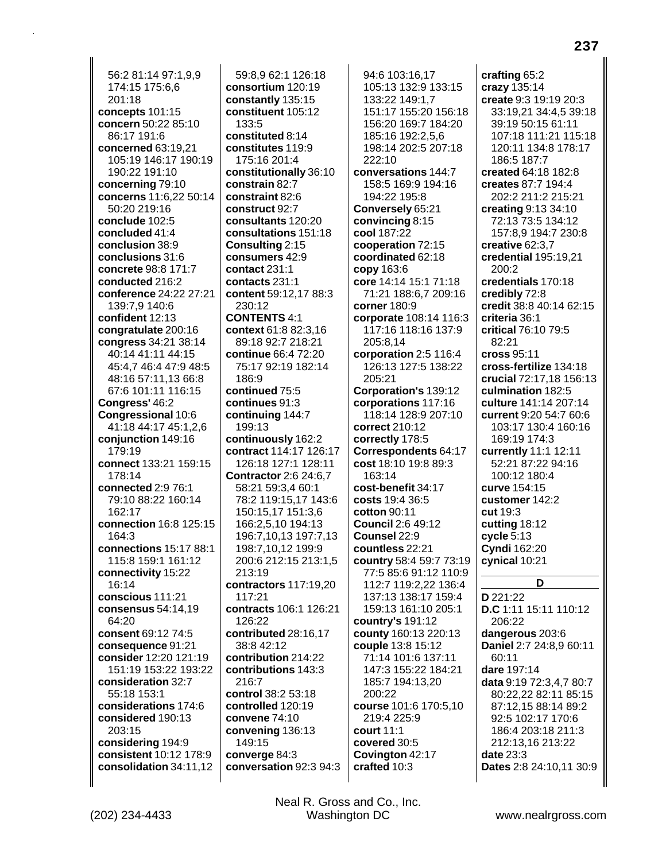56:2 81:14 97:1,9,9 174:15 175:6,6 201:18 **concepts** 101:15 **concern** 50:22 85:10 86:17 191:6 **concerned** 63:19,21 105:19 146:17 190:19 190:22 191:10 **concerning** 79:10 **concerns** 11:6,22 50:14 50:20 219:16 **conclude** 102:5 **concluded** 41:4 **conclusion** 38:9 **conclusions** 31:6 **concrete** 98:8 171:7 **conducted** 216:2 **conference** 24:22 27:21 139:7,9 140:6 **confident** 12:13 **congratulate** 200:16 **congress** 34:21 38:14 40:14 41:11 44:15 45:4,7 46:4 47:9 48:5 48:16 57:11,13 66:8 67:6 101:11 116:15 **Congress'** 46:2 **Congressional** 10:6 41:18 44:17 45:1,2,6 **conjunction** 149:16 179:19 **connect** 133:21 159:15 178:14 **connected** 2:9 76:1 79:10 88:22 160:14 162:17 **connection** 16:8 125:15 164:3 **connections** 15:17 88:1 115:8 159:1 161:12 **connectivity** 15:22 16:14 **conscious** 111:21 **consensus** 54:14,19 64:20 **consent** 69:12 74:5 **consequence** 91:21 **consider** 12:20 121:19 151:19 153:22 193:22 **consideration** 32:7 55:18 153:1 **considerations** 174:6 **considered** 190:13 203:15 **considering** 194:9 **consistent** 10:12 178:9 **consolidation** 34:11,12

59:8,9 62:1 126:18 **consortium** 120:19 **constantly** 135:15 **constituent** 105:12  $133.5$ **constituted** 8:14 **constitutes** 119:9 175:16 201:4 **constitutionally** 36:10 **constrain** 82:7 **constraint** 82:6 **construct** 92:7 **consultants** 120:20 **consultations** 151:18 **Consulting** 2:15 **consumers** 42:9 **contact** 231:1 **contacts** 231:1 **content** 59:12,17 88:3 230:12 **CONTENTS** 4:1 **context** 61:8 82:3,16 89:18 92:7 218:21 **continue** 66:4 72:20 75:17 92:19 182:14 186:9 **continued** 75:5 **continues** 91:3 **continuing** 144:7 199:13 **continuously** 162:2 **contract** 114:17 126:17 126:18 127:1 128:11 **Contractor** 2:6 24:6,7 58:21 59:3,4 60:1 78:2 119:15,17 143:6 150:15,17 151:3,6 166:2,5,10 194:13 196:7,10,13 197:7,13 198:7,10,12 199:9 200:6 212:15 213:1,5 213:19 **contractors** 117:19,20 117:21 **contracts** 106:1 126:21 126:22 **contributed** 28:16,17 38:8 42:12 **contribution** 214:22 **contributions** 143:3 216:7 **control** 38:2 53:18 **controlled** 120:19 **convene** 74:10 **convening** 136:13 149:15 **converge** 84:3 **conversation** 92:3 94:3

94:6 103:16,17 105:13 132:9 133:15 133:22 149:1,7 151:17 155:20 156:18 156:20 169:7 184:20 185:16 192:2,5,6 198:14 202:5 207:18 222:10 **conversations** 144:7 158:5 169:9 194:16 194:22 195:8 **Conversely** 65:21 **convincing** 8:15 **cool** 187:22 **cooperation** 72:15 **coordinated** 62:18 **copy** 163:6 **core** 14:14 15:1 71:18 71:21 188:6,7 209:16 **corner** 180:9 **corporate** 108:14 116:3 117:16 118:16 137:9 205:8,14 **corporation** 2:5 116:4 126:13 127:5 138:22 205:21 **Corporation's** 139:12 **corporations** 117:16 118:14 128:9 207:10 **correct** 210:12 **correctly** 178:5 **Correspondents** 64:17 **cost** 18:10 19:8 89:3 163:14 **cost-benefit** 34:17 **costs** 19:4 36:5 **cotton** 90:11 **Council** 2:6 49:12 **Counsel** 22:9 **countless** 22:21 **country** 58:4 59:7 73:19 77:5 85:6 91:12 110:9 112:7 119:2,22 136:4 137:13 138:17 159:4 159:13 161:10 205:1 **country's** 191:12 **county** 160:13 220:13 **couple** 13:8 15:12 71:14 101:6 137:11 147:3 155:22 184:21 185:7 194:13,20 200:22 **course** 101:6 170:5,10 219:4 225:9 **court** 11:1 **covered** 30:5 **Covington** 42:17 **crafted** 10:3

**crafting** 65:2 **crazy** 135:14 **create** 9:3 19:19 20:3 33:19,21 34:4,5 39:18 39:19 50:15 61:11 107:18 111:21 115:18 120:11 134:8 178:17 186:5 187:7 **created** 64:18 182:8 **creates** 87:7 194:4 202:2 211:2 215:21 **creating** 9:13 34:10 72:13 73:5 134:12 157:8,9 194:7 230:8 **creative** 62:3,7 **credential** 195:19,21 200:2 **credentials** 170:18 **credibly** 72:8 **credit** 38:8 40:14 62:15 **criteria** 36:1 **critical** 76:10 79:5 82:21 **cross** 95:11 **cross-fertilize** 134:18 **crucial** 72:17,18 156:13 **culmination** 182:5 **culture** 141:14 207:14 **current** 9:20 54:7 60:6 103:17 130:4 160:16 169:19 174:3 **currently** 11:1 12:11 52:21 87:22 94:16 100:12 180:4 **curve** 154:15 **customer** 142:2 **cut** 19:3 **cutting** 18:12 **cycle** 5:13 **Cyndi** 162:20 **cynical** 10:21 **D D** 221:22 **D.C** 1:11 15:11 110:12 206:22 **dangerous** 203:6 **Daniel** 2:7 24:8,9 60:11 60:11 **dare** 197:14 **data** 9:19 72:3,4,7 80:7 80:22,22 82:11 85:15 87:12,15 88:14 89:2 92:5 102:17 170:6 186:4 203:18 211:3 212:13,16 213:22

**date** 23:3

**Dates** 2:8 24:10,11 30:9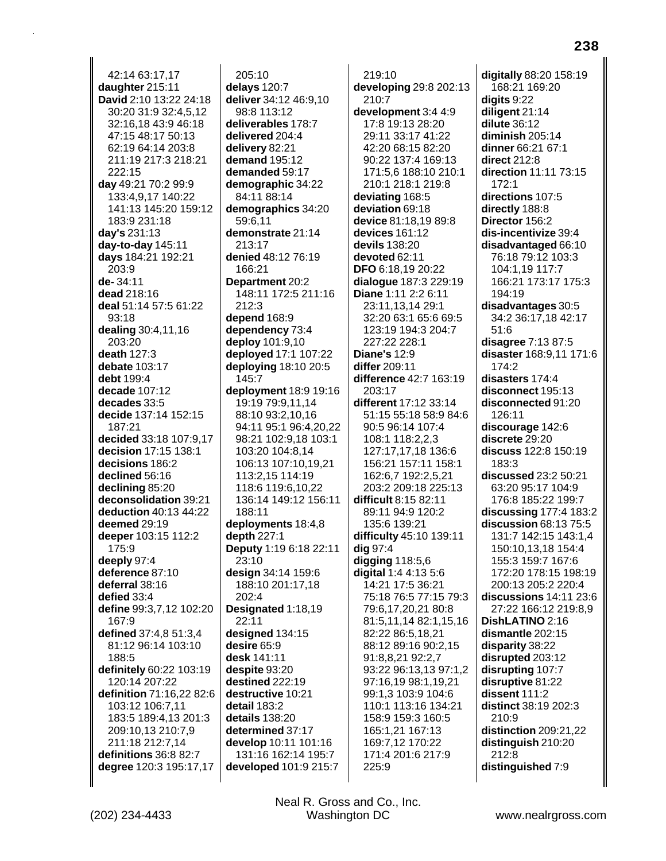42:14 63:17.17 daughter 215:11 David 2:10 13:22 24:18 30:20 31:9 32:4,5,12 32:16.18 43:9 46:18 47:15 48:17 50:13 62:19 64:14 203:8 211:19 217:3 218:21 222:15 day 49:21 70:2 99:9 133:4,9,17 140:22 141:13 145:20 159:12 183:9 231:18 day's 231:13 day-to-day  $145:11$ days 184:21 192:21 203:9 de-34:11 dead 218:16 deal 51:14 57:5 61:22  $93:18$ dealing 30:4,11,16 203:20 death 127:3 debate 103:17 debt 199:4 decade 107:12 decades 33:5 decide 137:14 152:15 187:21 decided 33:18 107:9.17 decision 17:15 138:1 decisions 186:2 declined 56:16 declining 85:20 deconsolidation 39:21 deduction 40:13 44:22 deemed 29:19 deeper 103:15 112:2 175:9 deeply 97:4 deference 87:10 deferral 38:16 defied 33:4 define 99:3,7,12 102:20 167:9 defined 37:4.8 51:3.4 81:12 96:14 103:10 188:5 definitely 60:22 103:19 120:14 207:22 definition 71:16,22 82:6 103:12 106:7,11 183:5 189:4,13 201:3 209:10,13 210:7,9 211:18 212:7.14 definitions 36:8 82:7 degree 120:3 195:17,17

 $205:10$ delays 120:7 deliver 34:12 46:9,10 98:8 113:12 deliverables 178:7 delivered 204:4 delivery 82:21 demand 195:12 demanded 59:17 demographic 34:22 84:11 88:14 demographics 34:20 59:6,11 demonstrate 21:14  $213.17$ denied 48:12 76:19 166:21 Department 20:2 148:11 172:5 211:16 212:3 depend 168:9 dependency 73:4 deploy 101:9,10 deployed 17:1 107:22 deploying  $18:1020:5$ 145:7 deployment 18:9 19:16 19:19 79:9,11,14 88:10 93:2,10,16 94:11 95:1 96:4.20.22 98:21 102:9.18 103:1 103:20 104:8.14 106:13 107:10,19,21 113:2,15 114:19 118:6 119:6.10.22 136:14 149:12 156:11 188:11 deployments 18:4,8 depth 227:1 Deputy 1:19 6:18 22:11  $23:10$ design 34:14 159:6 188:10 201:17,18  $202:4$ Designated 1:18,19 22:11 designed 134:15 desire 65:9 desk 141:11 despite 93:20 destined 222:19 destructive 10:21 detail 183:2 details 138:20 determined 37:17 develop 10:11 101:16 131:16 162:14 195:7 developed 101:9 215:7

 $219:10$ developing 29:8 202:13 210:7 development 3:4 4:9 17:8 19:13 28:20 29:11 33:17 41:22 42:20 68:15 82:20 90:22 137:4 169:13 171:5,6 188:10 210:1 210:1 218:1 219:8 deviating 168:5 deviation 69:18 device 81:18,19 89:8 devices 161:12 devils 138:20 devoted 62:11 DFO 6:18,19 20:22 dialogue 187:3 229:19 Diane 1:11 2:2 6:11 23:11,13,14 29:1 32:20 63:1 65:6 69:5 123:19 194:3 204:7 227:22 228:1 **Diane's 12:9** differ 209:11 difference 42:7 163:19 203:17 different 17:12 33:14 51:15 55:18 58:9 84:6 90:5 96:14 107:4 108:1 118:2.2.3 127:17.17.18 136:6 156:21 157:11 158:1 162:6,7 192:2,5,21 203:2 209:18 225:13 difficult 8:15 82:11 89:11 94:9 120:2 135:6 139:21 difficulty 45:10 139:11 dig 97:4 digging 118:5,6 digital 1:4 4:13 5:6 14:21 17:5 36:21 75:18 76:5 77:15 79:3 79:6,17,20,21 80:8 81:5,11,14 82:1,15,16 82:22 86:5,18,21 88:12 89:16 90:2.15 91:8,8,21 92:2,7 93:22 96:13,13 97:1,2 97:16,19 98:1,19,21 99:1,3 103:9 104:6 110:1 113:16 134:21 158:9 159:3 160:5 165:1,21 167:13 169:7,12 170:22 171:4 201:6 217:9 225:9

digitally 88:20 158:19 168:21 169:20  $diqits 9:22$ diligent  $21:14$  $dilute 36:12$ diminish  $205:14$ dinner 66:21 67:1 direct 212:8 direction 11:11 73:15  $172:1$ directions 107:5 directly 188:8 Director 156:2 dis-incentivize 39:4 disadvantaged 66:10 76:18 79:12 103:3 104:1,19 117:7 166:21 173:17 175:3 194:19 disadvantages 30:5 34:2 36:17,18 42:17  $51:6$ disagree 7:13 87:5 disaster 168:9,11 171:6 174:2 disasters 174:4 disconnect 195:13 disconnected 91:20 126:11 discourage 142:6 discrete 29:20 discuss  $122.8150.19$  $183:3$ discussed 23:2 50:21 63:20 95:17 104:9 176:8 185:22 199:7 discussing 177:4 183:2 discussion 68:13 75:5 131:7 142:15 143:1.4 150:10,13,18 154:4 155:3 159:7 167:6 172:20 178:15 198:19 200:13 205:2 220:4 discussions  $14:11$   $23:6$ 27:22 166:12 219:8,9 DishLATINO 2:16 dismantle 202:15 disparity 38:22 disrupted 203:12 disrupting 107:7 disruptive 81:22 dissent 111:2 distinct 38:19 202:3 210:9 distinction 209:21,22 distinguish 210:20 212:8 distinguished 7:9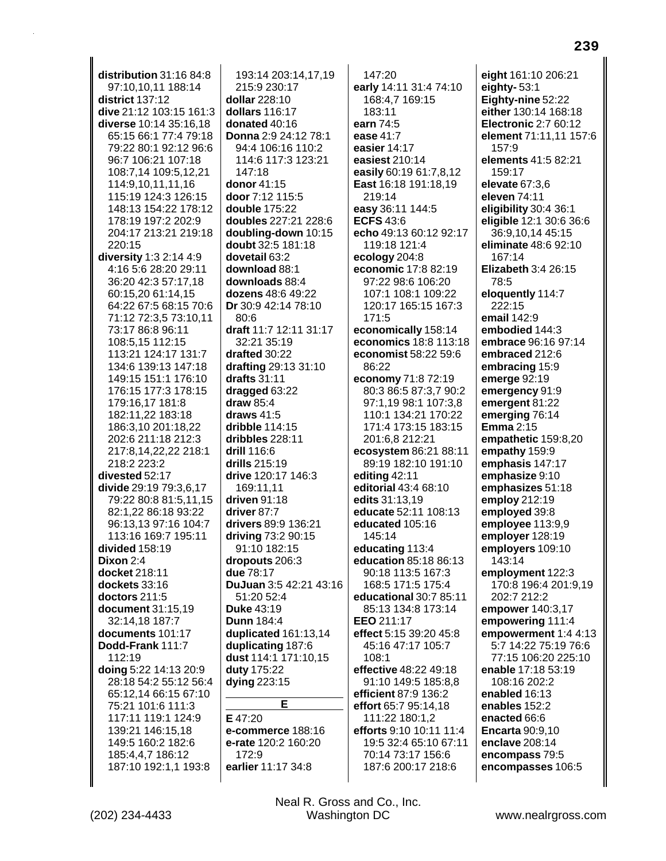distribution  $31:16.84:8$ 97:10.10.11 188:14 district 137:12 dive 21:12 103:15 161:3 diverse 10:14 35:16.18 65:15 66:1 77:4 79:18 79:22 80:1 92:12 96:6 96:7 106:21 107:18 108:7,14 109:5,12,21 114:9,10,11,11,16 115:19 124:3 126:15 148:13 154:22 178:12 178:19 197:2 202:9 204:17 213:21 219:18 220:15 diversity 1:3 2:14 4:9 4:16 5:6 28:20 29:11 36:20 42:3 57:17.18 60:15,20 61:14,15 64:22 67:5 68:15 70:6 71:12 72:3,5 73:10,11 73:17 86:8 96:11 108:5,15 112:15 113:21 124:17 131:7 134:6 139:13 147:18 149:15 151:1 176:10 176:15 177:3 178:15 179:16,17 181:8 182:11,22 183:18 186:3,10 201:18,22 202:6 211:18 212:3 217:8.14.22.22 218:1 218:2 223:2 divested 52:17 divide 29:19 79:3.6.17 79:22 80:8 81:5,11,15 82:1,22 86:18 93:22 96:13,13 97:16 104:7 113:16 169:7 195:11 divided 158:19 Dixon  $2:4$ docket 218:11 dockets 33:16 doctors 211:5 document 31:15,19 32:14,18 187:7 documents 101:17 Dodd-Frank 111:7 112:19 doing 5:22 14:13 20:9 28:18 54:2 55:12 56:4 65:12,14 66:15 67:10 75:21 101:6 111:3 117:11 119:1 124:9 139:21 146:15.18 149:5 160:2 182:6 185:4,4,7 186:12 187:10 192:1,1 193:8

193:14 203:14,17,19 215:9 230:17 dollar 228:10 dollars 116:17 donated 40:16 Donna 2:9 24:12 78:1 94:4 106:16 110:2 114:6 117:3 123:21 147:18 donor 41:15 door 7:12 115:5 double 175:22 doubles 227:21 228:6 doubling-down 10:15 doubt 32:5 181:18 dovetail 63:2 download 88:1 downloads 88:4 dozens 48:6 49:22 Dr 30:9 42:14 78:10 80:6 draft 11:7 12:11 31:17 32:21 35:19 drafted 30:22 drafting 29:13 31:10 drafts  $31:11$ dragged 63:22 draw  $85:4$ draws  $41:5$ dribble 114:15 dribbles 228:11 drill  $116.6$ drills 215:19 drive 120:17 146:3 169:11.11 driven  $91:18$ driver 87:7 drivers 89:9 136:21 driving 73:2 90:15 91:10 182:15 dropouts 206:3 due 78:17 DuJuan 3:5 42:21 43:16 51:20 52:4 **Duke 43:19 Dunn 184:4** duplicated 161:13,14 duplicating 187:6 dust 114:1 171:10,15 duty 175:22 **dying 223:15** E

E 47:20 e-commerce 188:16 e-rate 120:2 160:20 172:9 earlier 11:17 34:8

 $147:20$ early 14:11 31:4 74:10 168:4,7 169:15 183:11 earn 74:5 ease  $41.7$ easier 14:17 easiest 210:14 easily 60:19 61:7,8,12 East 16:18 191:18,19 219:14 easy 36:11 144:5 **ECFS 43:6** echo 49:13 60:12 92:17 119:18 121:4 ecology 204:8 economic 17:8 82:19 97:22 98:6 106:20 107:1 108:1 109:22 120:17 165:15 167:3 171:5 economically 158:14 economics 18:8 113:18 economist 58:22 59:6 86:22 economy 71:8 72:19 80:3 86:5 87:3,7 90:2 97:1,19 98:1 107:3,8 110:1 134:21 170:22 171:4 173:15 183:15 201:6.8 212:21 ecosystem 86:21 88:11 89:19 182:10 191:10 editing  $42:11$ editorial 43:4 68:10 edits 31:13.19 educate 52:11 108:13 educated 105:16 145:14 educating 113:4 education 85:18 86:13 90:18 113:5 167:3 168:5 171:5 175:4 educational 30:7 85:11 85:13 134:8 173:14 EEO 211:17 effect 5:15 39:20 45:8 45:16 47:17 105:7  $108.1$ effective 48:22 49:18 91:10 149:5 185:8,8 efficient 87:9 136:2 effort 65:7 95:14,18 111:22 180:1,2 efforts 9:10 10:11 11:4 19:5 32:4 65:10 67:11 70:14 73:17 156:6 187:6 200:17 218:6

eight 161:10 206:21 eighty- $53:1$ Eighty-nine 52:22 either 130:14 168:18 **Electronic 2:7 60:12** element 71:11,11 157:6 157:9 elements 41:5 82:21 159:17 elevate 67:3.6 eleven 74:11 eligibility 30:4 36:1 eligible 12:1 30:6 36:6 36:9,10,14 45:15 eliminate 48:6 92:10 167:14 Elizabeth 3:4 26:15 78:5 eloquently 114:7 222:15 email 142:9 embodied 144:3 embrace 96:16 97:14 embraced 212:6 embracing 15:9 emerge 92:19 emergency 91:9 emergent 81:22 emerging 76:14 **Emma** 2:15 empathetic 159:8,20 empathy 159:9 emphasis 147:17 emphasize 9:10 emphasizes 51:18 employ 212:19 employed 39:8 employee 113:9,9 employer 128:19 employers 109:10 143:14 employment 122:3 170:8 196:4 201:9,19 202:7 212:2 empower 140:3,17 empowering 111:4 empowerment 1:4 4:13 5:7 14:22 75:19 76:6 77:15 106:20 225:10 enable 17:18 53:19 108:16 202:2 enabled 16:13 enables 152:2 enacted 66:6 **Encarta 90:9.10** enclave 208:14 encompass 79:5 encompasses 106:5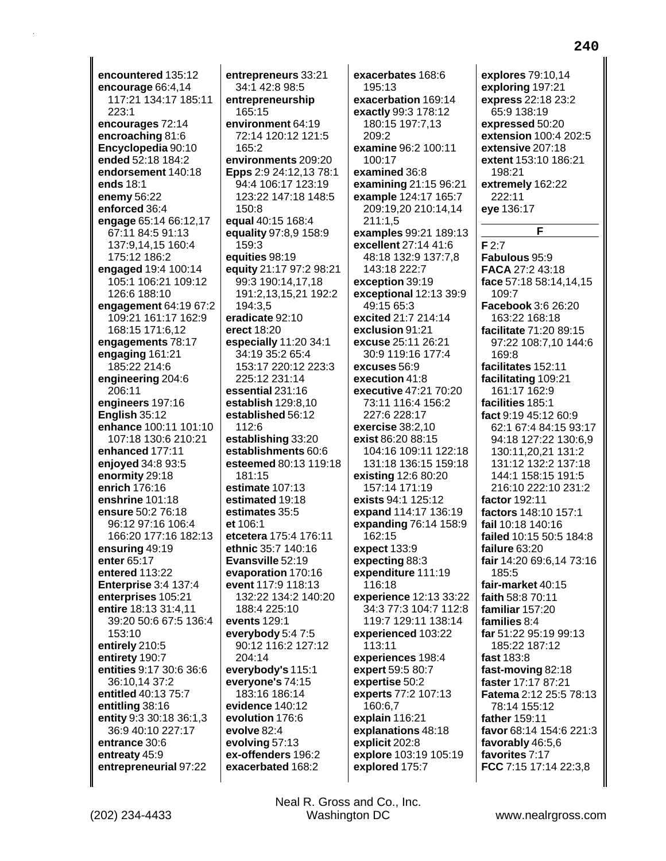encountered 135:12 encourage 66:4,14 117:21 134:17 185:11 223:1 encourages 72:14 encroaching 81:6 Encyclopedia 90:10 ended 52:18 184:2 endorsement 140:18 ends 18:1 enemy 56:22 enforced 36:4 engage 65:14 66:12,17 67:11 84:5 91:13 137:9,14,15 160:4 175:12 186:2 engaged 19:4 100:14 105:1 106:21 109:12 126:6 188:10 engagement 64:19 67:2 109:21 161:17 162:9 168:15 171:6,12 engagements 78:17 engaging 161:21 185:22 214:6 engineering 204:6 206:11 engineers 197:16 English 35:12 enhance 100:11 101:10 107:18 130:6 210:21 enhanced 177:11 enjoyed 34:8 93:5 enormity 29:18 enrich 176:16 enshrine 101:18 ensure 50:2 76:18 96:12 97:16 106:4 166:20 177:16 182:13 ensuring 49:19 enter 65:17 entered 113:22 **Enterprise 3:4 137:4** enterprises 105:21 entire 18:13 31:4,11 39:20 50:6 67:5 136:4 153:10 entirely 210:5 entirety 190:7 entities 9:17 30:6 36:6 36:10,14 37:2 entitled 40:13 75:7 entitling 38:16 entity 9:3 30:18 36:1,3 36:9 40:10 227:17 entrance 30:6 entreaty 45:9 entrepreneurial 97:22

entrepreneurs 33:21 34:1 42:8 98:5 entrepreneurship 165:15 environment 64:19 72:14 120:12 121:5 165:2 environments 209:20 Epps 2:9 24:12,13 78:1 94:4 106:17 123:19 123:22 147:18 148:5 150:8 equal 40:15 168:4 equality 97:8,9 158:9 159:3 equities 98:19 equity 21:17 97:2 98:21 99:3 190:14,17,18 191:2,13,15,21 192:2 194:3,5 eradicate 92:10 erect 18:20 especially 11:20 34:1 34:19 35:2 65:4 153:17 220:12 223:3 225:12 231:14 essential 231:16 establish 129:8,10 established 56:12  $112:6$ establishing 33:20 establishments 60:6 esteemed 80:13 119:18 181.15 estimate 107:13 estimated 19:18 estimates 35:5 et 106:1 etcetera 175:4 176:11 ethnic 35:7 140:16 Evansville 52:19 evaporation 170:16 event 117:9 118:13 132:22 134:2 140:20 188:4 225:10 events 129:1 everybody 5:4 7:5 90:12 116:2 127:12 204:14 everybody's 115:1 everyone's 74:15 183:16 186:14 evidence 140:12 evolution 176:6 evolve 82:4 evolving 57:13 ex-offenders 196:2 exacerbated 168:2

exacerbates 168:6 195:13 exacerbation 169:14 exactly 99:3 178:12 180:15 197:7.13  $209.2$ examine 96:2 100:11 100:17 examined 36:8 examining 21:15 96:21 example 124:17 165:7 209:19,20 210:14,14  $211:1,5$ examples 99:21 189:13 excellent 27:14 41:6 48:18 132:9 137:7,8 143:18 222:7 exception 39:19 exceptional 12:13 39:9 49:15 65:3 excited 21:7 214:14 exclusion 91:21 excuse 25:11 26:21 30:9 119:16 177:4 excuses 56:9 execution 41:8 executive 47:21 70:20 73:11 116:4 156:2 227:6 228:17 exercise  $38:2.10$ exist 86:20 88:15 104:16 109:11 122:18 131:18 136:15 159:18 existing 12:6 80:20 157:14 171:19 exists 94:1 125:12 expand 114:17 136:19 expanding 76:14 158:9 162:15 expect 133:9 expecting 88:3 expenditure 111:19 116:18 experience 12:13 33:22 34:3 77:3 104:7 112:8 119:7 129:11 138:14 experienced 103:22 113:11 experiences 198:4 expert 59:5 80:7 expertise 50:2 experts 77:2 107:13 160:6,7 explain 116:21 explanations 48:18 explicit 202:8 explore 103:19 105:19 explored 175:7

explores 79:10.14 exploring 197:21 express 22:18 23:2 65:9 138:19 expressed 50:20 extension 100:4 202:5 extensive 207:18 extent 153:10 186:21 198:21 extremely 162:22 222:11 eye 136:17

F  $F2:7$ Fabulous 95:9 FACA 27:2 43:18 face 57:18 58:14,14,15 109:7 Facebook 3:6 26:20 163:22 168:18 facilitate 71:20 89:15 97:22 108:7,10 144:6 169:8 facilitates 152:11 facilitating 109:21 161:17 162:9 facilities 185:1 fact 9:19 45:12 60:9 62:1 67:4 84:15 93:17 94:18 127:22 130:6,9 130:11,20,21 131:2 131:12 132:2 137:18 144:1 158:15 191:5 216:10 222:10 231:2 factor 192:11 factors 148:10 157:1 fail 10:18 140:16 failed 10:15 50:5 184:8 failure 63:20 fair 14:20 69:6,14 73:16 185:5 fair-market 40:15 faith 58:8 70:11 familiar 157:20 families 8:4 far 51:22 95:19 99:13 185:22 187:12 fast 183:8 fast-moving 82:18 faster 17:17 87:21 Fatema 2:12 25:5 78:13 78:14 155:12 father 159:11 favor 68:14 154:6 221:3 favorably 46:5,6 favorites 7:17 FCC 7:15 17:14 22:3.8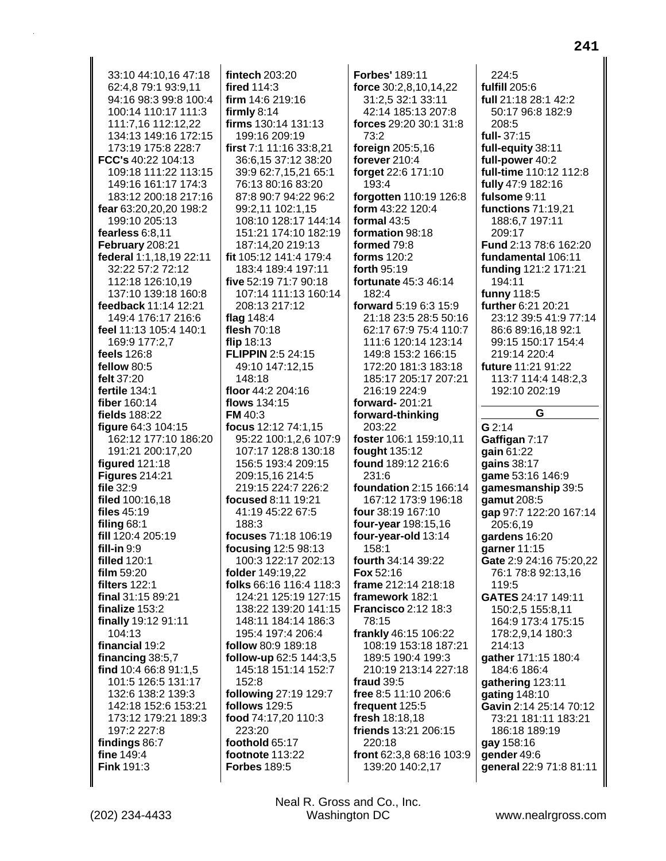33:10 44:10.16 47:18 62:4,8 79:1 93:9,11 94:16 98:3 99:8 100:4 100:14 110:17 111:3 111:7.16 112:12.22 134:13 149:16 172:15 173:19 175:8 228:7 FCC's 40:22 104:13 109:18 111:22 113:15 149:16 161:17 174:3 183:12 200:18 217:16 fear 63:20,20,20 198:2 199:10 205:13 fearless 6:8,11 February 208:21 federal 1:1,18,19 22:11 32:22 57:2 72:12 112:18 126:10.19 137:10 139:18 160:8 feedback 11:14 12:21 149:4 176:17 216:6 feel 11:13 105:4 140:1 169:9 177:2,7 feels 126:8 fellow 80:5 felt 37:20 fertile 134:1 fiber 160:14 fields 188:22 figure 64:3 104:15 162:12 177:10 186:20 191:21 200:17,20 figured 121:18 Figures  $214:21$ file 32:9 filed 100:16,18 files 45:19 filing  $68:1$ fill 120:4 205:19 fill-in  $9:9$ filled 120:1 film 59:20 **filters 122:1** final 31:15 89:21 finalize 153:2 finally 19:12 91:11 104:13 financial 19:2 financing 38:5,7 find 10:4 66:8 91:1,5 101:5 126:5 131:17 132:6 138:2 139:3 142:18 152:6 153:21 173:12 179:21 189:3 197:2 227:8 findings 86:7 fine 149:4 Fink 191:3

fintech 203:20 fired 114:3 firm 14:6 219:16 firmly  $8:14$ firms 130:14 131:13 199:16 209:19 first 7:1 11:16 33:8,21 36:6,15 37:12 38:20 39:9 62:7,15,21 65:1 76:13 80:16 83:20 87:8 90:7 94:22 96:2 99:2,11 102:1,15 108:10 128:17 144:14 151:21 174:10 182:19 187:14,20 219:13 fit 105:12 141:4 179:4 183:4 189:4 197:11 five 52:19 71:7 90:18 107:14 111:13 160:14 208:13 217:12 flag 148:4 flesh 70:18 flip  $18:13$ **FLIPPIN 2:5 24:15** 49:10 147:12,15 148:18 floor 44:2 204:16 flows 134:15 **FM** 40:3 focus 12:12 74:1.15 95:22 100:1.2.6 107:9 107:17 128:8 130:18 156:5 193:4 209:15 209:15.16 214:5 219:15 224:7 226:2 focused 8:11 19:21 41:19 45:22 67:5 188:3 focuses 71:18 106:19 focusing 12:5 98:13 100:3 122:17 202:13 folder 149:19,22 folks 66:16 116:4 118:3 124:21 125:19 127:15 138:22 139:20 141:15 148:11 184:14 186:3 195:4 197:4 206:4 follow 80:9 189:18 follow-up 62:5 144:3,5 145:18 151:14 152:7 152:8 following 27:19 129:7 **follows** 129:5 food 74:17,20 110:3  $223:20$ foothold 65:17 footnote 113:22 **Forbes 189:5** 

**Forbes' 189:11** force 30:2,8,10,14,22 31:2,5 32:1 33:11 42:14 185:13 207:8 forces 29:20 30:1 31:8  $73.2$ foreign 205:5,16 forever 210:4 forget 22:6 171:10 193:4 forgotten 110:19 126:8 form 43:22 120:4 formal 43:5 formation 98:18 formed 79:8 forms 120:2 forth 95:19 fortunate 45:3 46:14  $182.4$ forward 5:19 6:3 15:9 21:18 23:5 28:5 50:16 62:17 67:9 75:4 110:7 111:6 120:14 123:14 149:8 153:2 166:15 172:20 181:3 183:18 185:17 205:17 207:21 216:19 224:9 forward-201:21 forward-thinking 203:22 foster 106:1 159:10.11 fought 135:12 found 189:12 216:6  $231.6$ **foundation 2:15 166:14** 167:12 173:9 196:18 four 38:19 167:10 four-year 198:15,16 four-year-old 13:14 158:1 fourth 34:14 39:22 Fox 52:16 frame 212:14 218:18 framework 182:1 Francisco 2:12 18:3 78:15 frankly 46:15 106:22 108:19 153:18 187:21 189:5 190:4 199:3 210:19 213:14 227:18 fraud 39:5 free 8:5 11:10 206:6 frequent 125:5 fresh 18:18,18 friends 13:21 206:15 220:18 front 62:3,8 68:16 103:9 139:20 140:2,17

 $224:5$ fulfill 205:6 full 21:18 28:1 42:2 50:17 96:8 182:9 208:5 full-37:15 full-equity 38:11 full-power 40:2 full-time 110:12 112:8 fully 47:9 182:16 fulsome 9:11 functions 71:19,21 188:6,7 197:11 209:17 Fund 2:13 78:6 162:20 fundamental 106:11 funding 121:2 171:21 194:11 funny 118:5 further 6:21 20:21 23:12 39:5 41:9 77:14 86:6 89:16,18 92:1 99:15 150:17 154:4 219:14 220:4 future 11:21 91:22 113:7 114:4 148:2.3 192:10 202:19 G  $G2:14$ Gaffigan 7:17 gain  $61:22$ qains 38:17 qame 53:16 146:9 gamesmanship 39:5 gamut 208:5 gap 97:7 122:20 167:14 205:6,19 gardens 16:20 garner 11:15 Gate 2:9 24:16 75:20,22 76:1 78:8 92:13.16 119:5 GATES 24:17 149:11 150:2,5 155:8,11 164:9 173:4 175:15 178:2,9,14 180:3 214:13 gather 171:15 180:4 184:6 186:4 gathering 123:11 gating 148:10 Gavin 2:14 25:14 70:12 73:21 181:11 183:21 186:18 189:19 gay 158:16 gender 49:6 general 22:9 71:8 81:11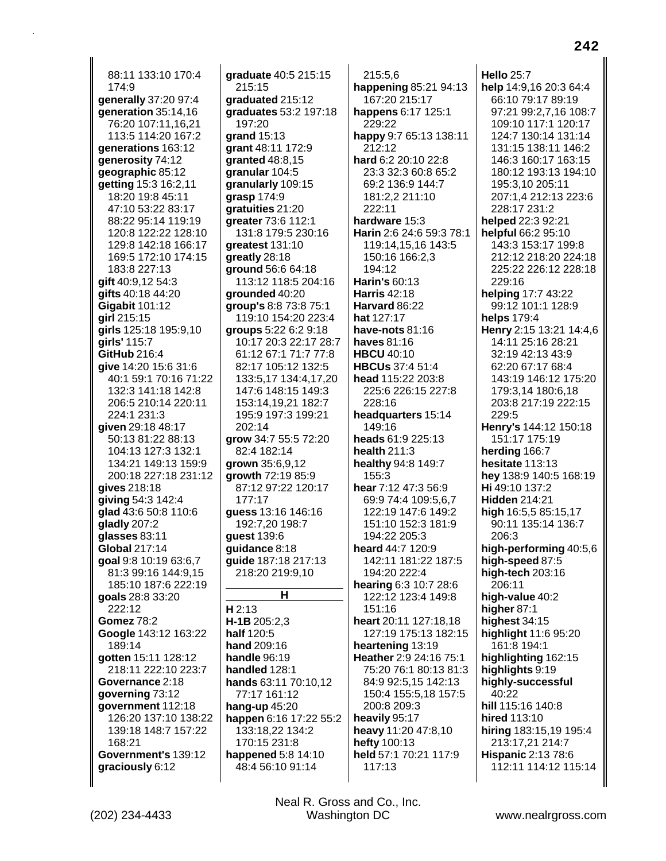88:11 133:10 170:4 174:9 **generally** 37:20 97:4 **generation** 35:14,16 76:20 107:11,16,21 113:5 114:20 167:2 **generations** 163:12 **generosity** 74:12 **geographic** 85:12 **getting** 15:3 16:2,11 18:20 19:8 45:11 47:10 53:22 83:17 88:22 95:14 119:19 120:8 122:22 128:10 129:8 142:18 166:17 169:5 172:10 174:15 183:8 227:13 **gift** 40:9,12 54:3 **gifts** 40:18 44:20 **Gigabit** 101:12 **girl** 215:15 **girls** 125:18 195:9,10 **girls'** 115:7 **GitHub** 216:4 **give** 14:20 15:6 31:6 40:1 59:1 70:16 71:22 132:3 141:18 142:8 206:5 210:14 220:11 224:1 231:3 **given** 29:18 48:17 50:13 81:22 88:13 104:13 127:3 132:1 134:21 149:13 159:9 200:18 227:18 231:12 **gives** 218:18 **giving** 54:3 142:4 **glad** 43:6 50:8 110:6 **gladly** 207:2 **glasses** 83:11 **Global** 217:14 **goal** 9:8 10:19 63:6,7 81:3 99:16 144:9,15 185:10 187:6 222:19 **goals** 28:8 33:20 222:12 **Gomez** 78:2 **Google** 143:12 163:22 189:14 **gotten** 15:11 128:12 218:11 222:10 223:7 **Governance** 2:18 **governing** 73:12 **government** 112:18 126:20 137:10 138:22 139:18 148:7 157:22 168:21 **Government's** 139:12 **graciously** 6:12

**graduate** 40:5 215:15 215:15 **graduated** 215:12 **graduates** 53:2 197:18 197:20 **grand** 15:13 **grant** 48:11 172:9 **granted** 48:8,15 **granular** 104:5 **granularly** 109:15 **grasp** 174:9 **gratuities** 21:20 **greater** 73:6 112:1 131:8 179:5 230:16 **greatest** 131:10 **greatly** 28:18 **ground** 56:6 64:18 113:12 118:5 204:16 **grounded** 40:20 **group's** 8:8 73:8 75:1 119:10 154:20 223:4 **groups** 5:22 6:2 9:18 10:17 20:3 22:17 28:7 61:12 67:1 71:7 77:8 82:17 105:12 132:5 133:5,17 134:4,17,20 147:6 148:15 149:3 153:14,19,21 182:7 195:9 197:3 199:21 202:14 **grow** 34:7 55:5 72:20 82:4 182:14 **grown** 35:6,9,12 **growth** 72:19 85:9 87:12 97:22 120:17 177:17 **guess** 13:16 146:16 192:7,20 198:7 **guest** 139:6 **guidance** 8:18 **guide** 187:18 217:13 218:20 219:9,10 **H H** 2:13 **H-1B** 205:2,3 **half** 120:5 **hand** 209:16 **handle** 96:19 **handled** 128:1 **hands** 63:11 70:10,12 77:17 161:12 **hang-up** 45:20 **happen** 6:16 17:22 55:2 133:18,22 134:2 170:15 231:8 **happened** 5:8 14:10 48:4 56:10 91:14

215:5,6 **happening** 85:21 94:13 167:20 215:17 **happens** 6:17 125:1 229:22 **happy** 9:7 65:13 138:11 212:12 **hard** 6:2 20:10 22:8 23:3 32:3 60:8 65:2 69:2 136:9 144:7 181:2,2 211:10 222:11 **hardware** 15:3 **Harin** 2:6 24:6 59:3 78:1 119:14,15,16 143:5 150:16 166:2,3 194:12 **Harin's** 60:13 **Harris** 42:18 **Harvard** 86:22 **hat** 127:17 **have-nots** 81:16 **haves** 81:16 **HBCU** 40:10 **HBCUs** 37:4 51:4 **head** 115:22 203:8 225:6 226:15 227:8 228:16 **headquarters** 15:14 149:16 **heads** 61:9 225:13 **health** 211:3 **healthy** 94:8 149:7 155:3 **hear** 7:12 47:3 56:9 69:9 74:4 109:5,6,7 122:19 147:6 149:2 151:10 152:3 181:9 194:22 205:3 **heard** 44:7 120:9 142:11 181:22 187:5 194:20 222:4 **hearing** 6:3 10:7 28:6 122:12 123:4 149:8 151:16 **heart** 20:11 127:18,18 127:19 175:13 182:15 **heartening** 13:19 **Heather** 2:9 24:16 75:1 75:20 76:1 80:13 81:3 84:9 92:5,15 142:13 150:4 155:5,18 157:5 200:8 209:3 **heavily** 95:17 **heavy** 11:20 47:8,10 **hefty** 100:13 **held** 57:1 70:21 117:9 117:13

**Hello** 25:7 **help** 14:9,16 20:3 64:4 66:10 79:17 89:19 97:21 99:2,7,16 108:7 109:10 117:1 120:17 124:7 130:14 131:14 131:15 138:11 146:2 146:3 160:17 163:15 180:12 193:13 194:10 195:3,10 205:11 207:1,4 212:13 223:6 228:17 231:2 **helped** 22:3 92:21 **helpful** 66:2 95:10 143:3 153:17 199:8 212:12 218:20 224:18 225:22 226:12 228:18 229:16 **helping** 17:7 43:22 99:12 101:1 128:9 **helps** 179:4 **Henry** 2:15 13:21 14:4,6 14:11 25:16 28:21 32:19 42:13 43:9 62:20 67:17 68:4 143:19 146:12 175:20 179:3,14 180:6,18 203:8 217:19 222:15 229:5 **Henry's** 144:12 150:18 151:17 175:19 **herding** 166:7 **hesitate** 113:13 **hey** 138:9 140:5 168:19 **Hi** 49:10 137:2 **Hidden** 214:21 **high** 16:5,5 85:15,17 90:11 135:14 136:7 206:3 **high-performing** 40:5,6 **high-speed** 87:5 **high-tech** 203:16 206:11 **high-value** 40:2 **higher** 87:1 **highest** 34:15 **highlight** 11:6 95:20 161:8 194:1 **highlighting** 162:15 **highlights** 9:19 **highly-successful** 40:22 **hill** 115:16 140:8 **hired** 113:10 **hiring** 183:15,19 195:4 213:17,21 214:7 **Hispanic** 2:13 78:6 112:11 114:12 115:14

Neal R. Gross and Co., Inc.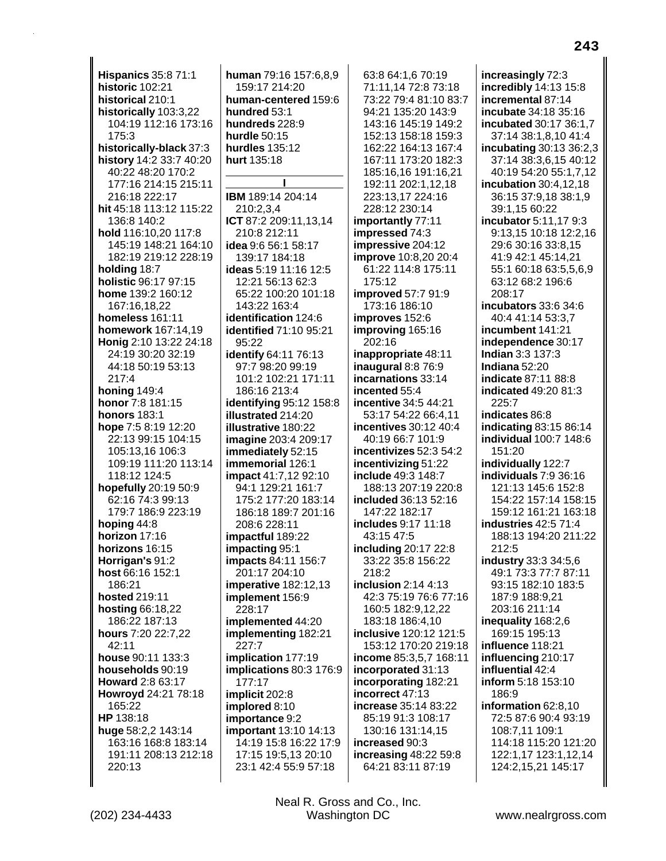**Hispanics 35:8 71:1 historic 102:21** historical 210:1 historically 103:3,22 104:19 112:16 173:16 175:3 historically-black 37:3 history 14:2 33:7 40:20 40:22 48:20 170:2 177:16 214:15 215:11 216:18 222:17 hit 45:18 113:12 115:22 136:8 140:2 hold 116:10.20 117:8 145:19 148:21 164:10 182:19 219:12 228:19 holding 18:7 holistic 96:17 97:15 home 139:2 160:12 167:16,18,22 homeless 161:11 homework 167:14,19 Honig 2:10 13:22 24:18 24:19 30:20 32:19 44:18 50:19 53:13  $217:4$ honing  $149:4$ honor 7:8 181:15 **honors** 183:1 hope 7:5 8:19 12:20 22:13 99:15 104:15 105:13.16 106:3 109:19 111:20 113:14 118:12 124:5 hopefully 20:19 50:9 62:16 74:3 99:13 179:7 186:9 223:19 hoping  $44:8$ horizon 17:16 horizons 16:15 Horrigan's 91:2 host 66:16 152:1 186:21 hosted 219:11 **hosting 66:18,22** 186:22 187:13 hours 7:20 22:7,22 42:11 house 90:11 133:3 households 90:19 Howard 2:8 63:17 Howroyd 24:21 78:18 165:22 HP 138:18 huge 58:2,2 143:14 163:16 168:8 183:14 191:11 208:13 212:18 220:13

human 79:16 157:6.8.9 159:17 214:20 human-centered 159:6 hundred 53:1 hundreds 228:9 hurdle  $50.15$ hurdles 135:12 hurt 135:18

IBM 189:14 204:14 210:2.3.4 ICT 87:2 209:11.13.14 210:8 212:11 idea 9:6 56:1 58:17 139:17 184:18 ideas 5:19 11:16 12:5 12:21 56:13 62:3 65:22 100:20 101:18 143:22 163:4 identification 124:6 identified 71:10 95:21 95:22 **identify 64:11 76:13** 97:7 98:20 99:19 101:2 102:21 171:11 186:16 213:4 identifying 95:12 158:8 illustrated 214:20 illustrative 180:22 imagine 203:4 209:17 immediately 52:15 immemorial 126:1 **impact** 41:7,12 92:10 94:1 129:21 161:7 175:2 177:20 183:14 186:18 189:7 201:16 208:6 228:11 impactful 189:22 impacting 95:1 impacts 84:11 156:7 201:17 204:10 imperative 182:12,13 implement 156:9 228:17 implemented 44:20 implementing 182:21 227:7 implication 177:19 implications 80:3 176:9 177:17 implicit 202:8 implored 8:10 importance 9:2 important 13:10 14:13 14:19 15:8 16:22 17:9 17:15 19:5,13 20:10 23:1 42:4 55:9 57:18

63:8 64:1,6 70:19 71:11,14 72:8 73:18 73:22 79:4 81:10 83:7 94:21 135:20 143:9 143:16 145:19 149:2 152:13 158:18 159:3 162:22 164:13 167:4 167:11 173:20 182:3 185:16,16 191:16,21 192:11 202:1,12,18 223:13,17 224:16 228:12 230:14 importantly 77:11 impressed 74:3 impressive 204:12 improve 10:8,20 20:4 61:22 114:8 175:11 175:12 improved 57:7 91:9 173:16 186:10 improves 152:6 improving 165:16 202:16 inappropriate 48:11 inaugural  $8:876:9$ incarnations 33:14 incented 55:4 incentive 34:5 44:21 53:17 54:22 66:4,11 incentives 30:12 40:4 40:19 66:7 101:9 incentivizes 52:3 54:2 incentivizing 51:22 **include** 49:3 148:7 188:13 207:19 220:8 included 36:13 52:16 147:22 182:17 includes 9:17 11:18 43:15 47:5 including 20:17 22:8 33:22 35:8 156:22  $218.2$ inclusion  $2:14$  4:13 42:3 75:19 76:6 77:16 160:5 182:9,12,22 183:18 186:4,10 inclusive 120:12 121:5 153:12 170:20 219:18 income 85:3,5,7 168:11 incorporated 31:13 incorporating 182:21 incorrect 47:13 increase 35:14 83:22 85:19 91:3 108:17 130:16 131:14,15 increased 90:3 increasing  $48:2259:8$ 64:21 83:11 87:19

increasingly 72:3 incredibly 14:13 15:8 incremental 87:14 incubate 34:18 35:16 incubated 30:17 36:1.7 37:14 38:1,8,10 41:4 incubating 30:13 36:2,3 37:14 38:3,6,15 40:12 40:19 54:20 55:1,7,12 incubation 30:4,12,18 36:15 37:9,18 38:1,9 39:1,15 60:22 incubator 5:11,17 9:3 9:13.15 10:18 12:2.16 29:6 30:16 33:8,15 41:9 42:1 45:14,21 55:1 60:18 63:5,5,6,9 63:12 68:2 196:6 208:17 incubators 33:6 34:6 40:4 41:14 53:3,7 incumbent 141:21 independence 30:17 Indian 3:3 137:3 Indiana 52:20 indicate 87:11 88:8 **indicated 49:20 81:3**  $225:7$ indicates 86:8 indicating 83:15 86:14 individual 100:7 148:6  $151.20$ individually 122:7 individuals  $7:9,36:16$ 121:13 145:6 152:8 154:22 157:14 158:15 159:12 161:21 163:18 industries 42:5 71:4 188:13 194:20 211:22 212:5 industry 33:3 34:5,6 49:1 73:3 77:7 87:11 93:15 182:10 183:5 187:9 188:9.21 203:16 211:14 inequality 168:2,6 169:15 195:13 influence 118:21 influencing 210:17 influential 42:4 inform 5:18 153:10 186:9 information 62:8,10 72:5 87:6 90:4 93:19 108:7,11 109:1 114:18 115:20 121:20 122:1,17 123:1,12,14 124:2,15,21 145:17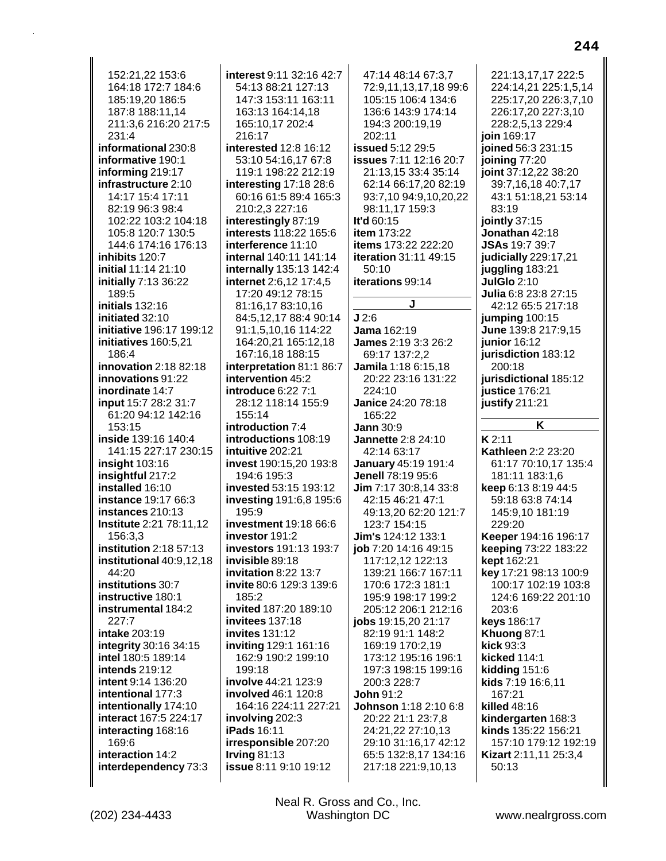152:21,22 153:6 164:18 172:7 184:6 185:19,20 186:5 187:8 188:11,14 211:3.6 216:20 217:5  $231.4$ informational 230:8 informative 190:1 informing 219:17 infrastructure 2:10 14:17 15:4 17:11 82:19 96:3 98:4 102:22 103:2 104:18 105:8 120:7 130:5 144:6 174:16 176:13 inhibits 120:7 initial 11:14 21:10 initially 7:13 36:22 189:5 initials 132:16 initiated 32:10 initiative 196:17 199:12 initiatives 160:5,21 186:4 innovation  $2:18$  82:18 innovations 91:22 inordinate 14:7 input 15:7 28:2 31:7 61:20 94:12 142:16 153:15 inside 139:16 140:4 141:15 227:17 230:15 insight  $103:16$ insightful 217:2 installed 16:10 **instance 19:17 66:3** instances 210:13 **Institute 2:21 78:11,12** 156:3.3 institution  $2:18\,57:13$ institutional 40:9,12,18 44:20 institutions 30:7 instructive 180:1 instrumental 184:2  $227:7$ intake 203:19 integrity 30:16 34:15 intel 180:5 189:14 intends 219:12 intent 9:14 136:20 intentional 177:3 intentionally 174:10 interact 167:5 224:17 interacting 168:16 169:6 interaction 14:2 interdependency 73:3

interest 9:11 32:16 42:7 54:13 88:21 127:13 147:3 153:11 163:11 163:13 164:14,18 165:10.17 202:4  $216:17$ interested 12:8 16:12 53:10 54:16,17 67:8 119:1 198:22 212:19 interesting 17:18 28:6 60:16 61:5 89:4 165:3 210:2,3 227:16 interestingly 87:19 interests 118:22 165:6 interference 11:10 internal 140:11 141:14 internally 135:13 142:4 internet 2:6,12 17:4,5 17:20 49:12 78:15 81:16,17 83:10,16 84:5,12,17 88:4 90:14 91:1.5.10.16 114:22 164:20,21 165:12,18 167:16,18 188:15 interpretation 81:1 86:7 intervention 45:2 introduce 6:22 7:1 28:12 118:14 155:9 155:14 introduction 7:4 introductions 108:19 intuitive 202:21 invest 190:15,20 193:8 194:6 195:3 invested 53:15 193:12 investing 191:6,8 195:6 195:9 **investment** 19:18 66:6 investor 191:2 investors 191:13 193:7 invisible 89:18 invitation 8:22 13:7 invite 80:6 129:3 139:6  $185.2$ invited 187:20 189:10 invitees 137:18 invites 131:12 inviting 129:1 161:16 162:9 190:2 199:10 199:18 involve 44:21 123:9 involved 46:1 120:8 164:16 224:11 227:21 involving 202:3 **iPads** 16:11 irresponsible 207:20 Irving  $81:13$ issue 8:11 9:10 19:12

47:14 48:14 67:3.7 72:9,11,13,17,18 99:6 105:15 106:4 134:6 136:6 143:9 174:14 194:3 200:19.19  $202.11$ issued 5:12 29:5 issues 7:11 12:16 20:7 21:13,15 33:4 35:14 62:14 66:17,20 82:19 93:7,10 94:9,10,20,22 98:11,17 159:3 It'd 60:15 item 173:22 items 173:22 222:20 iteration 31:11 49:15 50:10 iterations 99:14  $J2:6$ **Jama** 162:19 **James 2:19 3:3 26:2** 69:17 137:2,2 Jamila 1:18 6:15.18 20:22 23:16 131:22  $224:10$ Janice 24:20 78:18 165:22 Jann  $30:9$ **Jannette 2:8 24:10** 42:14 63:17 January 45:19 191:4 Jenell 78:19 95:6 Jim 7:17 30:8.14 33:8 42:15 46:21 47:1 49:13,20 62:20 121:7 123:7 154:15 Jim's 124:12 133:1 job 7:20 14:16 49:15 117:12,12 122:13 139:21 166:7 167:11 170:6 172:3 181:1 195:9 198:17 199:2 205:12 206:1 212:16 jobs 19:15,20 21:17 82:19 91:1 148:2 169:19 170:2,19 173:12 195:16 196:1 197:3 198:15 199:16 200:3 228:7 **John 91:2** Johnson 1:18 2:10 6:8 20:22 21:1 23:7,8 24:21,22 27:10,13 29:10 31:16,17 42:12 65:5 132:8,17 134:16 217:18 221:9,10,13

221:13,17,17 222:5 224:14,21 225:1,5,14 225:17,20 226:3,7,10 226:17,20 227:3,10 228:2,5,13 229:4 join 169:17 joined 56:3 231:15 joining 77:20 joint 37:12,22 38:20 39:7,16,18 40:7,17 43:1 51:18,21 53:14 83:19 jointly 37:15 Jonathan 42:18 JSAs 19:7 39:7 judicially 229:17,21 juggling 183:21 **JulGlo 2:10** Julia 6:8 23:8 27:15 42:12 65:5 217:18 jumping 100:15 June 139:8 217:9.15 junior 16:12 jurisdiction 183:12  $200:18$ iurisdictional 185:12 iustice 176:21 justify  $211:21$  $\overline{\mathbf{K}}$  $K2:11$ Kathleen 2:2 23:20

61:17 70:10.17 135:4 181:11 183:1,6 keep 6:13 8:19 44:5 59:18 63:8 74:14 145:9,10 181:19 229:20 Keeper 194:16 196:17 keeping 73:22 183:22 kept 162:21 key 17:21 98:13 100:9 100:17 102:19 103:8 124:6 169:22 201:10 203:6 keys 186:17 Khuong 87:1 kick  $93:3$ kicked 114:1 kidding 151:6 kids 7:19 16:6,11 167:21 killed 48:16 kindergarten 168:3 kinds 135:22 156:21 157:10 179:12 192:19 Kizart 2:11,11 25:3,4 50:13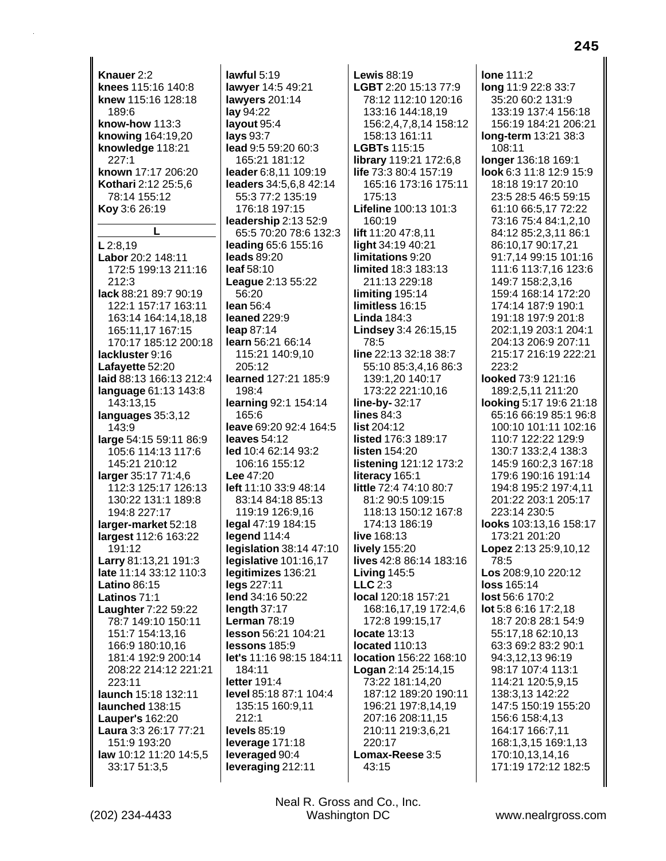**Knauer** 2:2 **knees** 115:16 140:8 **knew** 115:16 128:18 189:6 **know-how** 113:3 **knowing** 164:19,20 **knowledge** 118:21 227:1 **known** 17:17 206:20 **Kothari** 2:12 25:5,6 78:14 155:12 **Koy** 3:6 26:19 **L L** 2:8,19 **Labor** 20:2 148:11 172:5 199:13 211:16 212:3 **lack** 88:21 89:7 90:19 122:1 157:17 163:11 163:14 164:14,18,18 165:11,17 167:15 170:17 185:12 200:18 **lackluster** 9:16 **Lafayette** 52:20 **laid** 88:13 166:13 212:4 **language** 61:13 143:8 143:13,15 **languages** 35:3,12 143:9 **large** 54:15 59:11 86:9 105:6 114:13 117:6 145:21 210:12 **larger** 35:17 71:4,6 112:3 125:17 126:13 130:22 131:1 189:8 194:8 227:17 **larger-market** 52:18 **largest** 112:6 163:22 191:12 **Larry** 81:13,21 191:3 **late** 11:14 33:12 110:3 **Latino** 86:15 **Latinos** 71:1 **Laughter** 7:22 59:22 78:7 149:10 150:11 151:7 154:13,16 166:9 180:10,16 181:4 192:9 200:14 208:22 214:12 221:21 223:11 **launch** 15:18 132:11 **launched** 138:15 **Lauper's** 162:20 **Laura** 3:3 26:17 77:21 151:9 193:20 **law** 10:12 11:20 14:5,5 33:17 51:3,5

**lawful** 5:19 **lawyer** 14:5 49:21 **lawyers** 201:14 **lay** 94:22 **layout** 95:4 **lays** 93:7 **lead** 9:5 59:20 60:3 165:21 181:12 **leader** 6:8,11 109:19 **leaders** 34:5,6,8 42:14 55:3 77:2 135:19 176:18 197:15 **leadership** 2:13 52:9 65:5 70:20 78:6 132:3 **leading** 65:6 155:16 **leads** 89:20 **leaf** 58:10 **League** 2:13 55:22 56:20 **lean** 56:4 **leaned** 229:9 **leap** 87:14 **learn** 56:21 66:14 115:21 140:9,10 205:12 **learned** 127:21 185:9 198:4 **learning** 92:1 154:14 165:6 **leave** 69:20 92:4 164:5 **leaves** 54:12 **led** 10:4 62:14 93:2 106:16 155:12 **Lee** 47:20 **left** 11:10 33:9 48:14 83:14 84:18 85:13 119:19 126:9,16 **legal** 47:19 184:15 **legend** 114:4 **legislation** 38:14 47:10 **legislative** 101:16,17 **legitimizes** 136:21 **legs** 227:11 **lend** 34:16 50:22 **length** 37:17 **Lerman** 78:19 **lesson** 56:21 104:21 **lessons** 185:9 **let's** 11:16 98:15 184:11 184:11 **letter** 191:4 **level** 85:18 87:1 104:4 135:15 160:9,11 212:1 **levels** 85:19 **leverage** 171:18 **leveraged** 90:4 **leveraging** 212:11

**Lewis** 88:19 **LGBT** 2:20 15:13 77:9 78:12 112:10 120:16 133:16 144:18,19 156:2,4,7,8,14 158:12 158:13 161:11 **LGBTs** 115:15 **library** 119:21 172:6,8 **life** 73:3 80:4 157:19 165:16 173:16 175:11 175:13 **Lifeline** 100:13 101:3 160:19 **lift** 11:20 47:8,11 **light** 34:19 40:21 **limitations** 9:20 **limited** 18:3 183:13 211:13 229:18 **limiting** 195:14 **limitless** 16:15 **Linda** 184:3 **Lindsey** 3:4 26:15,15 78:5 **line** 22:13 32:18 38:7 55:10 85:3,4,16 86:3 139:1,20 140:17 173:22 221:10,16 **line-by-** 32:17 **lines** 84:3 **list** 204:12 **listed** 176:3 189:17 **listen** 154:20 **listening** 121:12 173:2 **literacy** 165:1 **little** 72:4 74:10 80:7 81:2 90:5 109:15 118:13 150:12 167:8 174:13 186:19 **live** 168:13 **lively** 155:20 **lives** 42:8 86:14 183:16 **Living** 145:5 **LLC** 2:3 **local** 120:18 157:21 168:16,17,19 172:4,6 172:8 199:15,17 **locate** 13:13 **located** 110:13 **location** 156:22 168:10 **Logan** 2:14 25:14,15 73:22 181:14,20 187:12 189:20 190:11 196:21 197:8,14,19 207:16 208:11,15 210:11 219:3,6,21 220:17 **Lomax-Reese** 3:5 43:15

**lone** 111:2 **long** 11:9 22:8 33:7 35:20 60:2 131:9 133:19 137:4 156:18 156:19 184:21 206:21 **long-term** 13:21 38:3 108:11 **longer** 136:18 169:1 **look** 6:3 11:8 12:9 15:9 18:18 19:17 20:10 23:5 28:5 46:5 59:15 61:10 66:5,17 72:22 73:16 75:4 84:1,2,10 84:12 85:2,3,11 86:1 86:10,17 90:17,21 91:7,14 99:15 101:16 111:6 113:7,16 123:6 149:7 158:2,3,16 159:4 168:14 172:20 174:14 187:9 190:1 191:18 197:9 201:8 202:1,19 203:1 204:1 204:13 206:9 207:11 215:17 216:19 222:21 223:2 **looked** 73:9 121:16 189:2,5,11 211:20 **looking** 5:17 19:6 21:18 65:16 66:19 85:1 96:8 100:10 101:11 102:16 110:7 122:22 129:9 130:7 133:2,4 138:3 145:9 160:2,3 167:18 179:6 190:16 191:14 194:8 195:2 197:4,11 201:22 203:1 205:17 223:14 230:5 **looks** 103:13,16 158:17 173:21 201:20 **Lopez** 2:13 25:9,10,12 78:5 **Los** 208:9,10 220:12 **loss** 165:14 **lost** 56:6 170:2 **lot** 5:8 6:16 17:2,18 18:7 20:8 28:1 54:9 55:17,18 62:10,13 63:3 69:2 83:2 90:1 94:3,12,13 96:19 98:17 107:4 113:1 114:21 120:5,9,15 138:3,13 142:22 147:5 150:19 155:20 156:6 158:4,13 164:17 166:7,11 168:1,3,15 169:1,13 170:10,13,14,16 171:19 172:12 182:5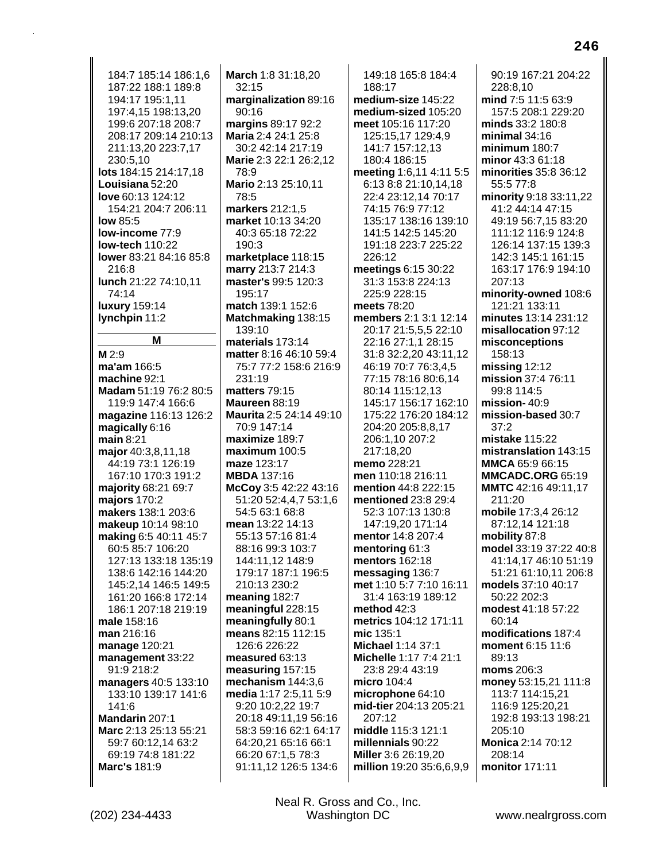184:7 185:14 186:1.6 187:22 188:1 189:8 194:17 195:1,11 197:4,15 198:13,20 199:6 207:18 208:7 208:17 209:14 210:13 211:13,20 223:7,17 230:5,10 lots 184:15 214:17,18 Louisiana 52:20 love 60:13 124:12 154:21 204:7 206:11 **low 85:5** low-income 77:9 low-tech 110:22 lower 83:21 84:16 85:8 216:8 lunch 21:22 74:10,11 74:14 **luxury** 159:14 lynchpin 11:2 M M 2:9 ma'am 166:5 machine 92:1 Madam 51:19 76:2 80:5 119:9 147:4 166:6 magazine 116:13 126:2 magically  $6:16$ main  $8:21$ major 40:3,8,11,18 44:19 73:1 126:19 167:10 170:3 191:2 majority 68:21 69:7 majors 170:2 makers 138:1 203:6 makeup 10:14 98:10 making 6:5 40:11 45:7 60:5 85:7 106:20 127:13 133:18 135:19 138:6 142:16 144:20 145:2,14 146:5 149:5 161:20 166:8 172:14 186:1 207:18 219:19 male 158:16 man 216:16 manage 120:21 management 33:22 91:9 218:2 managers 40:5 133:10 133:10 139:17 141:6 141:6 Mandarin 207:1 Marc 2:13 25:13 55:21 59:7 60:12,14 63:2 69:19 74:8 181:22 Marc's 181:9

March 1:8 31:18,20  $32:15$ marginalization 89:16  $90:16$ margins 89:17 92:2 Maria 2:4 24:1 25:8 30:2 42:14 217:19 Marie 2:3 22:1 26:2,12 78:9 Mario 2:13 25:10,11 78:5 markers 212:1,5 market 10:13 34:20 40:3 65:18 72:22  $190.3$ marketplace 118:15 marry 213:7 214:3 master's 99:5 120:3 195:17 match 139:1 152:6 Matchmaking 138:15 139:10 materials 173:14 matter 8:16 46:10 59:4 75:7 77:2 158:6 216:9 231:19 matters 79:15 Maureen 88:19 Maurita 2:5 24:14 49:10 70:9 147:14 maximize 189:7  $maximum 100.5$ maze 123:17 **MBDA** 137:16 McCoy 3:5 42:22 43:16 51:20 52:4,4,7 53:1,6 54:5 63:1 68:8 mean 13:22 14:13 55:13 57:16 81:4 88:16 99:3 103:7 144:11,12 148:9 179:17 187:1 196:5 210:13 230:2 meaning 182:7 meaningful 228:15 meaningfully 80:1 means 82:15 112:15 126:6 226:22 measured 63:13 measuring 157:15 mechanism  $144:3,6$ media 1:17 2:5,11 5:9 9:20 10:2,22 19:7 20:18 49:11,19 56:16 58:3 59:16 62:1 64:17 64:20.21 65:16 66:1 66:20 67:1,5 78:3 91:11,12 126:5 134:6

149:18 165:8 184:4 188:17 medium-size 145:22 medium-sized 105:20 meet 105:16 117:20 125:15,17 129:4,9 141:7 157:12,13 180:4 186:15 meeting 1:6,11 4:11 5:5 6:13 8:8 21:10,14,18 22:4 23:12,14 70:17 74:15 76:9 77:12 135:17 138:16 139:10 141:5 142:5 145:20 191:18 223:7 225:22 226:12 meetings 6:15 30:22 31:3 153:8 224:13 225:9 228:15 meets 78:20 members 2:1 3:1 12:14 20:17 21:5.5.5 22:10 22:16 27:1,1 28:15 31:8 32:2,20 43:11,12 46:19 70:7 76:3.4.5 77:15 78:16 80:6.14 80:14 115:12.13 145:17 156:17 162:10 175:22 176:20 184:12 204:20 205:8.8.17 206:1.10 207:2 217:18.20 memo 228:21 men 110:18 216:11 mention 44:8 222:15 mentioned 23:8 29:4 52:3 107:13 130:8 147:19,20 171:14 mentor 14:8 207:4 mentoring 61:3 mentors 162:18 messaging 136:7 met 1:10 5:7 7:10 16:11 31:4 163:19 189:12 method 42:3 metrics 104:12 171:11 mic  $135.1$ Michael 1:14 37:1 Michelle 1:17 7:4 21:1 23:8 29:4 43:19 micro 104:4 microphone 64:10 mid-tier 204:13 205:21 207:12 middle 115:3 121:1 millennials 90:22 Miller 3:6 26:19,20 million 19:20 35:6,6,9,9

90:19 167:21 204:22 228:8,10 mind 7:5 11:5 63:9 157:5 208:1 229:20 minds 33:2 180:8 minimal  $34:16$ minimum 180:7 minor 43:3 61:18 minorities 35:8 36:12 55:5 77:8 minority 9:18 33:11,22 41:2 44:14 47:15 49:19 56:7,15 83:20 111:12 116:9 124:8 126:14 137:15 139:3 142:3 145:1 161:15 163:17 176:9 194:10 207:13 minority-owned 108:6 121:21 133:11 minutes 13:14 231:12 misallocation 97:12 misconceptions 158:13 missing  $12:12$ mission 37:4 76:11 99:8 114:5 mission- $40:9$ mission-based 30:7  $37:2$ mistake  $115:22$ mistranslation 143:15 MMCA 65:9 66:15 **MMCADC.ORG 65:19** MMTC 42:16 49:11,17  $211:20$ mobile 17:3,4 26:12 87:12,14 121:18 mobility 87:8 model 33:19 37:22 40:8 41:14,17 46:10 51:19 51:21 61:10,11 206:8 models 37:10 40:17 50:22 202:3 modest 41:18 57:22 60:14 modifications 187:4 moment 6:15 11:6 89:13 moms 206:3 money 53:15,21 111:8 113:7 114:15,21 116:9 125:20,21 192:8 193:13 198:21 205:10 **Monica 2:14 70:12** 208:14 monitor 171:11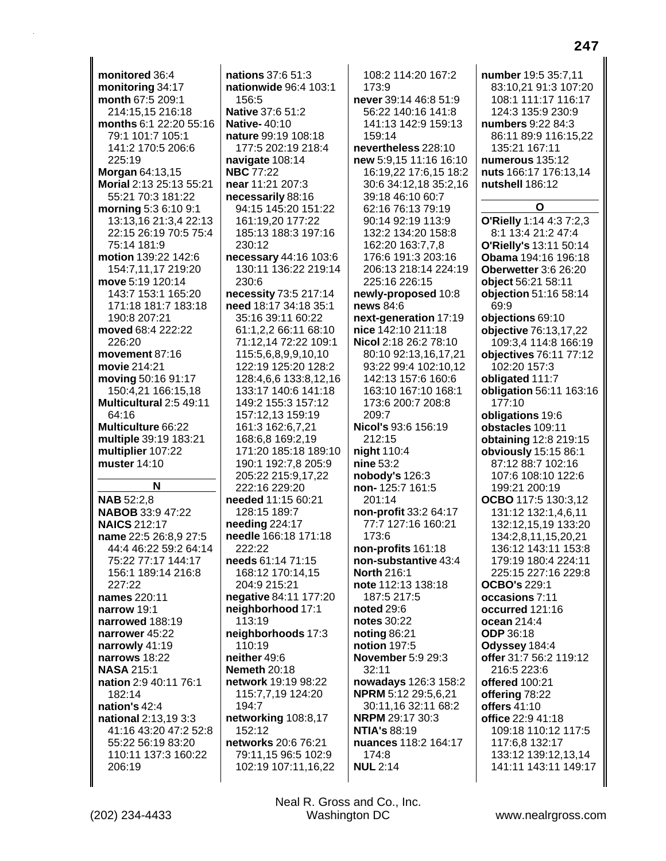**monitored** 36:4 **monitoring** 34:17 **month** 67:5 209:1 214:15,15 216:18 **months** 6:1 22:20 55:16 79:1 101:7 105:1 141:2 170:5 206:6 225:19 **Morgan** 64:13,15 **Morial** 2:13 25:13 55:21 55:21 70:3 181:22 **morning** 5:3 6:10 9:1 13:13,16 21:3,4 22:13 22:15 26:19 70:5 75:4 75:14 181:9 **motion** 139:22 142:6 154:7,11,17 219:20 **move** 5:19 120:14 143:7 153:1 165:20 171:18 181:7 183:18 190:8 207:21 **moved** 68:4 222:22 226:20 **movement** 87:16 **movie** 214:21 **moving** 50:16 91:17 150:4,21 166:15,18 **Multicultural** 2:5 49:11 64:16 **Multiculture** 66:22 **multiple** 39:19 183:21 **multiplier** 107:22 **muster** 14:10 **N NAB** 52:2,8 **NABOB** 33:9 47:22 **NAICS** 212:17 **name** 22:5 26:8,9 27:5 44:4 46:22 59:2 64:14 75:22 77:17 144:17 156:1 189:14 216:8 227:22 **names** 220:11 **narrow** 19:1 **narrowed** 188:19 **narrower** 45:22 **narrowly** 41:19 **narrows** 18:22 **NASA** 215:1 **nation** 2:9 40:11 76:1 182:14 **nation's** 42:4 **national** 2:13,19 3:3 41:16 43:20 47:2 52:8 55:22 56:19 83:20 110:11 137:3 160:22 206:19

**nations** 37:6 51:3 **nationwide** 96:4 103:1 156:5 **Native** 37:6 51:2 **Native-** 40:10 **nature** 99:19 108:18 177:5 202:19 218:4 **navigate** 108:14 **NBC** 77:22 **near** 11:21 207:3 **necessarily** 88:16 94:15 145:20 151:22 161:19,20 177:22 185:13 188:3 197:16 230:12 **necessary** 44:16 103:6 130:11 136:22 219:14 230:6 **necessity** 73:5 217:14 **need** 18:17 34:18 35:1 35:16 39:11 60:22 61:1,2,2 66:11 68:10 71:12,14 72:22 109:1 115:5,6,8,9,9,10,10 122:19 125:20 128:2 128:4,6,6 133:8,12,16 133:17 140:6 141:18 149:2 155:3 157:12 157:12,13 159:19 161:3 162:6,7,21 168:6,8 169:2,19 171:20 185:18 189:10 190:1 192:7,8 205:9 205:22 215:9,17,22 222:16 229:20 **needed** 11:15 60:21 128:15 189:7 **needing** 224:17 **needle** 166:18 171:18  $222:22$ **needs** 61:14 71:15 168:12 170:14,15 204:9 215:21 **negative** 84:11 177:20 **neighborhood** 17:1 113:19 **neighborhoods** 17:3 110:19 **neither** 49:6 **Nemeth** 20:18 **network** 19:19 98:22 115:7,7,19 124:20 194:7 **networking** 108:8,17 152:12 **networks** 20:6 76:21 79:11,15 96:5 102:9 102:19 107:11,16,22

108:2 114:20 167:2 173:9 **never** 39:14 46:8 51:9 56:22 140:16 141:8 141:13 142:9 159:13 159:14 **nevertheless** 228:10 **new** 5:9,15 11:16 16:10 16:19,22 17:6,15 18:2 30:6 34:12,18 35:2,16 39:18 46:10 60:7 62:16 76:13 79:19 90:14 92:19 113:9 132:2 134:20 158:8 162:20 163:7,7,8 176:6 191:3 203:16 206:13 218:14 224:19 225:16 226:15 **newly-proposed** 10:8 **news** 84:6 **next-generation** 17:19 **nice** 142:10 211:18 **Nicol** 2:18 26:2 78:10 80:10 92:13,16,17,21 93:22 99:4 102:10,12 142:13 157:6 160:6 163:10 167:10 168:1 173:6 200:7 208:8 209:7 **Nicol's** 93:6 156:19 212:15 **night** 110:4 **nine** 53:2 **nobody's** 126:3 **non-** 125:7 161:5 201:14 **non-profit** 33:2 64:17 77:7 127:16 160:21 173:6 **non-profits** 161:18 **non-substantive** 43:4 **North** 216:1 **note** 112:13 138:18 187:5 217:5 **noted** 29:6 **notes** 30:22 **noting** 86:21 **notion** 197:5 **November** 5:9 29:3 32:11 **nowadays** 126:3 158:2 **NPRM** 5:12 29:5,6,21 30:11,16 32:11 68:2 **NRPM** 29:17 30:3 **NTIA's** 88:19 **nuances** 118:2 164:17 174:8 **NUL** 2:14

**number** 19:5 35:7,11 83:10,21 91:3 107:20 108:1 111:17 116:17 124:3 135:9 230:9 **numbers** 9:22 84:3 86:11 89:9 116:15,22 135:21 167:11 **numerous** 135:12 **nuts** 166:17 176:13,14 **nutshell** 186:12 **O O'Rielly** 1:14 4:3 7:2,3 8:1 13:4 21:2 47:4 **O'Rielly's** 13:11 50:14 **Obama** 194:16 196:18 **Oberwetter** 3:6 26:20 **object** 56:21 58:11 **objection** 51:16 58:14 69:9 **objections** 69:10 **objective** 76:13,17,22 109:3,4 114:8 166:19 **objectives** 76:11 77:12 102:20 157:3 **obligated** 111:7 **obligation** 56:11 163:16 177:10 **obligations** 19:6 **obstacles** 109:11 **obtaining** 12:8 219:15 **obviously** 15:15 86:1 87:12 88:7 102:16 107:6 108:10 122:6 199:21 200:19 **OCBO** 117:5 130:3,12 131:12 132:1,4,6,11 132:12,15,19 133:20 134:2,8,11,15,20,21 136:12 143:11 153:8 179:19 180:4 224:11 225:15 227:16 229:8 **OCBO's** 229:1 **occasions** 7:11 **occurred** 121:16 **ocean** 214:4 **ODP** 36:18 **Odyssey** 184:4 **offer** 31:7 56:2 119:12 216:5 223:6 **offered** 100:21 **offering** 78:22 **offers** 41:10 **office** 22:9 41:18 109:18 110:12 117:5 117:6,8 132:17 133:12 139:12,13,14 141:11 143:11 149:17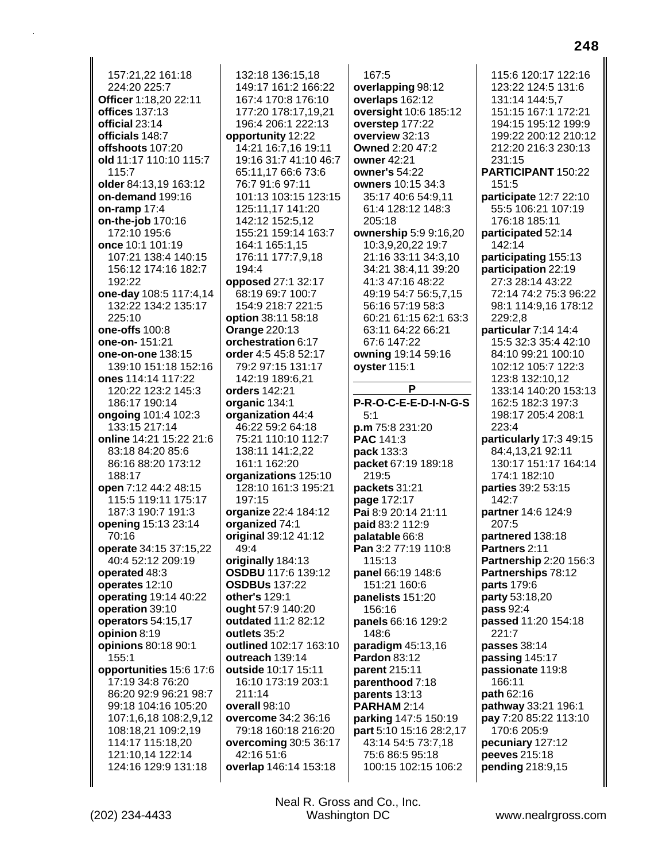157:21,22 161:18 224:20 225:7 **Officer** 1:18,20 22:11 **offices** 137:13 **official** 23:14 **officials** 148:7 **offshoots** 107:20 **old** 11:17 110:10 115:7 115:7 **older** 84:13,19 163:12 **on-demand** 199:16 **on-ramp** 17:4 **on-the-job** 170:16 172:10 195:6 **once** 10:1 101:19 107:21 138:4 140:15 156:12 174:16 182:7 192:22 **one-day** 108:5 117:4,14 132:22 134:2 135:17 225:10 **one-offs** 100:8 **one-on-** 151:21 **one-on-one** 138:15 139:10 151:18 152:16 **ones** 114:14 117:22 120:22 123:2 145:3 186:17 190:14 **ongoing** 101:4 102:3 133:15 217:14 **online** 14:21 15:22 21:6 83:18 84:20 85:6 86:16 88:20 173:12 188:17 **open** 7:12 44:2 48:15 115:5 119:11 175:17 187:3 190:7 191:3 **opening** 15:13 23:14 70:16 **operate** 34:15 37:15,22 40:4 52:12 209:19 **operated** 48:3 **operates** 12:10 **operating** 19:14 40:22 **operation** 39:10 **operators** 54:15,17 **opinion** 8:19 **opinions** 80:18 90:1 155:1 **opportunities** 15:6 17:6 17:19 34:8 76:20 86:20 92:9 96:21 98:7 99:18 104:16 105:20 107:1,6,18 108:2,9,12 108:18,21 109:2,19 114:17 115:18,20 121:10,14 122:14 124:16 129:9 131:18

132:18 136:15,18 149:17 161:2 166:22 167:4 170:8 176:10 177:20 178:17,19,21 196:4 206:1 222:13 **opportunity** 12:22 14:21 16:7,16 19:11 19:16 31:7 41:10 46:7 65:11,17 66:6 73:6 76:7 91:6 97:11 101:13 103:15 123:15 125:11,17 141:20 142:12 152:5,12 155:21 159:14 163:7 164:1 165:1,15 176:11 177:7,9,18 194:4 **opposed** 27:1 32:17 68:19 69:7 100:7 154:9 218:7 221:5 **option** 38:11 58:18 **Orange** 220:13 **orchestration** 6:17 **order** 4:5 45:8 52:17 79:2 97:15 131:17 142:19 189:6,21 **orders** 142:21 **organic** 134:1 **organization** 44:4 46:22 59:2 64:18 75:21 110:10 112:7 138:11 141:2,22 161:1 162:20 **organizations** 125:10 128:10 161:3 195:21 197:15 **organize** 22:4 184:12 **organized** 74:1 **original** 39:12 41:12 49:4 **originally** 184:13 **OSDBU** 117:6 139:12 **OSDBUs** 137:22 **other's** 129:1 **ought** 57:9 140:20 **outdated** 11:2 82:12 **outlets** 35:2 **outlined** 102:17 163:10 **outreach** 139:14 **outside** 10:17 15:11 16:10 173:19 203:1 211:14 **overall** 98:10 **overcome** 34:2 36:16 79:18 160:18 216:20 **overcoming** 30:5 36:17 42:16 51:6 **overlap** 146:14 153:18

167:5 **overlapping** 98:12 **overlaps** 162:12 **oversight** 10:6 185:12 **overstep** 177:22 **overview** 32:13 **Owned** 2:20 47:2 **owner** 42:21 **owner's** 54:22 **owners** 10:15 34:3 35:17 40:6 54:9,11 61:4 128:12 148:3 205:18 **ownership** 5:9 9:16,20 10:3,9,20,22 19:7 21:16 33:11 34:3,10 34:21 38:4,11 39:20 41:3 47:16 48:22 49:19 54:7 56:5,7,15 56:16 57:19 58:3 60:21 61:15 62:1 63:3 63:11 64:22 66:21 67:6 147:22 **owning** 19:14 59:16 **oyster** 115:1 **P P-R-O-C-E-E-D-I-N-G-S** 5:1 **p.m** 75:8 231:20 **PAC** 141:3 **pack** 133:3 **packet** 67:19 189:18 219:5 **packets** 31:21 **page** 172:17 **Pai** 8:9 20:14 21:11 **paid** 83:2 112:9 **palatable** 66:8 **Pan** 3:2 77:19 110:8 115:13 **panel** 66:19 148:6 151:21 160:6 **panelists** 151:20 156:16 **panels** 66:16 129:2 148:6 **paradigm** 45:13,16 **Pardon** 83:12 **parent** 215:11 **parenthood** 7:18 **parents** 13:13 **PARHAM** 2:14 **parking** 147:5 150:19 **part** 5:10 15:16 28:2,17 43:14 54:5 73:7,18 75:6 86:5 95:18 100:15 102:15 106:2

115:6 120:17 122:16 123:22 124:5 131:6 131:14 144:5,7 151:15 167:1 172:21 194:15 195:12 199:9 199:22 200:12 210:12 212:20 216:3 230:13 231:15 **PARTICIPANT** 150:22 151:5 **participate** 12:7 22:10 55:5 106:21 107:19 176:18 185:11 **participated** 52:14 142:14 **participating** 155:13 **participation** 22:19 27:3 28:14 43:22 72:14 74:2 75:3 96:22 98:1 114:9,16 178:12 229:2,8 **particular** 7:14 14:4 15:5 32:3 35:4 42:10 84:10 99:21 100:10 102:12 105:7 122:3 123:8 132:10,12 133:14 140:20 153:13 162:5 182:3 197:3 198:17 205:4 208:1 223:4 **particularly** 17:3 49:15 84:4,13,21 92:11 130:17 151:17 164:14 174:1 182:10 **parties** 39:2 53:15 142:7 **partner** 14:6 124:9 207:5 **partnered** 138:18 **Partners** 2:11 **Partnership** 2:20 156:3 **Partnerships** 78:12 **parts** 179:6 **party** 53:18,20 **pass** 92:4 **passed** 11:20 154:18 221:7 **passes** 38:14 **passing** 145:17 **passionate** 119:8 166:11 **path** 62:16 **pathway** 33:21 196:1 **pay** 7:20 85:22 113:10 170:6 205:9 **pecuniary** 127:12

**peeves** 215:18 **pending** 218:9,15 **248**

(202) 234-4433 Washington DC www.nealrgross.com Neal R. Gross and Co., Inc.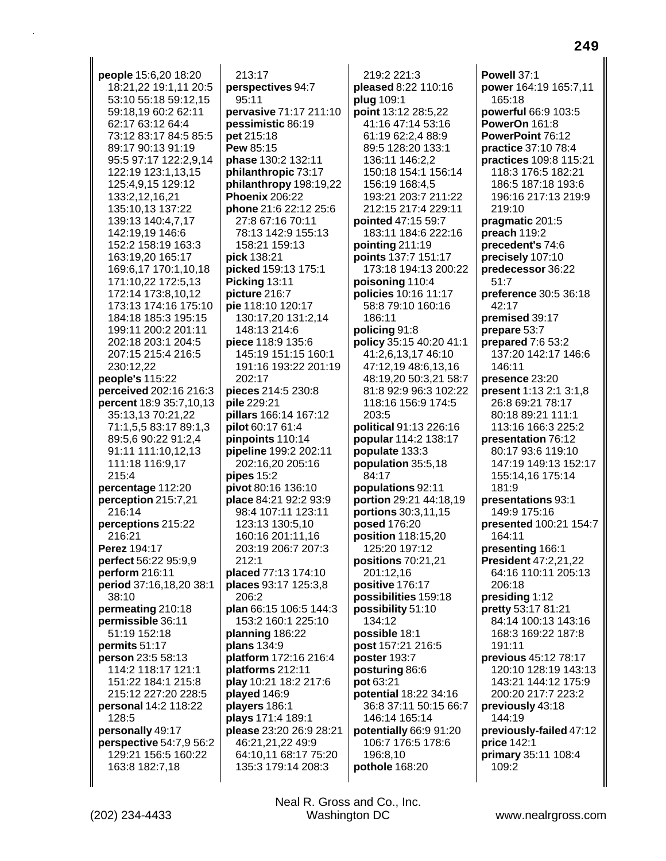people 15:6,20 18:20 18:21,22 19:1,11 20:5 53:10 55:18 59:12,15 59:18.19 60:2 62:11 62:17 63:12 64:4 73:12 83:17 84:5 85:5 89:17 90:13 91:19 95:5 97:17 122:2,9,14 122:19 123:1,13,15 125:4,9,15 129:12 133:2,12,16,21 135:10,13 137:22 139:13 140:4,7,17 142:19.19 146:6 152:2 158:19 163:3 163:19,20 165:17 169:6,17 170:1,10,18 171:10,22 172:5,13 172:14 173:8,10,12 173:13 174:16 175:10 184:18 185:3 195:15 199:11 200:2 201:11 202:18 203:1 204:5 207:15 215:4 216:5 230:12.22 people's 115:22 perceived 202:16 216:3 percent 18:9 35:7,10,13 35:13,13 70:21,22 71:1.5.5 83:17 89:1.3 89:5.6 90:22 91:2.4 91:11 111:10,12,13 111:18 116:9,17 215:4 percentage 112:20 perception 215:7,21 216:14 perceptions 215:22 216:21 Perez 194:17 perfect 56:22 95:9,9 perform 216:11 period 37:16,18,20 38:1 38:10 permeating 210:18 permissible 36:11 51:19 152:18 permits 51:17 person 23:5 58:13 114:2 118:17 121:1 151:22 184:1 215:8 215:12 227:20 228:5 personal 14:2 118:22 128:5 personally 49:17 perspective 54:7,9 56:2 129:21 156:5 160:22 163:8 182:7,18

 $213:17$ perspectives 94:7 95:11 pervasive 71:17 211:10 pessimistic 86:19 pet 215:18 Pew 85:15 phase 130:2 132:11 philanthropic 73:17 philanthropy 198:19,22 **Phoenix 206:22** phone 21:6 22:12 25:6 27:8 67:16 70:11 78:13 142:9 155:13 158:21 159:13 pick 138:21 picked 159:13 175:1 Picking 13:11 picture 216:7 pie 118:10 120:17 130:17,20 131:2,14 148:13 214:6 piece 118:9 135:6 145:19 151:15 160:1 191:16 193:22 201:19 202:17 pieces 214:5 230:8 pile 229:21 pillars 166:14 167:12 pilot 60:17 61:4 pinpoints 110:14 pipeline 199:2 202:11 202:16,20 205:16 pipes  $15:2$ pivot 80:16 136:10 place 84:21 92:2 93:9 98:4 107:11 123:11 123:13 130:5,10 160:16 201:11,16 203:19 206:7 207:3  $212:1$ placed 77:13 174:10 places 93:17 125:3,8 206:2 plan 66:15 106:5 144:3 153:2 160:1 225:10 planning 186:22 plans 134:9 platform 172:16 216:4 platforms 212:11 play 10:21 18:2 217:6 played 146:9 players 186:1 plays 171:4 189:1 please 23:20 26:9 28:21 46:21,21,22 49:9 64:10,11 68:17 75:20 135:3 179:14 208:3

219:2 221:3 pleased 8:22 110:16 plug 109:1 point 13:12 28:5,22 41:16 47:14 53:16 61:19 62:2,4 88:9 89:5 128:20 133:1 136:11 146:2,2 150:18 154:1 156:14 156:19 168:4,5 193:21 203:7 211:22 212:15 217:4 229:11 pointed 47:15 59:7 183:11 184:6 222:16 pointing 211:19 points 137:7 151:17 173:18 194:13 200:22 poisoning 110:4 policies 10:16 11:17 58:8 79:10 160:16 186:11 policing 91:8 policy 35:15 40:20 41:1 41:2,6,13,17 46:10 47:12,19 48:6,13,16 48:19.20 50:3.21 58:7 81:8 92:9 96:3 102:22 118:16 156:9 174:5 203:5 political 91:13 226:16 popular 114:2 138:17 populate 133:3 population 35:5,18 84:17 populations 92:11 portion 29:21 44:18,19 portions 30:3,11,15 posed 176:20 position 118:15,20 125:20 197:12 positions 70:21,21 201:12,16 positive 176:17 possibilities 159:18 possibility 51:10 134:12 possible 18:1 post 157:21 216:5 poster 193:7 posturing 86:6 pot 63:21 potential 18:22 34:16 36:8 37:11 50:15 66:7 146:14 165:14 potentially 66:9 91:20 106:7 176:5 178:6 196:8,10 pothole 168:20

Powell 37:1 power 164:19 165:7,11 165:18 powerful 66:9 103:5 PowerOn 161:8 PowerPoint 76:12 practice 37:10 78:4 practices 109:8 115:21 118:3 176:5 182:21 186:5 187:18 193:6 196:16 217:13 219:9 219:10 pragmatic 201:5 preach 119:2 precedent's 74:6 precisely 107:10 predecessor 36:22  $51.7$ preference 30:5 36:18 42:17 premised 39:17 prepare 53:7 prepared 7:6 53:2 137:20 142:17 146:6 146:11 presence 23:20 present 1:13 2:1 3:1,8 26:8 69:21 78:17 80:18 89:21 111:1 113:16 166:3 225:2 presentation 76:12 80:17 93:6 119:10 147:19 149:13 152:17 155:14.16 175:14 181:9 presentations 93:1 149:9 175:16 presented 100:21 154:7 164:11 presenting 166:1 **President 47:2,21,22** 64:16 110:11 205:13 206:18 presiding 1:12 pretty 53:17 81:21 84:14 100:13 143:16 168:3 169:22 187:8 191:11 previous 45:12 78:17 120:10 128:19 143:13 143:21 144:12 175:9 200:20 217:7 223:2 previously 43:18 144:19 previously-failed 47:12 price 142:1 primary 35:11 108:4 109:2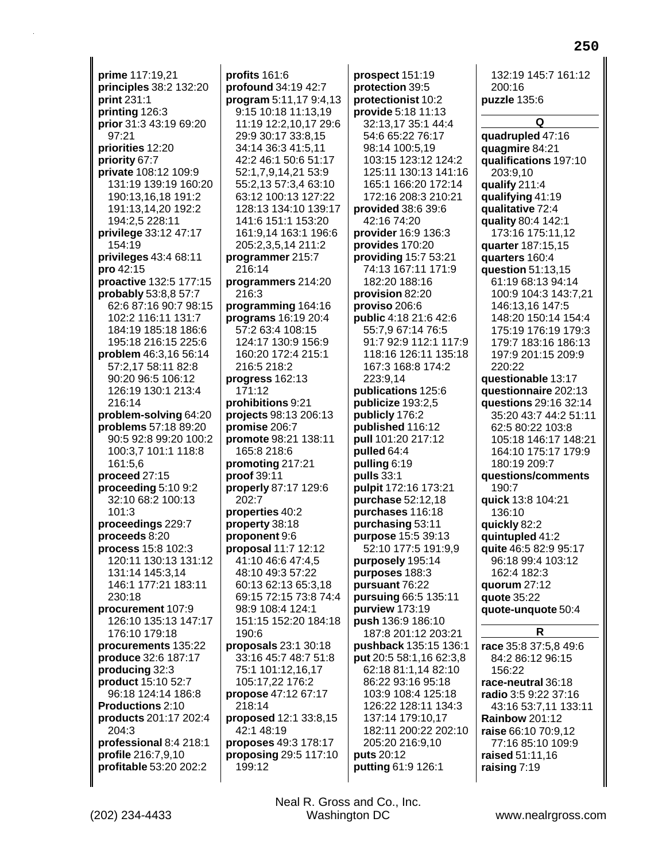**prime** 117:19,21 **principles** 38:2 132:20 **print** 231:1 **printing** 126:3 **prior** 31:3 43:19 69:20 97:21 **priorities** 12:20 **priority** 67:7 **private** 108:12 109:9 131:19 139:19 160:20 190:13,16,18 191:2 191:13,14,20 192:2 194:2,5 228:11 **privilege** 33:12 47:17 154:19 **privileges** 43:4 68:11 **pro** 42:15 **proactive** 132:5 177:15 **probably** 53:8,8 57:7 62:6 87:16 90:7 98:15 102:2 116:11 131:7 184:19 185:18 186:6 195:18 216:15 225:6 **problem** 46:3,16 56:14 57:2,17 58:11 82:8 90:20 96:5 106:12 126:19 130:1 213:4 216:14 **problem-solving** 64:20 **problems** 57:18 89:20 90:5 92:8 99:20 100:2 100:3,7 101:1 118:8 161:5,6 **proceed** 27:15 **proceeding** 5:10 9:2 32:10 68:2 100:13 101:3 **proceedings** 229:7 **proceeds** 8:20 **process** 15:8 102:3 120:11 130:13 131:12 131:14 145:3,14 146:1 177:21 183:11 230:18 **procurement** 107:9 126:10 135:13 147:17 176:10 179:18 **procurements** 135:22 **produce** 32:6 187:17 **producing** 32:3 **product** 15:10 52:7 96:18 124:14 186:8 **Productions** 2:10 **products** 201:17 202:4 204:3 **professional** 8:4 218:1 **profile** 216:7,9,10 **profitable** 53:20 202:2

**profits** 161:6 **profound** 34:19 42:7 **program** 5:11,17 9:4,13 9:15 10:18 11:13,19 11:19 12:2,10,17 29:6 29:9 30:17 33:8,15 34:14 36:3 41:5,11 42:2 46:1 50:6 51:17 52:1,7,9,14,21 53:9 55:2,13 57:3,4 63:10 63:12 100:13 127:22 128:13 134:10 139:17 141:6 151:1 153:20 161:9,14 163:1 196:6 205:2,3,5,14 211:2 **programmer** 215:7 216:14 **programmers** 214:20 216:3 **programming** 164:16 **programs** 16:19 20:4 57:2 63:4 108:15 124:17 130:9 156:9 160:20 172:4 215:1 216:5 218:2 **progress** 162:13 171:12 **prohibitions** 9:21 **projects** 98:13 206:13 **promise** 206:7 **promote** 98:21 138:11 165:8 218:6 **promoting** 217:21 **proof** 39:11 **properly** 87:17 129:6 202:7 **properties** 40:2 **property** 38:18 **proponent** 9:6 **proposal** 11:7 12:12 41:10 46:6 47:4,5 48:10 49:3 57:22 60:13 62:13 65:3,18 69:15 72:15 73:8 74:4 98:9 108:4 124:1 151:15 152:20 184:18 190:6 **proposals** 23:1 30:18 33:16 45:7 48:7 51:8 75:1 101:12,16,17 105:17,22 176:2 **propose** 47:12 67:17 218:14 **proposed** 12:1 33:8,15 42:1 48:19 **proposes** 49:3 178:17 **proposing** 29:5 117:10 199:12

**prospect** 151:19 **protection** 39:5 **protectionist** 10:2 **provide** 5:18 11:13 32:13,17 35:1 44:4 54:6 65:22 76:17 98:14 100:5,19 103:15 123:12 124:2 125:11 130:13 141:16 165:1 166:20 172:14 172:16 208:3 210:21 **provided** 38:6 39:6 42:16 74:20 **provider** 16:9 136:3 **provides** 170:20 **providing** 15:7 53:21 74:13 167:11 171:9 182:20 188:16 **provision** 82:20 **proviso** 206:6 **public** 4:18 21:6 42:6 55:7,9 67:14 76:5 91:7 92:9 112:1 117:9 118:16 126:11 135:18 167:3 168:8 174:2 223:9,14 **publications** 125:6 **publicize** 193:2,5 **publicly** 176:2 **published** 116:12 **pull** 101:20 217:12 **pulled** 64:4 **pulling** 6:19 **pulls** 33:1 **pulpit** 172:16 173:21 **purchase** 52:12,18 **purchases** 116:18 **purchasing** 53:11 **purpose** 15:5 39:13 52:10 177:5 191:9,9 **purposely** 195:14 **purposes** 188:3 **pursuant** 76:22 **pursuing** 66:5 135:11 **purview** 173:19 **push** 136:9 186:10 187:8 201:12 203:21 **pushback** 135:15 136:1 **put** 20:5 58:1,16 62:3,8 62:18 81:1,14 82:10 86:22 93:16 95:18 103:9 108:4 125:18 126:22 128:11 134:3 137:14 179:10,17 182:11 200:22 202:10 205:20 216:9,10 **puts** 20:12 **putting** 61:9 126:1

132:19 145:7 161:12 200:16 **puzzle** 135:6

**250**

**Q quadrupled** 47:16 **quagmire** 84:21 **qualifications** 197:10 203:9,10 **qualify** 211:4 **qualifying** 41:19 **qualitative** 72:4 **quality** 80:4 142:1 173:16 175:11,12 **quarter** 187:15,15 **quarters** 160:4 **question** 51:13,15 61:19 68:13 94:14 100:9 104:3 143:7,21 146:13,16 147:5 148:20 150:14 154:4 175:19 176:19 179:3 179:7 183:16 186:13 197:9 201:15 209:9 220:22 **questionable** 13:17 **questionnaire** 202:13 **questions** 29:16 32:14 35:20 43:7 44:2 51:11 62:5 80:22 103:8 105:18 146:17 148:21 164:10 175:17 179:9 180:19 209:7 **questions/comments** 190:7 **quick** 13:8 104:21 136:10 **quickly** 82:2 **quintupled** 41:2 **quite** 46:5 82:9 95:17 96:18 99:4 103:12 162:4 182:3 **quorum** 27:12 **quote** 35:22 **quote-unquote** 50:4 **R**

**race** 35:8 37:5,8 49:6 84:2 86:12 96:15 156:22 **race-neutral** 36:18 **radio** 3:5 9:22 37:16 43:16 53:7,11 133:11 **Rainbow** 201:12 **raise** 66:10 70:9,12 77:16 85:10 109:9 **raised** 51:11,16 **raising** 7:19

(202) 234-4433 Washington DC www.nealrgross.com Neal R. Gross and Co., Inc.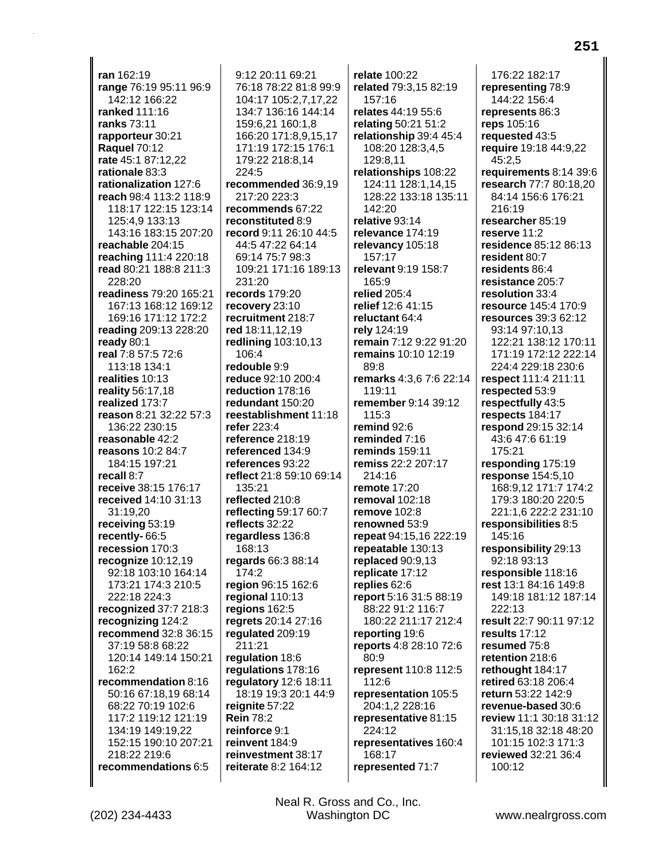ran 162:19 range 76:19 95:11 96:9 142:12 166:22 ranked 111:16 ranks 73:11 rapporteur 30:21 **Raquel 70:12** rate 45:1 87:12,22 rationale 83:3 rationalization 127:6 reach 98:4 113:2 118:9 118:17 122:15 123:14 125:4.9 133:13 143:16 183:15 207:20 reachable 204:15 reaching 111:4 220:18 read 80:21 188:8 211:3  $228:20$ readiness 79:20 165:21 167:13 168:12 169:12 169:16 171:12 172:2 reading 209:13 228:20 ready 80:1 real 7:8 57:5 72:6 113:18 134:1 realities 10:13 reality 56:17,18 realized 173:7 reason 8:21 32:22 57:3 136:22 230:15 reasonable 42:2 reasons 10:2 84:7 184:15 197:21 recall 8:7 receive 38:15 176:17 received 14:10 31:13 31:19,20 receiving 53:19 recently-66:5 recession 170:3 recognize  $10:12,19$ 92:18 103:10 164:14 173:21 174:3 210:5 222:18 224:3 recognized 37:7 218:3 recognizing 124:2 recommend 32:8 36:15 37:19 58:8 68:22 120:14 149:14 150:21  $162:2$ recommendation 8:16 50:16 67:18,19 68:14 68:22 70:19 102:6 117:2 119:12 121:19 134:19 149:19,22 152:15 190:10 207:21 218:22 219:6 recommendations 6:5

9:12 20:11 69:21 76:18 78:22 81:8 99:9 104:17 105:2,7,17,22 134:7 136:16 144:14 159:6.21 160:1.8 166:20 171:8.9.15.17 171:19 172:15 176:1 179:22 218:8,14 224:5 recommended 36:9.19 217:20 223:3 recommends 67:22 reconstituted 8:9 record 9:11 26:10 44:5 44:5 47:22 64:14 69:14 75:7 98:3 109:21 171:16 189:13 231:20 records 179:20 recovery 23:10 recruitment 218:7 red 18:11,12,19 redlining 103:10,13 106:4 redouble 9:9 reduce 92:10 200:4 reduction 178:16 redundant 150:20 reestablishment 11:18 refer 223:4 reference 218:19 referenced 134:9 references 93:22 reflect 21:8 59:10 69:14 135:21 reflected 210:8 reflecting 59:17 60:7 reflects 32:22 regardless 136:8 168:13 regards 66:3 88:14 174:2 region 96:15 162:6 regional 110:13 regions 162:5 regrets 20:14 27:16 requlated 209:19 211:21 regulation 18:6 regulations 178:16 regulatory 12:6 18:11 18:19 19:3 20:1 44:9 reignite 57:22 **Rein 78:2** reinforce 9:1 reinvent 184:9 reinvestment 38:17 reiterate 8:2 164:12

relate 100:22 related 79:3,15 82:19 157:16 relates 44:19 55:6 relating 50:21 51:2 relationship 39:4 45:4 108:20 128:3,4,5 129:8.11 relationships 108:22 124:11 128:1,14,15 128:22 133:18 135:11 142:20 relative 93:14 relevance 174:19 relevancy 105:18 157:17 relevant 9:19 158:7 165:9 relied 205:4 relief 12:6 41:15 reluctant 64:4 rely 124:19 remain 7:12 9:22 91:20 remains 10:10 12:19  $89:8$ remarks 4:3.6 7:6 22:14  $119:11$ remember 9:14 39:12 115:3 remind  $92:6$ reminded 7:16 **reminds** 159:11 remiss 22:2 207:17 214:16 remote 17:20 removal 102:18 remove 102:8 renowned 53:9 repeat 94:15,16 222:19 repeatable 130:13 replaced 90:9,13 replicate 17:12 replies 62:6 report 5:16 31:5 88:19 88:22 91:2 116:7 180:22 211:17 212:4 reporting 19:6 reports 4:8 28:10 72:6 80:9 represent 110:8 112:5 112:6 representation 105:5 204:1,2 228:16 representative 81:15 224:12 representatives 160:4 168:17 represented 71:7

176:22 182:17 representing 78:9 144:22 156:4 represents 86:3 reps 105:16 requested 43:5 require 19:18 44:9,22 45:2.5 requirements 8:14 39:6 research 77:7 80:18,20 84:14 156:6 176:21 216:19 researcher 85:19 reserve 11:2 residence 85:12 86:13 resident 80:7 residents 86:4 resistance 205:7 resolution 33:4 resource 145:4 170:9 resources 39:3 62:12 93:14 97:10.13 122:21 138:12 170:11 171:19 172:12 222:14 224:4 229:18 230:6 respect 111:4 211:11 respected 53:9 respectfully 43:5 respects 184:17 respond 29:15 32:14 43:6 47:6 61:19 175:21 responding 175:19 **response** 154:5,10 168:9.12 171:7 174:2 179:3 180:20 220:5 221:1,6 222:2 231:10 responsibilities 8:5 145:16 responsibility 29:13 92:18 93:13 responsible 118:16 rest 13:1 84:16 149:8 149:18 181:12 187:14 222:13 result 22:7 90:11 97:12 results 17:12 resumed 75:8 retention 218:6 rethought 184:17 retired 63:18 206:4 return 53:22 142:9 revenue-based 30:6 review 11:1 30:18 31:12 31:15,18 32:18 48:20 101:15 102:3 171:3 reviewed 32:21 36:4 100:12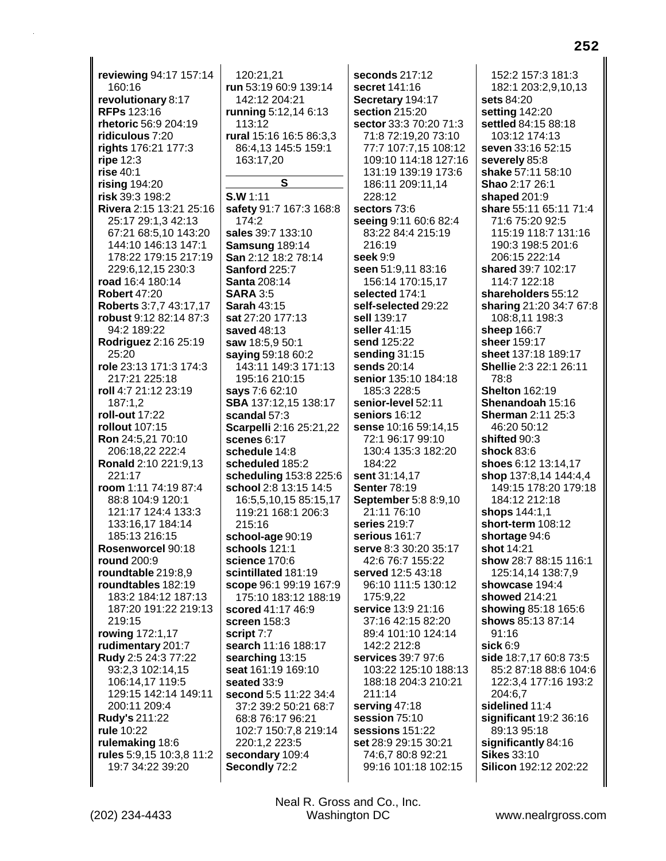**reviewing** 94:17 157:14 160:16 **revolutionary** 8:17 **RFPs** 123:16 **rhetoric** 56:9 204:19 **ridiculous** 7:20 **rights** 176:21 177:3 **ripe** 12:3 **rise** 40:1 **rising** 194:20 **risk** 39:3 198:2 **Rivera** 2:15 13:21 25:16 25:17 29:1,3 42:13 67:21 68:5,10 143:20 144:10 146:13 147:1 178:22 179:15 217:19 229:6,12,15 230:3 **road** 16:4 180:14 **Robert** 47:20 **Roberts** 3:7,7 43:17,17 **robust** 9:12 82:14 87:3 94:2 189:22 **Rodriguez** 2:16 25:19 25:20 **role** 23:13 171:3 174:3 217:21 225:18 **roll** 4:7 21:12 23:19 187:1,2 **roll-out** 17:22 **rollout** 107:15 **Ron** 24:5,21 70:10 206:18,22 222:4 **Ronald** 2:10 221:9,13 221:17 **room** 1:11 74:19 87:4 88:8 104:9 120:1 121:17 124:4 133:3 133:16,17 184:14 185:13 216:15 **Rosenworcel** 90:18 **round** 200:9 **roundtable** 219:8,9 **roundtables** 182:19 183:2 184:12 187:13 187:20 191:22 219:13 219:15 **rowing** 172:1,17 **rudimentary** 201:7 **Rudy** 2:5 24:3 77:22 93:2,3 102:14,15 106:14,17 119:5 129:15 142:14 149:11 200:11 209:4 **Rudy's** 211:22 **rule** 10:22 **rulemaking** 18:6 **rules** 5:9,15 10:3,8 11:2 19:7 34:22 39:20

120:21,21 **run** 53:19 60:9 139:14 142:12 204:21 **running** 5:12,14 6:13 113:12 **rural** 15:16 16:5 86:3,3 86:4,13 145:5 159:1 163:17,20 **S S.W** 1:11 **safety** 91:7 167:3 168:8 174:2 **sales** 39:7 133:10 **Samsung** 189:14 **San** 2:12 18:2 78:14 **Sanford** 225:7 **Santa** 208:14 **SARA** 3:5 **Sarah** 43:15 **sat** 27:20 177:13 **saved** 48:13 **saw** 18:5,9 50:1 **saying** 59:18 60:2 143:11 149:3 171:13 195:16 210:15 **says** 7:6 62:10 **SBA** 137:12,15 138:17 **scandal** 57:3 **Scarpelli** 2:16 25:21,22 **scenes** 6:17 **schedule** 14:8 **scheduled** 185:2 **scheduling** 153:8 225:6 **school** 2:8 13:15 14:5 16:5,5,10,15 85:15,17 119:21 168:1 206:3 215:16 **school-age** 90:19 **schools** 121:1 **science** 170:6 **scintillated** 181:19 **scope** 96:1 99:19 167:9 175:10 183:12 188:19 **scored** 41:17 46:9 **screen** 158:3 **script** 7:7 **search** 11:16 188:17 **searching** 13:15 **seat** 161:19 169:10 **seated** 33:9 **second** 5:5 11:22 34:4 37:2 39:2 50:21 68:7 68:8 76:17 96:21 102:7 150:7,8 219:14 220:1,2 223:5 **secondary** 109:4 **Secondly** 72:2

**seconds** 217:12 **secret** 141:16 **Secretary** 194:17 **section** 215:20 **sector** 33:3 70:20 71:3 71:8 72:19,20 73:10 77:7 107:7,15 108:12 109:10 114:18 127:16 131:19 139:19 173:6 186:11 209:11,14 228:12 **sectors** 73:6 **seeing** 9:11 60:6 82:4 83:22 84:4 215:19 216:19 **seek** 9:9 **seen** 51:9,11 83:16 156:14 170:15,17 **selected** 174:1 **self-selected** 29:22 **sell** 139:17 **seller** 41:15 **send** 125:22 **sending** 31:15 **sends** 20:14 **senior** 135:10 184:18 185:3 228:5 **senior-level** 52:11 **seniors** 16:12 **sense** 10:16 59:14,15 72:1 96:17 99:10 130:4 135:3 182:20 184:22 **sent** 31:14,17 **Senter** 78:19 **September** 5:8 8:9,10 21:11 76:10 **series** 219:7 **serious** 161:7 **serve** 8:3 30:20 35:17 42:6 76:7 155:22 **served** 12:5 43:18 96:10 111:5 130:12 175:9,22 **service** 13:9 21:16 37:16 42:15 82:20 89:4 101:10 124:14 142:2 212:8 **services** 39:7 97:6 103:22 125:10 188:13 188:18 204:3 210:21 211:14 **serving** 47:18 **session** 75:10 **sessions** 151:22 **set** 28:9 29:15 30:21 74:6,7 80:8 92:21 99:16 101:18 102:15

152:2 157:3 181:3 182:1 203:2,9,10,13 **sets** 84:20 **setting** 142:20 **settled** 84:15 88:18 103:12 174:13 **seven** 33:16 52:15 **severely** 85:8 **shake** 57:11 58:10 **Shao** 2:17 26:1 **shaped** 201:9 **share** 55:11 65:11 71:4 71:6 75:20 92:5 115:19 118:7 131:16 190:3 198:5 201:6 206:15 222:14 **shared** 39:7 102:17 114:7 122:18 **shareholders** 55:12 **sharing** 21:20 34:7 67:8 108:8,11 198:3 **sheep** 166:7 **sheer** 159:17 **sheet** 137:18 189:17 **Shellie** 2:3 22:1 26:11 78:8 **Shelton** 162:19 **Shenandoah** 15:16 **Sherman** 2:11 25:3 46:20 50:12 **shifted** 90:3 **shock** 83:6 **shoes** 6:12 13:14,17 **shop** 137:8,14 144:4,4 149:15 178:20 179:18 184:12 212:18 **shops** 144:1,1 **short-term** 108:12 **shortage** 94:6 **shot** 14:21 **show** 28:7 88:15 116:1 125:14,14 138:7,9 **showcase** 194:4 **showed** 214:21 **showing** 85:18 165:6 **shows** 85:13 87:14 91:16 **sick** 6:9 **side** 18:7,17 60:8 73:5 85:2 87:18 88:6 104:6 122:3,4 177:16 193:2 204:6,7 **sidelined** 11:4 **significant** 19:2 36:16 89:13 95:18 **significantly** 84:16 **Sikes** 33:10 **Silicon** 192:12 202:22

(202) 234-4433 Washington DC www.nealrgross.com Neal R. Gross and Co., Inc.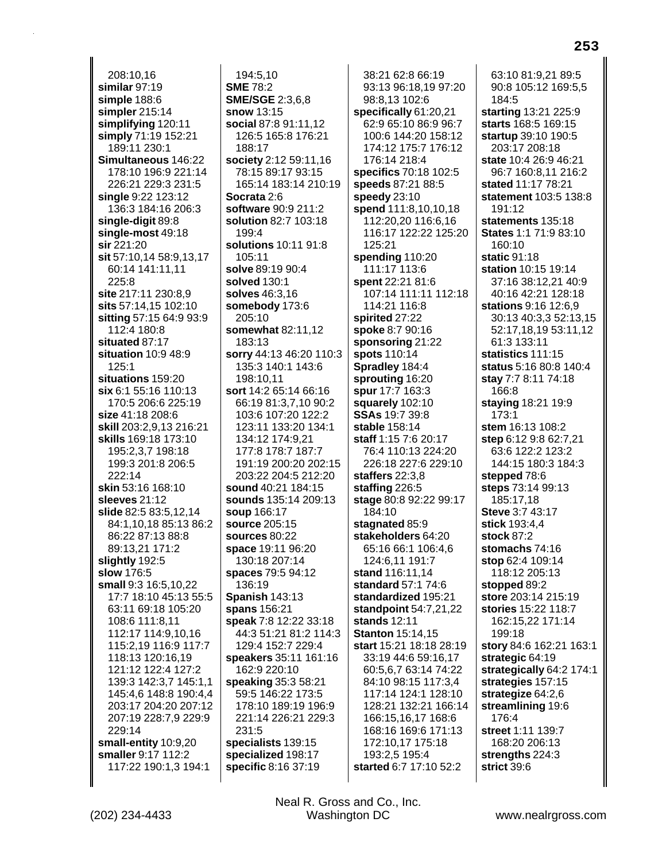208:10.16 similar 97:19 simple 188:6 simpler  $215:14$ simplifying 120:11 simply 71:19 152:21 189:11 230:1 Simultaneous 146:22 178:10 196:9 221:14 226:21 229:3 231:5 single 9:22 123:12 136:3 184:16 206:3 single-digit 89:8 single-most 49:18 sir 221:20 sit 57:10,14 58:9,13,17 60:14 141:11,11 225:8 site 217:11 230:8,9 sits 57:14,15 102:10 sitting 57:15 64:9 93:9 112:4 180:8 situated 87:17 situation 10:9 48:9  $125:1$ situations 159:20 six 6:1 55:16 110:13 170:5 206:6 225:19 **size** 41:18 208:6 skill 203:2,9,13 216:21 **skills** 169:18 173:10 195:2.3.7 198:18 199:3 201:8 206:5 222:14 skin 53:16 168:10 sleeves 21:12 slide 82:5 83:5,12,14 84:1,10,18 85:13 86:2 86:22 87:13 88:8 89:13.21 171:2 slightly 192:5 slow 176:5 small 9:3 16:5,10,22 17:7 18:10 45:13 55:5 63:11 69:18 105:20 108:6 111:8,11 112:17 114:9,10,16 115:2,19 116:9 117:7 118:13 120:16.19 121:12 122:4 127:2 139:3 142:3,7 145:1,1 145:4,6 148:8 190:4,4 203:17 204:20 207:12 207:19 228:7,9 229:9 229:14 small-entity 10:9,20 smaller 9:17 112:2 117:22 190:1,3 194:1

194:5.10 **SME 78:2 SME/SGE 2:3,6,8** snow 13:15 social 87:8 91:11.12 126:5 165:8 176:21 188:17 society 2:12 59:11,16 78:15 89:17 93:15 165:14 183:14 210:19 Socrata 2:6 software 90:9 211:2 solution 82:7 103:18  $199.4$ solutions 10:11 91:8 105:11 solve 89:19 90:4 solved 130:1 solves 46:3,16 somebody 173:6 205:10 somewhat 82:11,12 183:13 sorry 44:13 46:20 110:3 135:3 140:1 143:6 198:10.11 sort 14:2 65:14 66:16 66:19 81:3,7,10 90:2 103:6 107:20 122:2 123:11 133:20 134:1 134:12 174:9.21 177:8 178:7 187:7 191:19 200:20 202:15 203:22 204:5 212:20 sound 40:21 184:15 sounds 135:14 209:13 soup 166:17 source 205:15 sources 80:22 space 19:11 96:20 130:18 207:14 spaces 79:5 94:12 136:19 **Spanish 143:13** spans 156:21 speak 7:8 12:22 33:18 44:3 51:21 81:2 114:3 129:4 152:7 229:4 speakers 35:11 161:16 162:9 220:10 speaking 35:3 58:21 59:5 146:22 173:5 178:10 189:19 196:9 221:14 226:21 229:3 231:5 specialists 139:15 specialized 198:17 specific 8:16 37:19

38:21 62:8 66:19 93:13 96:18,19 97:20 98:8,13 102:6 specifically 61:20,21 62:9 65:10 86:9 96:7 100:6 144:20 158:12 174:12 175:7 176:12 176:14 218:4 specifics 70:18 102:5 speeds 87:21 88:5 speedy  $23:10$ spend 111:8,10,10,18 112:20,20 116:6,16 116:17 122:22 125:20 125:21 spending 110:20 111:17 113:6 spent 22:21 81:6 107:14 111:11 112:18 114:21 116:8 spirited 27:22 spoke 8:7 90:16 sponsoring 21:22 spots 110:14 **Spradley 184:4** sprouting 16:20 spur 17:7 163:3 squarely 102:10 **SSAs** 19:7 39:8 stable 158:14 staff 1:15 7:6 20:17 76:4 110:13 224:20 226:18 227:6 229:10 staffers  $22:3,8$ staffing  $226:5$ stage 80:8 92:22 99:17 184:10 stagnated 85:9 stakeholders 64:20 65:16 66:1 106:4.6 124:6,11 191:7 stand 116:11,14 standard 57:1 74:6 standardized 195:21 **standpoint** 54:7,21,22 stands 12:11 **Stanton 15:14,15** start 15:21 18:18 28:19 33:19 44:6 59:16,17 60:5,6,7 63:14 74:22 84:10 98:15 117:3,4 117:14 124:1 128:10 128:21 132:21 166:14 166:15,16,17 168:6 168:16 169:6 171:13 172:10,17 175:18 193:2,5 195:4 started 6:7 17:10 52:2

63:10 81:9.21 89:5 90:8 105:12 169:5,5 184:5 starting 13:21 225:9 starts 168:5 169:15 startup 39:10 190:5 203:17 208:18 state 10:4 26:9 46:21 96:7 160:8.11 216:2 stated 11:17 78:21 statement 103:5 138:8 191:12 statements 135:18 States 1:1 71:9 83:10  $160:10$ static 91:18 station 10:15 19:14 37:16 38:12,21 40:9 40:16 42:21 128:18 **stations**  $9:16$  12:6,9 30:13 40:3,3 52:13,15 52:17.18.19 53:11,12 61:3 133:11 statistics 111:15 status 5:16 80:8 140:4 stay 7:7 8:11 74:18 166:8 **staying 18:21 19:9** 173:1 stem 16:13 108:2 step 6:12 9:8 62:7.21 63:6 122:2 123:2 144:15 180:3 184:3 stepped 78:6 steps 73:14 99:13 185:17,18 Steve 3:7 43:17 stick 193:4,4 stock 87:2 stomachs 74:16 stop 62:4 109:14 118:12 205:13 stopped 89:2 store 203:14 215:19 stories 15:22 118:7 162:15,22 171:14 199:18 story 84:6 162:21 163:1 strategic 64:19 strategically 64:2 174:1 strategies 157:15 strategize 64:2,6 streamlining 19:6 176:4 street 1:11 139:7 168:20 206:13 strengths 224:3 strict 39:6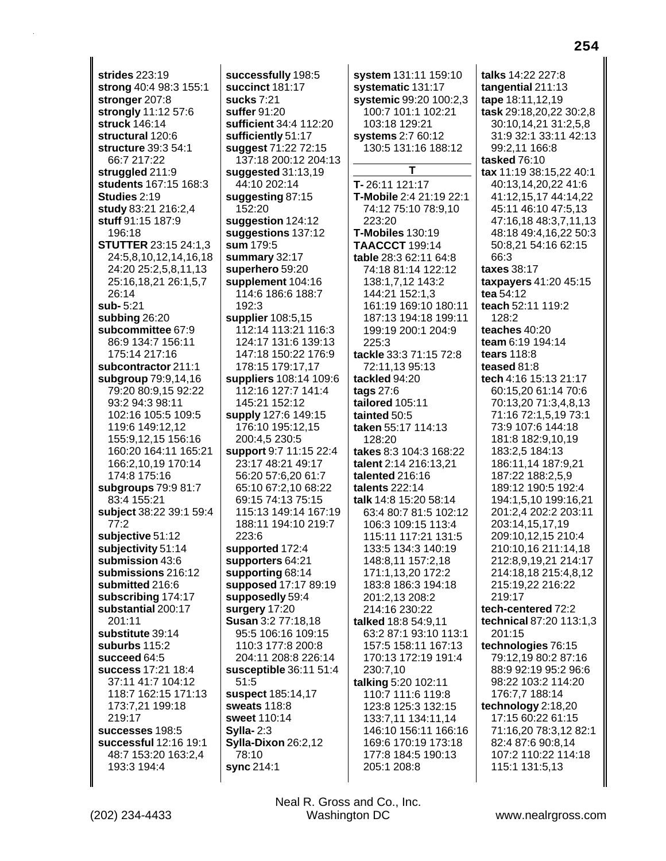**strides** 223:19 **strong** 40:4 98:3 155:1 **stronger** 207:8 **strongly** 11:12 57:6 **struck** 146:14 **structural** 120:6 **structure** 39:3 54:1 66:7 217:22 **struggled** 211:9 **students** 167:15 168:3 **Studies** 2:19 **study** 83:21 216:2,4 **stuff** 91:15 187:9 196:18 **STUTTER** 23:15 24:1,3 24:5,8,10,12,14,16,18 24:20 25:2,5,8,11,13 25:16,18,21 26:1,5,7 26:14 **sub-** 5:21 **subbing** 26:20 **subcommittee** 67:9 86:9 134:7 156:11 175:14 217:16 **subcontractor** 211:1 **subgroup** 79:9,14,16 79:20 80:9,15 92:22 93:2 94:3 98:11 102:16 105:5 109:5 119:6 149:12,12 155:9,12,15 156:16 160:20 164:11 165:21 166:2,10,19 170:14 174:8 175:16 **subgroups** 79:9 81:7 83:4 155:21 **subject** 38:22 39:1 59:4 77:2 **subjective** 51:12 **subjectivity** 51:14 **submission** 43:6 **submissions** 216:12 **submitted** 216:6 **subscribing** 174:17 **substantial** 200:17 201:11 **substitute** 39:14 **suburbs** 115:2 **succeed** 64:5 **success** 17:21 18:4 37:11 41:7 104:12 118:7 162:15 171:13 173:7,21 199:18 219:17 **successes** 198:5 **successful** 12:16 19:1 48:7 153:20 163:2,4 193:3 194:4

**successfully** 198:5 **succinct** 181:17 **sucks** 7:21 **suffer** 91:20 **sufficient** 34:4 112:20 **sufficiently** 51:17 **suggest** 71:22 72:15 137:18 200:12 204:13 **suggested** 31:13,19 44:10 202:14 **suggesting** 87:15 152:20 **suggestion** 124:12 **suggestions** 137:12 **sum** 179:5 **summary** 32:17 **superhero** 59:20 **supplement** 104:16 114:6 186:6 188:7 192:3 **supplier** 108:5,15 112:14 113:21 116:3 124:17 131:6 139:13 147:18 150:22 176:9 178:15 179:17,17 **suppliers** 108:14 109:6 112:16 127:7 141:4 145:21 152:12 **supply** 127:6 149:15 176:10 195:12,15 200:4,5 230:5 **support** 9:7 11:15 22:4 23:17 48:21 49:17 56:20 57:6,20 61:7 65:10 67:2,10 68:22 69:15 74:13 75:15 115:13 149:14 167:19 188:11 194:10 219:7 223:6 **supported** 172:4 **supporters** 64:21 **supporting** 68:14 **supposed** 17:17 89:19 **supposedly** 59:4 **surgery** 17:20 **Susan** 3:2 77:18,18 95:5 106:16 109:15 110:3 177:8 200:8 204:11 208:8 226:14 **susceptible** 36:11 51:4 51:5 **suspect** 185:14,17 **sweats** 118:8 **sweet** 110:14 **Sylla-** 2:3 **Sylla-Dixon** 26:2,12 78:10 **sync** 214:1

**system** 131:11 159:10 **systematic** 131:17 **systemic** 99:20 100:2,3 100:7 101:1 102:21 103:18 129:21 **systems** 2:7 60:12 130:5 131:16 188:12 **T T-** 26:11 121:17 **T-Mobile** 2:4 21:19 22:1 74:12 75:10 78:9,10 223:20 **T-Mobiles** 130:19 **TAACCCT** 199:14 **table** 28:3 62:11 64:8 74:18 81:14 122:12 138:1,7,12 143:2 144:21 152:1,3 161:19 169:10 180:11 187:13 194:18 199:11 199:19 200:1 204:9 225:3 **tackle** 33:3 71:15 72:8 72:11,13 95:13 **tackled** 94:20 **tags** 27:6 **tailored** 105:11 **tainted** 50:5 **taken** 55:17 114:13 128:20 **takes** 8:3 104:3 168:22 **talent** 2:14 216:13,21 **talented** 216:16 **talents** 222:14 **talk** 14:8 15:20 58:14 63:4 80:7 81:5 102:12 106:3 109:15 113:4 115:11 117:21 131:5 133:5 134:3 140:19 148:8,11 157:2,18 171:1,13,20 172:2 183:8 186:3 194:18 201:2,13 208:2 214:16 230:22 **talked** 18:8 54:9,11 63:2 87:1 93:10 113:1 157:5 158:11 167:13 170:13 172:19 191:4 230:7,10 **talking** 5:20 102:11 110:7 111:6 119:8 123:8 125:3 132:15 133:7,11 134:11,14 146:10 156:11 166:16 169:6 170:19 173:18 177:8 184:5 190:13 205:1 208:8

**talks** 14:22 227:8 **tangential** 211:13 **tape** 18:11,12,19 **task** 29:18,20,22 30:2,8 30:10,14,21 31:2,5,8 31:9 32:1 33:11 42:13 99:2,11 166:8 **tasked** 76:10 **tax** 11:19 38:15,22 40:1 40:13,14,20,22 41:6 41:12,15,17 44:14,22 45:11 46:10 47:5,13 47:16,18 48:3,7,11,13 48:18 49:4,16,22 50:3 50:8,21 54:16 62:15 66:3 **taxes** 38:17 **taxpayers** 41:20 45:15 **tea** 54:12 **teach** 52:11 119:2 128:2 **teaches** 40:20 **team** 6:19 194:14 **tears** 118:8 **teased** 81:8 **tech** 4:16 15:13 21:17 60:15,20 61:14 70:6 70:13,20 71:3,4,8,13 71:16 72:1,5,19 73:1 73:9 107:6 144:18 181:8 182:9,10,19 183:2,5 184:13 186:11,14 187:9,21 187:22 188:2,5,9 189:12 190:5 192:4 194:1,5,10 199:16,21 201:2,4 202:2 203:11 203:14,15,17,19 209:10,12,15 210:4 210:10,16 211:14,18 212:8,9,19,21 214:17 214:18,18 215:4,8,12 215:19,22 216:22 219:17 **tech-centered** 72:2 **technical** 87:20 113:1,3 201:15 **technologies** 76:15 79:12,19 80:2 87:16 88:9 92:19 95:2 96:6 98:22 103:2 114:20 176:7,7 188:14 **technology** 2:18,20 17:15 60:22 61:15 71:16,20 78:3,12 82:1 82:4 87:6 90:8,14 107:2 110:22 114:18 115:1 131:5,13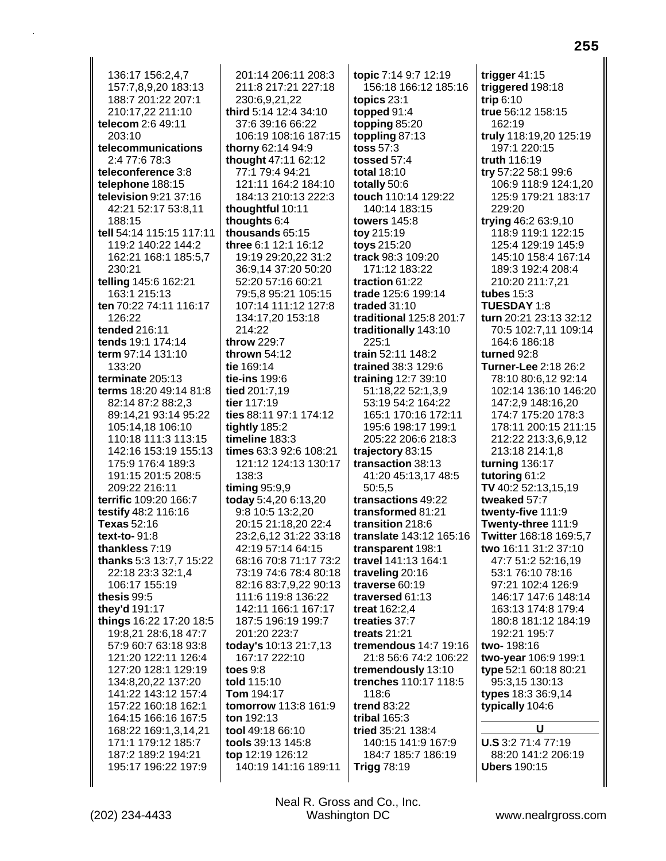136:17 156:2.4.7 157:7,8,9,20 183:13 188:7 201:22 207:1 210:17,22 211:10 telecom 2:6 49:11  $203.10$ telecommunications 2:4 77:6 78:3 teleconference 3:8 telephone 188:15 television  $9:21$  37:16 42:21 52:17 53:8,11 188:15 tell 54:14 115:15 117:11 119:2 140:22 144:2 162:21 168:1 185:5,7 230:21 telling 145:6 162:21 163:1 215:13 ten 70:22 74:11 116:17 126:22 tended 216:11 tends 19:1 174:14 term 97:14 131:10 133:20 terminate 205:13 terms 18:20 49:14 81:8 82:14 87:2 88:2,3 89:14,21 93:14 95:22 105:14.18 106:10 110:18 111:3 113:15 142:16 153:19 155:13 175:9 176:4 189:3 191:15 201:5 208:5 209:22 216:11 terrific 109:20 166:7 testify 48:2 116:16 **Texas** 52:16 text-to-91:8 thankless 7:19 thanks 5:3 13:7,7 15:22 22:18 23:3 32:1,4 106:17 155:19 thesis 99:5 they'd 191:17 things 16:22 17:20 18:5 19:8.21 28:6.18 47:7 57:9 60:7 63:18 93:8 121:20 122:11 126:4 127:20 128:1 129:19 134:8,20,22 137:20 141:22 143:12 157:4 157:22 160:18 162:1 164:15 166:16 167:5 168:22 169:1,3,14,21 171:1 179:12 185:7 187:2 189:2 194:21 195:17 196:22 197:9

201:14 206:11 208:3 211:8 217:21 227:18 230:6,9,21,22 third 5:14 12:4 34:10 37:6 39:16 66:22 106:19 108:16 187:15 thorny 62:14 94:9 thought 47:11 62:12 77:1 79:4 94:21 121:11 164:2 184:10 184:13 210:13 222:3 thoughtful 10:11 thoughts 6:4 thousands 65:15 three 6:1 12:1 16:12 19:19 29:20,22 31:2 36:9,14 37:20 50:20 52:20 57:16 60:21 79:5,8 95:21 105:15 107:14 111:12 127:8 134:17,20 153:18 214:22 throw 229:7 thrown  $54:12$ tie 169:14 tie-ins 199:6 tied 201:7.19 tier 117:19 ties 88:11 97:1 174:12 tightly 185:2  $timeline 183:3$ times 63:3 92:6 108:21 121:12 124:13 130:17 138:3 timing  $95:9,9$ today 5:4,20 6:13,20 9:8 10:5 13:2,20 20:15 21:18,20 22:4 23:2,6,12 31:22 33:18 42:19 57:14 64:15 68:16 70:8 71:17 73:2 73:19 74:6 78:4 80:18 82:16 83:7,9,22 90:13 111:6 119:8 136:22 142:11 166:1 167:17 187:5 196:19 199:7 201:20 223:7 today's 10:13 21:7.13 167:17 222:10 toes  $9:8$ told 115:10 Tom 194:17 tomorrow 113:8 161:9 ton 192:13 tool 49:18 66:10 tools 39:13 145:8 top 12:19 126:12 140:19 141:16 189:11

topic 7:14 9:7 12:19 156:18 166:12 185:16 topics  $23:1$ topped  $91:4$ topping 85:20 toppling 87:13 toss 57:3 tossed 57:4 total 18:10 totally 50:6 touch 110:14 129:22 140:14 183:15 **towers 145:8** toy 215:19 toys 215:20 track 98:3 109:20 171:12 183:22 traction 61:22 trade 125:6 199:14 traded  $31:10$ traditional 125:8 201:7 traditionally 143:10  $225:1$ train 52:11 148:2 trained 38:3 129:6 training 12:7 39:10 51:18,22 52:1,3,9 53:19 54:2 164:22 165:1 170:16 172:11 195:6 198:17 199:1 205:22 206:6 218:3 trajectory 83:15 transaction 38:13 41:20 45:13,17 48:5 50:5.5 transactions 49:22 transformed 81:21 transition 218:6 translate 143:12 165:16 transparent 198:1 travel 141:13 164:1 traveling 20:16 traverse 60:19 traversed 61:13 treat 162:2,4 treaties 37:7 treats 21:21 tremendous 14:7 19:16 21:8 56:6 74:2 106:22 tremendously 13:10 trenches 110:17 118:5 118:6 **trend 83:22** tribal 165:3 tried 35:21 138:4 140:15 141:9 167:9 184:7 185:7 186:19 **Trigg 78:19** 

trigger  $41:15$ triggered 198:18 trip  $6:10$ true 56:12 158:15 162:19 truly 118:19,20 125:19 197:1 220:15 truth 116:19 try 57:22 58:1 99:6 106:9 118:9 124:1,20 125:9 179:21 183:17 229:20 trying 46:2 63:9,10 118:9 119:1 122:15 125:4 129:19 145:9 145:10 158:4 167:14 189:3 192:4 208:4 210:20 211:7.21 tubes  $15:3$ **TUESDAY 1:8** turn 20:21 23:13 32:12 70:5 102:7.11 109:14 164:6 186:18 turned 92:8 Turner-Lee 2:18 26:2 78:10 80:6.12 92:14 102:14 136:10 146:20 147:2,9 148:16,20 174:7 175:20 178:3 178:11 200:15 211:15 212:22 213:3.6.9.12 213:18 214:1,8 turning  $136:17$ tutoring  $61:2$ TV 40:2 52:13,15,19 tweaked 57:7 twenty-five 111:9 Twenty-three 111:9 Twitter 168:18 169:5,7 two 16:11 31:2 37:10 47:7 51:2 52:16.19 53:1 76:10 78:16 97:21 102:4 126:9 146:17 147:6 148:14 163:13 174:8 179:4 180:8 181:12 184:19 192:21 195:7 two-198:16 two-year 106:9 199:1 type 52:1 60:18 80:21 95:3,15 130:13 types 18:3 36:9,14 typically 104:6 U **U.S** 3:2 71:4 77:19

88:20 141:2 206:19 **Ubers 190:15**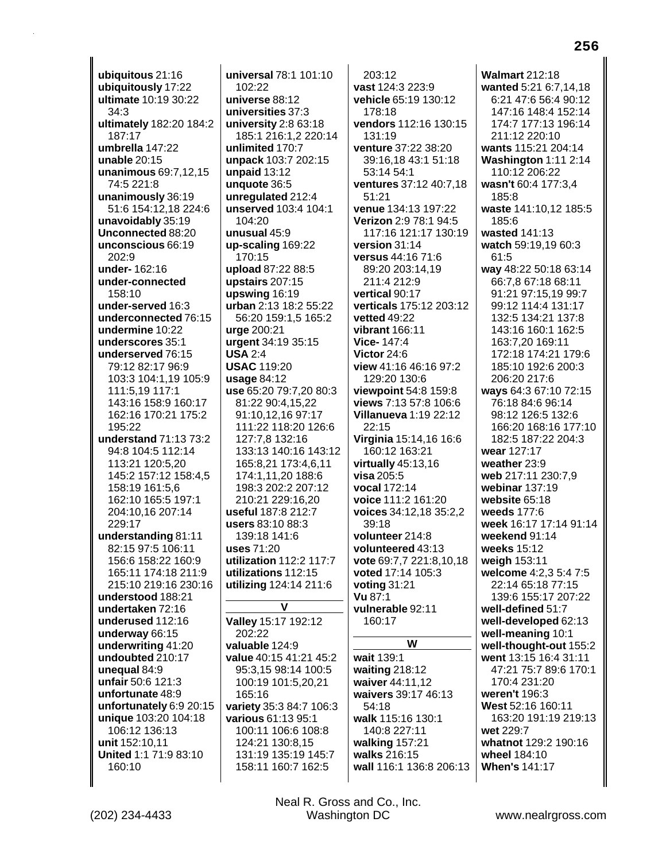ubiquitous 21:16 ubiquitously 17:22 ultimate 10:19 30:22  $34:3$ ultimately 182:20 184:2  $187.17$ umbrella 147:22 unable  $20:15$ unanimous 69:7.12.15 74:5 221:8 unanimously 36:19 51:6 154:12,18 224:6 unavoidably 35:19 Unconnected 88:20 unconscious 66:19  $202:9$ under-162:16 under-connected 158:10 under-served 16:3 underconnected 76:15 undermine 10:22 underscores 35:1 underserved 76:15 79:12 82:17 96:9 103:3 104:1.19 105:9 111:5,19 117:1 143:16 158:9 160:17 162:16 170:21 175:2 195:22 understand 71:13 73:2 94:8 104:5 112:14 113:21 120:5,20 145:2 157:12 158:4,5 158:19 161:5.6 162:10 165:5 197:1 204:10,16 207:14 229:17 understanding 81:11 82:15 97:5 106:11 156:6 158:22 160:9 165:11 174:18 211:9 215:10 219:16 230:16 understood 188:21 undertaken 72:16 underused 112:16 underway 66:15 underwriting 41:20 undoubted 210:17 unequal 84:9 unfair 50:6 121:3 unfortunate 48:9 unfortunately 6:9 20:15 unique 103:20 104:18 106:12 136:13 unit 152:10,11 United 1:1 71:9 83:10 160:10

 $102:22$ universe 88:12 universities 37:3 university 2:8 63:18 185:1 216:1,2 220:14 unlimited 170:7 unpack 103:7 202:15 unpaid 13:12 unquote 36:5 unregulated 212:4 unserved 103:4 104:1 104:20 unusual 45:9 up-scaling 169:22 170:15 upload 87:22 88:5 upstairs 207:15 upswing 16:19 **urban** 2:13 18:2 55:22 56:20 159:1,5 165:2 urge 200:21 urgent 34:19 35:15 **USA 2:4 USAC 119:20**  $usaae84:12$ use 65:20 79:7.20 80:3 81:22 90:4,15,22 91:10,12,16 97:17 111:22 118:20 126:6 127:7.8 132:16 133:13 140:16 143:12 165:8,21 173:4,6,11 174:1,11,20 188:6 198:3 202:2 207:12 210:21 229:16.20 useful 187:8 212:7 users 83:10 88:3 139:18 141:6 uses 71:20 utilization 112:2 117:7 utilizations 112:15 utilizing 124:14 211:6 V Valley 15:17 192:12 202:22 valuable 124:9 value 40:15 41:21 45:2 95:3,15 98:14 100:5 100:19 101:5,20,21 165:16 variety 35:3 84:7 106:3 various 61:13 95:1 100:11 106:6 108:8 124:21 130:8,15 131:19 135:19 145:7

universal 78:1 101:10

 $203:12$ vast 124:3 223:9 vehicle 65:19 130:12 178:18 vendors 112:16 130:15  $131.19$ venture 37:22 38:20 39:16,18 43:1 51:18 53:14 54:1 ventures 37:12 40:7,18  $51:21$ venue 134:13 197:22 Verizon 2:9 78:1 94:5 117:16 121:17 130:19 version 31:14 versus 44:16 71:6 89:20 203:14,19 211:4 212:9 vertical 90:17 verticals 175:12 203:12 **vetted 49:22** vibrant 166:11 Vice-147:4 Victor 24:6 view 41:16 46:16 97:2 129:20 130:6 viewpoint 54:8 159:8 views 7:13 57:8 106:6 **Villanueva 1:19 22:12**  $22:15$ Virginia 15:14,16 16:6 160:12 163:21 virtually  $45:13,16$ visa  $205:5$ vocal 172:14 voice 111:2 161:20 voices 34:12,18 35:2,2 39:18 volunteer 214:8 volunteered 43:13 vote 69:7,7 221:8,10,18 voted 17:14 105:3 voting  $31:21$ Vu 87:1 vulnerable 92:11 160:17 W wait 139:1 waiting 218:12 waiver 44:11,12 waivers 39:17 46:13  $54.18$ walk 115:16 130:1 140:8 227:11 walking 157:21 walks 216:15 wall 116:1 136:8 206:13 **Walmart 212:18** wanted 5:21 6:7,14,18 6:21 47:6 56:4 90:12 147:16 148:4 152:14 174:7 177:13 196:14 211:12 220:10 wants 115:21 204:14 Washington 1:11 2:14 110:12 206:22 wasn't 60:4 177:3,4  $185:8$ waste 141:10,12 185:5 185:6 wasted 141:13 watch 59:19,19 60:3 61:5 way 48:22 50:18 63:14 66:7,8 67:18 68:11 91:21 97:15,19 99:7 99:12 114:4 131:17 132:5 134:21 137:8 143:16 160:1 162:5 163:7,20 169:11 172:18 174:21 179:6 185:10 192:6 200:3 206:20 217:6 ways 64:3 67:10 72:15 76:18 84:6 96:14 98:12 126:5 132:6 166:20 168:16 177:10 182:5 187:22 204:3 wear 127:17 weather 23:9 web 217:11 230:7.9 webinar 137:19 website 65:18 weeds 177:6 week 16:17 17:14 91:14 weekend 91:14 weeks 15:12 weigh 153:11 welcome 4:2,3 5:4 7:5 22:14 65:18 77:15 139:6 155:17 207:22 well-defined 51:7 well-developed 62:13 well-meaning 10:1 well-thought-out 155:2 went 13:15 16:4 31:11 47:21 75:7 89:6 170:1 170:4 231:20 weren't 196:3 West 52:16 160:11 163:20 191:19 219:13 wet 229:7 whatnot 129:2 190:16 wheel 184:10 **When's 141:17** 

Neal R. Gross and Co., Inc. Washington DC

158:11 160:7 162:5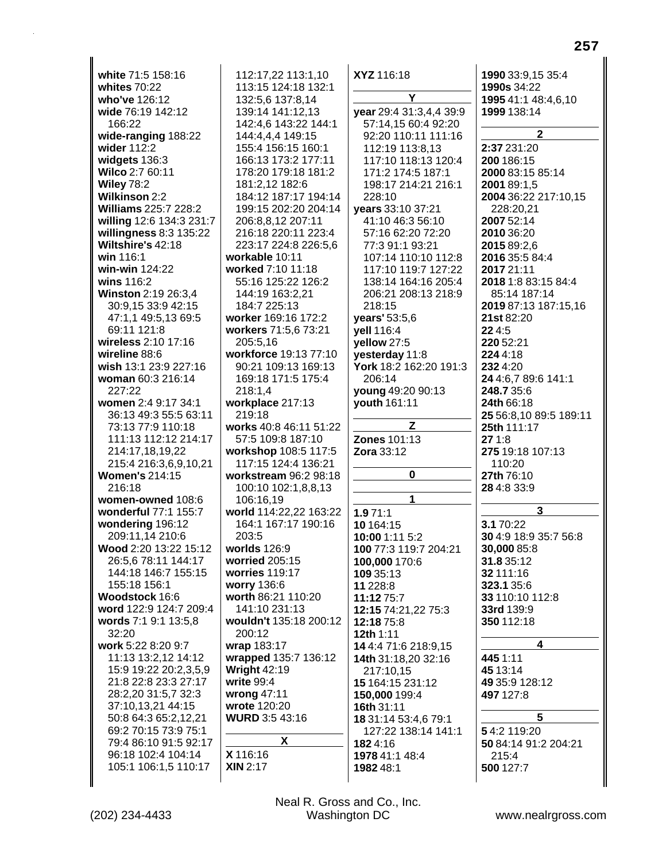| white 71:5 158:16           | 112:17,22 113:1,10     | XYZ 116:18              | 1990 33:9,15 35:4      |
|-----------------------------|------------------------|-------------------------|------------------------|
| whites 70:22                | 113:15 124:18 132:1    |                         | 1990s 34:22            |
| who've 126:12               | 132:5,6 137:8,14       | Y                       | 1995 41:1 48:4,6,10    |
| wide 76:19 142:12           | 139:14 141:12,13       | year 29:4 31:3,4,4 39:9 | 1999 138:14            |
| 166:22                      | 142:4.6 143:22 144:1   | 57:14.15 60:4 92:20     |                        |
| wide-ranging 188:22         | 144:4,4,4 149:15       | 92:20 110:11 111:16     | $\mathbf{2}$           |
| wider 112:2                 | 155:4 156:15 160:1     | 112:19 113:8,13         | 2:37 231:20            |
| widgets 136:3               | 166:13 173:2 177:11    | 117:10 118:13 120:4     | 200 186:15             |
| Wilco 2:7 60:11             | 178:20 179:18 181:2    |                         |                        |
|                             |                        | 171:2 174:5 187:1       | 2000 83:15 85:14       |
| <b>Wiley 78:2</b>           | 181:2,12 182:6         | 198:17 214:21 216:1     | 2001 89:1,5            |
| <b>Wilkinson 2:2</b>        | 184:12 187:17 194:14   | 228:10                  | 2004 36:22 217:10,15   |
| <b>Williams 225:7 228:2</b> | 199:15 202:20 204:14   | years 33:10 37:21       | 228:20,21              |
| willing 12:6 134:3 231:7    | 206:8,8,12 207:11      | 41:10 46:3 56:10        | 2007 52:14             |
| willingness 8:3 135:22      | 216:18 220:11 223:4    | 57:16 62:20 72:20       | 2010 36:20             |
| Wiltshire's 42:18           | 223:17 224:8 226:5,6   | 77:3 91:1 93:21         | 2015 89:2,6            |
| win 116:1                   | workable 10:11         | 107:14 110:10 112:8     | 2016 35:5 84:4         |
| win-win 124:22              | worked 7:10 11:18      | 117:10 119:7 127:22     | 2017 21:11             |
| wins 116:2                  | 55:16 125:22 126:2     | 138:14 164:16 205:4     | 2018 1:8 83:15 84:4    |
| Winston 2:19 26:3,4         | 144:19 163:2,21        | 206:21 208:13 218:9     | 85:14 187:14           |
| 30:9,15 33:9 42:15          | 184:7 225:13           | 218:15                  | 2019 87:13 187:15,16   |
| 47:1,1 49:5,13 69:5         | worker 169:16 172:2    | years' 53:5,6           | 21st 82:20             |
| 69:11 121:8                 | workers 71:5,6 73:21   |                         | 22 4:5                 |
|                             |                        | yell 116:4              |                        |
| wireless 2:10 17:16         | 205:5,16               | yellow 27:5             | 220 52:21              |
| wireline 88:6               | workforce 19:13 77:10  | yesterday 11:8          | 224 4:18               |
| wish 13:1 23:9 227:16       | 90:21 109:13 169:13    | York 18:2 162:20 191:3  | 232 4:20               |
| woman 60:3 216:14           | 169:18 171:5 175:4     | 206:14                  | 24 4:6,7 89:6 141:1    |
| 227:22                      | 218:1,4                | young 49:20 90:13       | 248.7 35:6             |
| women 2:4 9:17 34:1         | workplace 217:13       | youth 161:11            | 24th 66:18             |
| 36:13 49:3 55:5 63:11       | 219:18                 |                         | 25 56:8,10 89:5 189:11 |
| 73:13 77:9 110:18           | works 40:8 46:11 51:22 | Z                       | 25th 111:17            |
| 111:13 112:12 214:17        | 57:5 109:8 187:10      | <b>Zones 101:13</b>     | 271:8                  |
| 214:17,18,19,22             | workshop 108:5 117:5   | <b>Zora</b> 33:12       | 275 19:18 107:13       |
| 215:4 216:3,6,9,10,21       | 117:15 124:4 136:21    |                         | 110:20                 |
| <b>Women's 214:15</b>       | workstream 96:2 98:18  | 0                       | 27th 76:10             |
| 216:18                      | 100:10 102:1,8,8,13    |                         | 28 4:8 33:9            |
| women-owned 108:6           | 106:16,19              | 1                       |                        |
| wonderful 77:1 155:7        | world 114:22,22 163:22 | 1.971:1                 | 3                      |
| wondering 196:12            | 164:1 167:17 190:16    | 10 164:15               | 3.1 70:22              |
| 209:11,14 210:6             | 203:5                  | 10:00 1:11 5:2          | 30 4:9 18:9 35:7 56:8  |
| Wood 2:20 13:22 15:12       | worlds 126:9           | 100 77:3 119:7 204:21   | 30,000 85:8            |
| 26:5,6 78:11 144:17         | worried 205:15         | 100,000 170:6           | 31.8 35:12             |
| 144:18 146:7 155:15         | worries 119:17         | 109 35:13               | 32 111:16              |
| 155:18 156:1                | worry 136:6            | 11 228:8                | 323.1 35:6             |
| Woodstock 16:6              | worth 86:21 110:20     | 11:12 75:7              | 33 110:10 112:8        |
| word 122:9 124:7 209:4      | 141:10 231:13          | 12:15 74:21,22 75:3     | 33rd 139:9             |
| words 7:1 9:1 13:5,8        | wouldn't 135:18 200:12 | 12:18 75:8              | 350 112:18             |
| 32:20                       | 200:12                 | <b>12th 1:11</b>        |                        |
| work 5:22 8:20 9:7          | wrap 183:17            |                         | 4                      |
| 11:13 13:2,12 14:12         | wrapped 135:7 136:12   | 14 4:4 71:6 218:9,15    |                        |
|                             |                        | 14th 31:18,20 32:16     | 445 1:11               |
| 15:9 19:22 20:2,3,5,9       | <b>Wright 42:19</b>    | 217:10,15               | 45 13:14               |
| 21:8 22:8 23:3 27:17        | write 99:4             | 15 164:15 231:12        | 49 35:9 128:12         |
| 28:2,20 31:5,7 32:3         | wrong 47:11            | 150,000 199:4           | 497 127:8              |
| 37:10,13,21 44:15           | wrote 120:20           | 16th 31:11              |                        |
| 50:8 64:3 65:2,12,21        | <b>WURD 3:5 43:16</b>  | 18 31:14 53:4,6 79:1    | 5                      |
| 69:2 70:15 73:9 75:1        |                        | 127:22 138:14 141:1     | 54:2119:20             |
| 79:4 86:10 91:5 92:17       | X                      | 1824:16                 | 50 84:14 91:2 204:21   |
| 96:18 102:4 104:14          | X 116:16               | 1978 41:1 48:4          | 215:4                  |
| 105:1 106:1,5 110:17        | <b>XIN 2:17</b>        | 1982 48:1               | 500 127:7              |
|                             |                        |                         |                        |

Neal R. Gross and Co., Inc.<br>Washington DC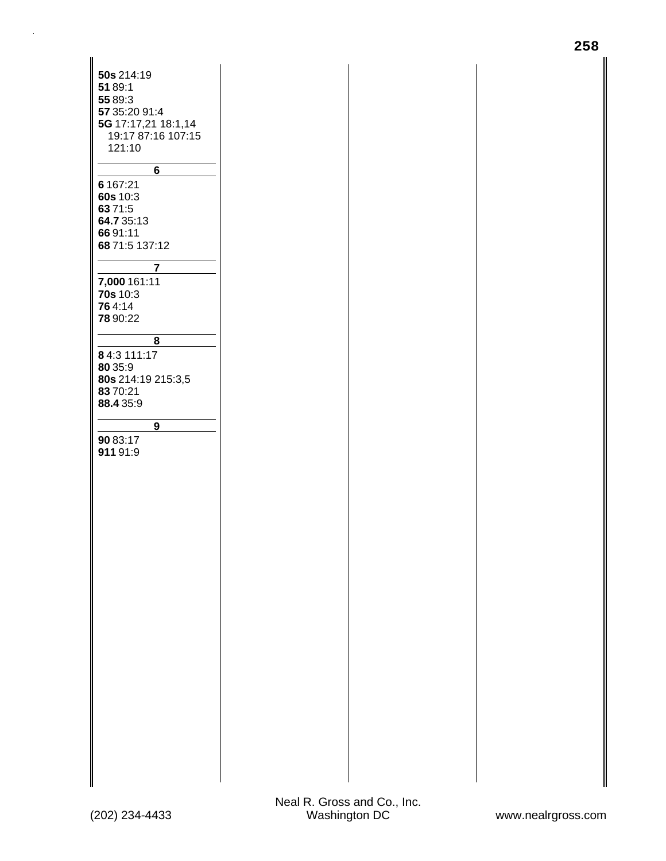| 50s 214:19<br>51 89:1<br>55 89:3<br>57 35:20 91:4                           |
|-----------------------------------------------------------------------------|
| 5G 17:17,21 18:1,14<br>19:17 87:16 107:15<br>121:10<br>6                    |
| 6 167:21<br>60s 10:3<br>63 71:5<br>64.7 35:13<br>66 91:11<br>68 71:5 137:12 |
| 7<br>7,000 161:11<br>70s 10:3<br>764:14<br>78 90:22                         |
| 8<br>84:3 111:17<br>80 35:9<br>80s 214:19 215:3,5<br>83 70:21<br>88.4 35:9  |
| 9<br>90 83:17<br>91191:9                                                    |
|                                                                             |
|                                                                             |
|                                                                             |
|                                                                             |
|                                                                             |
|                                                                             |